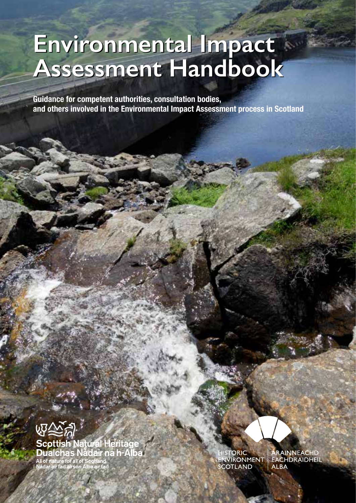## **Environmental Impact Assessment Handbook Environmental Impact Assessment Handbook**

**Guidance for competent authorities, consultation bodies, and others involved in the Environmental Impact Assessment process in Scotland**



HISTO<mark>RIC</mark><br>ENVIRONMENT<br>SCOTLAND

ÀRAINNEACHD<br>EACHDRAIDHEIL **ALBA**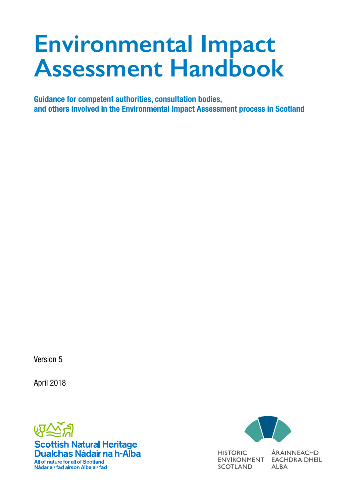# **Environmental Impact Assessment Handbook**

**Guidance for competent authorities, consultation bodies, and others involved in the Environmental Impact Assessment process in Scotland**

Version 5

April 2018



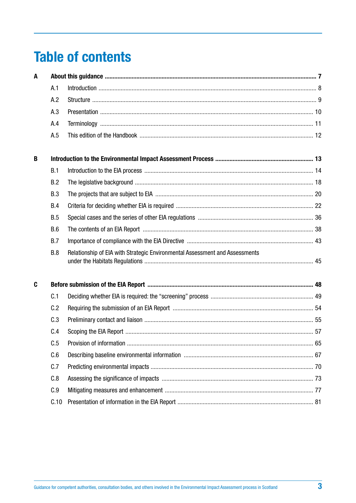# <span id="page-2-0"></span>**Table of contents**

| A |            |                                                                             |  |
|---|------------|-----------------------------------------------------------------------------|--|
|   | A.1        |                                                                             |  |
|   | A.2        |                                                                             |  |
|   | A.3        |                                                                             |  |
|   | A.4        |                                                                             |  |
|   | A.5        |                                                                             |  |
| B |            |                                                                             |  |
|   | B.1        |                                                                             |  |
|   | B.2        |                                                                             |  |
|   | B.3        |                                                                             |  |
|   | B.4        |                                                                             |  |
|   | <b>B.5</b> |                                                                             |  |
|   | B.6        |                                                                             |  |
|   | B.7        |                                                                             |  |
|   | B.8        | Relationship of EIA with Strategic Environmental Assessment and Assessments |  |
| C |            |                                                                             |  |
|   | C.1        |                                                                             |  |
|   | C.2        |                                                                             |  |
|   | C.3        |                                                                             |  |
|   | C.4        |                                                                             |  |
|   | C.5        |                                                                             |  |
|   | C.6        |                                                                             |  |
|   | C.7        |                                                                             |  |
|   | C.8        |                                                                             |  |
|   | C.9        |                                                                             |  |
|   | C.10       |                                                                             |  |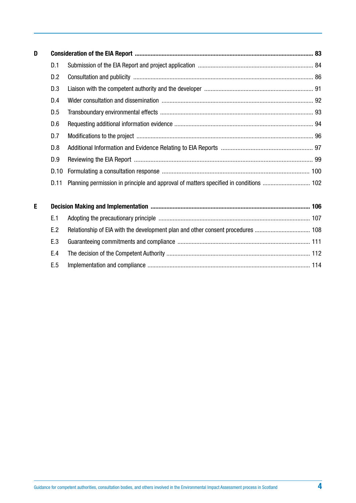| D |      |                                                                                       |  |
|---|------|---------------------------------------------------------------------------------------|--|
|   | D.1  |                                                                                       |  |
|   | D.2  |                                                                                       |  |
|   | D.3  |                                                                                       |  |
|   | D.4  |                                                                                       |  |
|   | D.5  |                                                                                       |  |
|   | D.6  |                                                                                       |  |
|   | D.7  |                                                                                       |  |
|   | D.8  |                                                                                       |  |
|   | D.9  |                                                                                       |  |
|   | D.10 |                                                                                       |  |
|   | D.11 | Planning permission in principle and approval of matters specified in conditions  102 |  |
| E |      |                                                                                       |  |
|   | E.1  |                                                                                       |  |
|   | E.2  | Relationship of EIA with the development plan and other consent procedures  108       |  |
|   | E.3  |                                                                                       |  |
|   | E.4  |                                                                                       |  |
|   | E.5  |                                                                                       |  |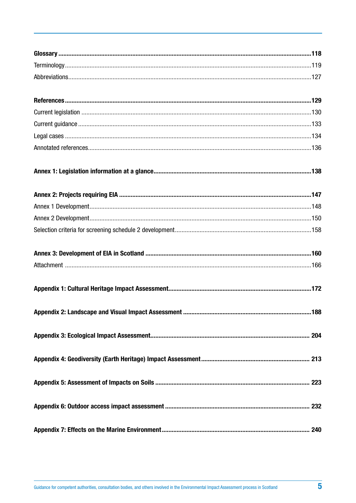| 188 |
|-----|
|     |
|     |
|     |
|     |
|     |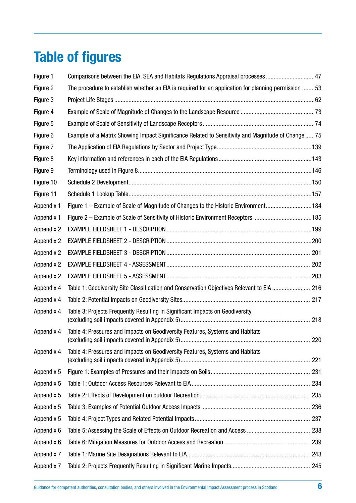# **Table of figures**

| Figure 1          | Comparisons between the EIA, SEA and Habitats Regulations Appraisal processes  47                    |  |
|-------------------|------------------------------------------------------------------------------------------------------|--|
| Figure 2          | The procedure to establish whether an EIA is required for an application for planning permission  53 |  |
| Figure 3          |                                                                                                      |  |
| Figure 4          |                                                                                                      |  |
| Figure 5          |                                                                                                      |  |
| Figure 6          | Example of a Matrix Showing Impact Significance Related to Sensitivity and Magnitude of Change  75   |  |
| Figure 7          |                                                                                                      |  |
| Figure 8          |                                                                                                      |  |
| Figure 9          |                                                                                                      |  |
| Figure 10         |                                                                                                      |  |
| Figure 11         |                                                                                                      |  |
| Appendix 1        | Figure 1 – Example of Scale of Magnitude of Changes to the Historic Environment184                   |  |
| Appendix 1        | Figure 2 - Example of Scale of Sensitivity of Historic Environment Receptors 185                     |  |
| <b>Appendix 2</b> |                                                                                                      |  |
| <b>Appendix 2</b> |                                                                                                      |  |
| <b>Appendix 2</b> |                                                                                                      |  |
| <b>Appendix 2</b> |                                                                                                      |  |
| <b>Appendix 2</b> |                                                                                                      |  |
| Appendix 4        | Table 1: Geodiversity Site Classification and Conservation Objectives Relevant to EIA  216           |  |
| Appendix 4        |                                                                                                      |  |
| Appendix 4        | Table 3: Projects Frequently Resulting in Significant Impacts on Geodiversity                        |  |
| Appendix 4        | Table 4: Pressures and Impacts on Geodiversity Features, Systems and Habitats                        |  |
| Appendix 4        | Table 4: Pressures and Impacts on Geodiversity Features, Systems and Habitats                        |  |
| Appendix 5        |                                                                                                      |  |
| Appendix 5        |                                                                                                      |  |
| Appendix 5        |                                                                                                      |  |
| Appendix 5        |                                                                                                      |  |
| Appendix 5        |                                                                                                      |  |
| Appendix 6        |                                                                                                      |  |
| Appendix 6        |                                                                                                      |  |
| Appendix 7        |                                                                                                      |  |
| Appendix 7        |                                                                                                      |  |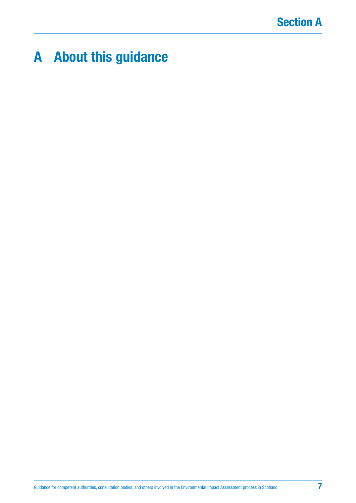# **Section A**

# <span id="page-6-0"></span>**A About this guidance**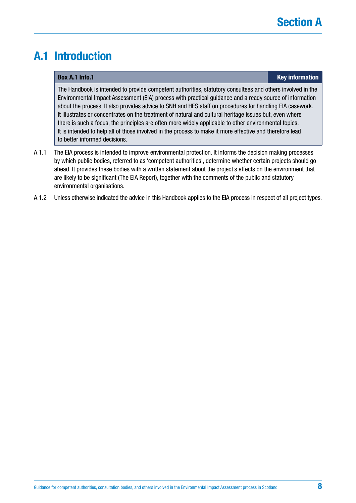# <span id="page-7-0"></span>**A.1 Introduction**

### **Box A.1 Info.1 Key information**

The Handbook is intended to provide competent authorities, statutory consultees and others involved in the Environmental Impact Assessment (EIA) process with practical guidance and a ready source of information about the process. It also provides advice to SNH and HES staff on procedures for handling EIA casework. It illustrates or concentrates on the treatment of natural and cultural heritage issues but, even where there is such a focus, the principles are often more widely applicable to other environmental topics. It is intended to help all of those involved in the process to make it more effective and therefore lead to better informed decisions.

- A.1.1 The EIA process is intended to improve environmental protection. It informs the decision making processes by which public bodies, referred to as 'competent authorities', determine whether certain projects should go ahead. It provides these bodies with a written statement about the project's effects on the environment that are likely to be significant (The EIA Report), together with the comments of the public and statutory environmental organisations.
- A.1.2 Unless otherwise indicated the advice in this Handbook applies to the EIA process in respect of all project types.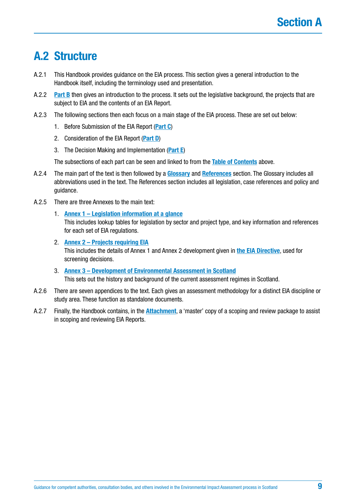# <span id="page-8-0"></span>**A.2 Structure**

- A.2.1 This Handbook provides guidance on the EIA process. This section gives a general introduction to the Handbook itself, including the terminology used and presentation.
- A.2.2 **[Part B](#page-13-0)** then gives an introduction to the process. It sets out the legislative background, the projects that are subject to EIA and the contents of an EIA Report.
- A.2.3 The following sections then each focus on a main stage of the EIA process. These are set out below:
	- 1. Before Submission of the EIA Report (**[Part C](#page-47-0)**)
	- 2. Consideration of the EIA Report (**[Part D](#page-82-0)**)
	- 3. The Decision Making and Implementation (**[Part E](#page-105-0)**)

The subsections of each part can be seen and linked to from the **[Table of Contents](#page-2-0)** above.

- A.2.4 The main part of the text is then followed by a **[Glossary](#page-117-0)** and **[References](#page-128-0)** section. The Glossary includes all abbreviations used in the text. The References section includes all legislation, case references and policy and guidance.
- A.2.5 There are three Annexes to the main text:
	- 1. **[Annex 1 Legislation information at a glance](#page-137-0)** This includes lookup tables for legislation by sector and project type, and key information and references for each set of EIA regulations.
	- 2. **[Annex 2 Projects requiring EIA](#page-146-0)** This includes the details of Annex 1 and Annex 2 development given in **[the EIA Directive](http://ec.europa.eu/environment/eia/pdf/EIA_Directive_informal.pdf)**, used for screening decisions.
	- 3. **[Annex 3 Development of Environmental Assessment in Scotland](#page-159-0)** This sets out the history and background of the current assessment regimes in Scotland.
- A.2.6 There are seven appendices to the text. Each gives an assessment methodology for a distinct EIA discipline or study area. These function as standalone documents.
- A.2.7 Finally, the Handbook contains, in the **[Attachment](#page-165-0)**, a 'master' copy of a scoping and review package to assist in scoping and reviewing EIA Reports.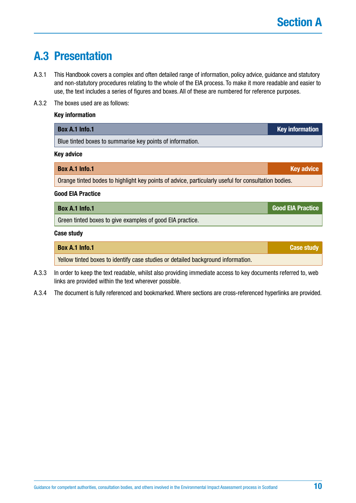# <span id="page-9-0"></span>**A.3 Presentation**

- A.3.1 This Handbook covers a complex and often detailed range of information, policy advice, guidance and statutory and non-statutory procedures relating to the whole of the EIA process. To make it more readable and easier to use, the text includes a series of figures and boxes. All of these are numbered for reference purposes.
- A.3.2 The boxes used are as follows:

## **Key information**

| Box A.1 Info.1                                                                                      | <b>Key information</b>   |  |  |
|-----------------------------------------------------------------------------------------------------|--------------------------|--|--|
| Blue tinted boxes to summarise key points of information.                                           |                          |  |  |
| <b>Key advice</b>                                                                                   |                          |  |  |
| <b>Box A.1 Info.1</b>                                                                               | <b>Key advice</b>        |  |  |
| Orange tinted bodes to highlight key points of advice, particularly useful for consultation bodies. |                          |  |  |
| <b>Good EIA Practice</b>                                                                            |                          |  |  |
| <b>Box A.1 Info.1</b>                                                                               | <b>Good EIA Practice</b> |  |  |
| Green tinted boxes to give examples of good EIA practice.                                           |                          |  |  |
| <b>Case study</b>                                                                                   |                          |  |  |

| <b>Box A.1 Info.1</b>                                                            | <b>Case study</b> |
|----------------------------------------------------------------------------------|-------------------|
| Yellow tinted boxes to identify case studies or detailed background information. |                   |

- A.3.3 In order to keep the text readable, whilst also providing immediate access to key documents referred to, web links are provided within the text wherever possible.
- A.3.4 The document is fully referenced and bookmarked. Where sections are cross-referenced hyperlinks are provided.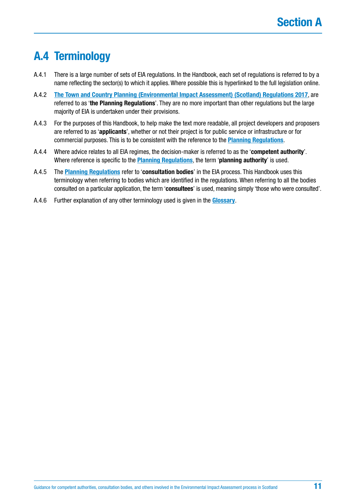# <span id="page-10-0"></span>**A.4 Terminology**

- A.4.1 There is a large number of sets of EIA regulations. In the Handbook, each set of regulations is referred to by a name reflecting the sector(s) to which it applies. Where possible this is hyperlinked to the full legislation online.
- A.4.2 **[The Town and Country Planning \(Environmental Impact Assessment\) \(Scotland\) Regulations 2017](http://www.legislation.gov.uk/ssi/2017/102/regulation/4/made)**, are referred to as '**the Planning Regulations**'. They are no more important than other regulations but the large majority of EIA is undertaken under their provisions.
- A.4.3 For the purposes of this Handbook, to help make the text more readable, all project developers and proposers are referred to as '**applicants**', whether or not their project is for public service or infrastructure or for commercial purposes. This is to be consistent with the reference to the **[Planning Regulations](http://www.legislation.gov.uk/ssi/2017/102/regulation/4/made)**.
- A.4.4 Where advice relates to all EIA regimes, the decision-maker is referred to as the '**competent authority**'. Where reference is specific to the **[Planning Regulations](http://www.legislation.gov.uk/ssi/2017/102/regulation/4/made)**, the term '**planning authority**' is used.
- A.4.5 The **[Planning Regulations](http://www.legislation.gov.uk/ssi/2017/102/regulation/4/made)** refer to '**consultation bodies**' in the EIA process. This Handbook uses this terminology when referring to bodies which are identified in the regulations. When referring to all the bodies consulted on a particular application, the term '**consultees**' is used, meaning simply 'those who were consulted'.
- A.4.6 Further explanation of any other terminology used is given in the **[Glossary](#page-117-0)**.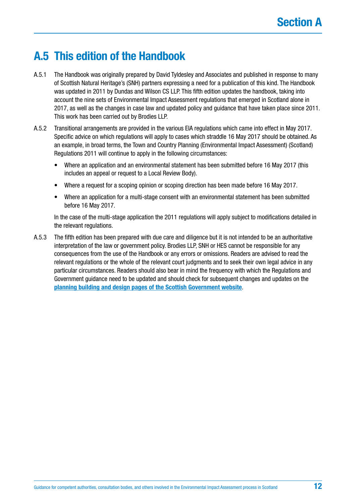# <span id="page-11-0"></span>**A.5 This edition of the Handbook**

- A.5.1 The Handbook was originally prepared by David Tyldesley and Associates and published in response to many of Scottish Natural Heritage's (SNH) partners expressing a need for a publication of this kind. The Handbook was updated in 2011 by Dundas and Wilson CS LLP. This fifth edition updates the handbook, taking into account the nine sets of Environmental Impact Assessment regulations that emerged in Scotland alone in 2017, as well as the changes in case law and updated policy and guidance that have taken place since 2011. This work has been carried out by Brodies LLP.
- A.5.2 Transitional arrangements are provided in the various EIA regulations which came into effect in May 2017. Specific advice on which regulations will apply to cases which straddle 16 May 2017 should be obtained. As an example, in broad terms, the Town and Country Planning (Environmental Impact Assessment) (Scotland) Regulations 2011 will continue to apply in the following circumstances:
	- Where an application and an environmental statement has been submitted before 16 May 2017 (this includes an appeal or request to a Local Review Body).
	- Where a request for a scoping opinion or scoping direction has been made before 16 May 2017.
	- Where an application for a multi-stage consent with an environmental statement has been submitted before 16 May 2017.

In the case of the multi-stage application the 2011 regulations will apply subject to modifications detailed in the relevant regulations.

A.5.3 The fifth edition has been prepared with due care and diligence but it is not intended to be an authoritative interpretation of the law or government policy. Brodies LLP, SNH or HES cannot be responsible for any consequences from the use of the Handbook or any errors or omissions. Readers are advised to read the relevant regulations or the whole of the relevant court judgments and to seek their own legal advice in any particular circumstances. Readers should also bear in mind the frequency with which the Regulations and Government guidance need to be updated and should check for subsequent changes and updates on the **[planning building and design pages of the Scottish Government website](https://beta.gov.scot/building-planning-and-design/)**.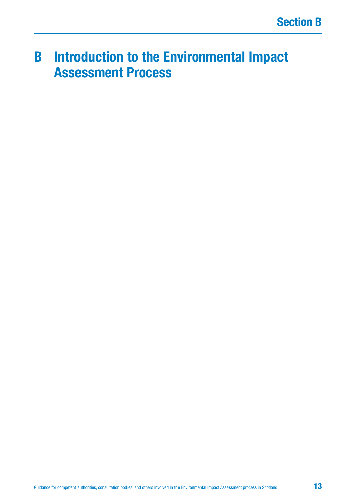# <span id="page-12-0"></span>**B Introduction to the Environmental Impact Assessment Process**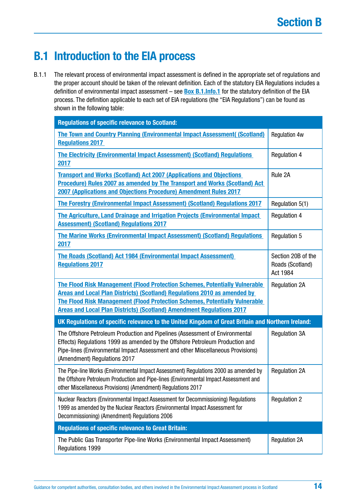# <span id="page-13-0"></span>**B.1 Introduction to the EIA process**

B.1.1 The relevant process of environmental impact assessment is defined in the appropriate set of regulations and the proper account should be taken of the relevant definition. Each of the statutory EIA Regulations includes a definition of environmental impact assessment – see **[Box B.1.Info.1](#page-14-0)** for the statutory definition of the EIA process. The definition applicable to each set of EIA regulations (the "EIA Regulations") can be found as shown in the following table:

| <b>Regulations of specific relevance to Scotland:</b>                                                                                                                                                                                                                                                                                  |                                                    |
|----------------------------------------------------------------------------------------------------------------------------------------------------------------------------------------------------------------------------------------------------------------------------------------------------------------------------------------|----------------------------------------------------|
| <b>The Town and Country Planning (Environmental Impact Assessment( (Scotland)</b><br><b>Regulations 2017</b>                                                                                                                                                                                                                           | <b>Regulation 4w</b>                               |
| The Electricity (Environmental Impact Assessment) (Scotland) Regulations<br>2017                                                                                                                                                                                                                                                       | <b>Regulation 4</b>                                |
| <b>Transport and Works (Scotland) Act 2007 (Applications and Objections</b><br>Procedure) Rules 2007 as amended by The Transport and Works (Scotland) Act<br>2007 (Applications and Objections Procedure) Amendment Rules 2017                                                                                                         | Rule 2A                                            |
| The Forestry (Environmental Impact Assessment) (Scotland) Regulations 2017                                                                                                                                                                                                                                                             | Regulation 5(1)                                    |
| The Agriculture, Land Drainage and Irrigation Projects (Environmental Impact<br><b>Assessment) (Scotland) Regulations 2017</b>                                                                                                                                                                                                         | <b>Regulation 4</b>                                |
| <b>The Marine Works (Environmental Impact Assessment) (Scotland) Regulations</b><br>2017                                                                                                                                                                                                                                               | <b>Regulation 5</b>                                |
| The Roads (Scotland) Act 1984 (Environmental Impact Assessment)<br><b>Regulations 2017</b>                                                                                                                                                                                                                                             | Section 20B of the<br>Roads (Scotland)<br>Act 1984 |
| <b>The Flood Risk Management (Flood Protection Schemes, Potentially Vulnerable</b><br>Areas and Local Plan Districts) (Scotland) Regulations 2010 as amended by<br><b>The Flood Risk Management (Flood Protection Schemes, Potentially Vulnerable)</b><br><b>Areas and Local Plan Districts) (Scotland) Amendment Regulations 2017</b> | <b>Regulation 2A</b>                               |
| UK Regulations of specific relevance to the United Kingdom of Great Britain and Northern Ireland:                                                                                                                                                                                                                                      |                                                    |
| The Offshore Petroleum Production and Pipelines (Assessment of Environmental<br>Effects) Regulations 1999 as amended by the Offshore Petroleum Production and<br>Pipe-lines (Environmental Impact Assessment and other Miscellaneous Provisions)<br>(Amendment) Regulations 2017                                                       | <b>Regulation 3A</b>                               |
| The Pipe-line Works (Environmental Impact Assessment) Regulations 2000 as amended by<br>the Offshore Petroleum Production and Pipe-lines (Environmental Impact Assessment and<br>other Miscellaneous Provisions) (Amendment) Regulations 2017                                                                                          | <b>Regulation 2A</b>                               |
| Nuclear Reactors (Environmental Impact Assessment for Decommissioning) Regulations<br>1999 as amended by the Nuclear Reactors (Environmental Impact Assessment for<br>Decommissioning) (Amendment) Regulations 2006                                                                                                                    | <b>Regulation 2</b>                                |
| <b>Regulations of specific relevance to Great Britain:</b>                                                                                                                                                                                                                                                                             |                                                    |
| The Public Gas Transporter Pipe-line Works (Environmental Impact Assessment)<br>Regulations 1999                                                                                                                                                                                                                                       | <b>Regulation 2A</b>                               |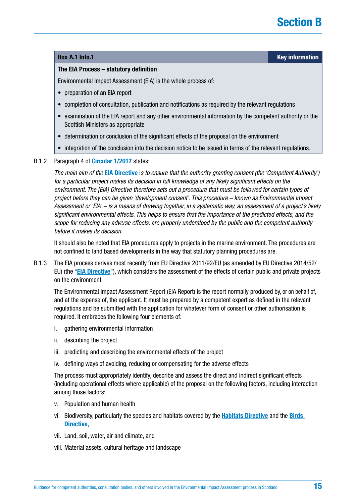### <span id="page-14-0"></span>**Box A.1 Info.1 Key information**

### **The EIA Process – statutory definition**

Environmental Impact Assessment (EIA) is the whole process of:

- preparation of an EIA report
- completion of consultation, publication and notifications as required by the relevant regulations
- examination of the EIA report and any other environmental information by the competent authority or the Scottish Ministers as appropriate
- determination or conclusion of the significant effects of the proposal on the environment
- integration of the conclusion into the decision notice to be issued in terms of the relevant regulations.

### B.1.2 Paragraph 4 of **[Circular 1/2017](http://www.gov.scot/Publications/2017/05/6292)** states:

*The main aim of the* **[EIA Directive](http://ec.europa.eu/environment/eia/pdf/EIA_Directive_informal.pdf)** i*s to ensure that the authority granting consent (the 'Competent Authority') for a particular project makes its decision in full knowledge of any likely significant effects on the environment. The [EIA] Directive therefore sets out a procedure that must be followed for certain types of project before they can be given 'development consent'. This procedure – known as Environmental Impact Assessment or 'EIA' – is a means of drawing together, in a systematic way, an assessment of a project's likely significant environmental effects. This helps to ensure that the importance of the predicted effects, and the scope for reducing any adverse effects, are properly understood by the public and the competent authority before it makes its decision.*

It should also be noted that EIA procedures apply to projects in the marine environment. The procedures are not confined to land based developments in the way that statutory planning procedures are.

B.1.3 The EIA process derives most recently from EU Directive 2011/92/EU (as amended by EU Directive 2014/52/ EU) (the "**[EIA Directive](http://ec.europa.eu/environment/eia/pdf/EIA_Directive_informal.pdf)**"), which considers the assessment of the effects of certain public and private projects on the environment.

The Environmental Impact Assessment Report (EIA Report) is the report normally produced by, or on behalf of, and at the expense of, the applicant. It must be prepared by a competent expert as defined in the relevant regulations and be submitted with the application for whatever form of consent or other authorisation is required. It embraces the following four elements of:

- i. gathering environmental information
- ii. describing the project
- iii. predicting and describing the environmental effects of the project
- iv. defining ways of avoiding, reducing or compensating for the adverse effects

The process must appropriately identify, describe and assess the direct and indirect significant effects (including operational effects where applicable) of the proposal on the following factors, including interaction among those factors:

- v. Population and human health
- vi. Biodiversity, particularly the species and habitats covered by the **[Habitats Directive](http://ec.europa.eu/environment/nature/legislation/habitatsdirective/index_en.htm)** and the **[Birds](http://ec.europa.eu/environment/nature/legislation/birdsdirective/index_en.htm)  [Directive](http://ec.europa.eu/environment/nature/legislation/birdsdirective/index_en.htm)**,
- vii. Land, soil, water, air and climate, and
- viii. Material assets, cultural heritage and landscape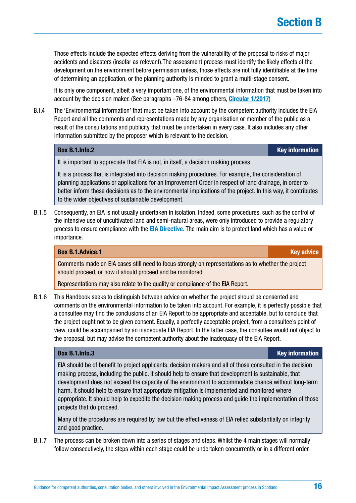Those effects include the expected effects deriving from the vulnerability of the proposal to risks of major accidents and disasters (insofar as relevant).The assessment process must identify the likely effects of the development on the environment before permission unless, those effects are not fully identifiable at the time of determining an application, or the planning authority is minded to grant a multi-stage consent.

It is only one component, albeit a very important one, of the environmental information that must be taken into account by the decision maker. (See paragraphs –76-84 among others, **[Circular](http://www.scotland.gov.uk/Resource/Doc/350238/0117228.pdf) 1/2017**)

B.1.4 The 'Environmental Information' that must be taken into account by the competent authority includes the EIA Report and all the comments and representations made by any organisation or member of the public as a result of the consultations and publicity that must be undertaken in every case. It also includes any other information submitted by the proposer which is relevant to the decision.

## **Box [B.1.Info.](http://B.1.Info)2 Key information**

It is important to appreciate that EIA is not, in itself, a decision making process.

It is a process that is integrated into decision making procedures. For example, the consideration of planning applications or applications for an Improvement Order in respect of land drainage, in order to better inform these decisions as to the environmental implications of the project. In this way, it contributes to the wider objectives of sustainable development.

B.1.5 Consequently, an EIA is not usually undertaken in isolation. Indeed, some procedures, such as the control of the intensive use of uncultivated land and semi-natural areas, were only introduced to provide a regulatory process to ensure compliance with the **[EIA Directive](http://ec.europa.eu/environment/eia/pdf/EIA_Directive_informal.pdf)**. The main aim is to protect land which has a value or importance.

### **Box [B.1.Advice](http://B.1.Advice).1 Key advice** *Reserve EXISTENTIAL CONTRACT: A CONTRACT: CONTRACT: CONTRACT: CONTRACT: CONTRACT: CONTRACT: CONTRACT: CONTRACT: CONTRACT: CONTRACT: CONTRACT: CONTRACT: CONTRACT: CONTRACT: CONTRACT: CONTRA*

Comments made on EIA cases still need to focus strongly on representations as to whether the project should proceed, or how it should proceed and be monitored

Representations may also relate to the quality or compliance of the EIA Report.

B.1.6 This Handbook seeks to distinguish between advice on whether the project should be consented and comments on the environmental information to be taken into account. For example, it is perfectly possible that a consultee may find the conclusions of an EIA Report to be appropriate and acceptable, but to conclude that the project ought not to be given consent. Equally, a perfectly acceptable project, from a consultee's point of view, could be accompanied by an inadequate EIA Report. In the latter case, the consultee would not object to the proposal, but may advise the competent authority about the inadequacy of the EIA Report.

### **Box [B.1.Info.](http://B.1.Info)3 Key information**

EIA should be of benefit to project applicants, decision makers and all of those consulted in the decision making process, including the public. It should help to ensure that development is sustainable, that development does not exceed the capacity of the environment to accommodate chance without long-term harm. It should help to ensure that appropriate mitigation is implemented and monitored where appropriate. It should help to expedite the decision making process and guide the implementation of those projects that do proceed.

Many of the procedures are required by law but the effectiveness of EIA relied substantially on integrity and good practice.

B.1.7 The process can be broken down into a series of stages and steps. Whilst the 4 main stages will normally follow consecutively, the steps within each stage could be undertaken concurrently or in a different order.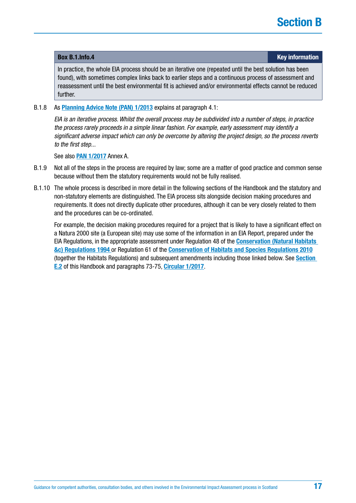In practice, the whole EIA process should be an iterative one (repeated until the best solution has been found), with sometimes complex links back to earlier steps and a continuous process of assessment and reassessment until the best environmental fit is achieved and/or environmental effects cannot be reduced further.

### B.1.8 As **[Planning Advice Note \(PAN\) 1/2013](http://www.gov.scot/Resource/0052/00521028.pdf)** explains at paragraph 4.1:

*EIA is an iterative process. Whilst the overall process may be subdivided into a number of steps, in practice the process rarely proceeds in a simple linear fashion. For example, early assessment may identify a significant adverse impact which can only be overcome by altering the project design, so the process reverts to the first step...*

See also **[PAN 1/2017](http://www.gov.scot/Resource/0052/00521461.pdf)** Annex A.

- B.1.9 Not all of the steps in the process are required by law; some are a matter of good practice and common sense because without them the statutory requirements would not be fully realised.
- B.1.10 The whole process is described in more detail in the following sections of the Handbook and the statutory and non-statutory elements are distinguished. The EIA process sits alongside decision making procedures and requirements. It does not directly duplicate other procedures, although it can be very closely related to them and the procedures can be co-ordinated.

For example, the decision making procedures required for a project that is likely to have a significant effect on a Natura 2000 site (a European site) may use some of the information in an EIA Report, prepared under the EIA Regulations, in the appropriate assessment under Regulation 48 of the **[Conservation \(Natural Habitats](http://www.legislation.gov.uk/uksi/1994/2716/contents/made)  [&c\) Regulations 1994](http://www.legislation.gov.uk/uksi/1994/2716/contents/made)** or Regulation 61 of the **[Conservation of Habitats and Species Regulations 2010](http://www.legislation.gov.uk/uksi/2010/490/contents/made)** (together the Habitats Regulations) and subsequent amendments including those linked below. See **[Section](#page-107-0)  [E.2](#page-107-0)** of this Handbook and paragraphs 73-75, **[Circular 1/2017](http://www.gov.scot/Publications/2017/05/6292)**.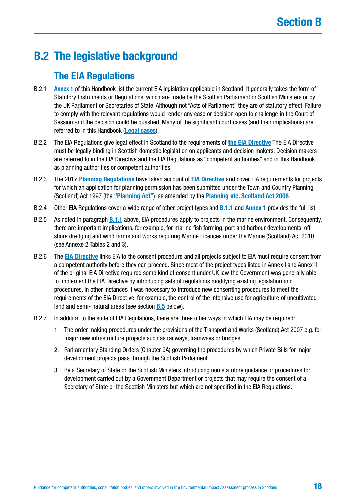# **B.2 The legislative background**

## **The EIA Regulations**

- B.2.1 **[Annex 1](#page-137-0)** of this Handbook list the current EIA legislation applicable in Scotland. It generally takes the form of Statutory Instruments or Regulations, which are made by the Scottish Parliament or Scottish Ministers or by the UK Parliament or Secretaries of State. Although not "Acts of Parliament" they are of statutory effect. Failure to comply with the relevant regulations would render any case or decision open to challenge in the Court of Session and the decision could be quashed. Many of the significant court cases (and their implications) are referred to in this Handbook (**[Legal cases](#page-133-0)**).
- B.2.2 The EIA Regulations give legal effect in Scotland to the requirements of **[the EIA Directive](http://ec.europa.eu/environment/eia/pdf/EIA_Directive_informal.pdf)** The EIA Directive must be legally binding in Scottish domestic legislation on applicants and decision makers. Decision makers are referred to in the EIA Directive and the EIA Regulations as "competent authorities" and in this Handbook as planning authorities or competent authorities.
- B.2.3 The 2017 **[Planning Regulations](https://www.legislation.gov.uk/uksi/2017/571/contents/made)** have taken account of **[EIA Directive](http://ec.europa.eu/environment/eia/pdf/EIA_Directive_informal.pdf)** and cover EIA requirements for projects for which an application for planning permission has been submitted under the Town and Country Planning (Scotland) Act 1997 (the **["Planning Act"](https://www.legislation.gov.uk/ukpga/1997/8/contents)**), as amended by the **[Planning etc. Scotland Act 2006](https://www.legislation.gov.uk/asp/2006/17/contents)**.
- B.2.4 Other EIA Regulations cover a wide range of other project types and **[B.1.1](#page-13-0)** and **[Annex 1](#page-137-0)** provides the full list.
- B.2.5 As noted in paragraph **[B.1.1](#page-13-0)** above, EIA procedures apply to projects in the marine environment. Consequently, there are important implications, for example, for marine fish farming, port and harbour developments, off shore dredging and wind farms and works requiring Marine Licences under the Marine (Scotland) Act 2010 (see Annexe 2 Tables 2 and 3).
- B.2.6 The **[EIA Directive](http://ec.europa.eu/environment/eia/pdf/EIA_Directive_informal.pdf)** links EIA to the consent procedure and all projects subject to EIA must require consent from a competent authority before they can proceed. Since most of the project types listed in Annex I and Annex II of the original EIA Directive required some kind of consent under UK law the Government was generally able to implement the EIA Directive by introducing sets of regulations modifying existing legislation and procedures. In other instances it was necessary to introduce new consenting procedures to meet the requirements of the EIA Directive, for example, the control of the intensive use for agriculture of uncultivated land and semi- natural areas (see section **[B.5](#page-35-0)** below).
- B.2.7 In addition to the suite of EIA Regulations, there are three other ways in which EIA may be required:
	- 1. The order making procedures under the provisions of the Transport and Works (Scotland) Act 2007 e.g. for major new infrastructure projects such as railways, tramways or bridges.
	- 2. Parliamentary Standing Orders (Chapter 9A) governing the procedures by which Private Bills for major development projects pass through the Scottish Parliament.
	- 3. By a Secretary of State or the Scottish Ministers introducing non statutory guidance or procedures for development carried out by a Government Department or projects that may require the consent of a Secretary of State or the Scottish Ministers but which are not specified in the EIA Regulations.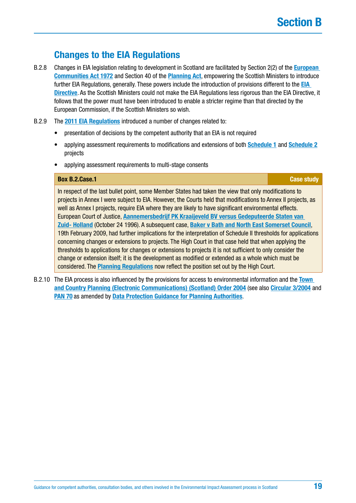## **Changes to the EIA Regulations**

- B.2.8 Changes in EIA legislation relating to development in Scotland are facilitated by Section 2(2) of the **[European](https://www.legislation.gov.uk/ukpga/1972/68/contents)  [Communities Act 1972](https://www.legislation.gov.uk/ukpga/1972/68/contents)** and Section 40 of the **[Planning Act](https://www.legislation.gov.uk/ukpga/1997/8/contents)**, empowering the Scottish Ministers to introduce further EIA Regulations, generally. These powers include the introduction of provisions different to the **[EIA](http://ec.europa.eu/environment/eia/pdf/EIA_Directive_informal.pdf)  [Directive](http://ec.europa.eu/environment/eia/pdf/EIA_Directive_informal.pdf)**. As the Scottish Ministers could not make the EIA Regulations less rigorous than the EIA Directive, it follows that the power must have been introduced to enable a stricter regime than that directed by the European Commission, if the Scottish Ministers so wish.
- B.2.9 The **[2011 EIA Regulations](http://www.legislation.gov.uk/uksi/2011/1824/contents/made)** introduced a number of changes related to:
	- presentation of decisions by the competent authority that an EIA is not required
	- applying assessment requirements to modifications and extensions of both **[Schedule 1](http://www.legislation.gov.uk/uksi/2017/571/schedule/1/made)** and **[Schedule 2](http://www.legislation.gov.uk/uksi/2017/571/schedule/2/made)** projects
	- applying assessment requirements to multi-stage consents

## **Box [B.2.Case](http://B.2.Case).1 Case study Case study Case study Case study**

In respect of the last bullet point, some Member States had taken the view that only modifications to projects in Annex I were subject to EIA. However, the Courts held that modifications to Annex II projects, as well as Annex I projects, require EIA where they are likely to have significant environmental effects. European Court of Justice, **[Aannemersbedrijf PK Kraaijeveld BV versus Gedeputeerde Staten van](http://eur-lex.europa.eu/legal-content/EN/TXT/?uri=CELEX%3A61995CJ0072)  [Zuid- Holland](http://eur-lex.europa.eu/legal-content/EN/TXT/?uri=CELEX%3A61995CJ0072)** (October 24 1996). A subsequent case, **[Baker v Bath and North East Somerset Council](https://www.informea.org/en/court-decision/baker-r-application-v-bath-and-north-east-somerset-council)**, 19th February 2009, had further implications for the interpretation of Schedule II thresholds for applications concerning changes or extensions to projects. The High Court in that case held that when applying the thresholds to applications for changes or extensions to projects it is not sufficient to only consider the change or extension itself; it is the development as modified or extended as a whole which must be considered. The **[Planning Regulations](https://www.legislation.gov.uk/uksi/2017/571/contents/made)** now reflect the position set out by the High Court.

B.2.10 The EIA process is also influenced by the provisions for access to environmental information and the **[Town](http://www.legislation.gov.uk/ssi/2004/332/contents/made)  [and Country Planning \(Electronic Communications\) \(Scotland\) Order 2004](http://www.legislation.gov.uk/ssi/2004/332/contents/made)** (see also **[Circular 3/2004](http://www.scotland.gov.uk/Resource/Doc/47060/0026294.pdf)** and **[PAN 70](http://www.scotland.gov.uk/Resource/Doc/245535/0069199.pdf)** as amended by **[Data Protection Guidance for Planning Authorities](http://www.gov.scot/Resource/0047/00474995.pdf)**.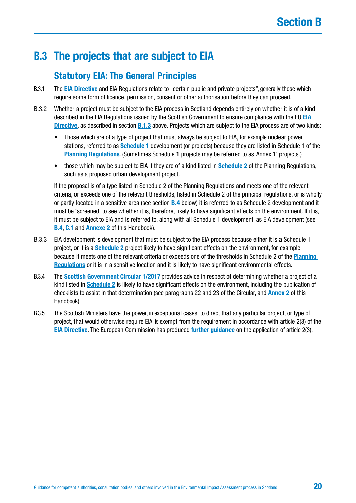# <span id="page-19-0"></span>**B.3 The projects that are subject to EIA**

## **Statutory EIA: The General Principles**

- B.3.1 The **[EIA Directive](http://ec.europa.eu/environment/eia/pdf/EIA_Directive_informal.pdf)** and EIA Regulations relate to "certain public and private projects", generally those which require some form of licence, permission, consent or other authorisation before they can proceed.
- B.3.2 Whether a project must be subject to the EIA process in Scotland depends entirely on whether it is of a kind described in the EIA Regulations issued by the Scottish Government to ensure compliance with the EU **[EIA](http://ec.europa.eu/environment/eia/pdf/EIA_Directive_informal.pdf)  [Directive](http://ec.europa.eu/environment/eia/pdf/EIA_Directive_informal.pdf)**, as described in section **[B.1.3](#page-14-0)** above. Projects which are subject to the EIA process are of two kinds:
	- Those which are of a type of project that must always be subject to EIA, for example nuclear power stations, referred to as **[Schedule 1](http://www.legislation.gov.uk/uksi/2017/571/schedule/1/made)** development (or projects) because they are listed in Schedule 1 of the **[Planning Regulations](https://www.legislation.gov.uk/uksi/2017/571/contents/made)**. (Sometimes Schedule 1 projects may be referred to as 'Annex 1' projects.)
	- those which may be subject to EIA if they are of a kind listed in **[Schedule 2](http://www.legislation.gov.uk/uksi/2017/571/schedule/2/made)** of the Planning Regulations, such as a proposed urban development project.

If the proposal is of a type listed in Schedule 2 of the Planning Regulations and meets one of the relevant criteria, or exceeds one of the relevant thresholds, listed in Schedule 2 of the principal regulations, or is wholly or partly located in a sensitive area (see section **[B.4](#page-21-0)** below) it is referred to as Schedule 2 development and it must be 'screened' to see whether it is, therefore, likely to have significant effects on the environment. If it is, it must be subject to EIA and is referred to, along with all Schedule 1 development, as EIA development (see **[B.4](#page-21-0)**, **[C.1](#page-48-0)** and **[Annexe 2](#page-146-0)** of this Handbook).

- B.3.3 EIA development is development that must be subject to the EIA process because either it is a Schedule 1 project, or it is a **[Schedule 2](http://www.legislation.gov.uk/uksi/2017/571/schedule/2/made)** project likely to have significant effects on the environment, for example because it meets one of the relevant criteria or exceeds one of the thresholds in Schedule 2 of the **[Planning](http://www.legislation.gov.uk/ssi/2017/102/contents/made)  [Regulations](http://www.legislation.gov.uk/ssi/2017/102/contents/made)** or it is in a sensitive location and it is likely to have significant environmental effects.
- B.3.4 The **[Scottish Government Circular 1/2017](http://www.gov.scot/Publications/2017/05/6292)** provides advice in respect of determining whether a project of a kind listed in **[Schedule 2](http://www.legislation.gov.uk/uksi/2017/571/schedule/2/made)** is likely to have significant effects on the environment, including the publication of checklists to assist in that determination (see paragraphs 22 and 23 of the Circular, and **[Annex 2](#page-146-0)** of this Handbook).
- B.3.5 The Scottish Ministers have the power, in exceptional cases, to direct that any particular project, or type of project, that would otherwise require EIA, is exempt from the requirement in accordance with article 2(3) of the **[EIA Directive](http://ec.europa.eu/environment/eia/pdf/EIA_Directive_informal.pdf)**. The European Commission has produced **[further guidance](http://ec.europa.eu/environment/eia/pdf/eia_art2_3.pdf)** on the application of article 2(3).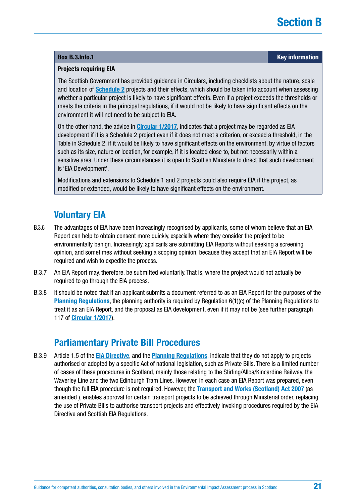## **Projects requiring EIA**

The Scottish Government has provided guidance in Circulars, including checklists about the nature, scale and location of **[Schedule 2](http://www.legislation.gov.uk/uksi/2017/571/schedule/2/made)** projects and their effects, which should be taken into account when assessing whether a particular project is likely to have significant effects. Even if a project exceeds the thresholds or meets the criteria in the principal regulations, if it would not be likely to have significant effects on the environment it will not need to be subject to EIA.

On the other hand, the advice in **[Circular 1/2017](http://www.gov.scot/Publications/2017/05/6292)**, indicates that a project may be regarded as EIA development if it is a Schedule 2 project even if it does not meet a criterion, or exceed a threshold, in the Table in Schedule 2, if it would be likely to have significant effects on the environment, by virtue of factors such as its size, nature or location, for example, if it is located close to, but not necessarily within a sensitive area. Under these circumstances it is open to Scottish Ministers to direct that such development is 'EIA Development'.

Modifications and extensions to Schedule 1 and 2 projects could also require EIA if the project, as modified or extended, would be likely to have significant effects on the environment.

## **Voluntary EIA**

- B.3.6 The advantages of EIA have been increasingly recognised by applicants, some of whom believe that an EIA Report can help to obtain consent more quickly, especially where they consider the project to be environmentally benign. Increasingly, applicants are submitting EIA Reports without seeking a screening opinion, and sometimes without seeking a scoping opinion, because they accept that an EIA Report will be required and wish to expedite the process.
- B.3.7 An EIA Report may, therefore, be submitted voluntarily. That is, where the project would not actually be required to go through the EIA process.
- B.3.8 It should be noted that if an applicant submits a document referred to as an EIA Report for the purposes of the **[Planning Regulations](https://www.legislation.gov.uk/uksi/2017/571/contents/made)**, the planning authority is required by Regulation 6(1)(c) of the Planning Regulations to treat it as an EIA Report, and the proposal as EIA development, even if it may not be (see further paragraph 117 of **[Circular 1/2017](http://www.gov.scot/Publications/2017/05/6292)**).

## **Parliamentary Private Bill Procedures**

B.3.9 Article 1.5 of the **[EIA Directive](http://ec.europa.eu/environment/eia/pdf/EIA_Directive_informal.pdf)**, and the **[Planning Regulations](https://www.legislation.gov.uk/uksi/2017/571/contents/made)**, indicate that they do not apply to projects authorised or adopted by a specific Act of national legislation, such as Private Bills. There is a limited number of cases of these procedures in Scotland, mainly those relating to the Stirling/Alloa/Kincardine Railway, the Waverley Line and the two Edinburgh Tram Lines. However, in each case an EIA Report was prepared, even though the full EIA procedure is not required. However, the **[Transport and Works \(Scotland\) Act 2007](http://www.legislation.gov.uk/asp/2007/8/contents)** (as amended ), enables approval for certain transport projects to be achieved through Ministerial order, replacing the use of Private Bills to authorise transport projects and effectively invoking procedures required by the EIA Directive and Scottish EIA Regulations.

## <span id="page-20-0"></span>**Box [B.3.Info.](http://B.3.Info)1 Key information**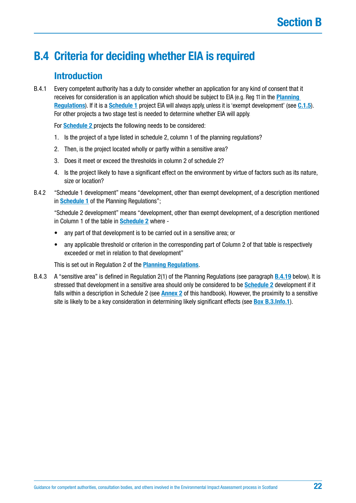# <span id="page-21-0"></span>**B.4 Criteria for deciding whether EIA is required**

## **Introduction**

B.4.1 Every competent authority has a duty to consider whether an application for any kind of consent that it receives for consideration is an application which should be subject to EIA (e.g. Reg 11 in the **[Planning](https://www.legislation.gov.uk/uksi/2017/571/contents/made)  [Regulations](https://www.legislation.gov.uk/uksi/2017/571/contents/made)**). If it is a **[Schedule 1](http://www.legislation.gov.uk/uksi/2017/571/schedule/1/made)** project EIA will always apply, unless it is 'exempt development' (see **[C.1.5](#page-48-0)**). For other projects a two stage test is needed to determine whether EIA will apply.

For **[Schedule 2](http://www.legislation.gov.uk/uksi/2017/571/schedule/2/made)** projects the following needs to be considered:

- 1. Is the project of a type listed in schedule 2, column 1 of the planning regulations?
- 2. Then, is the project located wholly or partly within a sensitive area?
- 3. Does it meet or exceed the thresholds in column 2 of schedule 2?
- 4. Is the project likely to have a significant effect on the environment by virtue of factors such as its nature, size or location?
- B.4.2 "Schedule 1 development" means "development, other than exempt development, of a description mentioned in **[Schedule 1](http://www.legislation.gov.uk/uksi/2017/571/schedule/1/made)** of the Planning Regulations";

"Schedule 2 development" means "development, other than exempt development, of a description mentioned in Column 1 of the table in **[Schedule 2](http://www.legislation.gov.uk/uksi/2017/571/schedule/2/made)** where -

- any part of that development is to be carried out in a sensitive area; or
- any applicable threshold or criterion in the corresponding part of Column 2 of that table is respectively exceeded or met in relation to that development"

This is set out in Regulation 2 of the **[Planning Regulations](http://www.legislation.gov.uk/ssi/2017/102/contents/made)**.

B.4.3 A "sensitive area" is defined in Regulation 2(1) of the Planning Regulations (see paragraph **[B.4.19](#page-26-0)** below). It is stressed that development in a sensitive area should only be considered to be **[Schedule 2](http://www.legislation.gov.uk/uksi/2017/571/schedule/2/made)** development if it falls within a description in Schedule 2 (see **[Annex 2](#page-146-0)** of this handbook). However, the proximity to a sensitive site is likely to be a key consideration in determining likely significant effects (see **[Box B.3.Info.1](#page-20-0)**).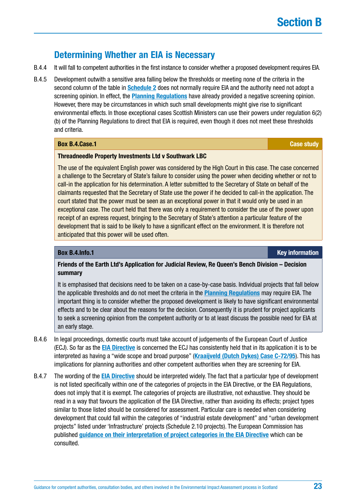## **Determining Whether an EIA is Necessary**

- B.4.4 It will fall to competent authorities in the first instance to consider whether a proposed development requires EIA.
- B.4.5 Development outwith a sensitive area falling below the thresholds or meeting none of the criteria in the second column of the table in **[Schedule 2](http://www.legislation.gov.uk/uksi/2017/571/schedule/2/made)** does not normally require EIA and the authority need not adopt a screening opinion. In effect, the **[Planning Regulations](https://www.legislation.gov.uk/uksi/2017/571/contents/made)** have already provided a negative screening opinion. However, there may be circumstances in which such small developments might give rise to significant environmental effects. In those exceptional cases Scottish Ministers can use their powers under regulation 6(2) (b) of the Planning Regulations to direct that EIA is required, even though it does not meet these thresholds and criteria.

## **Box [B.4.Case](http://B.4.Case).1 Case study**

## **Threadneedle Property Investments Ltd v Southwark LBC**

The use of the equivalent English power was considered by the High Court in this case. The case concerned a challenge to the Secretary of State's failure to consider using the power when deciding whether or not to call-in the application for his determination. A letter submitted to the Secretary of State on behalf of the claimants requested that the Secretary of State use the power if he decided to call-in the application. The court stated that the power must be seen as an exceptional power in that it would only be used in an exceptional case. The court held that there was only a requirement to consider the use of the power upon receipt of an express request, bringing to the Secretary of State's attention a particular feature of the development that is said to be likely to have a significant effect on the environment. It is therefore not anticipated that this power will be used often.

**Box [B.4.Info.](http://B.4.Info)1 Key information**

## **Friends of the Earth Ltd's Application for Judicial Review, Re Queen's Bench Division – Decision summary**

It is emphasised that decisions need to be taken on a case-by-case basis. Individual projects that fall below the applicable thresholds and do not meet the criteria in the **[Planning Regulations](https://www.legislation.gov.uk/uksi/2017/571/contents/made)** may require EIA. The important thing is to consider whether the proposed development is likely to have significant environmental effects and to be clear about the reasons for the decision. Consequently it is prudent for project applicants to seek a screening opinion from the competent authority or to at least discuss the possible need for EIA at an early stage.

- B.4.6 In legal proceedings, domestic courts must take account of judgements of the European Court of Justice (ECJ). So far as the **[EIA Directive](http://ec.europa.eu/environment/eia/pdf/EIA_Directive_informal.pdf)** is concerned the ECJ has consistently held that in its application it is to be interpreted as having a "wide scope and broad purpose" (**[Kraaijveld \(Dutch Dykes\) Case C-72/95](http://eur-lex.europa.eu/legal-content/EN/TXT/?uri=CELEX%3A61995CJ0072)**). This has implications for planning authorities and other competent authorities when they are screening for EIA.
- B.4.7 The wording of the **[EIA Directive](http://ec.europa.eu/environment/eia/pdf/EIA_Directive_informal.pdf)** should be interpreted widely. The fact that a particular type of development is not listed specifically within one of the categories of projects in the EIA Directive, or the EIA Regulations, does not imply that it is exempt. The categories of projects are illustrative, not exhaustive. They should be read in a way that favours the application of the EIA Directive, rather than avoiding its effects; project types similar to those listed should be considered for assessment. Particular care is needed when considering development that could fall within the categories of "industrial estate development" and "urban development projects" listed under 'Infrastructure' projects (Schedule 2.10 projects). The European Commission has published **[guidance on their interpretation of project categories in the EIA Directive](http://ec.europa.eu/environment/eia/pdf/interpretation_eia.pdf)** which can be consulted.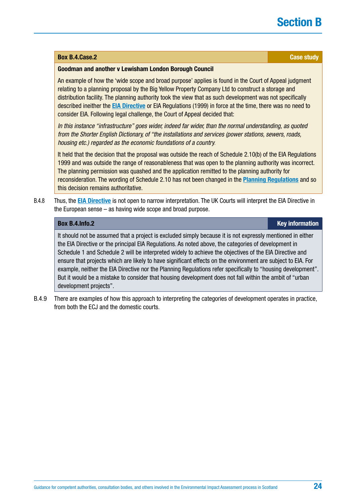### **Box [B.4.Case](http://B.4.Case).2 Case study**

### **Goodman and another v Lewisham London Borough Council**

An example of how the 'wide scope and broad purpose' applies is found in the Court of Appeal judgment relating to a planning proposal by the Big Yellow Property Company Ltd to construct a storage and distribution facility. The planning authority took the view that as such development was not specifically described ineither the **[EIA Directive](http://ec.europa.eu/environment/eia/pdf/EIA_Directive_informal.pdf)** or EIA Regulations (1999) in force at the time, there was no need to consider EIA. Following legal challenge, the Court of Appeal decided that:

*In this instance "infrastructure" goes wider, indeed far wider, than the normal understanding, as quoted from the Shorter English Dictionary, of "the installations and services (power stations, sewers, roads, housing etc.) regarded as the economic foundations of a country.*

It held that the decision that the proposal was outside the reach of Schedule 2.10(b) of the EIA Regulations 1999 and was outside the range of reasonableness that was open to the planning authority was incorrect. The planning permission was quashed and the application remitted to the planning authority for reconsideration. The wording of Schedule 2.10 has not been changed in the **[Planning Regulations](https://www.legislation.gov.uk/uksi/2017/571/contents/made)** and so this decision remains authoritative.

B.4.8 Thus, the **[EIA Directive](http://ec.europa.eu/environment/eia/pdf/EIA_Directive_informal.pdf)** is not open to narrow interpretation. The UK Courts will interpret the EIA Directive in the European sense – as having wide scope and broad purpose.

It should not be assumed that a project is excluded simply because it is not expressly mentioned in either the EIA Directive or the principal EIA Regulations. As noted above, the categories of development in Schedule 1 and Schedule 2 will be interpreted widely to achieve the objectives of the EIA Directive and ensure that projects which are likely to have significant effects on the environment are subject to EIA. For example, neither the EIA Directive nor the Planning Regulations refer specifically to "housing development". But it would be a mistake to consider that housing development does not fall within the ambit of "urban development projects".

B.4.9 There are examples of how this approach to interpreting the categories of development operates in practice, from both the ECJ and the domestic courts.

**Box [B.4.Info.](http://B.4.Info)2 Key information**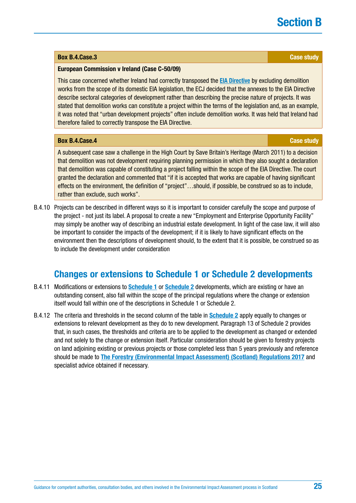## <span id="page-24-0"></span>**Box [B.4.Case](http://B.4.Case).3 Case study**

## **European Commission v Ireland (Case C-50/09)**

This case concerned whether Ireland had correctly transposed the **[EIA Directive](http://ec.europa.eu/environment/eia/pdf/EIA_Directive_informal.pdf)** by excluding demolition works from the scope of its domestic EIA legislation, the ECJ decided that the annexes to the EIA Directive describe sectoral categories of development rather than describing the precise nature of projects. It was stated that demolition works can constitute a project within the terms of the legislation and, as an example, it was noted that "urban development projects" often include demolition works. It was held that Ireland had therefore failed to correctly transpose the EIA Directive.

## **Box [B.4.Case](http://B.4.Case).4 Case study**

A subsequent case saw a challenge in the High Court by Save Britain's Heritage (March 2011) to a decision that demolition was not development requiring planning permission in which they also sought a declaration that demolition was capable of constituting a project falling within the scope of the EIA Directive. The court granted the declaration and commented that "if it is accepted that works are capable of having significant effects on the environment, the definition of "project"…should, if possible, be construed so as to include, rather than exclude, such works".

B.4.10 Projects can be described in different ways so it is important to consider carefully the scope and purpose of the project - not just its label. A proposal to create a new "Employment and Enterprise Opportunity Facility" may simply be another way of describing an industrial estate development. In light of the case law, it will also be important to consider the impacts of the development; if it is likely to have significant effects on the environment then the descriptions of development should, to the extent that it is possible, be construed so as to include the development under consideration

## **Changes or extensions to Schedule 1 or Schedule 2 developments**

- B.4.11 Modifications or extensions to **[Schedule 1](http://www.legislation.gov.uk/uksi/2017/571/schedule/1/made)** or **[Schedule 2](http://www.legislation.gov.uk/uksi/2017/571/schedule/2/made)** developments, which are existing or have an outstanding consent, also fall within the scope of the principal regulations where the change or extension itself would fall within one of the descriptions in Schedule 1 or Schedule 2.
- B.4.12 The criteria and thresholds in the second column of the table in **[Schedule 2](http://www.legislation.gov.uk/uksi/2017/571/schedule/2/made)** apply equally to changes or extensions to relevant development as they do to new development. Paragraph 13 of Schedule 2 provides that, in such cases, the thresholds and criteria are to be applied to the development as changed or extended and not solely to the change or extension itself. Particular consideration should be given to forestry projects on land adjoining existing or previous projects or those completed less than 5 years previously and reference should be made to **[The Forestry \(Environmental Impact Assessment\) \(Scotland\) Regulations 2017](http://www.legislation.gov.uk/ssi/2017/113/regulation/5/made)** and specialist advice obtained if necessary.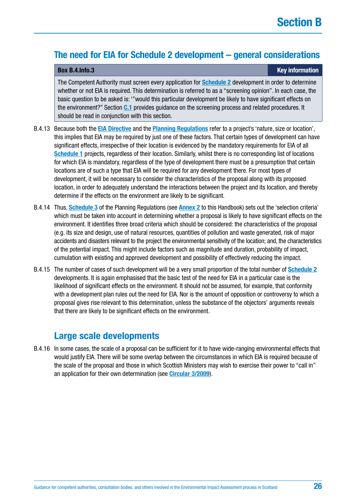## **The need for EIA for Schedule 2 development – general considerations**

### **Box [B.4.Info.](http://B.4.Info)3 Key information**

The Competent Authority must screen every application for **Schedule 2** development in order to determine whether or not EIA is required. This determination is referred to as a "screening opinion". In each case, the basic question to be asked is: '"would this particular development be likely to have significant effects on the environment?" Section **[C.1](#page-48-0)** provides guidance on the screening process and related procedures. It should be read in conjunction with this section.

- B.4.13 Because both the **[EIA Directive](http://ec.europa.eu/environment/eia/pdf/EIA_Directive_informal.pdf)** and the **[Planning Regulations](https://www.legislation.gov.uk/uksi/2017/571/contents/made)** refer to a project's 'nature, size or location', this implies that EIA may be required by just one of these factors. That certain types of development can have significant effects, irrespective of their location is evidenced by the mandatory requirements for EIA of all **[Schedule 1](http://www.legislation.gov.uk/uksi/2017/571/schedule/1/made)** projects, regardless of their location. Similarly, whilst there is no corresponding list of locations for which EIA is mandatory, regardless of the type of development there must be a presumption that certain locations are of such a type that EIA will be required for any development there. For most types of development, it will be necessary to consider the characteristics of the proposal along with its proposed location, in order to adequately understand the interactions between the project and its location, and thereby determine if the effects on the environment are likely to be significant.
- B.4.14 Thus, **[Schedule 3](http://www.legislation.gov.uk/ssi/2017/102/schedule/3/made)** of the Planning Regulations (see **[Annex 2](#page-146-0)** to this Handbook) sets out the 'selection criteria' which must be taken into account in determining whether a proposal is likely to have significant effects on the environment. It identifies three broad criteria which should be considered: the characteristics of the proposal (e.g. its size and design, use of natural resources, quantities of pollution and waste generated, risk of major accidents and disasters relevant to the project the environmental sensitivity of the location; and, the characteristics of the potential impact. This might include factors such as magnitude and duration, probability of impact, cumulation with existing and approved development and possibility of effectively reducing the impact.
- B.4.15 The number of cases of such development will be a very small proportion of the total number of **[Schedule 2](http://www.legislation.gov.uk/uksi/2017/571/schedule/2/made)** developments. It is again emphasised that the basic test of the need for EIA in a particular case is the likelihood of significant effects on the environment. It should not be assumed, for example, that conformity with a development plan rules out the need for EIA. Nor is the amount of opposition or controversy to which a proposal gives rise relevant to this determination, unless the substance of the objectors' arguments reveals that there are likely to be significant effects on the environment.

## **Large scale developments**

B.4.16 In some cases, the scale of a proposal can be sufficient for it to have wide-ranging environmental effects that would justify EIA. There will be some overlap between the circumstances in which EIA is required because of the scale of the proposal and those in which Scottish Ministers may wish to exercise their power to "call in" an application for their own determination (see **[Circular 3/2009](http://www.gov.scot/Resource/Doc/265803/0079583.pdf)**).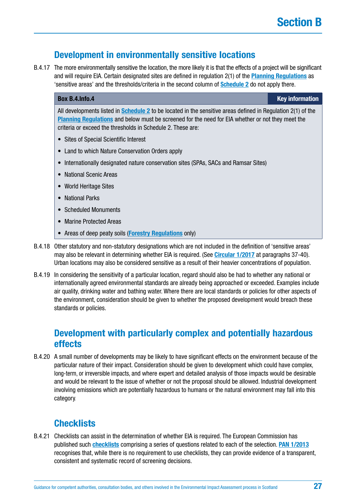## **Development in environmentally sensitive locations**

<span id="page-26-0"></span>B.4.17 The more environmentally sensitive the location, the more likely it is that the effects of a project will be significant and will require EIA. Certain designated sites are defined in regulation 2(1) of the **[Planning Regulations](https://www.legislation.gov.uk/uksi/2017/571/contents/made)** as 'sensitive areas' and the thresholds/criteria in the second column of **[Schedule 2](http://www.legislation.gov.uk/uksi/2017/571/schedule/2/made)** do not apply there.

### **Box [B.4.Info.](http://B.4.Info)4 Key information**

All developments listed in **[Schedule 2](http://www.legislation.gov.uk/uksi/2017/571/schedule/2/made)** to be located in the sensitive areas defined in Regulation 2(1) of the **[Planning Regulations](https://www.legislation.gov.uk/uksi/2017/571/contents/made)** and below must be screened for the need for EIA whether or not they meet the criteria or exceed the thresholds in Schedule 2. These are:

- Sites of Special Scientific Interest
- Land to which Nature Conservation Orders apply
- Internationally designated nature conservation sites (SPAs, SACs and Ramsar Sites)
- National Scenic Areas
- World Heritage Sites
- National Parks
- Scheduled Monuments
- Marine Protected Areas
- Areas of deep peaty soils (**[Forestry Regulations](http://www.legislation.gov.uk/ssi/2017/113/regulation/5/made)** only)
- B.4.18 Other statutory and non-statutory designations which are not included in the definition of 'sensitive areas' may also be relevant in determining whether EIA is required. (See **[Circular 1/2017](http://www.gov.scot/Publications/2017/05/6292)** at paragraphs 37-40). Urban locations may also be considered sensitive as a result of their heavier concentrations of population.
- B.4.19 In considering the sensitivity of a particular location, regard should also be had to whether any national or internationally agreed environmental standards are already being approached or exceeded. Examples include air quality, drinking water and bathing water. Where there are local standards or policies for other aspects of the environment, consideration should be given to whether the proposed development would breach these standards or policies.

## **Development with particularly complex and potentially hazardous effects**

B.4.20 A small number of developments may be likely to have significant effects on the environment because of the particular nature of their impact. Consideration should be given to development which could have complex, long-term, or irreversible impacts, and where expert and detailed analysis of those impacts would be desirable and would be relevant to the issue of whether or not the proposal should be allowed. Industrial development involving emissions which are potentially hazardous to humans or the natural environment may fall into this category.

## **Checklists**

B.4.21 Checklists can assist in the determination of whether EIA is required. The European Commission has published such **[checklists](http://ec.europa.eu/environment/eia/eia-guidelines/g-screening-full-text.pdf)** comprising a series of questions related to each of the selection. **[PAN 1/2013](http://www.gov.scot/Publications/2013/08/6471)** recognises that, while there is no requirement to use checklists, they can provide evidence of a transparent, consistent and systematic record of screening decisions.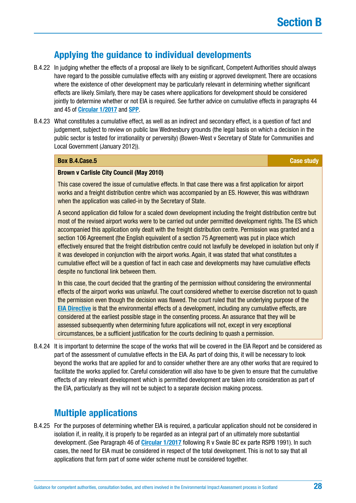## **Applying the guidance to individual developments**

- B.4.22 In judging whether the effects of a proposal are likely to be significant, Competent Authorities should always have regard to the possible cumulative effects with any existing or approved development. There are occasions where the existence of other development may be particularly relevant in determining whether significant effects are likely. Similarly, there may be cases where applications for development should be considered jointly to determine whether or not EIA is required. See further advice on cumulative effects in paragraphs 44 and 45 of **[Circular 1/2017](http://www.gov.scot/Publications/2017/05/6292)** and **[SPP](http://www.scotland.gov.uk/Resource/Doc/300760/0093908.pdf)**.
- B.4.23 What constitutes a cumulative effect, as well as an indirect and secondary effect, is a question of fact and judgement, subject to review on public law Wednesbury grounds (the legal basis on which a decision in the public sector is tested for irrationality or perversity) (Bowen-West v Secretary of State for Communities and Local Government (January 2012)).

## **Box [B.4.Case](http://B.4.Case).5 Case study**

### **Brown v Carlisle City Council (May 2010)**

This case covered the issue of cumulative effects. In that case there was a first application for airport works and a freight distribution centre which was accompanied by an ES. However, this was withdrawn when the application was called-in by the Secretary of State.

A second application did follow for a scaled down development including the freight distribution centre but most of the revised airport works were to be carried out under permitted development rights. The ES which accompanied this application only dealt with the freight distribution centre. Permission was granted and a section 106 Agreement (the English equivalent of a section 75 Agreement) was put in place which effectively ensured that the freight distribution centre could not lawfully be developed in isolation but only if it was developed in conjunction with the airport works. Again, it was stated that what constitutes a cumulative effect will be a question of fact in each case and developments may have cumulative effects despite no functional link between them.

In this case, the court decided that the granting of the permission without considering the environmental effects of the airport works was unlawful. The court considered whether to exercise discretion not to quash the permission even though the decision was flawed. The court ruled that the underlying purpose of the **[EIA Directive](http://ec.europa.eu/environment/eia/pdf/EIA_Directive_informal.pdf)** is that the environmental effects of a development, including any cumulative effects, are considered at the earliest possible stage in the consenting process. An assurance that they will be assessed subsequently when determining future applications will not, except in very exceptional circumstances, be a sufficient justification for the courts declining to quash a permission.

B.4.24 It is important to determine the scope of the works that will be covered in the EIA Report and be considered as part of the assessment of cumulative effects in the EIA. As part of doing this, it will be necessary to look beyond the works that are applied for and to consider whether there are any other works that are required to facilitate the works applied for. Careful consideration will also have to be given to ensure that the cumulative effects of any relevant development which is permitted development are taken into consideration as part of the EIA, particularly as they will not be subject to a separate decision making process.

## **Multiple applications**

B.4.25 For the purposes of determining whether EIA is required, a particular application should not be considered in isolation if, in reality, it is properly to be regarded as an integral part of an ultimately more substantial development. (See Paragraph 46 of **[Circular 1/2017](http://www.gov.scot/Publications/2017/05/6292)** following R v Swale BC ex parte RSPB 1991). In such cases, the need for EIA must be considered in respect of the total development. This is not to say that all applications that form part of some wider scheme must be considered together.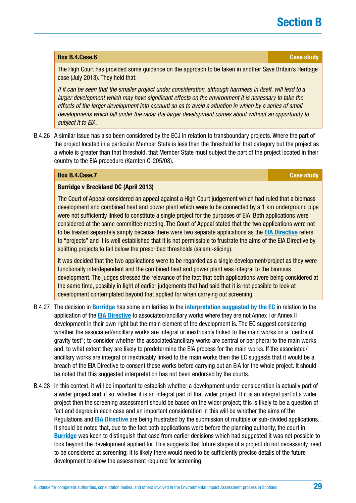## **Box [B.4.Case](http://B.4.Case).6 Case study**

The High Court has provided some guidance on the approach to be taken in another Save Britain's Heritage case (July 2013). They held that:

*If it can be seen that the smaller project under consideration, although harmless in itself, will lead to a larger development which may have significant effects on the environment it is necessary to take the effects of the larger development into account so as to avoid a situation in which by a series of small developments which fall under the radar the larger development comes about without an opportunity to subject it to EIA.*

B.4.26 A similar issue has also been considered by the ECJ in relation to transboundary projects. Where the part of the project located in a particular Member State is less than the threshold for that category but the project as a whole is greater than that threshold, that Member State must subject the part of the project located in their country to the EIA procedure (Karnten C-205/08).

## **Box [B.4.Case](http://B.4.Case).7 Case study**

## **Burridge v Breckland DC (April 2013)**

The Court of Appeal considered an appeal against a High Court judgement which had ruled that a biomass development and combined heat and power plant which were to be connected by a 1 km underground pipe were not sufficiently linked to constitute a single project for the purposes of EIA. Both applications were considered at the same committee meeting. The Court of Appeal stated that the two applications were not to be treated separately simply because there were two separate applications as the **[EIA Directive](http://ec.europa.eu/environment/eia/pdf/EIA_Directive_informal.pdf)** refers to "projects" and it is well established that it is not permissible to frustrate the aims of the EIA Directive by splitting projects to fall below the prescribed thresholds (salami-slicing).

It was decided that the two applications were to be regarded as a single development/project as they were functionally interdependent and the combined heat and power plant was integral to the biomass development. The judges stressed the relevance of the fact that both applications were being considered at the same time, possibly in light of earlier judgements that had said that it is not possible to look at development contemplated beyond that applied for when carrying out screening.

- B.4.27 The decision in **Burridge** has some similarities to the **[interpretation suggested by the EC](http://ec.europa.eu/environment/eia/pdf/Note%20-%20Interpretation%20of%20Directive%2085-337-EEC.pdf)** in relation to the application of the **[EIA Directive](http://ec.europa.eu/environment/eia/pdf/EIA_Directive_informal.pdf)** to associated/ancillary works where they are not Annex I or Annex II development in their own right but the main element of the development is. The EC suggest considering whether the associated/ancillary works are integral or inextricably linked to the main works on a "centre of gravity test"; to consider whether the associated/ancillary works are central or peripheral to the main works and, to what extent they are likely to predetermine the EIA process for the main works. If the associated/ ancillary works are integral or inextricably linked to the main works then the EC suggests that it would be a breach of the EIA Directive to consent those works before carrying out an EIA for the whole project. It should be noted that this suggested interpretation has not been endorsed by the courts.
- B.4.28 In this context, it will be important to establish whether a development under consideration is actually part of a wider project and, if so, whether it is an integral part of that wider project. If it is an integral part of a wider project then the screening assessment should be based on the wider project; this is likely to be a question of fact and degree in each case and an important consideration in this will be whether the aims of the Regulations and **[EIA Directive](http://ec.europa.eu/environment/eia/pdf/EIA_Directive_informal.pdf)** are being frustrated by the submission of multiple or sub-divided applications.. It should be noted that, due to the fact both applications were before the planning authority, the court in **Burridge** was keen to distinguish that case from earlier decisions which had suggested it was not possible to look beyond the development applied for. This suggests that future stages of a project do not necessarily need to be considered at screening; it is likely there would need to be sufficiently precise details of the future development to allow the assessment required for screening.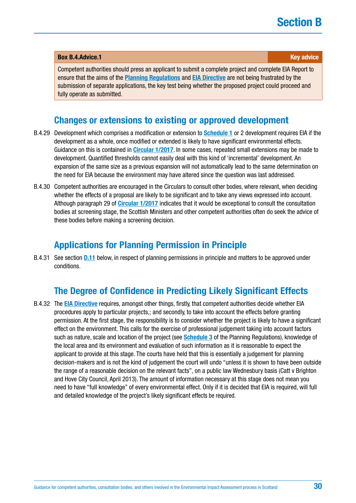## <span id="page-29-0"></span>**Box [B.4.Advice](http://B.4.Advice).1 Key advice** *Box B.4.Advice.1* **Key advice**

Competent authorities should press an applicant to submit a complete project and complete EIA Report to ensure that the aims of the **[Planning Regulations](https://www.legislation.gov.uk/uksi/2017/571/contents/made)** and **[EIA Directive](http://ec.europa.eu/environment/eia/pdf/EIA_Directive_informal.pdf)** are not being frustrated by the submission of separate applications, the key test being whether the proposed project could proceed and fully operate as submitted.

## **Changes or extensions to existing or approved development**

- B.4.29 Development which comprises a modification or extension to **[Schedule 1](http://www.legislation.gov.uk/uksi/2017/571/schedule/1/made)** or 2 development requires EIA if the development as a whole, once modified or extended is likely to have significant environmental effects. Guidance on this is contained in **[Circular 1/2017](http://www.gov.scot/Publications/2017/05/6292)**. In some cases, repeated small extensions may be made to development. Quantified thresholds cannot easily deal with this kind of 'incremental' development. An expansion of the same size as a previous expansion will not automatically lead to the same determination on the need for EIA because the environment may have altered since the question was last addressed.
- B.4.30 Competent authorities are encouraged in the Circulars to consult other bodies, where relevant, when deciding whether the effects of a proposal are likely to be significant and to take any views expressed into account. Although paragraph 29 of **[Circular 1/2017](http://www.gov.scot/Publications/2017/05/6292)** indicates that it would be exceptional to consult the consultation bodies at screening stage, the Scottish Ministers and other competent authorities often do seek the advice of these bodies before making a screening decision.

## **Applications for Planning Permission in Principle**

B.4.31 See section **[D.11](#page-101-0)** below, in respect of planning permissions in principle and matters to be approved under conditions.

## **The Degree of Confidence in Predicting Likely Significant Effects**

B.4.32 The **[EIA Directive](http://ec.europa.eu/environment/eia/pdf/EIA_Directive_informal.pdf)** requires, amongst other things, firstly, that competent authorities decide whether EIA procedures apply to particular projects,; and secondly, to take into account the effects before granting permission. At the first stage, the responsibility is to consider whether the project is likely to have a significant effect on the environment. This calls for the exercise of professional judgement taking into account factors such as nature, scale and location of the project (see **[Schedule 3](http://www.legislation.gov.uk/ssi/2017/102/schedule/3/made)** of the Planning Regulations), knowledge of the local area and its environment and evaluation of such information as it is reasonable to expect the applicant to provide at this stage. The courts have held that this is essentially a judgement for planning decision-makers and is not the kind of judgement the court will undo "unless it is shown to have been outside the range of a reasonable decision on the relevant facts", on a public law Wednesbury basis (Catt v Brighton and Hove City Council, April 2013). The amount of information necessary at this stage does not mean you need to have "full knowledge" of every environmental effect. Only if it is decided that EIA is required, will full and detailed knowledge of the project's likely significant effects be required.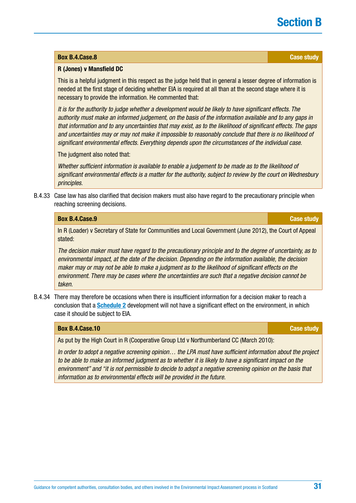### **Box [B.4.Case](http://B.4.Case).8 Case study**

### **R (Jones) v Mansfield DC**

This is a helpful judgment in this respect as the judge held that in general a lesser degree of information is needed at the first stage of deciding whether EIA is required at all than at the second stage where it is necessary to provide the information. He commented that:

*It is for the authority to judge whether a development would be likely to have significant effects. The authority must make an informed judgement, on the basis of the information available and to any gaps in that information and to any uncertainties that may exist, as to the likelihood of significant effects. The gaps and uncertainties may or may not make it impossible to reasonably conclude that there is no likelihood of significant environmental effects. Everything depends upon the circumstances of the individual case.*

The judgment also noted that:

*Whether sufficient information is available to enable a judgement to be made as to the likelihood of significant environmental effects is a matter for the authority, subject to review by the court on Wednesbury principles.*

B.4.33 Case law has also clarified that decision makers must also have regard to the precautionary principle when reaching screening decisions.

### **Box [B.4.Case](http://B.4.Case).9 Case study**

In R (Loader) v Secretary of State for Communities and Local Government (June 2012), the Court of Appeal stated:

*The decision maker must have regard to the precautionary principle and to the degree of uncertainty, as to environmental impact, at the date of the decision. Depending on the information available, the decision maker may or may not be able to make a judgment as to the likelihood of significant effects on the environment. There may be cases where the uncertainties are such that a negative decision cannot be taken.*

B.4.34 There may therefore be occasions when there is insufficient information for a decision maker to reach a conclusion that a **[Schedule 2](http://www.legislation.gov.uk/uksi/2017/571/schedule/2/made)** development will not have a significant effect on the environment, in which case it should be subject to EIA.

## **Box [B.4.Case](http://B.4.Case).10 Case study**

As put by the High Court in R (Cooperative Group Ltd v Northumberland CC (March 2010):

*In order to adopt a negative screening opinion… the LPA must have sufficient information about the project to be able to make an informed judgment as to whether it is likely to have a significant impact on the environment" and "it is not permissible to decide to adopt a negative screening opinion on the basis that information as to environmental effects will be provided in the future.*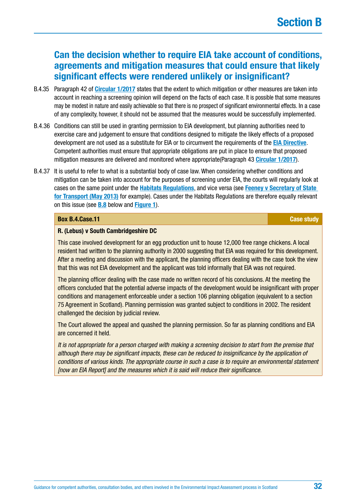## **Can the decision whether to require EIA take account of conditions, agreements and mitigation measures that could ensure that likely significant effects were rendered unlikely or insignificant?**

- B.4.35 Paragraph 42 of **[Circular 1/2017](http://www.gov.scot/Publications/2017/05/6292)** states that the extent to which mitigation or other measures are taken into account in reaching a screening opinion will depend on the facts of each case. It is possible that some measures may be modest in nature and easily achievable so that there is no prospect of significant environmental effects. In a case of any complexity, however, it should not be assumed that the measures would be successfully implemented.
- B.4.36 Conditions can still be used in granting permission to EIA development, but planning authorities need to exercise care and judgement to ensure that conditions designed to mitigate the likely effects of a proposed development are not used as a substitute for EIA or to circumvent the requirements of the **[EIA Directive](http://ec.europa.eu/environment/eia/pdf/EIA_Directive_informal.pdf)**. Competent authorities must ensure that appropriate obligations are put in place to ensure that proposed mitigation measures are delivered and monitored where appropriate(Paragraph 43 **[Circular 1/2017](http://www.gov.scot/Publications/2017/05/6292)**).
- B.4.37 It is useful to refer to what is a substantial body of case law. When considering whether conditions and mitigation can be taken into account for the purposes of screening under EIA, the courts will regularly look at cases on the same point under the **[Habitats Regulations](http://www.legislation.gov.uk/uksi/2010/490/contents/made)**, and vice versa (see **[Feeney v Secretary of State](#page-33-0)  [for Transport \(May 2013\)](#page-33-0)** for example). Cases under the Habitats Regulations are therefore equally relevant on this issue (see **[B.8](#page-44-0)** below and **[Figure 1](#page-46-0)**).

## **Box [B.4.Case](http://B.4.Case).11 Case study**

## **R. (Lebus) v South Cambridgeshire DC**

This case involved development for an egg production unit to house 12,000 free range chickens. A local resident had written to the planning authority in 2000 suggesting that EIA was required for this development. After a meeting and discussion with the applicant, the planning officers dealing with the case took the view that this was not EIA development and the applicant was told informally that EIA was not required.

The planning officer dealing with the case made no written record of his conclusions. At the meeting the officers concluded that the potential adverse impacts of the development would be insignificant with proper conditions and management enforceable under a section 106 planning obligation (equivalent to a section 75 Agreement in Scotland). Planning permission was granted subject to conditions in 2002. The resident challenged the decision by judicial review.

The Court allowed the appeal and quashed the planning permission. So far as planning conditions and EIA are concerned it held.

*It is not appropriate for a person charged with making a screening decision to start from the premise that although there may be significant impacts, these can be reduced to insignificance by the application of conditions of various kinds. The appropriate course in such a case is to require an environmental statement [now an EIA Report] and the measures which it is said will reduce their significance.*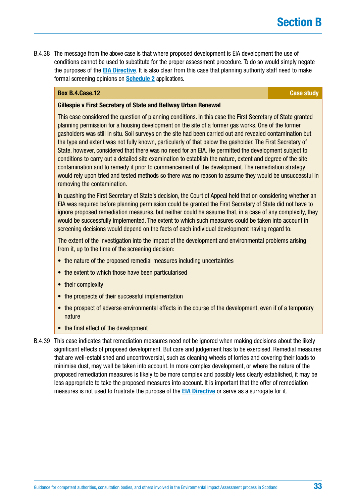<span id="page-32-0"></span>B.4.38 The message from the above case is that where proposed development is EIA development the use of conditions cannot be used to substitute for the proper assessment procedure. To do so would simply negate the purposes of the **[EIA Directive](http://ec.europa.eu/environment/eia/pdf/EIA_Directive_informal.pdf)**. It is also clear from this case that planning authority staff need to make formal screening opinions on **[Schedule 2](http://www.legislation.gov.uk/uksi/2017/571/schedule/2/made)** applications.

## **Box [B.4.Case](http://B.4.Case).12 Case study**

### **Gillespie v First Secretary of State and Bellway Urban Renewal**

This case considered the question of planning conditions. In this case the First Secretary of State granted planning permission for a housing development on the site of a former gas works. One of the former gasholders was still in situ. Soil surveys on the site had been carried out and revealed contamination but the type and extent was not fully known, particularly of that below the gasholder. The First Secretary of State, however, considered that there was no need for an EIA. He permitted the development subject to conditions to carry out a detailed site examination to establish the nature, extent and degree of the site contamination and to remedy it prior to commencement of the development. The remediation strategy would rely upon tried and tested methods so there was no reason to assume they would be unsuccessful in removing the contamination.

In quashing the First Secretary of State's decision, the Court of Appeal held that on considering whether an EIA was required before planning permission could be granted the First Secretary of State did not have to ignore proposed remediation measures, but neither could he assume that, in a case of any complexity, they would be successfully implemented. The extent to which such measures could be taken into account in screening decisions would depend on the facts of each individual development having regard to:

The extent of the investigation into the impact of the development and environmental problems arising from it, up to the time of the screening decision:

- the nature of the proposed remedial measures including uncertainties
- the extent to which those have been particularised
- their complexity
- the prospects of their successful implementation
- the prospect of adverse environmental effects in the course of the development, even if of a temporary nature
- the final effect of the development
- B.4.39 This case indicates that remediation measures need not be ignored when making decisions about the likely significant effects of proposed development. But care and judgement has to be exercised. Remedial measures that are well-established and uncontroversial, such as cleaning wheels of lorries and covering their loads to minimise dust, may well be taken into account. In more complex development, or where the nature of the proposed remediation measures is likely to be more complex and possibly less clearly established, it may be less appropriate to take the proposed measures into account. It is important that the offer of remediation measures is not used to frustrate the purpose of the **[EIA Directive](http://ec.europa.eu/environment/eia/pdf/EIA_Directive_informal.pdf)** or serve as a surrogate for it.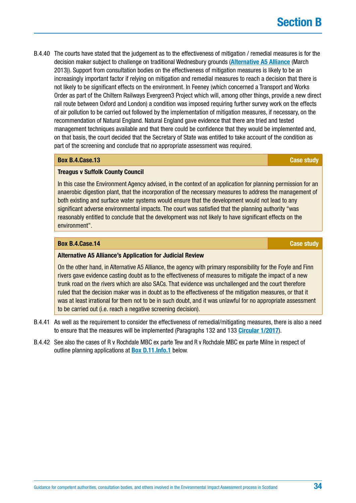<span id="page-33-0"></span>B.4.40 The courts have stated that the judgement as to the effectiveness of mitigation / remedial measures is for the decision maker subject to challenge on traditional Wednesbury grounds (**Alternative A5 Alliance** (March 2013)). Support from consultation bodies on the effectiveness of mitigation measures is likely to be an increasingly important factor if relying on mitigation and remedial measures to reach a decision that there is not likely to be significant effects on the environment. In Feeney (which concerned a Transport and Works Order as part of the Chiltern Railways Evergreen3 Project which will, among other things, provide a new direct rail route between Oxford and London) a condition was imposed requiring further survey work on the effects of air pollution to be carried out followed by the implementation of mitigation measures, if necessary, on the recommendation of Natural England. Natural England gave evidence that there are tried and tested management techniques available and that there could be confidence that they would be implemented and, on that basis, the court decided that the Secretary of State was entitled to take account of the condition as part of the screening and conclude that no appropriate assessment was required.

## **Box [B.4.Case](http://B.4.Case).13 Case study**

## **Treagus v Suffolk County Council**

In this case the Environment Agency advised, in the context of an application for planning permission for an anaerobic digestion plant, that the incorporation of the necessary measures to address the management of both existing and surface water systems would ensure that the development would not lead to any significant adverse environmental impacts. The court was satisfied that the planning authority "was reasonably entitled to conclude that the development was not likely to have significant effects on the environment".

## **Box [B.4.Case](http://B.4.Case).14 Case study Case study Case study**

### **Alternative A5 Alliance's Application for Judicial Review**

On the other hand, in Alternative A5 Alliance, the agency with primary responsibility for the Foyle and Finn rivers gave evidence casting doubt as to the effectiveness of measures to mitigate the impact of a new trunk road on the rivers which are also SACs. That evidence was unchallenged and the court therefore ruled that the decision maker was in doubt as to the effectiveness of the mitigation measures, or that it was at least irrational for them not to be in such doubt, and it was unlawful for no appropriate assessment to be carried out (i.e. reach a negative screening decision).

- B.4.41 As well as the requirement to consider the effectiveness of remedial/mitigating measures, there is also a need to ensure that the measures will be implemented (Paragraphs 132 and 133 **[Circular 1/2017](http://www.gov.scot/Publications/2017/05/6292)**).
- B.4.42 See also the cases of R v Rochdale MBC ex parte Tew and R v Rochdale MBC ex parte Milne in respect of outline planning applications at **[Box D.11.Info.1](#page-101-0)** below.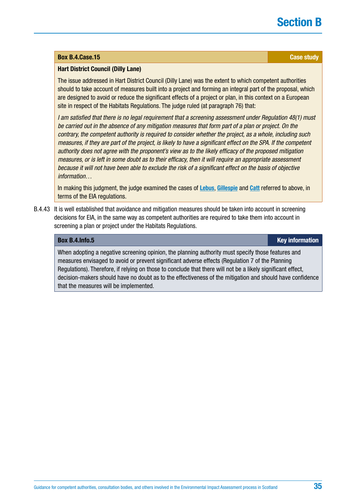### **Box [B.4.Case](http://B.4.Case).15 Case study**

## **Hart District Council (Dilly Lane)**

The issue addressed in Hart District Council (Dilly Lane) was the extent to which competent authorities should to take account of measures built into a project and forming an integral part of the proposal, which are designed to avoid or reduce the significant effects of a project or plan, in this context on a European site in respect of the Habitats Regulations. The judge ruled (at paragraph 76) that:

*I am satisfied that there is no legal requirement that a screening assessment under Regulation 48(1) must be carried out in the absence of any mitigation measures that form part of a plan or project. On the contrary, the competent authority is required to consider whether the project, as a whole, including such measures, if they are part of the project, is likely to have a significant effect on the SPA. If the competent authority does not agree with the proponent's view as to the likely efficacy of the proposed mitigation measures, or is left in some doubt as to their efficacy, then it will require an appropriate assessment because it will not have been able to exclude the risk of a significant effect on the basis of objective information…*

In making this judgment, the judge examined the cases of **[Lebus](#page-24-0)**, **[Gillespie](#page-32-0)** and **[Catt](#page-29-0)** referred to above, in terms of the EIA regulations.

B.4.43 It is well established that avoidance and mitigation measures should be taken into account in screening decisions for EIA, in the same way as competent authorities are required to take them into account in screening a plan or project under the Habitats Regulations.

## **Box [B.4.Info.](http://B.4.Info)5 Key information**

When adopting a negative screening opinion, the planning authority must specify those features and measures envisaged to avoid or prevent significant adverse effects (Regulation 7 of the Planning Regulations). Therefore, if relying on those to conclude that there will not be a likely significant effect, decision-makers should have no doubt as to the effectiveness of the mitigation and should have confidence that the measures will be implemented.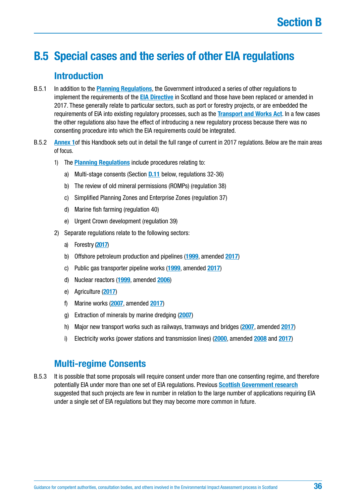# <span id="page-35-0"></span>**B.5 Special cases and the series of other EIA regulations**

## **Introduction**

- B.5.1 In addition to the **[Planning Regulations](https://www.legislation.gov.uk/uksi/2017/571/contents/made)**, the Government introduced a series of other regulations to implement the requirements of the **[EIA Directive](http://ec.europa.eu/environment/eia/pdf/EIA_Directive_informal.pdf)** in Scotland and those have been replaced or amended in 2017. These generally relate to particular sectors, such as port or forestry projects, or are embedded the requirements of EIA into existing regulatory processes, such as the **[Transport and Works Act](https://www.legislation.gov.uk/asp/2007/8/contents)**. In a few cases the other regulations also have the effect of introducing a new regulatory process because there was no consenting procedure into which the EIA requirements could be integrated.
- B.5.2 **[Annex 1](#page-137-0)**of this Handbook sets out in detail the full range of current in 2017 regulations. Below are the main areas of focus.
	- 1) The **[Planning Regulations](https://www.legislation.gov.uk/uksi/2017/571/contents/made)** include procedures relating to:
		- a) Multi-stage consents (Section **[D.11](#page-101-0)** below, regulations 32-36)
		- b) The review of old mineral permissions (ROMPs) (regulation 38)
		- c) Simplified Planning Zones and Enterprise Zones (regulation 37)
		- d) Marine fish farming (regulation 40)
		- e) Urgent Crown development (regulation 39)
	- 2) Separate regulations relate to the following sectors:
		- a) Forestry (**[2017](http://www.legislation.gov.uk/ssi/2017/113/contents/made)**)
		- b) Offshore petroleum production and pipelines (**[1999](http://www.legislation.gov.uk/uksi/1999/360/contents/made)**, amended **[2017](http://www.legislation.gov.uk/uksi/2017/582/regulation/5/made)**)
		- c) Public gas transporter pipeline works (**[1999](https://www.legislation.gov.uk/uksi/1999/1672/contents/made)**, amended **[2017](http://www.legislation.gov.uk/cy/uksi/2017/582/made?view=plain)**)
		- d) Nuclear reactors (**[1999](https://www.legislation.gov.uk/uksi/1999/2892/contents/made)**, amended **[2006](http://www.legislation.gov.uk/uksi/2006/657/contents/made)**)
		- e) Agriculture (**[2017](http://www.legislation.gov.uk/ssi/2017/114/made)**)
		- f) Marine works (**[2007](http://www.legislation.gov.uk/uksi/2007/1518/contents/made)**, amended **[2017](http://www.legislation.gov.uk/ssi/2017/115/contents/made)**)
		- g) Extraction of minerals by marine dredging (**[2007](https://www.legislation.gov.uk/ssi/2007/485/contents/made)**)
		- h) Major new transport works such as railways, tramways and bridges (**[2007](http://www.legislation.gov.uk/ssi/2007/570/contents/made)**, amended **[2017](http://www.legislation.gov.uk/ssi/2017/74/contents/made)**)
		- i) Electricity works (power stations and transmission lines) (**[2000](http://www.legislation.gov.uk/ssi/2000/320/contents/made)**, amended **[2008](http://www.legislation.gov.uk/ssi/2008/246/contents/made)** and **[2017](http://www.legislation.gov.uk/ssi/2017/101/contents/made)**)

## **Multi-regime Consents**

B.5.3 It is possible that some proposals will require consent under more than one consenting regime, and therefore potentially EIA under more than one set of EIA regulations. Previous **[Scottish Government research](http://www.gov.scot/Resource/0042/00422499.pdf)** suggested that such projects are few in number in relation to the large number of applications requiring EIA under a single set of EIA regulations but they may become more common in future.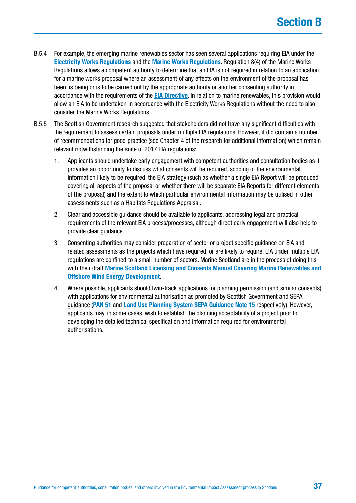- B.5.4 For example, the emerging marine renewables sector has seen several applications requiring EIA under the **[Electricity Works Regulations](http://www.legislation.gov.uk/ssi/2017/101/contents/made)** and the **[Marine Works Regulations](http://www.legislation.gov.uk/ssi/2017/115/contents/made)**. Regulation 8(4) of the Marine Works Regulations allows a competent authority to determine that an EIA is not required in relation to an application for a marine works proposal where an assessment of any effects on the environment of the proposal has been, is being or is to be carried out by the appropriate authority or another consenting authority in accordance with the requirements of the **[EIA Directive](http://ec.europa.eu/environment/eia/pdf/EIA_Directive_informal.pdf)**. In relation to marine renewables, this provision would allow an EIA to be undertaken in accordance with the Electricity Works Regulations without the need to also consider the Marine Works Regulations.
- B.5.5 The Scottish Government research suggested that stakeholders did not have any significant difficulties with the requirement to assess certain proposals under multiple EIA regulations. However, it did contain a number of recommendations for good practice (see Chapter 4 of the research for additional information) which remain relevant notwithstanding the suite of 2017 EIA regulations:
	- 1. Applicants should undertake early engagement with competent authorities and consultation bodies as it provides an opportunity to discuss what consents will be required, scoping of the environmental information likely to be required, the EIA strategy (such as whether a single EIA Report will be produced covering all aspects of the proposal or whether there will be separate EIA Reports for different elements of the proposal) and the extent to which particular environmental information may be utilised in other assessments such as a Habitats Regulations Appraisal.
	- 2. Clear and accessible guidance should be available to applicants, addressing legal and practical requirements of the relevant EIA process/processes, although direct early engagement will also help to provide clear guidance.
	- 3. Consenting authorities may consider preparation of sector or project specific guidance on EIA and related assessments as the projects which have required, or are likely to require, EIA under multiple EIA regulations are confined to a small number of sectors. Marine Scotland are in the process of doing this with their draft **[Marine Scotland Licensing and Consents Manual Covering Marine Renewables and](http://www.gov.scot/Resource/0040/00405806.pdf)  [Offshore Wind Energy Development](http://www.gov.scot/Resource/0040/00405806.pdf)**.
	- 4. Where possible, applicants should twin-track applications for planning permission (and similar consents) with applications for environmental authorisation as promoted by Scottish Government and SEPA guidance (**[PAN 51](http://www.scotland.gov.uk/Resource/Doc/152228/0040973.pdf)** and **[Land Use Planning System SEPA Guidance Note 15](http://www.sepa.org.uk/planning.aspx)** respectively). However, applicants may, in some cases, wish to establish the planning acceptability of a project prior to developing the detailed technical specification and information required for environmental authorisations.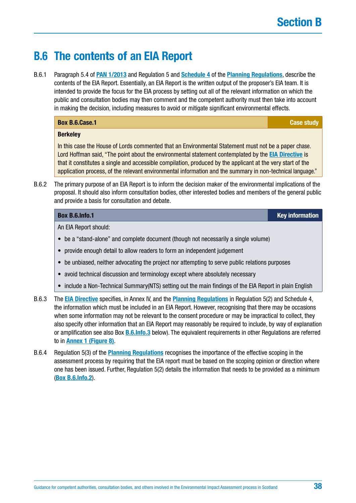# **B.6 The contents of an EIA Report**

B.6.1 Paragraph 5.4 of **[PAN 1/2013](http://www.gov.scot/Publications/2013/08/6471)** and Regulation 5 and **[Schedule 4](http://www.legislation.gov.uk/ssi/2017/102/schedule/4/made)** of the **[Planning Regulations](https://www.legislation.gov.uk/uksi/2017/571/contents/made)**, describe the contents of the EIA Report. Essentially, an EIA Report is the written output of the proposer's EIA team. It is intended to provide the focus for the EIA process by setting out all of the relevant information on which the public and consultation bodies may then comment and the competent authority must then take into account in making the decision, including measures to avoid or mitigate significant environmental effects.

| Box B.6.Case.1                                                                                       | <b>Case study</b> |
|------------------------------------------------------------------------------------------------------|-------------------|
| <b>Berkeley</b>                                                                                      |                   |
| In this case the House of Lords commented that an Environmental Statement must not be a paper chase. |                   |

Lord Hoffman said, "The point about the environmental statement contemplated by the **[EIA Directive](http://ec.europa.eu/environment/eia/pdf/EIA_Directive_informal.pdf)** is that it constitutes a single and accessible compilation, produced by the applicant at the very start of the application process, of the relevant environmental information and the summary in non-technical language."

B.6.2 The primary purpose of an EIA Report is to inform the decision maker of the environmental implications of the proposal. It should also inform consultation bodies, other interested bodies and members of the general public and provide a basis for consultation and debate.

**Box [B.6.Info.](http://B.6.Info)1 Key information**

An EIA Report should:

- be a "stand-alone" and complete document (though not necessarily a single volume)
- provide enough detail to allow readers to form an independent judgement
- be unbiased, neither advocating the project nor attempting to serve public relations purposes
- avoid technical discussion and terminology except where absolutely necessary
- include a Non-Technical Summary(NTS) setting out the main findings of the EIA Report in plain English
- B.6.3 The **[EIA Directive](http://ec.europa.eu/environment/eia/pdf/EIA_Directive_informal.pdf)** specifies, in Annex IV, and the **[Planning Regulations](https://www.legislation.gov.uk/uksi/2017/571/contents/made)** in Regulation 5(2) and Schedule 4, the information which must be included in an EIA Report. However, recognising that there may be occasions when some information may not be relevant to the consent procedure or may be impractical to collect, they also specify other information that an EIA Report may reasonably be required to include, by way of explanation or amplification see also Box **[B.6.Info.3](#page-38-0)** below). The equivalent requirements in other Regulations are referred to in **[Annex 1 \(Figure 8\)](#page-142-0)**.
- B.6.4 Regulation 5(3) of the **[Planning Regulations](https://www.legislation.gov.uk/uksi/2017/571/contents/made)** recognises the importance of the effective scoping in the assessment process by requiring that the EIA report must be based on the scoping opinion or direction where one has been issued. Further, Regulation 5(2) details the information that needs to be provided as a minimum (**[Box B.6.Info.2](#page-38-0)**).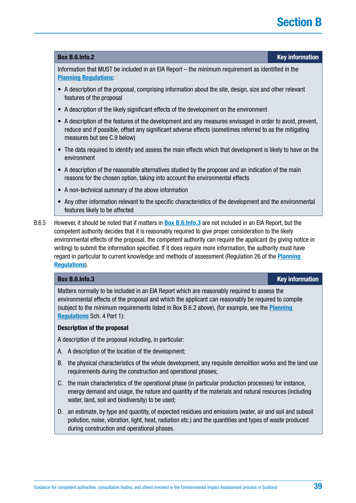# **Section B**

#### <span id="page-38-0"></span>**Box [B.6.Info.](http://B.6.Info)2 Key information**

Information that MUST be included in an EIA Report – the minimum requirement as identified in the **[Planning Regulations](https://www.legislation.gov.uk/uksi/2017/571/contents/made)**:

- A description of the proposal, comprising information about the site, design, size and other relevant features of the proposal
- A description of the likely significant effects of the development on the environment
- A description of the features of the development and any measures envisaged in order to avoid, prevent, reduce and if possible, offset any significant adverse effects (sometimes referred to as the mitigating measures but see C.9 below)
- The data required to identify and assess the main effects which that development is likely to have on the environment
- A description of the reasonable alternatives studied by the proposer and an indication of the main reasons for the chosen option, taking into account the environmental effects
- A non-technical summary of the above information
- Any other information relevant to the specific characteristics of the development and the environmental features likely to be affected
- B.6.5 However, it should be noted that if matters in **Box B.6.Info.3** are not included in an EIA Report, but the competent authority decides that it is reasonably required to give proper consideration to the likely environmental effects of the proposal, the competent authority can require the applicant (by giving notice in writing) to submit the information specified. If it does require more information, the authority must have regard in particular to current knowledge and methods of assessment (Regulation 26 of the **[Planning](https://www.legislation.gov.uk/uksi/2017/571/contents/made)  [Regulations](https://www.legislation.gov.uk/uksi/2017/571/contents/made)**).

**Box [B.6.Info.](http://B.6.Info)3 Key information**

Matters normally to be included in an EIA Report which are reasonably required to assess the environmental effects of the proposal and which the applicant can reasonably be required to compile (subject to the minimum requirements listed in Box B.6.2 above), (for example, see the **[Planning](https://www.legislation.gov.uk/uksi/2017/571/contents/made)  [Regulations](https://www.legislation.gov.uk/uksi/2017/571/contents/made)** Sch. 4 Part 1):

#### **Description of the proposal**

A description of the proposal including, in particular:

- A. A description of the location of the development;
- B. the physical characteristics of the whole development, any requisite demolition works and the land use requirements during the construction and operational phases;
- C. the main characteristics of the operational phase (in particular production processes) for instance, energy demand and usage, the nature and quantity of the materials and natural resources (including water, land, soil and biodiversity) to be used;
- D. an estimate, by type and quantity, of expected residues and emissions (water, air and soil and subsoil pollution, noise, vibration, light, heat, radiation etc.) and the quantities and types of waste produced during construction and operational phases.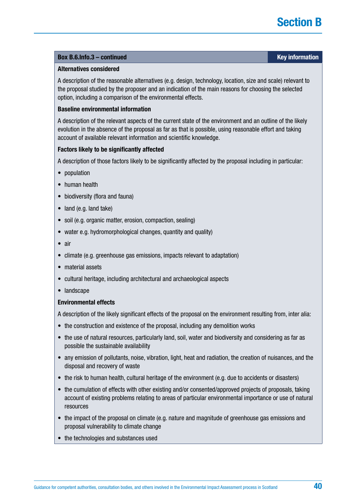## **Box [B.6.Info.](http://B.6.Info)3 – continued Key information**

#### **Alternatives considered**

A description of the reasonable alternatives (e.g. design, technology, location, size and scale) relevant to the proposal studied by the proposer and an indication of the main reasons for choosing the selected option, including a comparison of the environmental effects.

#### **Baseline environmental information**

A description of the relevant aspects of the current state of the environment and an outline of the likely evolution in the absence of the proposal as far as that is possible, using reasonable effort and taking account of available relevant information and scientific knowledge.

## **Factors likely to be significantly affected**

A description of those factors likely to be significantly affected by the proposal including in particular:

- population
- human health
- biodiversity (flora and fauna)
- land (e.g. land take)
- soil (e.g. organic matter, erosion, compaction, sealing)
- water e.g. hydromorphological changes, quantity and quality)
- air
- climate (e.g. greenhouse gas emissions, impacts relevant to adaptation)
- material assets
- cultural heritage, including architectural and archaeological aspects
- landscape

#### **Environmental effects**

A description of the likely significant effects of the proposal on the environment resulting from, inter alia:

- the construction and existence of the proposal, including any demolition works
- the use of natural resources, particularly land, soil, water and biodiversity and considering as far as possible the sustainable availability
- any emission of pollutants, noise, vibration, light, heat and radiation, the creation of nuisances, and the disposal and recovery of waste
- the risk to human health, cultural heritage of the environment (e.g. due to accidents or disasters)
- the cumulation of effects with other existing and/or consented/approved projects of proposals, taking account of existing problems relating to areas of particular environmental importance or use of natural resources
- the impact of the proposal on climate (e.g. nature and magnitude of greenhouse gas emissions and proposal vulnerability to climate change
- the technologies and substances used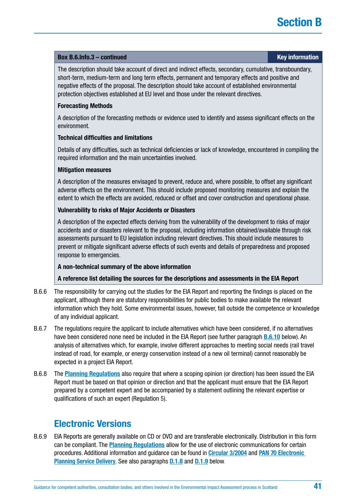### **Box [B.6.Info.](http://B.6.Info)3 – continued Key information**

The description should take account of direct and indirect effects, secondary, cumulative, transboundary, short-term, medium-term and long term effects, permanent and temporary effects and positive and negative effects of the proposal. The description should take account of established environmental protection objectives established at EU level and those under the relevant directives.

## **Forecasting Methods**

A description of the forecasting methods or evidence used to identify and assess significant effects on the environment.

## **Technical difficulties and limitations**

Details of any difficulties, such as technical deficiencies or lack of knowledge, encountered in compiling the required information and the main uncertainties involved.

## **Mitigation measures**

A description of the measures envisaged to prevent, reduce and, where possible, to offset any significant adverse effects on the environment. This should include proposed monitoring measures and explain the extent to which the effects are avoided, reduced or offset and cover construction and operational phase.

## **Vulnerability to risks of Major Accidents or Disasters**

A description of the expected effects deriving from the vulnerability of the development to risks of major accidents and or disasters relevant to the proposal, including information obtained/available through risk assessments pursuant to EU legislation including relevant directives. This should include measures to prevent or mitigate significant adverse effects of such events and details of preparedness and proposed response to emergencies.

## **A non-technical summary of the above information**

## **A reference list detailing the sources for the descriptions and assessments in the EIA Report**

- B.6.6 The responsibility for carrying out the studies for the EIA Report and reporting the findings is placed on the applicant, although there are statutory responsibilities for public bodies to make available the relevant information which they hold. Some environmental issues, however, fall outside the competence or knowledge of any individual applicant.
- B.6.7 The regulations require the applicant to include alternatives which have been considered, if no alternatives have been considered none need be included in the EIA Report (see further paragraph **[B.6.10](#page-41-0)** below). An analysis of alternatives which, for example, involve different approaches to meeting social needs (rail travel instead of road, for example, or energy conservation instead of a new oil terminal) cannot reasonably be expected in a project EIA Report.
- B.6.8 The **[Planning Regulations](https://www.legislation.gov.uk/uksi/2017/571/contents/made)** also require that where a scoping opinion (or direction) has been issued the EIA Report must be based on that opinion or direction and that the applicant must ensure that the EIA Report prepared by a competent expert and be accompanied by a statement outlining the relevant expertise or qualifications of such an expert (Regulation 5).

## **Electronic Versions**

B.6.9 EIA Reports are generally available on CD or DVD and are transferable electronically. Distribution in this form can be compliant. The **[Planning Regulations](http://www.legislation.gov.uk/ssi/2017/102/contents/made)** allow for the use of electronic communications for certain procedures. Additional information and guidance can be found in **[Circular 3/2004](http://www.gov.scot/Publications/2004/07/19722/40737)** and **[PAN 70 Electronic](http://www.scotland.gov.uk/Publications/2008/11/17142750/7)  [Planning Service Delivery](http://www.scotland.gov.uk/Publications/2008/11/17142750/7)**. See also paragraphs **[D.1.8](#page-16-0)** and **[D.1.9](#page-16-0)** below.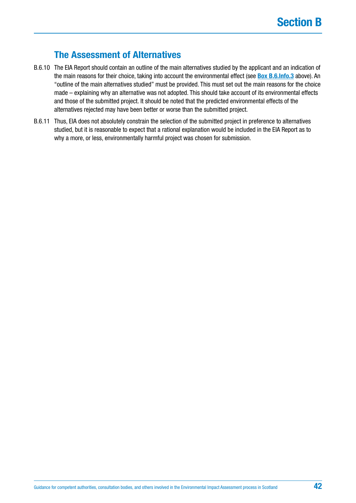## **The Assessment of Alternatives**

- <span id="page-41-0"></span>B.6.10 The EIA Report should contain an outline of the main alternatives studied by the applicant and an indication of the main reasons for their choice, taking into account the environmental effect (see **[Box B.6.Info.3](#page-38-0)** above). An "outline of the main alternatives studied" must be provided. This must set out the main reasons for the choice made – explaining why an alternative was not adopted. This should take account of its environmental effects and those of the submitted project. It should be noted that the predicted environmental effects of the alternatives rejected may have been better or worse than the submitted project.
- B.6.11 Thus, EIA does not absolutely constrain the selection of the submitted project in preference to alternatives studied, but it is reasonable to expect that a rational explanation would be included in the EIA Report as to why a more, or less, environmentally harmful project was chosen for submission.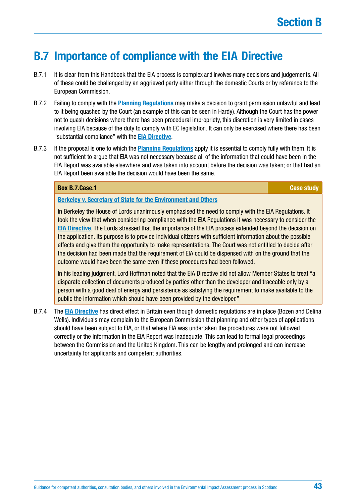# **B.7 Importance of compliance with the EIA Directive**

- B.7.1 It is clear from this Handbook that the EIA process is complex and involves many decisions and judgements. All of these could be challenged by an aggrieved party either through the domestic Courts or by reference to the European Commission.
- B.7.2 Failing to comply with the **[Planning Regulations](https://www.legislation.gov.uk/uksi/2017/571/contents/made)** may make a decision to grant permission unlawful and lead to it being quashed by the Court (an example of this can be seen in Hardy). Although the Court has the power not to quash decisions where there has been procedural impropriety, this discretion is very limited in cases involving EIA because of the duty to comply with EC legislation. It can only be exercised where there has been "substantial compliance" with the **[EIA Directive](http://ec.europa.eu/environment/eia/pdf/EIA_Directive_informal.pdf)**.
- B.7.3 If the proposal is one to which the **[Planning Regulations](https://www.legislation.gov.uk/uksi/2017/571/contents/made)** apply it is essential to comply fully with them. It is not sufficient to argue that EIA was not necessary because all of the information that could have been in the EIA Report was available elsewhere and was taken into account before the decision was taken; or that had an EIA Report been available the decision would have been the same.

#### **Box [B.7.Case](http://B.7.Case).1 Case study**

#### **[Berkeley v. Secretary of State for the Environment and Others](https://publications.parliament.uk/pa/ld199900/ldjudgmt/jd000706/berk-1.htm)**

In Berkeley the House of Lords unanimously emphasised the need to comply with the EIA Regulations. It took the view that when considering compliance with the EIA Regulations it was necessary to consider the **[EIA Directive](http://ec.europa.eu/environment/eia/pdf/EIA_Directive_informal.pdf)**. The Lords stressed that the importance of the EIA process extended beyond the decision on the application. Its purpose is to provide individual citizens with sufficient information about the possible effects and give them the opportunity to make representations. The Court was not entitled to decide after the decision had been made that the requirement of EIA could be dispensed with on the ground that the outcome would have been the same even if these procedures had been followed.

In his leading judgment, Lord Hoffman noted that the EIA Directive did not allow Member States to treat "a disparate collection of documents produced by parties other than the developer and traceable only by a person with a good deal of energy and persistence as satisfying the requirement to make available to the public the information which should have been provided by the developer."

B.7.4 The **[EIA Directive](http://ec.europa.eu/environment/eia/pdf/EIA_Directive_informal.pdf)** has direct effect in Britain even though domestic regulations are in place (Bozen and Delina Wells). Individuals may complain to the European Commission that planning and other types of applications should have been subject to EIA, or that where EIA was undertaken the procedures were not followed correctly or the information in the EIA Report was inadequate. This can lead to formal legal proceedings between the Commission and the United Kingdom. This can be lengthy and prolonged and can increase uncertainty for applicants and competent authorities.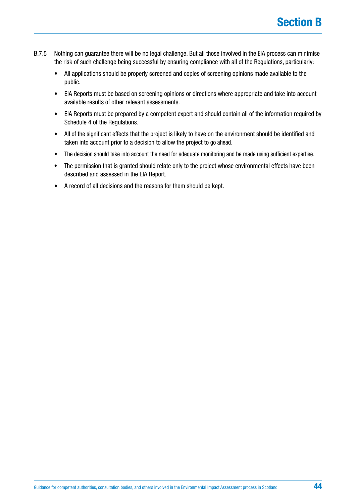- B.7.5 Nothing can guarantee there will be no legal challenge. But all those involved in the EIA process can minimise the risk of such challenge being successful by ensuring compliance with all of the Regulations, particularly:
	- All applications should be properly screened and copies of screening opinions made available to the public.
	- EIA Reports must be based on screening opinions or directions where appropriate and take into account available results of other relevant assessments.
	- EIA Reports must be prepared by a competent expert and should contain all of the information required by Schedule 4 of the Regulations.
	- All of the significant effects that the project is likely to have on the environment should be identified and taken into account prior to a decision to allow the project to go ahead.
	- The decision should take into account the need for adequate monitoring and be made using sufficient expertise.
	- The permission that is granted should relate only to the project whose environmental effects have been described and assessed in the EIA Report.
	- A record of all decisions and the reasons for them should be kept.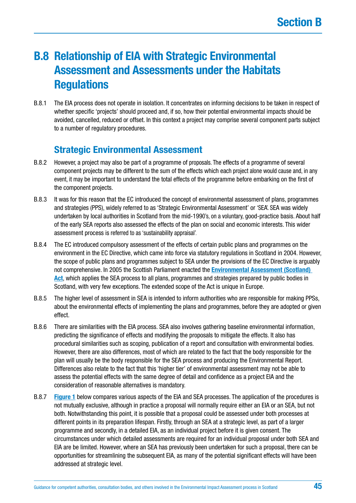# **B.8 Relationship of EIA with Strategic Environmental Assessment and Assessments under the Habitats Regulations**

B.8.1 The EIA process does not operate in isolation. It concentrates on informing decisions to be taken in respect of whether specific 'projects' should proceed and, if so, how their potential environmental impacts should be avoided, cancelled, reduced or offset. In this context a project may comprise several component parts subject to a number of regulatory procedures.

## **Strategic Environmental Assessment**

- B.8.2 However, a project may also be part of a programme of proposals. The effects of a programme of several component projects may be different to the sum of the effects which each project alone would cause and, in any event, it may be important to understand the total effects of the programme before embarking on the first of the component projects.
- B.8.3 It was for this reason that the EC introduced the concept of environmental assessment of plans, programmes and strategies (PPS), widely referred to as 'Strategic Environmental Assessment' or 'SEA'. SEA was widely undertaken by local authorities in Scotland from the mid-1990's, on a voluntary, good-practice basis. About half of the early SEA reports also assessed the effects of the plan on social and economic interests. This wider assessment process is referred to as 'sustainability appraisal'.
- B.8.4 The EC introduced compulsory assessment of the effects of certain public plans and programmes on the environment in the EC Directive, which came into force via statutory regulations in Scotland in 2004. However, the scope of public plans and programmes subject to SEA under the provisions of the EC Directive is arguably not comprehensive. In 2005 the Scottish Parliament enacted the **[Environmental Assessment \(Scotland\)](http://www.legislation.gov.uk/asp/2005/15/contents)  [Act](http://www.legislation.gov.uk/asp/2005/15/contents)**, which applies the SEA process to all plans, programmes and strategies prepared by public bodies in Scotland, with very few exceptions. The extended scope of the Act is unique in Europe.
- B.8.5 The higher level of assessment in SEA is intended to inform authorities who are responsible for making PPSs, about the environmental effects of implementing the plans and programmes, before they are adopted or given effect.
- B.8.6 There are similarities with the EIA process. SEA also involves gathering baseline environmental information, predicting the significance of effects and modifying the proposals to mitigate the effects. It also has procedural similarities such as scoping, publication of a report and consultation with environmental bodies. However, there are also differences, most of which are related to the fact that the body responsible for the plan will usually be the body responsible for the SEA process and producing the Environmental Report. Differences also relate to the fact that this 'higher tier' of environmental assessment may not be able to assess the potential effects with the same degree of detail and confidence as a project EIA and the consideration of reasonable alternatives is mandatory.
- B.8.7 **[Figure 1](#page-46-0)** below compares various aspects of the EIA and SEA processes. The application of the procedures is not mutually exclusive, although in practice a proposal will normally require either an EIA or an SEA, but not both. Notwithstanding this point, it is possible that a proposal could be assessed under both processes at different points in its preparation lifespan. Firstly, through an SEA at a strategic level, as part of a larger programme and secondly, in a detailed EIA, as an individual project before it is given consent. The circumstances under which detailed assessments are required for an individual proposal under both SEA and EIA are be limited. However, where an SEA has previously been undertaken for such a proposal, there can be opportunities for streamlining the subsequent EIA, as many of the potential significant effects will have been addressed at strategic level.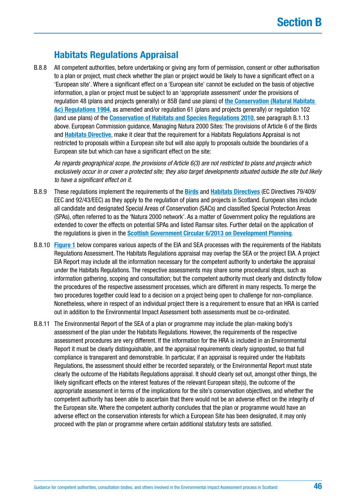## **Habitats Regulations Appraisal**

B.8.8 All competent authorities, before undertaking or giving any form of permission, consent or other authorisation to a plan or project, must check whether the plan or project would be likely to have a significant effect on a 'European site'. Where a significant effect on a 'European site' cannot be excluded on the basis of objective information, a plan or project must be subject to an 'appropriate assessment' under the provisions of regulation 48 (plans and projects generally) or 85B (land use plans) of **[the Conservation \(Natural Habitats](http://www.legislation.gov.uk/uksi/1994/2716/contents/made)  [&c\) Regulations 1994](http://www.legislation.gov.uk/uksi/1994/2716/contents/made)**, as amended and/or regulation 61 (plans and projects generally) or regulation 102 (land use plans) of the **[Conservation of Habitats and Species Regulations 2010](http://www.legislation.gov.uk/uksi/2010/490/contents/made)**, see paragraph B.1.13 above. European Commission guidance, Managing Natura 2000 Sites: The provisions of Article 6 of the Birds and **[Habitats Directive](http://ec.europa.eu/environment/nature/legislation/habitatsdirective/index_en.htm)**, make it clear that the requirement for a Habitats Regulations Appraisal is not restricted to proposals within a European site but will also apply to proposals outside the boundaries of a European site but which can have a significant effect on the site:

*As regards geographical scope, the provisions of Article 6(3) are not restricted to plans and projects which exclusively occur in or cover a protected site; they also target developments situated outside the site but likely to have a significant effect on it.*

- B.8.9 These regulations implement the requirements of the **[Birds](http://ec.europa.eu/environment/nature/legislation/birdsdirective/index_en.htm)** and **[Habitats Directives](http://ec.europa.eu/environment/nature/legislation/habitatsdirective/index_en.htm)** (EC Directives 79/409/ EEC and 92/43/EEC) as they apply to the regulation of plans and projects in Scotland. European sites include all candidate and designated Special Areas of Conservation (SACs) and classified Special Protection Areas (SPAs), often referred to as the 'Natura 2000 network'. As a matter of Government policy the regulations are extended to cover the effects on potential SPAs and listed Ramsar sites. Further detail on the application of the regulations is given in the **[Scottish Government Circular 6/2013 on Development Planning](http://www.gov.scot/Resource/0044/00441577.pdf)**.
- B.8.10 **[Figure 1](#page-46-0)** below compares various aspects of the EIA and SEA processes with the requirements of the Habitats Regulations Assessment. The Habitats Regulations appraisal may overlap the SEA or the project EIA. A project EIA Report may include all the information necessary for the competent authority to undertake the appraisal under the Habitats Regulations. The respective assessments may share some procedural steps, such as information gathering, scoping and consultation; but the competent authority must clearly and distinctly follow the procedures of the respective assessment processes, which are different in many respects. To merge the two procedures together could lead to a decision on a project being open to challenge for non-compliance. Nonetheless, where in respect of an individual project there is a requirement to ensure that an HRA is carried out in addition to the Environmental Impact Assessment both assessments must be co-ordinated.
- B.8.11 The Environmental Report of the SEA of a plan or programme may include the plan-making body's assessment of the plan under the Habitats Regulations. However, the requirements of the respective assessment procedures are very different. If the information for the HRA is included in an Environmental Report it must be clearly distinguishable, and the appraisal requirements clearly signposted, so that full compliance is transparent and demonstrable. In particular, if an appraisal is required under the Habitats Regulations, the assessment should either be recorded separately, or the Environmental Report must state clearly the outcome of the Habitats Regulations appraisal. It should clearly set out, amongst other things, the likely significant effects on the interest features of the relevant European site(s), the outcome of the appropriate assessment in terms of the implications for the site's conservation objectives, and whether the competent authority has been able to ascertain that there would not be an adverse effect on the integrity of the European site. Where the competent authority concludes that the plan or programme would have an adverse effect on the conservation interests for which a European Site has been designated, it may only proceed with the plan or programme where certain additional statutory tests are satisfied.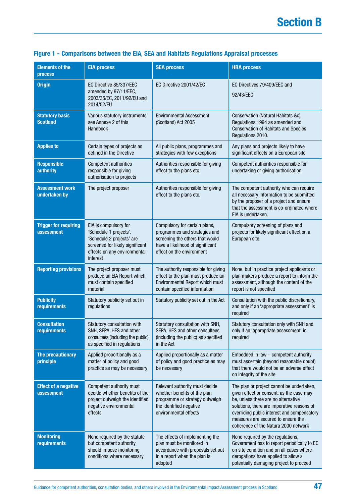| <b>Elements of the</b><br><b>process</b>   | <b>EIA process</b>                                                                                                                                          | <b>SEA process</b>                                                                                                                                                 | <b>HRA process</b>                                                                                                                                                                                                                                                                                      |
|--------------------------------------------|-------------------------------------------------------------------------------------------------------------------------------------------------------------|--------------------------------------------------------------------------------------------------------------------------------------------------------------------|---------------------------------------------------------------------------------------------------------------------------------------------------------------------------------------------------------------------------------------------------------------------------------------------------------|
| <b>Origin</b>                              | EC Directive 85/337/EEC<br>amended by 97/11/EEC,<br>2003/35/EC, 2011/92/EU and<br>2014/52/EU.                                                               | EC Directive 2001/42/EC                                                                                                                                            | EC Directives 79/409/EEC and<br>92/43/EEC                                                                                                                                                                                                                                                               |
| <b>Statutory basis</b><br><b>Scotland</b>  | Various statutory instruments<br>see Annexe 2 of this<br>Handbook                                                                                           | <b>Environmental Assessment</b><br>(Scotland) Act 2005                                                                                                             | Conservation (Natural Habitats &c)<br>Regulations 1994 as amended and<br><b>Conservation of Habitats and Species</b><br>Regulations 2010.                                                                                                                                                               |
| <b>Applies to</b>                          | Certain types of projects as<br>defined in the Directive                                                                                                    | All public plans, programmes and<br>strategies with few exceptions                                                                                                 | Any plans and projects likely to have<br>significant effects on a European site                                                                                                                                                                                                                         |
| <b>Responsible</b><br><b>authority</b>     | <b>Competent authorities</b><br>responsible for giving<br>authorisation to projects                                                                         | Authorities responsible for giving<br>effect to the plans etc.                                                                                                     | Competent authorities responsible for<br>undertaking or giving authorisation                                                                                                                                                                                                                            |
| <b>Assessment work</b><br>undertaken by    | The project proposer                                                                                                                                        | Authorities responsible for giving<br>effect to the plans etc.                                                                                                     | The competent authority who can require<br>all necessary information to be submitted<br>by the proposer of a project and ensure<br>that the assessment is co-ordinated where<br>EIA is undertaken.                                                                                                      |
| <b>Trigger for requiring</b><br>assessment | EIA is compulsory for<br>'Schedule 1 projects'.<br>'Schedule 2 projects' are<br>screened for likely significant<br>effects on any environmental<br>interest | Compulsory for certain plans,<br>programmes and strategies and<br>screening the others that would<br>have a likelihood of significant<br>effect on the environment | Compulsory screening of plans and<br>projects for likely significant effect on a<br>European site                                                                                                                                                                                                       |
| <b>Reporting provisions</b>                | The project proposer must<br>produce an EIA Report which<br>must contain specified<br>material                                                              | The authority responsible for giving<br>effect to the plan must produce an<br>Environmental Report which must<br>contain specified information                     | None, but in practice project applicants or<br>plan makers produce a report to inform the<br>assessment, although the content of the<br>report is not specified                                                                                                                                         |
| <b>Publicity</b><br>requirements           | Statutory publicity set out in<br>regulations                                                                                                               | Statutory publicity set out in the Act                                                                                                                             | Consultation with the public discretionary,<br>and only if an 'appropriate assessment' is<br>required                                                                                                                                                                                                   |
| <b>Consultation</b><br>requirements        | Statutory consultation with<br>SNH, SEPA, HES and other<br>consultees (including the public)<br>as specified in regulations                                 | Statutory consultation with SNH,<br>SEPA, HES and other consultees<br>(including the public) as specified<br>in the Act                                            | Statutory consultation only with SNH and<br>only if an 'appropriate assessment' is<br>required                                                                                                                                                                                                          |
| The precautionary<br>principle             | Applied proportionally as a<br>matter of policy and good<br>practice as may be necessary                                                                    | Applied proportionally as a matter<br>of policy and good practice as may<br>be necessary                                                                           | Embedded in law - competent authority<br>must ascertain (beyond reasonable doubt)<br>that there would not be an adverse effect<br>on integrity of the site                                                                                                                                              |
| <b>Effect of a negative</b><br>assessment  | Competent authority must<br>decide whether benefits of the<br>project outweigh the identified<br>negative environmental<br>effects                          | Relevant authority must decide<br>whether benefits of the plan<br>programme or strategy outweigh<br>the identified negative<br>environmental effects               | The plan or project cannot be undertaken,<br>given effect or consent, as the case may<br>be, unless there are no alternative<br>solutions, there are imperative reasons of<br>overriding public interest and compensatory<br>measures are secured to ensure the<br>coherence of the Natura 2000 network |
| <b>Monitoring</b><br>requirements          | None required by the statute<br>but competent authority<br>should impose monitoring<br>conditions where necessary                                           | The effects of implementing the<br>plan must be monitored in<br>accordance with proposals set out<br>in a report when the plan is<br>adopted                       | None required by the regulations,<br>Government has to report periodically to EC<br>on site condition and on all cases where<br>derogations have applied to allow a<br>potentially damaging project to proceed                                                                                          |

## <span id="page-46-0"></span>**Figure 1 - Comparisons between the EIA, SEA and Habitats Regulations Appraisal processes**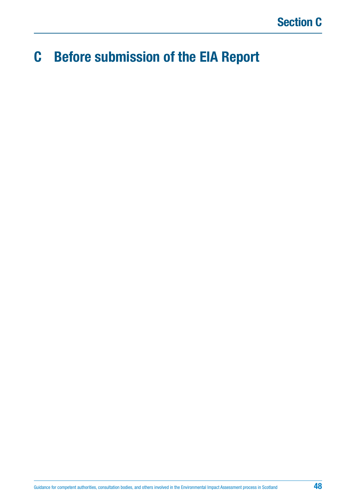# **C Before submission of the EIA Report**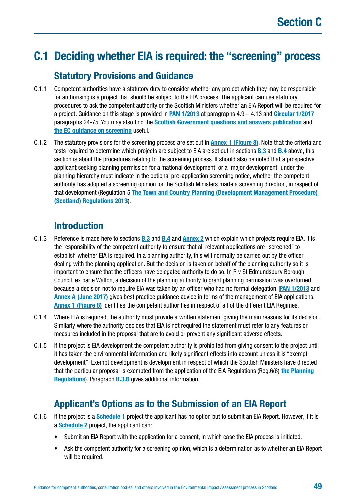# <span id="page-48-0"></span>**C.1 Deciding whether EIA is required: the "screening" process**

## **Statutory Provisions and Guidance**

- C.1.1 Competent authorities have a statutory duty to consider whether any project which they may be responsible for authorising is a project that should be subject to the EIA process. The applicant can use statutory procedures to ask the competent authority or the Scottish Ministers whether an EIA Report will be required for a project. Guidance on this stage is provided in **[PAN 1/2013](http://www.gov.scot/Publications/2013/08/6471)** at paragraphs 4.9 – 4.13 and **[Circular 1/2017](http://www.gov.scot/Publications/2017/05/6292)** paragraphs 24-75. You may also find the **[Scottish Government questions and answers publication](http://www.gov.scot/Resource/Doc/204780/0054494.pdf)** and **the [EC guidance on screening](http://ec.europa.eu/environment/eia/pdf/EIA_guidance_Screening_final.pdf)** useful.
- C.1.2 The statutory provisions for the screening process are set out in **[Annex 1 \(Figure 8\)](#page-142-0)**. Note that the criteria and tests required to determine which projects are subject to EIA are set out in sections **[B.3](#page-19-0)** and **[B.4](#page-21-0)** above, this section is about the procedures relating to the screening process. It should also be noted that a prospective applicant seeking planning permission for a 'national development' or a 'major development' under the planning hierarchy must indicate in the optional pre-application screening notice, whether the competent authority has adopted a screening opinion, or the Scottish Ministers made a screening direction, in respect of that development (Regulation 5 **[The Town and Country Planning \(Development Management Procedure\)](http://www.legislation.gov.uk/ssi/2017/102/regulation/5/made)  [\(Scotland\) Regulations 2013](http://www.legislation.gov.uk/ssi/2017/102/regulation/5/made)**).

## **Introduction**

- C.1.3 Reference is made here to sections **[B.3](#page-19-0)** and **[B.4](#page-21-0)** and **[Annex 2](#page-146-0)** which explain which projects require EIA. It is the responsibility of the competent authority to ensure that all relevant applications are "screened" to establish whether EIA is required. In a planning authority, this will normally be carried out by the officer dealing with the planning application. But the decision is taken on behalf of the planning authority so it is important to ensure that the officers have delegated authority to do so. In R v St Edmundsbury Borough Council, ex parte Walton, a decision of the planning authority to grant planning permission was overturned because a decision not to require EIA was taken by an officer who had no formal delegation. **[PAN 1/2013](http://www.gov.scot/Resource/0052/00521028.pdf)** and **[Annex A \(June 2017\)](http://www.gov.scot/Resource/0052/00521461.pdf)** gives best practice guidance advice in terms of the management of EIA applications. **[Annex 1 \(Figure 8\)](#page-142-0)** identifies the competent authorities in respect of all of the different EIA Regimes.
- C.1.4 Where EIA is required, the authority must provide a written statement giving the main reasons for its decision. Similarly where the authority decides that EIA is not required the statement must refer to any features or measures included in the proposal that are to avoid or prevent any significant adverse effects.
- C.1.5 If the project is EIA development the competent authority is prohibited from giving consent to the project until it has taken the environmental information and likely significant effects into account unless it is "exempt development". Exempt development is development in respect of which the Scottish Ministers have directed that the particular proposal is exempted from the application of the EIA Regulations (Reg.6(6) **[the Planning](http://www.legislation.gov.uk/ssi/2017/102/regulation/6)  [Regulations](http://www.legislation.gov.uk/ssi/2017/102/regulation/6)**). Paragraph **[B.3.6](#page-55-0)** gives additional information.

## **Applicant's Options as to the Submission of an EIA Report**

- C.1.6 If the project is a **[Schedule 1](http://www.legislation.gov.uk/uksi/2017/571/schedule/1/made)** project the applicant has no option but to submit an EIA Report. However, if it is a **[Schedule 2](http://www.legislation.gov.uk/uksi/2017/571/schedule/2/made)** project, the applicant can:
	- Submit an EIA Report with the application for a consent, in which case the EIA process is initiated.
	- Ask the competent authority for a screening opinion, which is a determination as to whether an EIA Report will be required.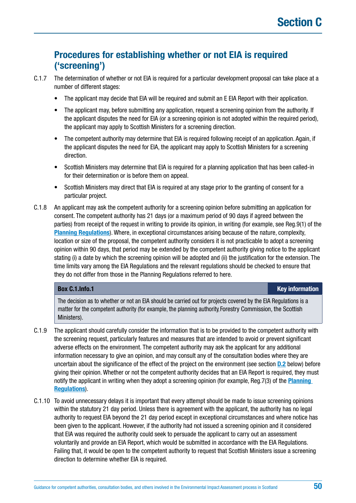## **Procedures for establishing whether or not EIA is required ('screening')**

- C.1.7 The determination of whether or not EIA is required for a particular development proposal can take place at a number of different stages:
	- The applicant may decide that EIA will be required and submit an E EIA Report with their application.
	- The applicant may, before submitting any application, request a screening opinion from the authority. If the applicant disputes the need for EIA (or a screening opinion is not adopted within the required period), the applicant may apply to Scottish Ministers for a screening direction.
	- The competent authority may determine that EIA is required following receipt of an application. Again, if the applicant disputes the need for EIA, the applicant may apply to Scottish Ministers for a screening direction.
	- Scottish Ministers may determine that EIA is required for a planning application that has been called-in for their determination or is before them on appeal.
	- Scottish Ministers may direct that EIA is required at any stage prior to the granting of consent for a particular project.
- C.1.8 An applicant may ask the competent authority for a screening opinion before submitting an application for consent. The competent authority has 21 days (or a maximum period of 90 days if agreed between the parties) from receipt of the request in writing to provide its opinion, in writing (for example, see Reg.9(1) of the **[Planning Regulations](https://www.legislation.gov.uk/uksi/2017/571/contents/made)**). Where, in exceptional circumstances arising because of the nature, complexity, location or size of the proposal, the competent authority considers it is not practicable to adopt a screening opinion within 90 days, that period may be extended by the competent authority giving notice to the applicant stating (i) a date by which the screening opinion will be adopted and (ii) the justification for the extension. The time limits vary among the EIA Regulations and the relevant regulations should be checked to ensure that they do not differ from those in the Planning Regulations referred to here.

## **Box [C.1.Info.](http://C.1.Info)1 Key information**

The decision as to whether or not an EIA should be carried out for projects covered by the EIA Regulations is a matter for the competent authority (for example, the planning authority, Forestry Commission, the Scottish Ministers).

- C.1.9 The applicant should carefully consider the information that is to be provided to the competent authority with the screening request, particularly features and measures that are intended to avoid or prevent significant adverse effects on the environment. The competent authority may ask the applicant for any additional information necessary to give an opinion, and may consult any of the consultation bodies where they are uncertain about the significance of the effect of the project on the environment (see section **[D.2](#page-85-0)** below) before giving their opinion. Whether or not the competent authority decides that an EIA Report is required, they must notify the applicant in writing when they adopt a screening opinion (for example, Reg.7(3) of the **[Planning](https://www.legislation.gov.uk/uksi/2017/571/contents/made)  [Regulations](https://www.legislation.gov.uk/uksi/2017/571/contents/made)**).
- C.1.10 To avoid unnecessary delays it is important that every attempt should be made to issue screening opinions within the statutory 21 day period. Unless there is agreement with the applicant, the authority has no legal authority to request EIA beyond the 21 day period except in exceptional circumstances and where notice has been given to the applicant. However, if the authority had not issued a screening opinion and it considered that EIA was required the authority could seek to persuade the applicant to carry out an assessment voluntarily and provide an EIA Report, which would be submitted in accordance with the EIA Regulations. Failing that, it would be open to the competent authority to request that Scottish Ministers issue a screening direction to determine whether EIA is required.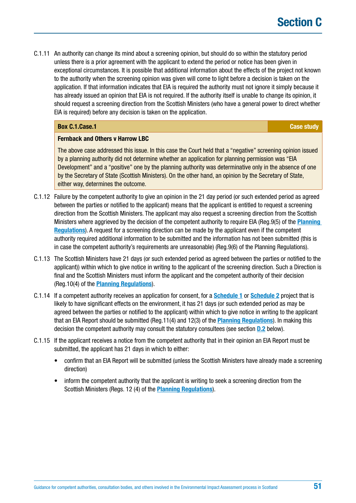C.1.11 An authority can change its mind about a screening opinion, but should do so within the statutory period unless there is a prior agreement with the applicant to extend the period or notice has been given in exceptional circumstances. It is possible that additional information about the effects of the project not known to the authority when the screening opinion was given will come to light before a decision is taken on the application. If that information indicates that EIA is required the authority must not ignore it simply because it has already issued an opinion that EIA is not required. If the authority itself is unable to change its opinion, it should request a screening direction from the Scottish Ministers (who have a general power to direct whether EIA is required) before any decision is taken on the application.

## **Box [C.1.Case.](http://C.1.Case)1 Case study CASE Study Case study Case study Case study**

#### **Fernback and Others v Harrow LBC**

The above case addressed this issue. In this case the Court held that a "negative" screening opinion issued by a planning authority did not determine whether an application for planning permission was "EIA Development" and a "positive" one by the planning authority was determinative only in the absence of one by the Secretary of State (Scottish Ministers). On the other hand, an opinion by the Secretary of State, either way, determines the outcome.

- C.1.12 Failure by the competent authority to give an opinion in the 21 day period (or such extended period as agreed between the parties or notified to the applicant) means that the applicant is entitled to request a screening direction from the Scottish Ministers. The applicant may also request a screening direction from the Scottish Ministers where aggrieved by the decision of the competent authority to require EIA (Reg.9(5) of the **[Planning](https://www.legislation.gov.uk/uksi/2017/571/contents/made)  [Regulations](https://www.legislation.gov.uk/uksi/2017/571/contents/made)**). A request for a screening direction can be made by the applicant even if the competent authority required additional information to be submitted and the information has not been submitted (this is in case the competent authority's requirements are unreasonable) (Reg.9(6) of the Planning Regulations).
- C.1.13 The Scottish Ministers have 21 days (or such extended period as agreed between the parties or notified to the applicant)) within which to give notice in writing to the applicant of the screening direction. Such a Direction is final and the Scottish Ministers must inform the applicant and the competent authority of their decision (Reg.10(4) of the **[Planning Regulations](https://www.legislation.gov.uk/uksi/2017/571/contents/made)**).
- C.1.14 If a competent authority receives an application for consent, for a **[Schedule 1](http://www.legislation.gov.uk/uksi/2017/571/schedule/1/made)** or **[Schedule 2](http://www.legislation.gov.uk/uksi/2017/571/schedule/2/made)** project that is likely to have significant effects on the environment, it has 21 days (or such extended period as may be agreed between the parties or notified to the applicant) within which to give notice in writing to the applicant that an EIA Report should be submitted (Reg.11(4) and 12(3) of the **[Planning Regulations](https://www.legislation.gov.uk/uksi/2017/571/contents/made)**). In making this decision the competent authority may consult the statutory consultees (see section **D.2** below).
- C.1.15 If the applicant receives a notice from the competent authority that in their opinion an EIA Report must be submitted, the applicant has 21 days in which to either:
	- confirm that an EIA Report will be submitted (unless the Scottish Ministers have already made a screening direction)
	- inform the competent authority that the applicant is writing to seek a screening direction from the Scottish Ministers (Regs. 12 (4) of the **[Planning Regulations](https://www.legislation.gov.uk/uksi/2017/571/contents/made)**).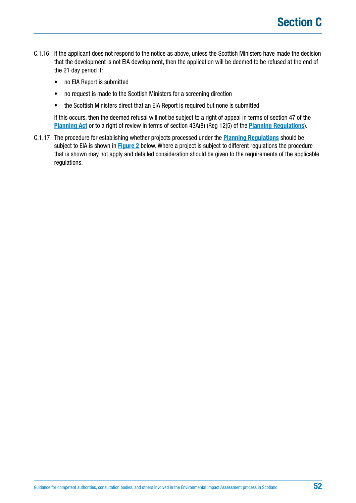- C.1.16 If the applicant does not respond to the notice as above, unless the Scottish Ministers have made the decision that the development is not EIA development, then the application will be deemed to be refused at the end of the 21 day period if:
	- no EIA Report is submitted
	- no request is made to the Scottish Ministers for a screening direction
	- the Scottish Ministers direct that an EIA Report is required but none is submitted

If this occurs, then the deemed refusal will not be subject to a right of appeal in terms of section 47 of the **[Planning Act](https://www.legislation.gov.uk/ukpga/1997/8/contents)** or to a right of review in terms of section 43A(8) (Reg 12(5) of the **[Planning Regulations](https://www.legislation.gov.uk/uksi/2017/571/contents/made)**).

C.1.17 The procedure for establishing whether projects processed under the **[Planning Regulations](https://www.legislation.gov.uk/uksi/2017/571/contents/made)** should be subject to EIA is shown in **[Figure 2](#page-52-0)** below. Where a project is subject to different regulations the procedure that is shown may not apply and detailed consideration should be given to the requirements of the applicable regulations.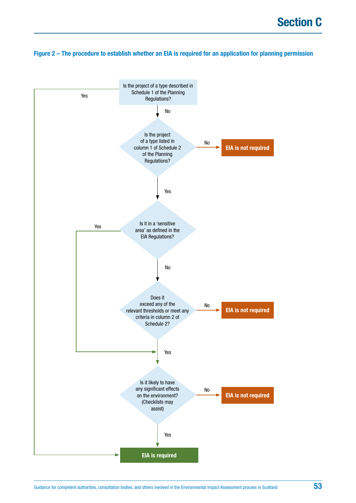## <span id="page-52-0"></span>**Figure 2 – The procedure to establish whether an EIA is required for an application for planning permission**

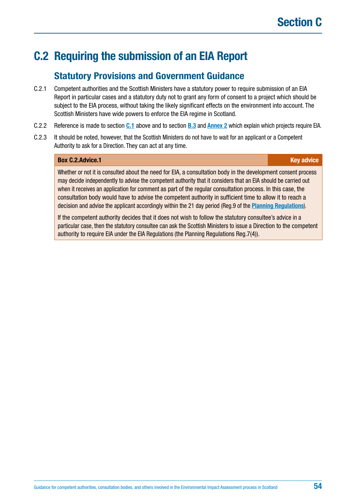# **C.2 Requiring the submission of an EIA Report**

## **Statutory Provisions and Government Guidance**

- C.2.1 Competent authorities and the Scottish Ministers have a statutory power to require submission of an EIA Report in particular cases and a statutory duty not to grant any form of consent to a project which should be subject to the EIA process, without taking the likely significant effects on the environment into account. The Scottish Ministers have wide powers to enforce the EIA regime in Scotland.
- C.2.2 Reference is made to section **[C.1](#page-48-0)** above and to section **[B.3](#page-19-0)** and **[Annex 2](#page-146-0)** which explain which projects require EIA.
- C.2.3 It should be noted, however, that the Scottish Ministers do not have to wait for an applicant or a Competent Authority to ask for a Direction. They can act at any time.

### **Box [C.2.Advice](http://C.2.Advice).1 Key advice** *C.2.Advice.1* **Key advice**

Whether or not it is consulted about the need for EIA, a consultation body in the development consent process may decide independently to advise the competent authority that it considers that an EIA should be carried out when it receives an application for comment as part of the regular consultation process. In this case, the consultation body would have to advise the competent authority in sufficient time to allow it to reach a decision and advise the applicant accordingly within the 21 day period (Reg.9 of the **[Planning Regulations](https://www.legislation.gov.uk/uksi/2017/571/contents/made)**).

If the competent authority decides that it does not wish to follow the statutory consultee's advice in a particular case, then the statutory consultee can ask the Scottish Ministers to issue a Direction to the competent authority to require EIA under the EIA Regulations (the Planning Regulations Reg.7(4)).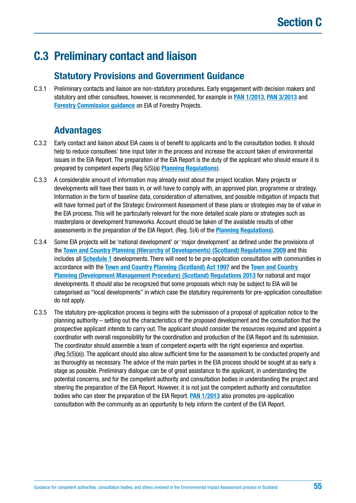# **C.3 Preliminary contact and liaison**

## **Statutory Provisions and Government Guidance**

C.3.1 Preliminary contacts and liaison are non-statutory procedures. Early engagement with decision makers and statutory and other consultees, however, is recommended, for example in **[PAN 1/2013](http://www.gov.scot/Publications/2013/08/6471)**, **[PAN 3/2013](http://www.gov.scot/Publications/2013/12/9882)** and **[Forestry Commission guidance](http://scotland.forestry.gov.uk/images/corporate/pdf/fgs-briefing-note-10.pdf)** on EIA of Forestry Projects.

## **Advantages**

- C.3.2 Early contact and liaison about EIA cases is of benefit to applicants and to the consultation bodies. It should help to reduce consultees' time input later in the process and increase the account taken of environmental issues in the EIA Report. The preparation of the EIA Report is the duty of the applicant who should ensure it is prepared by competent experts (Reg 5(5)(a) **[Planning Regulations](https://www.legislation.gov.uk/uksi/2017/571/contents/made)**).
- C.3.3 A considerable amount of information may already exist about the project location. Many projects or developments will have their basis in, or will have to comply with, an approved plan, programme or strategy. Information in the form of baseline data, consideration of alternatives, and possible mitigation of impacts that will have formed part of the Strategic Environment Assessment of these plans or strategies may be of value in the EIA process. This will be particularly relevant for the more detailed scale plans or strategies such as masterplans or development frameworks. Account should be taken of the available results of other assessments in the preparation of the EIA Report. (Reg. 5(4) of the **[Planning Regulations](https://www.legislation.gov.uk/uksi/2017/571/contents/made)**).
- C.3.4 Some EIA projects will be 'national development' or 'major development' as defined under the provisions of the **[Town and Country Planning \(Hierarchy of Developments\) \(Scotland\) Regulations 2009](https://www.legislation.gov.uk/sdsi/2009/9780111001714/contents)** and this includes all **[Schedule 1](http://www.legislation.gov.uk/uksi/2017/571/schedule/1/made)** developments. There will need to be pre-application consultation with communities in accordance with the **[Town and Country Planning \(Scotland\) Act 1997](https://www.legislation.gov.uk/ukpga/1997/8/contents)** and the **[Town and Country](http://www.legislation.gov.uk/ssi/2013/155/contents/made)  [Planning \(Development Management Procedure\) \(Scotland\) Regulations 2013](http://www.legislation.gov.uk/ssi/2013/155/contents/made)** for national and major developments. It should also be recognized that some proposals which may be subject to EIA will be categorised as "local developments" in which case the statutory requirements for pre-application consultation do not apply.
- C.3.5 The statutory pre-application process is begins with the submission of a proposal of application notice to the planning authority – setting out the characteristics of the proposed development and the consultation that the prospective applicant intends to carry out. The applicant should consider the resources required and appoint a coordinator with overall responsibility for the coordination and production of the EIA Report and its submission. The coordinator should assemble a team of competent experts with the right experience and expertise. (Reg.5(5)(a)). The applicant should also allow sufficient time for the assessment to be conducted properly and as thoroughly as necessary. The advice of the main parties in the EIA process should be sought at as early a stage as possible. Preliminary dialogue can be of great assistance to the applicant, in understanding the potential concerns, and for the competent authority and consultation bodies in understanding the project and steering the preparation of the EIA Report. However, it is not just the competent authority and consultation bodies who can steer the preparation of the EIA Report. **[PAN 1/2013](http://www.gov.scot/Publications/2013/08/6471)** also promotes pre-application consultation with the community as an opportunity to help inform the content of the EIA Report.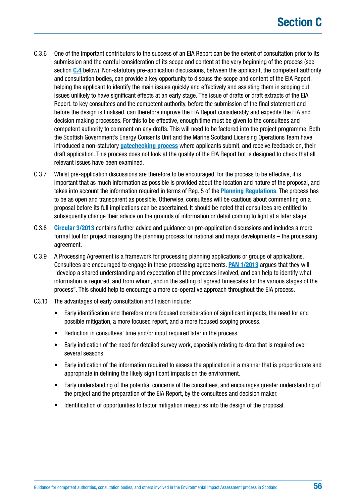- <span id="page-55-0"></span>C.3.6 One of the important contributors to the success of an EIA Report can be the extent of consultation prior to its submission and the careful consideration of its scope and content at the very beginning of the process (see section **[C.4](#page-56-0)** below). Non-statutory pre-application discussions, between the applicant, the competent authority and consultation bodies, can provide a key opportunity to discuss the scope and content of the EIA Report, helping the applicant to identify the main issues quickly and effectively and assisting them in scoping out issues unlikely to have significant effects at an early stage. The issue of drafts or draft extracts of the EIA Report, to key consultees and the competent authority, before the submission of the final statement and before the design is finalised, can therefore improve the EIA Report considerably and expedite the EIA and decision making processes. For this to be effective, enough time must be given to the consultees and competent authority to comment on any drafts. This will need to be factored into the project programme. Both the Scottish Government's Energy Consents Unit and the Marine Scotland Licensing Operations Team have introduced a non-statutory **[gatechecking process](http://www.gov.scot/Topics/Business-Industry/Energy/Infrastructure/Energy-Consents/Guidance/Gatecheckingprocessforsection36andsection37applica)** where applicants submit, and receive feedback on, their draft application. This process does not look at the quality of the EIA Report but is designed to check that all relevant issues have been examined.
- C.3.7 Whilst pre-application discussions are therefore to be encouraged, for the process to be effective, it is important that as much information as possible is provided about the location and nature of the proposal, and takes into account the information required in terms of Reg. 5 of the **[Planning Regulations](https://www.legislation.gov.uk/uksi/2017/571/contents/made)**. The process has to be as open and transparent as possible. Otherwise, consultees will be cautious about commenting on a proposal before its full implications can be ascertained. It should be noted that consultees are entitled to subsequently change their advice on the grounds of information or detail coming to light at a later stage.
- C.3.8 **[Circular 3/2013](http://www.gov.scot/Publications/2013/12/9882)** contains further advice and guidance on pre-application discussions and includes a more formal tool for project managing the planning process for national and major developments – the processing agreement.
- C.3.9 A Processing Agreement is a framework for processing planning applications or groups of applications. Consultees are encouraged to engage in these processing agreements. **[PAN 1/2013](http://www.gov.scot/Publications/2013/08/6471)** argues that they will "develop a shared understanding and expectation of the processes involved, and can help to identify what information is required, and from whom, and in the setting of agreed timescales for the various stages of the process". This should help to encourage a more co-operative approach throughout the EIA process.
- C.3.10 The advantages of early consultation and liaison include:
	- Early identification and therefore more focused consideration of significant impacts, the need for and possible mitigation, a more focused report, and a more focused scoping process.
	- Reduction in consultees' time and/or input required later in the process.
	- Early indication of the need for detailed survey work, especially relating to data that is required over several seasons.
	- Early indication of the information required to assess the application in a manner that is proportionate and appropriate in defining the likely significant impacts on the environment.
	- Early understanding of the potential concerns of the consultees, and encourages greater understanding of the project and the preparation of the EIA Report, by the consultees and decision maker.
	- Identification of opportunities to factor mitigation measures into the design of the proposal.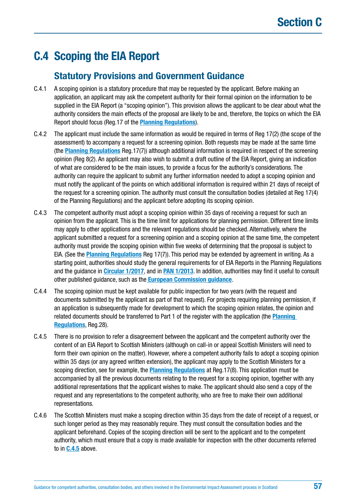# <span id="page-56-0"></span>**C.4 Scoping the EIA Report**

## **Statutory Provisions and Government Guidance**

- C.4.1 A scoping opinion is a statutory procedure that may be requested by the applicant. Before making an application, an applicant may ask the competent authority for their formal opinion on the information to be supplied in the EIA Report (a "scoping opinion"). This provision allows the applicant to be clear about what the authority considers the main effects of the proposal are likely to be and, therefore, the topics on which the EIA Report should focus (Reg.17 of the **[Planning Regulations](http://www.legislation.gov.uk/ssi/2017/102/contents/made)**).
- C.4.2 The applicant must include the same information as would be required in terms of Reg 17(2) (the scope of the assessment) to accompany a request for a screening opinion. Both requests may be made at the same time (the **[Planning Regulations](https://www.legislation.gov.uk/uksi/2017/571/contents/made)** Reg.17(7)) although additional information is required in respect of the screening opinion (Reg 8(2). An applicant may also wish to submit a draft outline of the EIA Report, giving an indication of what are considered to be the main issues, to provide a focus for the authority's considerations. The authority can require the applicant to submit any further information needed to adopt a scoping opinion and must notify the applicant of the points on which additional information is required within 21 days of receipt of the request for a screening opinion. The authority must consult the consultation bodies (detailed at Reg 17(4) of the Planning Regulations) and the applicant before adopting its scoping opinion.
- C.4.3 The competent authority must adopt a scoping opinion within 35 days of receiving a request for such an opinion from the applicant. This is the time limit for applications for planning permission. Different time limits may apply to other applications and the relevant regulations should be checked. Alternatively, where the applicant submitted a request for a screening opinion and a scoping opinion at the same time, the competent authority must provide the scoping opinion within five weeks of determining that the proposal is subject to EIA. (See the **[Planning Regulations](https://www.legislation.gov.uk/uksi/2017/571/contents/made)** Reg 17(7)). This period may be extended by agreement in writing. As a starting point, authorities should study the general requirements for of EIA Reports in the Planning Regulations and the guidance in **[Circular 1/2017](http://www.gov.scot/Resource/0051/00518122.pdf)**, and in **[PAN 1/2013](http://www.gov.scot/Publications/2013/08/6471)**. In addition, authorities may find it useful to consult other published guidance, such as the **[European Commission guidance](http://ec.europa.eu/environment/eia/eia-guidelines/g-scoping-full-text.pdf)**.
- C.4.4 The scoping opinion must be kept available for public inspection for two years (with the request and documents submitted by the applicant as part of that request). For projects requiring planning permission, if an application is subsequently made for development to which the scoping opinion relates, the opinion and related documents should be transferred to Part 1 of the register with the application (the **[Planning](https://www.legislation.gov.uk/uksi/2017/571/contents/made)  [Regulations](https://www.legislation.gov.uk/uksi/2017/571/contents/made)**, Reg.28).
- C.4.5 There is no provision to refer a disagreement between the applicant and the competent authority over the content of an EIA Report to Scottish Ministers (although on call-in or appeal Scottish Ministers will need to form their own opinion on the matter). However, where a competent authority fails to adopt a scoping opinion within 35 days (or any agreed written extension), the applicant may apply to the Scottish Ministers for a scoping direction, see for example, the **[Planning Regulations](https://www.legislation.gov.uk/uksi/2017/571/contents/made)** at Reg.17(8). This application must be accompanied by all the previous documents relating to the request for a scoping opinion, together with any additional representations that the applicant wishes to make. The applicant should also send a copy of the request and any representations to the competent authority, who are free to make their own additional representations.
- C.4.6 The Scottish Ministers must make a scoping direction within 35 days from the date of receipt of a request, or such longer period as they may reasonably require. They must consult the consultation bodies and the applicant beforehand. Copies of the scoping direction will be sent to the applicant and to the competent authority, which must ensure that a copy is made available for inspection with the other documents referred to in **C.4.5** above.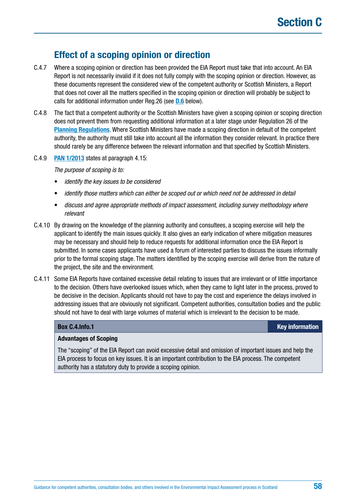## **Effect of a scoping opinion or direction**

- C.4.7 Where a scoping opinion or direction has been provided the EIA Report must take that into account. An EIA Report is not necessarily invalid if it does not fully comply with the scoping opinion or direction. However, as these documents represent the considered view of the competent authority or Scottish Ministers, a Report that does not cover all the matters specified in the scoping opinion or direction will probably be subject to calls for additional information under Reg.26 (see **[D.6](#page-93-0)** below).
- C.4.8 The fact that a competent authority or the Scottish Ministers have given a scoping opinion or scoping direction does not prevent them from requesting additional information at a later stage under Regulation 26 of the **[Planning Regulations](https://www.legislation.gov.uk/uksi/2017/571/contents/made)**. Where Scottish Ministers have made a scoping direction in default of the competent authority, the authority must still take into account all the information they consider relevant. In practice there should rarely be any difference between the relevant information and that specified by Scottish Ministers.
- C.4.9 **[PAN 1/2013](http://www.gov.scot/Publications/2013/08/6471)** states at paragraph 4.15:

*The purpose of scoping is to:*

- *identify the key issues to be considered*
- *identify those matters which can either be scoped out or which need not be addressed in detail*
- *discuss and agree appropriate methods of impact assessment, including survey methodology where relevant*
- C.4.10 By drawing on the knowledge of the planning authority and consultees, a scoping exercise will help the applicant to identify the main issues quickly. It also gives an early indication of where mitigation measures may be necessary and should help to reduce requests for additional information once the EIA Report is submitted. In some cases applicants have used a forum of interested parties to discuss the issues informally prior to the formal scoping stage. The matters identified by the scoping exercise will derive from the nature of the project, the site and the environment.
- C.4.11 Some EIA Reports have contained excessive detail relating to issues that are irrelevant or of little importance to the decision. Others have overlooked issues which, when they came to light later in the process, proved to be decisive in the decision. Applicants should not have to pay the cost and experience the delays involved in addressing issues that are obviously not significant. Competent authorities, consultation bodies and the public should not have to deal with large volumes of material which is irrelevant to the decision to be made.

#### **Box [C.4.Info.](http://C.4.Info)1 Key information**

#### **Advantages of Scoping**

The "scoping" of the EIA Report can avoid excessive detail and omission of important issues and help the EIA process to focus on key issues. It is an important contribution to the EIA process. The competent authority has a statutory duty to provide a scoping opinion.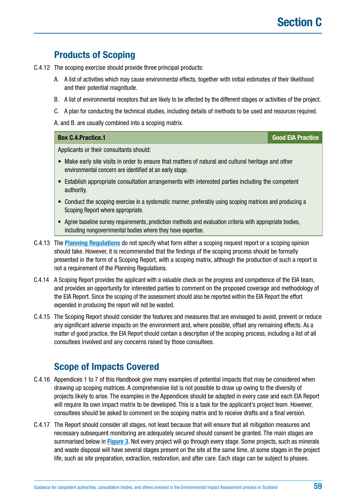## **Products of Scoping**

- C.4.12 The scoping exercise should provide three principal products:
	- A. A list of activities which may cause environmental effects, together with initial estimates of their likelihood and their potential magnitude.
	- B. A list of environmental receptors that are likely to be affected by the different stages or activities of the project.
	- C. A plan for conducting the technical studies, including details of methods to be used and resources required.

A. and B. are usually combined into a scoping matrix.

## **Box [C.4.Practice](http://C.4.Practice).1 Good EIA Practice**

Applicants or their consultants should:

- Make early site visits in order to ensure that matters of natural and cultural heritage and other environmental concern are identified at an early stage.
- Establish appropriate consultation arrangements with interested parties including the competent authority.
- Conduct the scoping exercise in a systematic manner, preferably using scoping matrices and producing a Scoping Report where appropriate.
- Agree baseline survey requirements, prediction methods and evaluation criteria with appropriate bodies, including nongovernmental bodies where they have expertise.
- C.4.13 The **[Planning Regulations](https://www.legislation.gov.uk/uksi/2017/571/contents/made)** do not specify what form either a scoping request report or a scoping opinion should take. However, it is recommended that the findings of the scoping process should be formally presented in the form of a Scoping Report, with a scoping matrix, although the production of such a report is not a requirement of the Planning Regulations.
- C.4.14 A Scoping Report provides the applicant with a valuable check on the progress and competence of the EIA team, and provides an opportunity for interested parties to comment on the proposed coverage and methodology of the EIA Report. Since the scoping of the assessment should also be reported within the EIA Report the effort expended in producing the report will not be wasted.
- C.4.15 The Scoping Report should consider the features and measures that are envisaged to avoid, prevent or reduce any significant adverse impacts on the environment and, where possible, offset any remaining effects. As a matter of good practice, the EIA Report should contain a description of the scoping process, including a list of all consultees involved and any concerns raised by those consultees.

## **Scope of Impacts Covered**

- C.4.16 Appendices 1 to 7 of this Handbook give many examples of potential impacts that may be considered when drawing up scoping matrices. A comprehensive list is not possible to draw up owing to the diversity of projects likely to arise. The examples in the Appendices should be adapted in every case and each EIA Report will require its own impact matrix to be developed. This is a task for the applicant's project team. However, consultees should be asked to comment on the scoping matrix and to receive drafts and a final version.
- C.4.17 The Report should consider all stages, not least because that will ensure that all mitigation measures and necessary subsequent monitoring are adequately secured should consent be granted. The main stages are summarised below in **[Figure 3](#page-61-0)**. Not every project will go through every stage. Some projects, such as minerals and waste disposal will have several stages present on the site at the same time, at some stages in the project life, such as site preparation, extraction, restoration, and after care. Each stage can be subject to phases.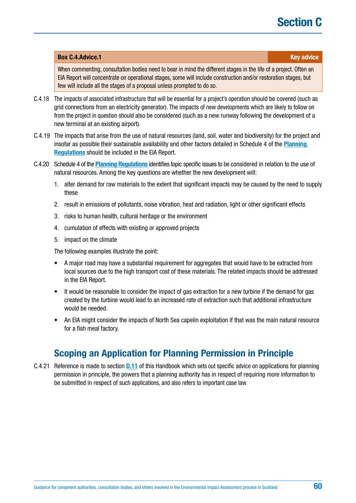# **Section C**

#### **Box [C.4.Advice](http://C.4.Advice).1 Key advice** *C.4.Advice Key advice*

When commenting, consultation bodies need to bear in mind the different stages in the life of a project. Often an EIA Report will concentrate on operational stages, some will include construction and/or restoration stages, but few will include all the stages of a proposal unless prompted to do so.

- C.4.18 The impacts of associated infrastructure that will be essential for a project's operation should be covered (such as grid connections from an electricity generator). The impacts of new developments which are likely to follow on from the project in question should also be considered (such as a new runway following the development of a new terminal at an existing airport).
- C.4.19 The impacts that arise from the use of natural resources (land, soil, water and biodiversity) for the project and insofar as possible their sustainable availability and other factors detailed in Schedule 4 of the **[Planning](https://www.legislation.gov.uk/uksi/2017/571/contents/made)  [Regulations](https://www.legislation.gov.uk/uksi/2017/571/contents/made)** should be included in the EIA Report.
- C.4.20 Schedule 4 of the **[Planning Regulations](https://www.legislation.gov.uk/uksi/2017/571/contents/made)** identifies topic specific issues to be considered in relation to the use of natural resources. Among the key questions are whether the new development will:
	- 1. alter demand for raw materials to the extent that significant impacts may be caused by the need to supply these
	- 2. result in emissions of pollutants, noise vibration, heat and radiation, light or other significant effects
	- 3. risks to human health, cultural heritage or the environment
	- 4. cumulation of effects with existing or approved projects
	- 5. impact on the climate

The following examples illustrate the point:

- A major road may have a substantial requirement for aggregates that would have to be extracted from local sources due to the high transport cost of these materials. The related impacts should be addressed in the EIA Report.
- It would be reasonable to consider the impact of gas extraction for a new turbine if the demand for gas created by the turbine would lead to an increased rate of extraction such that additional infrastructure would be needed.
- An EIA might consider the impacts of North Sea capelin exploitation if that was the main natural resource for a fish meal factory.

## **Scoping an Application for Planning Permission in Principle**

C.4.21 Reference is made to section **[D.11](#page-101-0)** of this Handbook which sets out specific advice on applications for planning permission in principle, the powers that a planning authority has in respect of requiring more information to be submitted in respect of such applications, and also refers to important case law.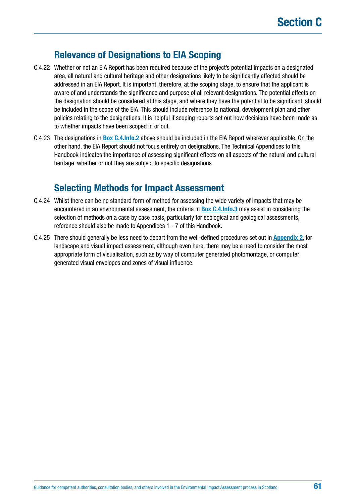## **Relevance of Designations to EIA Scoping**

- C.4.22 Whether or not an EIA Report has been required because of the project's potential impacts on a designated area, all natural and cultural heritage and other designations likely to be significantly affected should be addressed in an EIA Report. It is important, therefore, at the scoping stage, to ensure that the applicant is aware of and understands the significance and purpose of all relevant designations. The potential effects on the designation should be considered at this stage, and where they have the potential to be significant, should be included in the scope of the EIA. This should include reference to national, development plan and other policies relating to the designations. It is helpful if scoping reports set out how decisions have been made as to whether impacts have been scoped in or out.
- C.4.23 The designations in **[Box C.4.Info.2](#page-62-0)** above should be included in the EIA Report wherever applicable. On the other hand, the EIA Report should not focus entirely on designations. The Technical Appendices to this Handbook indicates the importance of assessing significant effects on all aspects of the natural and cultural heritage, whether or not they are subject to specific designations.

## **Selecting Methods for Impact Assessment**

- C.4.24 Whilst there can be no standard form of method for assessing the wide variety of impacts that may be encountered in an environmental assessment, the criteria in **[Box C.4.Info.3](#page-63-0)** may assist in considering the selection of methods on a case by case basis, particularly for ecological and geological assessments, reference should also be made to Appendices 1 - 7 of this Handbook.
- C.4.25 There should generally be less need to depart from the well-defined procedures set out in **[Appendix 2](#page-187-0)**, for landscape and visual impact assessment, although even here, there may be a need to consider the most appropriate form of visualisation, such as by way of computer generated photomontage, or computer generated visual envelopes and zones of visual influence.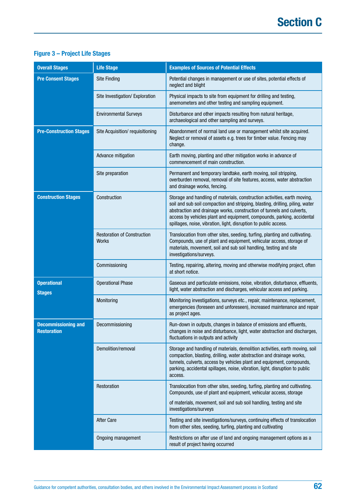## <span id="page-61-0"></span>**Figure 3 – Project Life Stages**

| <b>Overall Stages</b>                            | <b>Life Stage</b>                           | <b>Examples of Sources of Potential Effects</b>                                                                                                                                                                                                                                                                                                                                   |
|--------------------------------------------------|---------------------------------------------|-----------------------------------------------------------------------------------------------------------------------------------------------------------------------------------------------------------------------------------------------------------------------------------------------------------------------------------------------------------------------------------|
| <b>Pre Consent Stages</b>                        | <b>Site Finding</b>                         | Potential changes in management or use of sites, potential effects of<br>neglect and blight                                                                                                                                                                                                                                                                                       |
|                                                  | Site Investigation/ Exploration             | Physical impacts to site from equipment for drilling and testing,<br>anemometers and other testing and sampling equipment.                                                                                                                                                                                                                                                        |
|                                                  | <b>Environmental Surveys</b>                | Disturbance and other impacts resulting from natural heritage,<br>archaeological and other sampling and surveys.                                                                                                                                                                                                                                                                  |
| <b>Pre-Construction Stages</b>                   | Site Acquisition/ requisitioning            | Abandonment of normal land use or management whilst site acquired.<br>Neglect or removal of assets e.g. trees for timber value. Fencing may<br>change.                                                                                                                                                                                                                            |
|                                                  | Advance mitigation                          | Earth moving, planting and other mitigation works in advance of<br>commencement of main construction.                                                                                                                                                                                                                                                                             |
|                                                  | Site preparation                            | Permanent and temporary landtake, earth moving, soil stripping,<br>overburden removal, removal of site features, access, water abstraction<br>and drainage works, fencing.                                                                                                                                                                                                        |
| <b>Construction Stages</b>                       | Construction                                | Storage and handling of materials, construction activities, earth moving,<br>soil and sub soil compaction and stripping, blasting, drilling, piling, water<br>abstraction and drainage works, construction of tunnels and culverts,<br>access by vehicles plant and equipment, compounds, parking, accidental<br>spillages, noise, vibration, light, disruption to public access. |
|                                                  | <b>Restoration of Construction</b><br>Works | Translocation from other sites, seeding, turfing, planting and cultivating.<br>Compounds, use of plant and equipment, vehicular access, storage of<br>materials, movement, soil and sub soil handling, testing and site<br>investigations/surveys.                                                                                                                                |
|                                                  | Commissioning                               | Testing, repairing, altering, moving and otherwise modifying project, often<br>at short notice.                                                                                                                                                                                                                                                                                   |
| <b>Operational</b><br><b>Stages</b>              | <b>Operational Phase</b>                    | Gaseous and particulate emissions, noise, vibration, disturbance, effluents,<br>light, water abstraction and discharges, vehicular access and parking.                                                                                                                                                                                                                            |
|                                                  | Monitoring                                  | Monitoring investigations, surveys etc., repair, maintenance, replacement,<br>emergencies (foreseen and unforeseen), increased maintenance and repair<br>as project ages.                                                                                                                                                                                                         |
| <b>Decommissioning and</b><br><b>Restoration</b> | Decommissioning                             | Run-down in outputs, changes in balance of emissions and effluents,<br>changes in noise and disturbance, light, water abstraction and discharges,<br>fluctuations in outputs and activity                                                                                                                                                                                         |
|                                                  | Demolition/removal                          | Storage and handling of materials, demolition activities, earth moving, soil<br>compaction, blasting, drilling, water abstraction and drainage works,<br>tunnels, culverts, access by vehicles plant and equipment, compounds,<br>parking, accidental spillages, noise, vibration, light, disruption to public<br>access.                                                         |
|                                                  | Restoration                                 | Translocation from other sites, seeding, turfing, planting and cultivating.<br>Compounds, use of plant and equipment, vehicular access, storage                                                                                                                                                                                                                                   |
|                                                  |                                             | of materials, movement, soil and sub soil handling, testing and site<br>investigations/surveys                                                                                                                                                                                                                                                                                    |
|                                                  | <b>After Care</b>                           | Testing and site investigations/surveys, continuing effects of translocation<br>from other sites, seeding, turfing, planting and cultivating                                                                                                                                                                                                                                      |
|                                                  | Ongoing management                          | Restrictions on after use of land and ongoing management options as a<br>result of project having occurred                                                                                                                                                                                                                                                                        |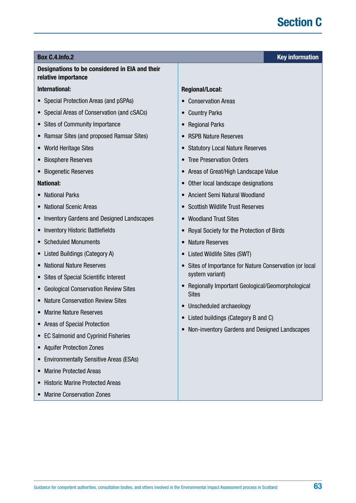## <span id="page-62-0"></span>**Box [C.4.Info.](http://C.4.Info)2 Key information**

## **Designations to be considered in EIA and their relative importance**

## **International:**

- Special Protection Areas (and pSPAs)
- Special Areas of Conservation (and cSACs)
- Sites of Community Importance
- Ramsar Sites (and proposed Ramsar Sites)
- World Heritage Sites
- Biosphere Reserves
- Biogenetic Reserves

## **National:**

- National Parks
- National Scenic Areas
- Inventory Gardens and Designed Landscapes
- Inventory Historic Battlefields
- Scheduled Monuments
- Listed Buildings (Category A)
- National Nature Reserves
- Sites of Special Scientific Interest
- Geological Conservation Review Sites
- Nature Conservation Review Sites
- Marine Nature Reserves
- Areas of Special Protection
- EC Salmonid and Cyprinid Fisheries
- Aquifer Protection Zones
- Environmentally Sensitive Areas (ESAs)
- Marine Protected Areas
- Historic Marine Protected Areas
- Marine Conservation Zones

## **Regional/Local:**

- Conservation Areas
- Country Parks
- Regional Parks
- RSPB Nature Reserves
- Statutory Local Nature Reserves
- Tree Preservation Orders
- Areas of Great/High Landscape Value
- Other local landscape designations
- Ancient Semi Natural Woodland
- Scottish Wildlife Trust Reserves
- Woodland Trust Sites
- Royal Society for the Protection of Birds
- Nature Reserves
- Listed Wildlife Sites (SWT)
- Sites of Importance for Nature Conservation (or local system variant)
- Regionally Important Geological/Geomorphological **Sites**
- Unscheduled archaeology
- Listed buildings (Category B and C)
- Non-inventory Gardens and Designed Landscapes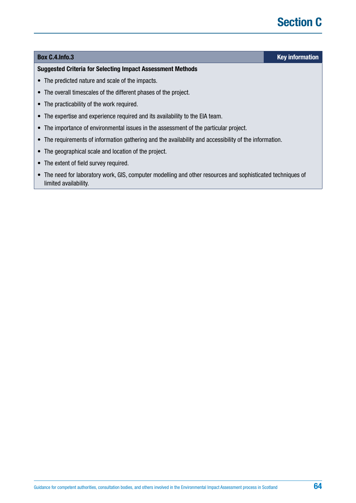# **Section C**

## <span id="page-63-0"></span>**Box [C.4.Info.](http://C.4.Info)3 Key information**

#### **Suggested Criteria for Selecting Impact Assessment Methods**

- The predicted nature and scale of the impacts.
- The overall timescales of the different phases of the project.
- The practicability of the work required.
- The expertise and experience required and its availability to the EIA team.
- The importance of environmental issues in the assessment of the particular project.
- The requirements of information gathering and the availability and accessibility of the information.
- The geographical scale and location of the project.
- The extent of field survey required.
- The need for laboratory work, GIS, computer modelling and other resources and sophisticated techniques of limited availability.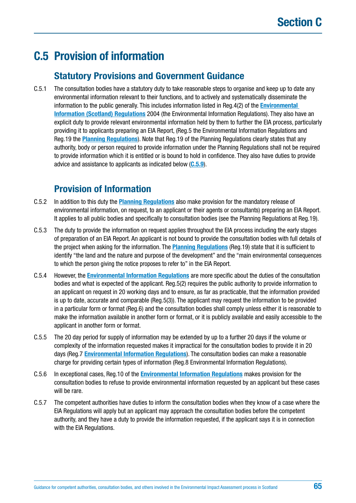# **C.5 Provision of information**

## **Statutory Provisions and Government Guidance**

C.5.1 The consultation bodies have a statutory duty to take reasonable steps to organise and keep up to date any environmental information relevant to their functions, and to actively and systematically disseminate the information to the public generally. This includes information listed in Reg.4(2) of the **[Environmental](http://www.legislation.gov.uk/ssi/2004/520/contents/made)  [Information \(Scotland\) Regulations](http://www.legislation.gov.uk/ssi/2004/520/contents/made)** 2004 (the Environmental Information Regulations). They also have an explicit duty to provide relevant environmental information held by them to further the EIA process, particularly providing it to applicants preparing an EIA Report, (Reg.5 the Environmental Information Regulations and Reg.19 the **[Planning Regulations](https://www.legislation.gov.uk/uksi/2017/571/contents/made)**). Note that Reg.19 of the Planning Regulations clearly states that any authority, body or person required to provide information under the Planning Regulations shall not be required to provide information which it is entitled or is bound to hold in confidence. They also have duties to provide advice and assistance to applicants as indicated below (**[C.5.9](#page-65-0)**).

## **Provision of Information**

- C.5.2 In addition to this duty the **[Planning Regulations](https://www.legislation.gov.uk/uksi/2017/571/contents/made)** also make provision for the mandatory release of environmental information, on request, to an applicant or their agents or consultants) preparing an EIA Report. It applies to all public bodies and specifically to consultation bodies (see the Planning Regulations at Reg.19).
- C.5.3 The duty to provide the information on request applies throughout the EIA process including the early stages of preparation of an EIA Report. An applicant is not bound to provide the consultation bodies with full details of the project when asking for the information. The **[Planning Regulations](http://www.legislation.gov.uk/ssi/2017/102/contents/made)** (Reg.19) state that it is sufficient to identify "the land and the nature and purpose of the development" and the "main environmental consequences to which the person giving the notice proposes to refer to" in the EIA Report.
- C.5.4 However, the **[Environmental Information Regulations](http://www.legislation.gov.uk/ssi/2004/520/contents/made)** are more specific about the duties of the consultation bodies and what is expected of the applicant. Reg.5(2) requires the public authority to provide information to an applicant on request in 20 working days and to ensure, as far as practicable, that the information provided is up to date, accurate and comparable (Reg.5(3)). The applicant may request the information to be provided in a particular form or format (Reg.6) and the consultation bodies shall comply unless either it is reasonable to make the information available in another form or format, or it is publicly available and easily accessible to the applicant in another form or format.
- C.5.5 The 20 day period for supply of information may be extended by up to a further 20 days if the volume or complexity of the information requested makes it impractical for the consultation bodies to provide it in 20 days (Reg.7 **[Environmental Information Regulations](http://www.legislation.gov.uk/ssi/2004/520/contents/made)**). The consultation bodies can make a reasonable charge for providing certain types of information (Reg.8 Environmental Information Regulations).
- C.5.6 In exceptional cases, Reg.10 of the **[Environmental Information Regulations](http://www.legislation.gov.uk/ssi/2004/520/contents/made)** makes provision for the consultation bodies to refuse to provide environmental information requested by an applicant but these cases will be rare.
- C.5.7 The competent authorities have duties to inform the consultation bodies when they know of a case where the EIA Regulations will apply but an applicant may approach the consultation bodies before the competent authority, and they have a duty to provide the information requested, if the applicant says it is in connection with the EIA Regulations.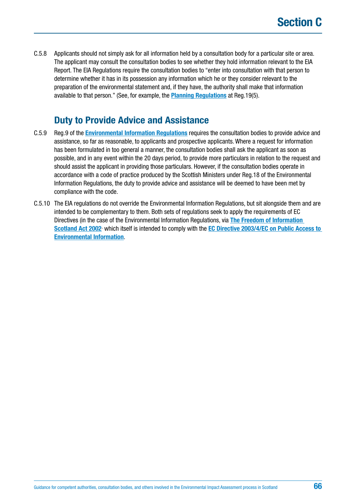<span id="page-65-0"></span>C.5.8 Applicants should not simply ask for all information held by a consultation body for a particular site or area. The applicant may consult the consultation bodies to see whether they hold information relevant to the EIA Report. The EIA Regulations require the consultation bodies to "enter into consultation with that person to determine whether it has in its possession any information which he or they consider relevant to the preparation of the environmental statement and, if they have, the authority shall make that information available to that person." (See, for example, the **[Planning Regulations](https://www.legislation.gov.uk/uksi/2017/571/contents/made)** at Reg.19(5).

## **Duty to Provide Advice and Assistance**

- C.5.9 Reg.9 of the **[Environmental Information Regulations](http://www.legislation.gov.uk/ssi/2004/520/contents/made)** requires the consultation bodies to provide advice and assistance, so far as reasonable, to applicants and prospective applicants. Where a request for information has been formulated in too general a manner, the consultation bodies shall ask the applicant as soon as possible, and in any event within the 20 days period, to provide more particulars in relation to the request and should assist the applicant in providing those particulars. However, if the consultation bodies operate in accordance with a code of practice produced by the Scottish Ministers under Reg.18 of the Environmental Information Regulations, the duty to provide advice and assistance will be deemed to have been met by compliance with the code.
- C.5.10 The EIA regulations do not override the Environmental Information Regulations, but sit alongside them and are intended to be complementary to them. Both sets of regulations seek to apply the requirements of EC Directives (in the case of the Environmental Information Regulations, via **[The Freedom of Information](http://www.legislation.gov.uk/asp/2002/13/contents)**  [Scotland Act 2002](http://www.legislation.gov.uk/asp/2002/13/contents)<sup>,</sup> which itself is intended to comply with the **EC Directive 2003/4/EC on Public Access to [Environmental Information](http://eur-lex.europa.eu/LexUriServ/LexUriServ.do?uri=OJ:L:2003:041:0026:0032:EN:PDF)**.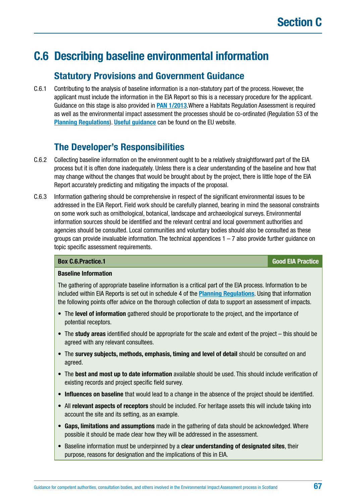# <span id="page-66-0"></span>**C.6 Describing baseline environmental information**

## **Statutory Provisions and Government Guidance**

C.6.1 Contributing to the analysis of baseline information is a non-statutory part of the process. However, the applicant must include the information in the EIA Report so this is a necessary procedure for the applicant. Guidance on this stage is also provided in **[PAN 1/2013](http://www.gov.scot/Publications/2013/08/6471)**.Where a Habitats Regulation Assessment is required as well as the environmental impact assessment the processes should be co-ordinated (Regulation 53 of the **[Planning Regulations](https://www.legislation.gov.uk/uksi/2017/571/contents/made)**). **[Useful guidance](http://ec.europa.eu/environment/eia/pdf/EIA_guidance_EIA_report_final.pdf)** can be found on the EU website.

## **The Developer's Responsibilities**

- C.6.2 Collecting baseline information on the environment ought to be a relatively straightforward part of the EIA process but it is often done inadequately. Unless there is a clear understanding of the baseline and how that may change without the changes that would be brought about by the project, there is little hope of the EIA Report accurately predicting and mitigating the impacts of the proposal.
- C.6.3 Information gathering should be comprehensive in respect of the significant environmental issues to be addressed in the EIA Report. Field work should be carefully planned, bearing in mind the seasonal constraints on some work such as ornithological, botanical, landscape and archaeological surveys. Environmental information sources should be identified and the relevant central and local government authorities and agencies should be consulted. Local communities and voluntary bodies should also be consulted as these groups can provide invaluable information. The technical appendices  $1 - 7$  also provide further guidance on topic specific assessment requirements.

## **Box [C.6.Practice](http://C.6.Practice).1 Good EIA Practice**

## **Baseline Information**

The gathering of appropriate baseline information is a critical part of the EIA process. Information to be included within EIA Reports is set out in schedule 4 of the **[Planning Regulations](https://www.legislation.gov.uk/uksi/2017/571/contents/made)**. Using that information the following points offer advice on the thorough collection of data to support an assessment of impacts.

- The **level of information** gathered should be proportionate to the project, and the importance of potential receptors.
- The **study areas** identified should be appropriate for the scale and extent of the project this should be agreed with any relevant consultees.
- The **survey subjects, methods, emphasis, timing and level of detail** should be consulted on and agreed.
- The **best and most up to date information** available should be used. This should include verification of existing records and project specific field survey.
- **Influences on baseline** that would lead to a change in the absence of the project should be identified.
- All **relevant aspects of receptors** should be included. For heritage assets this will include taking into account the site and its setting, as an example.
- **Gaps, limitations and assumptions** made in the gathering of data should be acknowledged. Where possible it should be made clear how they will be addressed in the assessment.
- Baseline information must be underpinned by a **clear understanding of designated sites**, their purpose, reasons for designation and the implications of this in EIA.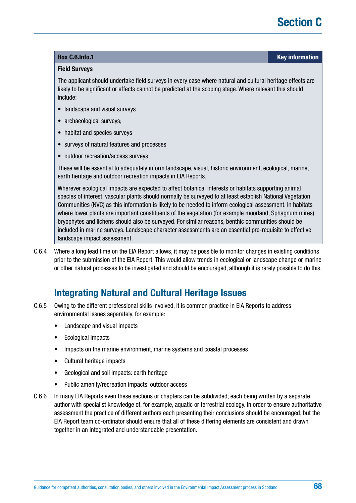## **Box [C.6.Info.](http://C.6.Info)1 Key information**

#### **Field Surveys**

The applicant should undertake field surveys in every case where natural and cultural heritage effects are likely to be significant or effects cannot be predicted at the scoping stage. Where relevant this should include:

- landscape and visual surveys
- archaeological surveys;
- habitat and species surveys
- surveys of natural features and processes
- outdoor recreation/access surveys

These will be essential to adequately inform landscape, visual, historic environment, ecological, marine, earth heritage and outdoor recreation impacts in EIA Reports.

Wherever ecological impacts are expected to affect botanical interests or habitats supporting animal species of interest, vascular plants should normally be surveyed to at least establish National Vegetation Communities (NVC) as this information is likely to be needed to inform ecological assessment. In habitats where lower plants are important constituents of the vegetation (for example moorland, Sphagnum mires) bryophytes and lichens should also be surveyed. For similar reasons, benthic communities should be included in marine surveys. Landscape character assessments are an essential pre-requisite to effective landscape impact assessment.

C.6.4 Where a long lead time on the EIA Report allows, it may be possible to monitor changes in existing conditions prior to the submission of the EIA Report. This would allow trends in ecological or landscape change or marine or other natural processes to be investigated and should be encouraged, although it is rarely possible to do this.

## **Integrating Natural and Cultural Heritage Issues**

- C.6.5 Owing to the different professional skills involved, it is common practice in EIA Reports to address environmental issues separately, for example:
	- Landscape and visual impacts
	- Ecological Impacts
	- Impacts on the marine environment, marine systems and coastal processes
	- Cultural heritage impacts
	- Geological and soil impacts: earth heritage
	- Public amenity/recreation impacts: outdoor access
- C.6.6 In many EIA Reports even these sections or chapters can be subdivided, each being written by a separate author with specialist knowledge of, for example, aquatic or terrestrial ecology. In order to ensure authoritative assessment the practice of different authors each presenting their conclusions should be encouraged, but the EIA Report team co-ordinator should ensure that all of these differing elements are consistent and drawn together in an integrated and understandable presentation.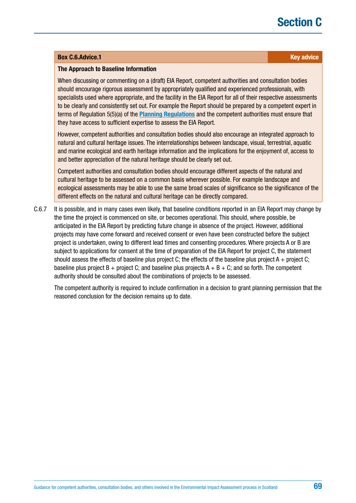# **Section C**

#### **Box [C.6.Advice](http://C.6.Advice).1 Key advice Research 2014 Key advice**

#### **The Approach to Baseline Information**

When discussing or commenting on a (draft) EIA Report, competent authorities and consultation bodies should encourage rigorous assessment by appropriately qualified and experienced professionals, with specialists used where appropriate, and the facility in the EIA Report for all of their respective assessments to be clearly and consistently set out. For example the Report should be prepared by a competent expert in terms of Regulation 5(5)(a) of the **[Planning Regulations](https://www.legislation.gov.uk/uksi/2017/571/contents/made)** and the competent authorities must ensure that they have access to sufficient expertise to assess the EIA Report.

However, competent authorities and consultation bodies should also encourage an integrated approach to natural and cultural heritage issues. The interrelationships between landscape, visual, terrestrial, aquatic and marine ecological and earth heritage information and the implications for the enjoyment of, access to and better appreciation of the natural heritage should be clearly set out.

Competent authorities and consultation bodies should encourage different aspects of the natural and cultural heritage to be assessed on a common basis wherever possible. For example landscape and ecological assessments may be able to use the same broad scales of significance so the significance of the different effects on the natural and cultural heritage can be directly compared.

C.6.7 It is possible, and in many cases even likely, that baseline conditions reported in an EIA Report may change by the time the project is commenced on site, or becomes operational. This should, where possible, be anticipated in the EIA Report by predicting future change in absence of the project. However, additional projects may have come forward and received consent or even have been constructed before the subject project is undertaken, owing to different lead times and consenting procedures. Where projects A or B are subject to applications for consent at the time of preparation of the EIA Report for project C, the statement should assess the effects of baseline plus project C; the effects of the baseline plus project  $A +$  project C; baseline plus project B + project C; and baseline plus projects  $A + B + C$ ; and so forth. The competent authority should be consulted about the combinations of projects to be assessed.

The competent authority is required to include confirmation in a decision to grant planning permission that the reasoned conclusion for the decision remains up to date.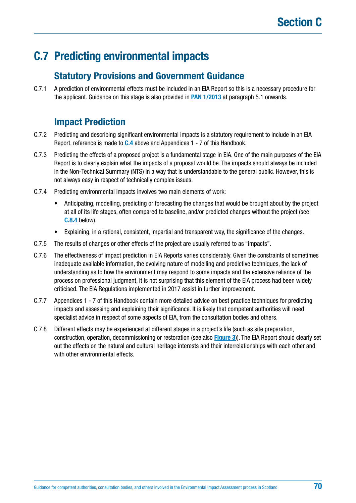# **C.7 Predicting environmental impacts**

## **Statutory Provisions and Government Guidance**

C.7.1 A prediction of environmental effects must be included in an EIA Report so this is a necessary procedure for the applicant. Guidance on this stage is also provided in **[PAN 1/2013](http://www.gov.scot/Publications/2013/08/6471)** at paragraph 5.1 onwards.

## **Impact Prediction**

- C.7.2 Predicting and describing significant environmental impacts is a statutory requirement to include in an EIA Report, reference is made to **C.4** above and Appendices 1 - 7 of this Handbook.
- C.7.3 Predicting the effects of a proposed project is a fundamental stage in EIA. One of the main purposes of the EIA Report is to clearly explain what the impacts of a proposal would be. The impacts should always be included in the Non-Technical Summary (NTS) in a way that is understandable to the general public. However, this is not always easy in respect of technically complex issues.
- C.7.4 Predicting environmental impacts involves two main elements of work:
	- Anticipating, modelling, predicting or forecasting the changes that would be brought about by the project at all of its life stages, often compared to baseline, and/or predicted changes without the project (see **[C.8.4](#page-72-0)** below).
	- Explaining, in a rational, consistent, impartial and transparent way, the significance of the changes.
- C.7.5 The results of changes or other effects of the project are usually referred to as "impacts".
- C.7.6 The effectiveness of impact prediction in EIA Reports varies considerably. Given the constraints of sometimes inadequate available information, the evolving nature of modelling and predictive techniques, the lack of understanding as to how the environment may respond to some impacts and the extensive reliance of the process on professional judgment, it is not surprising that this element of the EIA process had been widely criticised. The EIA Regulations implemented in 2017 assist in further improvement.
- C.7.7 Appendices 1 7 of this Handbook contain more detailed advice on best practice techniques for predicting impacts and assessing and explaining their significance. It is likely that competent authorities will need specialist advice in respect of some aspects of EIA, from the consultation bodies and others.
- C.7.8 Different effects may be experienced at different stages in a project's life (such as site preparation, construction, operation, decommissioning or restoration (see also **[Figure 3](#page-61-0)**)). The EIA Report should clearly set out the effects on the natural and cultural heritage interests and their interrelationships with each other and with other environmental effects.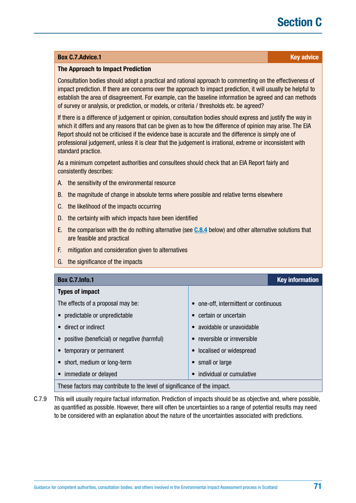# **Section C**

#### **Box [C.7.Advice](http://C.7.Advice).1 Key advice**

#### **The Approach to Impact Prediction**

Consultation bodies should adopt a practical and rational approach to commenting on the effectiveness of impact prediction. If there are concerns over the approach to impact prediction, it will usually be helpful to establish the area of disagreement. For example, can the baseline information be agreed and can methods of survey or analysis, or prediction, or models, or criteria / thresholds etc. be agreed?

If there is a difference of judgement or opinion, consultation bodies should express and justify the way in which it differs and any reasons that can be given as to how the difference of opinion may arise. The EIA Report should not be criticised if the evidence base is accurate and the difference is simply one of professional judgement, unless it is clear that the judgement is irrational, extreme or inconsistent with standard practice.

As a minimum competent authorities and consultees should check that an EIA Report fairly and consistently describes:

- A. the sensitivity of the environmental resource
- B. the magnitude of change in absolute terms where possible and relative terms elsewhere
- C. the likelihood of the impacts occurring
- D. the certainty with which impacts have been identified
- E. the comparison with the do nothing alternative (see **[C.8.4](#page-72-0)** below) and other alternative solutions that are feasible and practical
- F. mitigation and consideration given to alternatives
- G. the significance of the impacts

| <b>Box C.7.Info.1</b>                                                    |                                     | <b>Key information</b> |
|--------------------------------------------------------------------------|-------------------------------------|------------------------|
| <b>Types of impact</b>                                                   |                                     |                        |
| The effects of a proposal may be:                                        | one-off, intermittent or continuous |                        |
| predictable or unpredictable                                             | certain or uncertain                |                        |
| direct or indirect                                                       | avoidable or unavoidable            |                        |
| positive (beneficial) or negative (harmful)<br>$\bullet$                 | reversible or irreversible          |                        |
| temporary or permanent                                                   | localised or widespread             |                        |
| short, medium or long-term                                               | small or large                      |                        |
| immediate or delayed                                                     | individual or cumulative            |                        |
| These factors may contribute to the level of significance of the impact. |                                     |                        |

C.7.9 This will usually require factual information. Prediction of impacts should be as objective and, where possible, as quantified as possible. However, there will often be uncertainties so a range of potential results may need to be considered with an explanation about the nature of the uncertainties associated with predictions.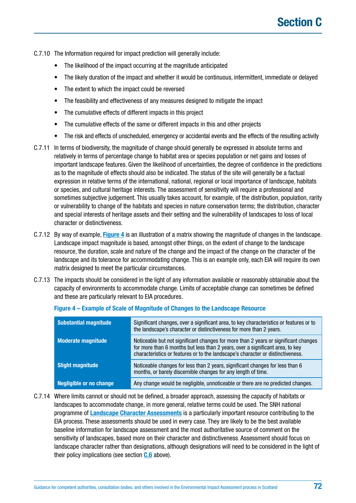C.7.10 The Information required for impact prediction will generally include:

- The likelihood of the impact occurring at the magnitude anticipated
- The likely duration of the impact and whether it would be continuous, intermittent, immediate or delayed
- The extent to which the impact could be reversed
- The feasibility and effectiveness of any measures designed to mitigate the impact
- The cumulative effects of different impacts in this project
- The cumulative effects of the same or different impacts in this and other projects
- The risk and effects of unscheduled, emergency or accidental events and the effects of the resulting activity
- C.7.11 In terms of biodiversity, the magnitude of change should generally be expressed in absolute terms and relatively in terms of percentage change to habitat area or species population or net gains and losses of important landscape features. Given the likelihood of uncertainties, the degree of confidence in the predictions as to the magnitude of effects should also be indicated. The status of the site will generally be a factual expression in relative terms of the international, national, regional or local importance of landscape, habitats or species, and cultural heritage interests. The assessment of sensitivity will require a professional and sometimes subjective judgement. This usually takes account, for example, of the distribution, population, rarity or vulnerability to change of the habitats and species in nature conservation terms; the distribution, character and special interests of heritage assets and their setting and the vulnerability of landscapes to loss of local character or distinctiveness.
- C.7.12 By way of example, **[Figure 4](#page-72-0)** is an illustration of a matrix showing the magnitude of changes in the landscape. Landscape impact magnitude is based, amongst other things, on the extent of change to the landscape resource, the duration, scale and nature of the change and the impact of the change on the character of the landscape and its tolerance for accommodating change. This is an example only, each EIA will require its own matrix designed to meet the particular circumstances.
- C.7.13 The impacts should be considered in the light of any information available or reasonably obtainable about the capacity of environments to accommodate change. Limits of acceptable change can sometimes be defined and these are particularly relevant to EIA procedures.

| <b>Substantial magnitude</b>   | Significant changes, over a significant area, to key characteristics or features or to<br>the landscape's character or distinctiveness for more than 2 years.                                                                                           |
|--------------------------------|---------------------------------------------------------------------------------------------------------------------------------------------------------------------------------------------------------------------------------------------------------|
| <b>Moderate magnitude</b>      | Noticeable but not significant changes for more than 2 years or significant changes<br>for more than 6 months but less than 2 years, over a significant area, to key<br>characteristics or features or to the landscape's character or distinctiveness. |
| <b>Slight magnitude</b>        | Noticeable changes for less than 2 years, significant changes for less than 6<br>months, or barely discernible changes for any length of time.                                                                                                          |
| <b>Negligible or no change</b> | Any change would be negligible, unnoticeable or there are no predicted changes.                                                                                                                                                                         |

#### **Figure 4 – Example of Scale of Magnitude of Changes to the Landscape Resource**

C.7.14 Where limits cannot or should not be defined, a broader approach, assessing the capacity of habitats or landscapes to accommodate change, in more general, relative terms could be used. The SNH national programme of **[Landscape Character Assessments](https://www.nature.scot/professional-advice/landscape-change/landscape-character-assessment)** is a particularly important resource contributing to the EIA process. These assessments should be used in every case. They are likely to be the best available baseline information for landscape assessment and the most authoritative source of comment on the sensitivity of landscapes, based more on their character and distinctiveness. Assessment should focus on landscape character rather than designations, although designations will need to be considered in the light of their policy implications (see section **[C.6](#page-66-0)** above).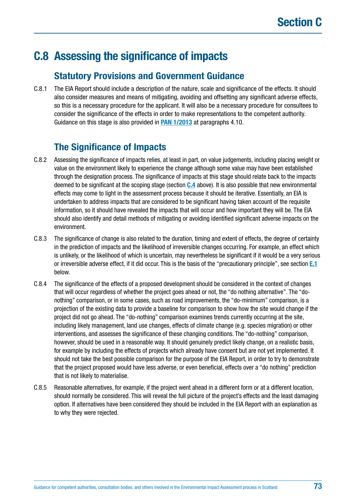# <span id="page-72-0"></span>**C.8 Assessing the significance of impacts**

## **Statutory Provisions and Government Guidance**

C.8.1 The EIA Report should include a description of the nature, scale and significance of the effects. It should also consider measures and means of mitigating, avoiding and offsetting any significant adverse effects, so this is a necessary procedure for the applicant. It will also be a necessary procedure for consultees to consider the significance of the effects in order to make representations to the competent authority. Guidance on this stage is also provided in **[PAN 1/2013](http://www.gov.scot/Publications/2013/08/6471)** at paragraphs 4.10.

# **The Significance of Impacts**

- C.8.2 Assessing the significance of impacts relies, at least in part, on value judgements, including placing weight or value on the environment likely to experience the change although some value may have been established through the designation process. The significance of impacts at this stage should relate back to the impacts deemed to be significant at the scoping stage (section **[C.4](#page-56-0)** above). It is also possible that new environmental effects may come to light in the assessment process because it should be iterative. Essentially, an EIA is undertaken to address impacts that are considered to be significant having taken account of the requisite information, so it should have revealed the impacts that will occur and how important they will be. The EIA should also identify and detail methods of mitigating or avoiding identified significant adverse impacts on the environment.
- C.8.3 The significance of change is also related to the duration, timing and extent of effects, the degree of certainty in the prediction of impacts and the likelihood of irreversible changes occurring. For example, an effect which is unlikely, or the likelihood of which is uncertain, may nevertheless be significant if it would be a very serious or irreversible adverse effect, if it did occur. This is the basis of the "precautionary principle", see section **[E.1](#page-106-0)** below.
- C.8.4 The significance of the effects of a proposed development should be considered in the context of changes that will occur regardless of whether the project goes ahead or not, the "do nothing alternative". The "donothing" comparison, or in some cases, such as road improvements, the "do-minimum" comparison, is a projection of the existing data to provide a baseline for comparison to show how the site would change if the project did not go ahead. The "do-nothing" comparison examines trends currently occurring at the site, including likely management, land use changes, effects of climate change (e.g. species migration) or other interventions, and assesses the significance of these changing conditions. The "do-nothing" comparison, however, should be used in a reasonable way. It should genuinely predict likely change, on a realistic basis, for example by including the effects of projects which already have consent but are not yet implemented. It should not take the best possible comparison for the purpose of the EIA Report, in order to try to demonstrate that the project proposed would have less adverse, or even beneficial, effects over a "do nothing" prediction that is not likely to materialise.
- C.8.5 Reasonable alternatives, for example, if the project went ahead in a different form or at a different location, should normally be considered. This will reveal the full picture of the project's effects and the least damaging option. If alternatives have been considered they should be included in the EIA Report with an explanation as to why they were rejected.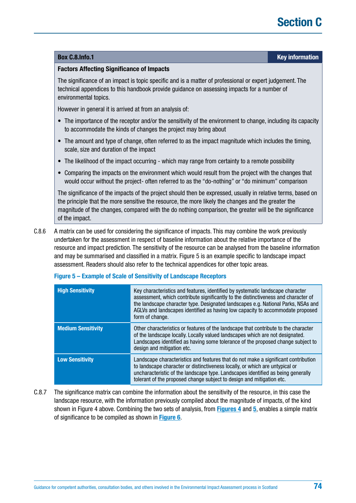#### **Box [C.8.Info.](http://C.8.Info)1 Key information**

#### **Factors Affecting Significance of Impacts**

The significance of an impact is topic specific and is a matter of professional or expert judgement. The technical appendices to this handbook provide guidance on assessing impacts for a number of environmental topics.

However in general it is arrived at from an analysis of:

- The importance of the receptor and/or the sensitivity of the environment to change, including its capacity to accommodate the kinds of changes the project may bring about
- The amount and type of change, often referred to as the impact magnitude which includes the timing, scale, size and duration of the impact
- The likelihood of the impact occurring which may range from certainty to a remote possibility
- Comparing the impacts on the environment which would result from the project with the changes that would occur without the project- often referred to as the "do-nothing" or "do minimum" comparison

The significance of the impacts of the project should then be expressed, usually in relative terms, based on the principle that the more sensitive the resource, the more likely the changes and the greater the magnitude of the changes, compared with the do nothing comparison, the greater will be the significance of the impact.

C.8.6 A matrix can be used for considering the significance of impacts. This may combine the work previously undertaken for the assessment in respect of baseline information about the relative importance of the resource and impact prediction. The sensitivity of the resource can be analysed from the baseline information and may be summarised and classified in a matrix. Figure 5 is an example specific to landscape impact assessment. Readers should also refer to the technical appendices for other topic areas.

| <b>High Sensitivity</b>   | Key characteristics and features, identified by systematic landscape character<br>assessment, which contribute significantly to the distinctiveness and character of<br>the landscape character type. Designated landscapes e.g. National Parks, NSAs and<br>AGLVs and landscapes identified as having low capacity to accommodate proposed<br>form of change. |
|---------------------------|----------------------------------------------------------------------------------------------------------------------------------------------------------------------------------------------------------------------------------------------------------------------------------------------------------------------------------------------------------------|
| <b>Medium Sensitivity</b> | Other characteristics or features of the landscape that contribute to the character<br>of the landscape locally. Locally valued landscapes which are not designated.<br>Landscapes identified as having some tolerance of the proposed change subject to<br>design and mitigation etc.                                                                         |
| <b>Low Sensitivity</b>    | Landscape characteristics and features that do not make a significant contribution<br>to landscape character or distinctiveness locally, or which are untypical or<br>uncharacteristic of the landscape type. Landscapes identified as being generally<br>tolerant of the proposed change subject to design and mitigation etc.                                |

#### **Figure 5 – Example of Scale of Sensitivity of Landscape Receptors**

C.8.7 The significance matrix can combine the information about the sensitivity of the resource, in this case the landscape resource, with the information previously compiled about the magnitude of impacts, of the kind shown in Figure 4 above. Combining the two sets of analysis, from **[Figures 4](#page-72-0)** and **5**, enables a simple matrix of significance to be compiled as shown in **[Figure 6](#page-74-0)**.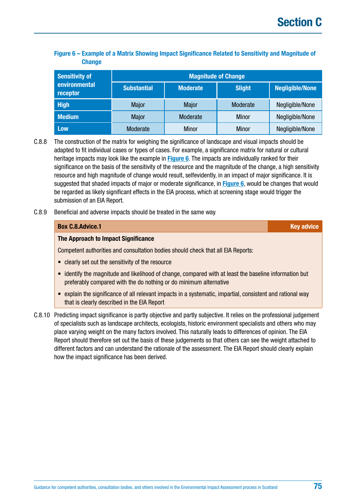#### <span id="page-74-0"></span>**Figure 6 – Example of a Matrix Showing Impact Significance Related to Sensitivity and Magnitude of Change**

| <b>Sensitivity of</b><br>environmental<br>receptor | <b>Magnitude of Change</b> |                 |               |                        |  |  |
|----------------------------------------------------|----------------------------|-----------------|---------------|------------------------|--|--|
|                                                    | <b>Substantial</b>         | <b>Moderate</b> | <b>Slight</b> | <b>Negligible/None</b> |  |  |
| <b>High</b>                                        | <b>Major</b>               | <b>Major</b>    | Moderate      | Negligible/None        |  |  |
| <b>Medium</b>                                      | <b>Major</b>               | Moderate        | <b>Minor</b>  | Negligible/None        |  |  |
| <b>Low</b>                                         | Moderate                   | <b>Minor</b>    | <b>Minor</b>  | Negligible/None        |  |  |

C.8.8 The construction of the matrix for weighing the significance of landscape and visual impacts should be adapted to fit individual cases or types of cases. For example, a significance matrix for natural or cultural heritage impacts may look like the example in **Figure 6**. The impacts are individually ranked for their significance on the basis of the sensitivity of the resource and the magnitude of the change, a high sensitivity resource and high magnitude of change would result, selfevidently, in an impact of major significance. It is suggested that shaded impacts of major or moderate significance, in **Figure 6**, would be changes that would be regarded as likely significant effects in the EIA process, which at screening stage would trigger the submission of an EIA Report.

C.8.9 Beneficial and adverse impacts should be treated in the same way.

| <b>Box C.8.Advice.1</b>                                                                                                                                                     | <b>Key advice</b> |
|-----------------------------------------------------------------------------------------------------------------------------------------------------------------------------|-------------------|
| The Approach to Impact Significance                                                                                                                                         |                   |
| Competent authorities and consultation bodies should check that all EIA Reports:                                                                                            |                   |
| • clearly set out the sensitivity of the resource                                                                                                                           |                   |
| • identify the magnitude and likelihood of change, compared with at least the baseline information but<br>preferably compared with the do nothing or do minimum alternative |                   |
| • explain the significance of all relevant impacts in a systematic, impartial, consistent and rational way<br>that is clearly described in the EIA Report                   |                   |

of specialists such as landscape architects, ecologists, historic environment specialists and others who may place varying weight on the many factors involved. This naturally leads to differences of opinion. The EIA Report should therefore set out the basis of these judgements so that others can see the weight attached to different factors and can understand the rationale of the assessment. The EIA Report should clearly explain how the impact significance has been derived.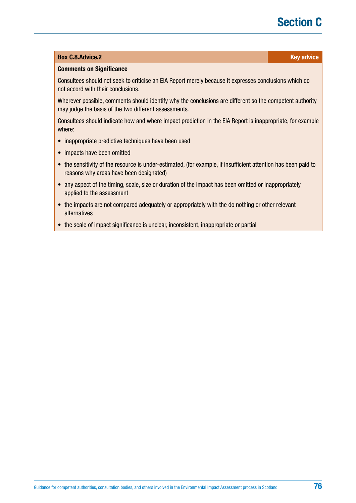# **Section C**

#### **Box [C.8.Advice](http://C.8.Advice).2 Key advice** *C.8.Advice.2* **Key advice**

#### **Comments on Significance**

Consultees should not seek to criticise an EIA Report merely because it expresses conclusions which do not accord with their conclusions.

Wherever possible, comments should identify why the conclusions are different so the competent authority may judge the basis of the two different assessments.

Consultees should indicate how and where impact prediction in the EIA Report is inappropriate, for example where:

- inappropriate predictive techniques have been used
- impacts have been omitted
- the sensitivity of the resource is under-estimated, (for example, if insufficient attention has been paid to reasons why areas have been designated)
- any aspect of the timing, scale, size or duration of the impact has been omitted or inappropriately applied to the assessment
- the impacts are not compared adequately or appropriately with the do nothing or other relevant alternatives
- the scale of impact significance is unclear, inconsistent, inappropriate or partial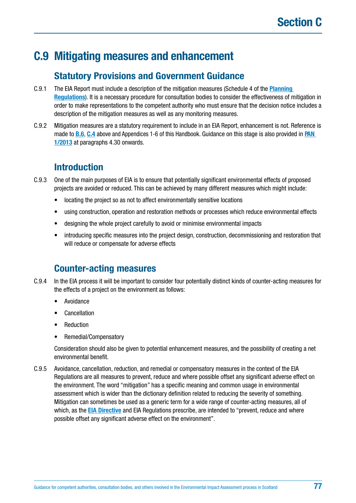# <span id="page-76-0"></span>**C.9 Mitigating measures and enhancement**

## **Statutory Provisions and Government Guidance**

- C.9.1 The EIA Report must include a description of the mitigation measures (Schedule 4 of the **[Planning](https://www.legislation.gov.uk/uksi/2017/571/contents/made)  [Regulations](https://www.legislation.gov.uk/uksi/2017/571/contents/made)**). It is a necessary procedure for consultation bodies to consider the effectiveness of mitigation in order to make representations to the competent authority who must ensure that the decision notice includes a description of the mitigation measures as well as any monitoring measures.
- C.9.2 Mitigation measures are a statutory requirement to include in an EIA Report, enhancement is not. Reference is made to **[B.6](#page-37-0)**, **[C.4](#page-56-0)** above and Appendices 1-6 of this Handbook. Guidance on this stage is also provided in **[PAN](http://www.gov.scot/Publications/2013/08/6471)  [1/2013](http://www.gov.scot/Publications/2013/08/6471)** at paragraphs 4.30 onwards.

# **Introduction**

- C.9.3 One of the main purposes of EIA is to ensure that potentially significant environmental effects of proposed projects are avoided or reduced. This can be achieved by many different measures which might include:
	- locating the project so as not to affect environmentally sensitive locations
	- using construction, operation and restoration methods or processes which reduce environmental effects
	- designing the whole project carefully to avoid or minimise environmental impacts
	- introducing specific measures into the project design, construction, decommissioning and restoration that will reduce or compensate for adverse effects

# **Counter-acting measures**

- C.9.4 In the EIA process it will be important to consider four potentially distinct kinds of counter-acting measures for the effects of a project on the environment as follows:
	- Avoidance
	- Cancellation
	- Reduction
	- Remedial/Compensatory

Consideration should also be given to potential enhancement measures, and the possibility of creating a net environmental benefit.

C.9.5 Avoidance, cancellation, reduction, and remedial or compensatory measures in the context of the EIA Regulations are all measures to prevent, reduce and where possible offset any significant adverse effect on the environment. The word "mitigation" has a specific meaning and common usage in environmental assessment which is wider than the dictionary definition related to reducing the severity of something. Mitigation can sometimes be used as a generic term for a wide range of counter-acting measures, all of which, as the **[EIA Directive](http://ec.europa.eu/environment/eia/pdf/EIA_Directive_informal.pdf)** and EIA Regulations prescribe, are intended to "prevent, reduce and where possible offset any significant adverse effect on the environment".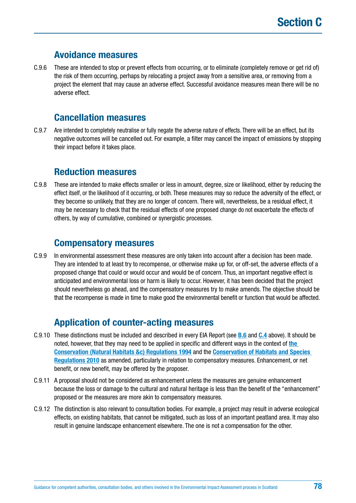### **Avoidance measures**

C.9.6 These are intended to stop or prevent effects from occurring, or to eliminate (completely remove or get rid of) the risk of them occurring, perhaps by relocating a project away from a sensitive area, or removing from a project the element that may cause an adverse effect. Successful avoidance measures mean there will be no adverse effect.

## **Cancellation measures**

C.9.7 Are intended to completely neutralise or fully negate the adverse nature of effects. There will be an effect, but its negative outcomes will be cancelled out. For example, a filter may cancel the impact of emissions by stopping their impact before it takes place.

### **Reduction measures**

C.9.8 These are intended to make effects smaller or less in amount, degree, size or likelihood, either by reducing the effect itself, or the likelihood of it occurring, or both. These measures may so reduce the adversity of the effect, or they become so unlikely, that they are no longer of concern. There will, nevertheless, be a residual effect, it may be necessary to check that the residual effects of one proposed change do not exacerbate the effects of others, by way of cumulative, combined or synergistic processes.

### **Compensatory measures**

C.9.9 In environmental assessment these measures are only taken into account after a decision has been made. They are intended to at least try to recompense, or otherwise make up for, or off-set, the adverse effects of a proposed change that could or would occur and would be of concern. Thus, an important negative effect is anticipated and environmental loss or harm is likely to occur. However, it has been decided that the project should nevertheless go ahead, and the compensatory measures try to make amends. The objective should be that the recompense is made in time to make good the environmental benefit or function that would be affected.

# **Application of counter-acting measures**

- C.9.10 These distinctions must be included and described in every EIA Report (see **[B.6](#page-37-0)** and **[C.4](#page-56-0)** above). It should be noted, however, that they may need to be applied in specific and different ways in the context of **[the](http://www.legislation.gov.uk/uksi/1994/2716/contents/made)  [Conservation \(Natural Habitats &c\) Regulations 1994](http://www.legislation.gov.uk/uksi/1994/2716/contents/made)** and the **[Conservation of Habitats and Species](http://www.legislation.gov.uk/uksi/2010/490/contents/made)  [Regulations 2010](http://www.legislation.gov.uk/uksi/2010/490/contents/made)** as amended, particularly in relation to compensatory measures. Enhancement, or net benefit, or new benefit, may be offered by the proposer.
- C.9.11 A proposal should not be considered as enhancement unless the measures are genuine enhancement because the loss or damage to the cultural and natural heritage is less than the benefit of the "enhancement" proposed or the measures are more akin to compensatory measures.
- C.9.12 The distinction is also relevant to consultation bodies. For example, a project may result in adverse ecological effects, on existing habitats, that cannot be mitigated, such as loss of an important peatland area. It may also result in genuine landscape enhancement elsewhere. The one is not a compensation for the other.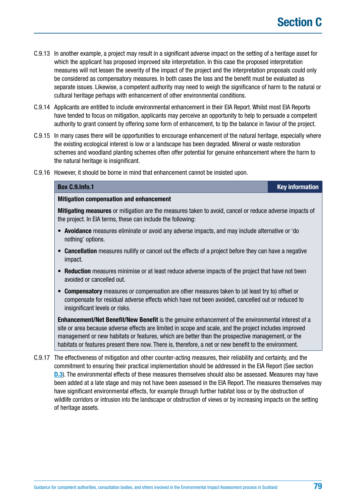- C.9.13 In another example, a project may result in a significant adverse impact on the setting of a heritage asset for which the applicant has proposed improved site interpretation. In this case the proposed interpretation measures will not lessen the severity of the impact of the project and the interpretation proposals could only be considered as compensatory measures. In both cases the loss and the benefit must be evaluated as separate issues. Likewise, a competent authority may need to weigh the significance of harm to the natural or cultural heritage perhaps with enhancement of other environmental conditions.
- C.9.14 Applicants are entitled to include environmental enhancement in their EIA Report. Whilst most EIA Reports have tended to focus on mitigation, applicants may perceive an opportunity to help to persuade a competent authority to grant consent by offering some form of enhancement, to tip the balance in favour of the project.
- C.9.15 In many cases there will be opportunities to encourage enhancement of the natural heritage, especially where the existing ecological interest is low or a landscape has been degraded. Mineral or waste restoration schemes and woodland planting schemes often offer potential for genuine enhancement where the harm to the natural heritage is insignificant.
- C.9.16 However, it should be borne in mind that enhancement cannot be insisted upon.

| Box C.9.Info.1                                                                                                                                                                                                                                                                                                         | <b>Key information</b> |
|------------------------------------------------------------------------------------------------------------------------------------------------------------------------------------------------------------------------------------------------------------------------------------------------------------------------|------------------------|
| <b>Mitigation compensation and enhancement</b>                                                                                                                                                                                                                                                                         |                        |
| <b>Mitigating measures</b> or mitigation are the measures taken to avoid, cancel or reduce adverse impacts of<br>the project. In EIA terms, these can include the following:                                                                                                                                           |                        |
| • Avoidance measures eliminate or avoid any adverse impacts, and may include alternative or 'do<br>nothing' options.                                                                                                                                                                                                   |                        |
| • Cancellation measures nullify or cancel out the effects of a project before they can have a negative<br>impact.                                                                                                                                                                                                      |                        |
| • Reduction measures minimise or at least reduce adverse impacts of the project that have not been<br>avoided or cancelled out.                                                                                                                                                                                        |                        |
| • Compensatory measures or compensation are other measures taken to (at least try to) offset or<br>compensate for residual adverse effects which have not been avoided, cancelled out or reduced to<br>insignificant levels or risks.                                                                                  |                        |
| <b>Enhancement/Net Benefit/New Benefit</b> is the genuine enhancement of the environmental interest of a<br>site or area because adverse effects are limited in scope and scale, and the project includes improved<br>management or new habitats or features, which are better than the prospective management, or the |                        |

C.9.17 The effectiveness of mitigation and other counter-acting measures, their reliability and certainty, and the commitment to ensuring their practical implementation should be addressed in the EIA Report (See section **[D.3](#page-90-0)**). The environmental effects of these measures themselves should also be assessed. Measures may have been added at a late stage and may not have been assessed in the EIA Report. The measures themselves may have significant environmental effects, for example through further habitat loss or by the obstruction of wildlife corridors or intrusion into the landscape or obstruction of views or by increasing impacts on the setting of heritage assets.

habitats or features present there now. There is, therefore, a net or new benefit to the environment.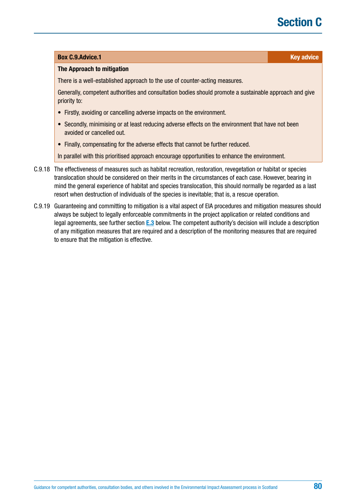#### **Box [C.9.Advice](http://C.9.Advice).1 Key advice** *C.9.Advice.1* **Key advice**

#### **The Approach to mitigation**

There is a well-established approach to the use of counter-acting measures.

Generally, competent authorities and consultation bodies should promote a sustainable approach and give priority to:

- Firstly, avoiding or cancelling adverse impacts on the environment.
- Secondly, minimising or at least reducing adverse effects on the environment that have not been avoided or cancelled out.
- Finally, compensating for the adverse effects that cannot be further reduced.

In parallel with this prioritised approach encourage opportunities to enhance the environment.

- C.9.18 The effectiveness of measures such as habitat recreation, restoration, revegetation or habitat or species translocation should be considered on their merits in the circumstances of each case. However, bearing in mind the general experience of habitat and species translocation, this should normally be regarded as a last resort when destruction of individuals of the species is inevitable; that is, a rescue operation.
- C.9.19 Guaranteeing and committing to mitigation is a vital aspect of EIA procedures and mitigation measures should always be subject to legally enforceable commitments in the project application or related conditions and legal agreements, see further section **[E.3](#page-110-0)** below. The competent authority's decision will include a description of any mitigation measures that are required and a description of the monitoring measures that are required to ensure that the mitigation is effective.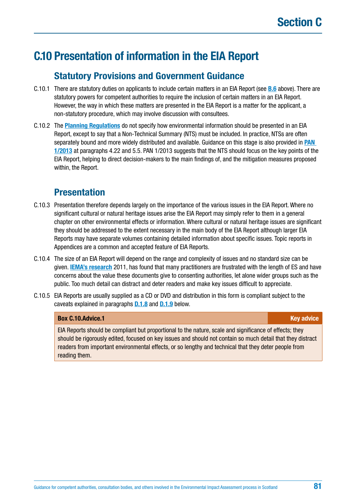# **C.10 Presentation of information in the EIA Report**

## **Statutory Provisions and Government Guidance**

- C.10.1 There are statutory duties on applicants to include certain matters in an EIA Report (see **[B.6](#page-37-0)** above). There are statutory powers for competent authorities to require the inclusion of certain matters in an EIA Report. However, the way in which these matters are presented in the EIA Report is a matter for the applicant, a non-statutory procedure, which may involve discussion with consultees.
- C.10.2 The **[Planning Regulations](https://www.legislation.gov.uk/uksi/2017/571/contents/made)** do not specify how environmental information should be presented in an EIA Report, except to say that a Non-Technical Summary (NTS) must be included. In practice, NTSs are often separately bound and more widely distributed and available. Guidance on this stage is also provided in **[PAN](http://www.gov.scot/Publications/2013/08/6471)  [1/2013](http://www.gov.scot/Publications/2013/08/6471)** at paragraphs 4.22 and 5.5. PAN 1/2013 suggests that the NTS should focus on the key points of the EIA Report, helping to direct decision-makers to the main findings of, and the mitigation measures proposed within, the Report.

### **Presentation**

- C.10.3 Presentation therefore depends largely on the importance of the various issues in the EIA Report. Where no significant cultural or natural heritage issues arise the EIA Report may simply refer to them in a general chapter on other environmental effects or information. Where cultural or natural heritage issues are significant they should be addressed to the extent necessary in the main body of the EIA Report although larger EIA Reports may have separate volumes containing detailed information about specific issues. Topic reports in Appendices are a common and accepted feature of EIA Reports.
- C.10.4 The size of an EIA Report will depend on the range and complexity of issues and no standard size can be given. **[IEMA's research](https://www.iema.net/assets/uploads/Special%20Reports/iema20special20report20web.pdf)** 2011, has found that many practitioners are frustrated with the length of ES and have concerns about the value these documents give to consenting authorities, let alone wider groups such as the public. Too much detail can distract and deter readers and make key issues difficult to appreciate.
- C.10.5 EIA Reports are usually supplied as a CD or DVD and distribution in this form is compliant subject to the caveats explained in paragraphs **D.1.8** and **D.1.9** [below.](#page-84-0)

#### **Box [C.10.Advice.](http://C.10.Advice)1 Key advice**

EIA Reports should be compliant but proportional to the nature, scale and significance of effects; they should be rigorously edited, focused on key issues and should not contain so much detail that they distract readers from important environmental effects, or so lengthy and technical that they deter people from reading them.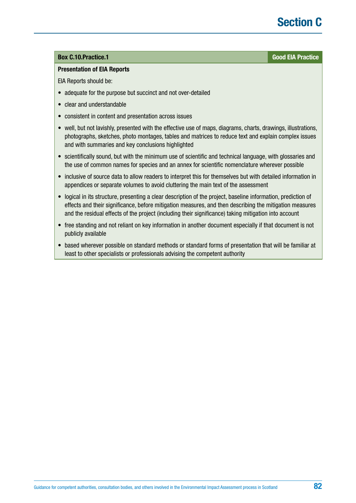# **Section C**

#### **Box [C.10.Practice](http://C.10.Practice).1 Good EIA Practice**

#### **Presentation of EIA Reports**

EIA Reports should be:

- adequate for the purpose but succinct and not over-detailed
- clear and understandable
- consistent in content and presentation across issues
- well, but not lavishly, presented with the effective use of maps, diagrams, charts, drawings, illustrations, photographs, sketches, photo montages, tables and matrices to reduce text and explain complex issues and with summaries and key conclusions highlighted
- scientifically sound, but with the minimum use of scientific and technical language, with glossaries and the use of common names for species and an annex for scientific nomenclature wherever possible
- inclusive of source data to allow readers to interpret this for themselves but with detailed information in appendices or separate volumes to avoid cluttering the main text of the assessment
- logical in its structure, presenting a clear description of the project, baseline information, prediction of effects and their significance, before mitigation measures, and then describing the mitigation measures and the residual effects of the project (including their significance) taking mitigation into account
- free standing and not reliant on key information in another document especially if that document is not publicly available
- based wherever possible on standard methods or standard forms of presentation that will be familiar at least to other specialists or professionals advising the competent authority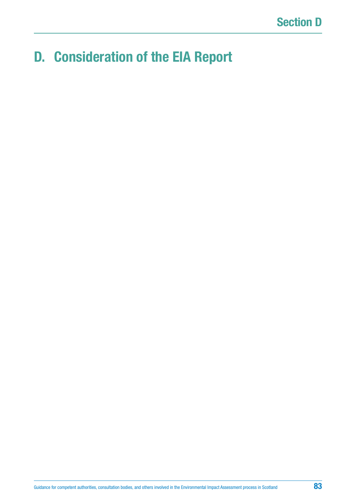# **D. Consideration of the EIA Report**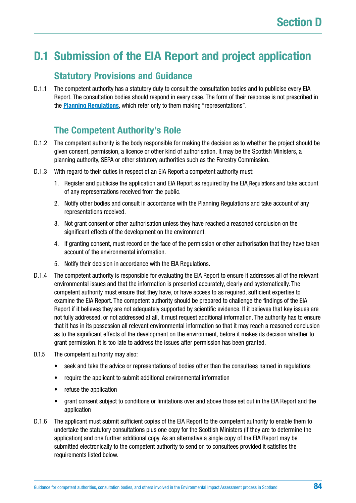# **D.1 Submission of the EIA Report and project application**

### **Statutory Provisions and Guidance**

D.1.1 The competent authority has a statutory duty to consult the consultation bodies and to publicise every EIA Report. The consultation bodies should respond in every case. The form of their response is not prescribed in the **[Planning Regulations](https://www.legislation.gov.uk/uksi/2017/571/contents/made)**, which refer only to them making "representations".

## **The Competent Authority's Role**

- D.1.2 The competent authority is the body responsible for making the decision as to whether the project should be given consent, permission, a licence or other kind of authorisation. It may be the Scottish Ministers, a planning authority, SEPA or other statutory authorities such as the Forestry Commission.
- D.1.3 With regard to their duties in respect of an EIA Report a competent authority must:
	- 1. Register and publicise the application and EIA Report as required by the EIA Regulations and take account of any representations received from the public.
	- 2. Notify other bodies and consult in accordance with the Planning Regulations and take account of any representations received.
	- 3. Not grant consent or other authorisation unless they have reached a reasoned conclusion on the significant effects of the development on the environment.
	- 4. If granting consent, must record on the face of the permission or other authorisation that they have taken account of the environmental information.
	- 5. Notify their decision in accordance with the EIA Regulations.
- D.1.4 The competent authority is responsible for evaluating the EIA Report to ensure it addresses all of the relevant environmental issues and that the information is presented accurately, clearly and systematically. The competent authority must ensure that they have, or have access to as required, sufficient expertise to examine the EIA Report. The competent authority should be prepared to challenge the findings of the EIA Report if it believes they are not adequately supported by scientific evidence. If it believes that key issues are not fully addressed, or not addressed at all, it must request additional information. The authority has to ensure that it has in its possession all relevant environmental information so that it may reach a reasoned conclusion as to the significant effects of the development on the environment, before it makes its decision whether to grant permission. It is too late to address the issues after permission has been granted.
- D.1.5 The competent authority may also:
	- seek and take the advice or representations of bodies other than the consultees named in regulations
	- require the applicant to submit additional environmental information
	- refuse the application
	- grant consent subject to conditions or limitations over and above those set out in the EIA Report and the application
- D.1.6 The applicant must submit sufficient copies of the EIA Report to the competent authority to enable them to undertake the statutory consultations plus one copy for the Scottish Ministers (if they are to determine the application) and one further additional copy. As an alternative a single copy of the EIA Report may be submitted electronically to the competent authority to send on to consultees provided it satisfies the requirements listed below.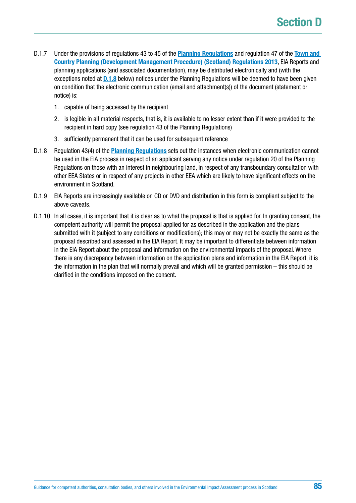- <span id="page-84-0"></span>D.1.7 Under the provisions of regulations 43 to 45 of the **[Planning Regulations](https://www.legislation.gov.uk/uksi/2017/571/contents/made)** and regulation 47 of the **[Town and](http://www.legislation.gov.uk/ssi/2013/155/contents/made)  [Country Planning \(Development Management Procedure\) \(Scotland\) Regulations 2013](http://www.legislation.gov.uk/ssi/2013/155/contents/made)**, EIA Reports and planning applications (and associated documentation), may be distributed electronically and (with the exceptions noted at **D.1.8** below) notices under the Planning Regulations will be deemed to have been given on condition that the electronic communication (email and attachment(s)) of the document (statement or notice) is:
	- 1. capable of being accessed by the recipient
	- 2. is legible in all material respects, that is, it is available to no lesser extent than if it were provided to the recipient in hard copy (see regulation 43 of the Planning Regulations)
	- 3. sufficiently permanent that it can be used for subsequent reference
- D.1.8 Regulation 43(4) of the **[Planning Regulations](https://www.legislation.gov.uk/uksi/2017/571/contents/made)** sets out the instances when electronic communication cannot be used in the EIA process in respect of an applicant serving any notice under regulation 20 of the Planning Regulations on those with an interest in neighbouring land, in respect of any transboundary consultation with other EEA States or in respect of any projects in other EEA which are likely to have significant effects on the environment in Scotland.
- D.1.9 EIA Reports are increasingly available on CD or DVD and distribution in this form is compliant subject to the above caveats.
- D.1.10 In all cases, it is important that it is clear as to what the proposal is that is applied for. In granting consent, the competent authority will permit the proposal applied for as described in the application and the plans submitted with it (subject to any conditions or modifications); this may or may not be exactly the same as the proposal described and assessed in the EIA Report. It may be important to differentiate between information in the EIA Report about the proposal and information on the environmental impacts of the proposal. Where there is any discrepancy between information on the application plans and information in the EIA Report, it is the information in the plan that will normally prevail and which will be granted permission – this should be clarified in the conditions imposed on the consent.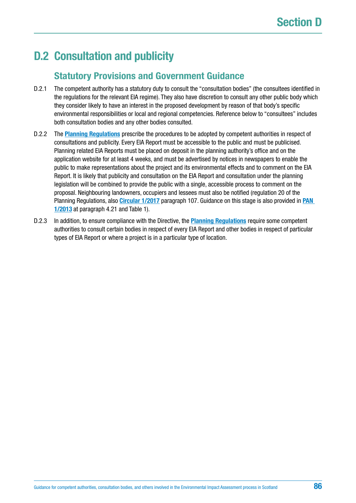# **D.2 Consultation and publicity**

## **Statutory Provisions and Government Guidance**

- D.2.1 The competent authority has a statutory duty to consult the "consultation bodies" (the consultees identified in the regulations for the relevant EIA regime). They also have discretion to consult any other public body which they consider likely to have an interest in the proposed development by reason of that body's specific environmental responsibilities or local and regional competencies. Reference below to "consultees" includes both consultation bodies and any other bodies consulted.
- D.2.2 The **[Planning Regulations](https://www.legislation.gov.uk/uksi/2017/571/contents/made)** prescribe the procedures to be adopted by competent authorities in respect of consultations and publicity. Every EIA Report must be accessible to the public and must be publicised. Planning related EIA Reports must be placed on deposit in the planning authority's office and on the application website for at least 4 weeks, and must be advertised by notices in newspapers to enable the public to make representations about the project and its environmental effects and to comment on the EIA Report. It is likely that publicity and consultation on the EIA Report and consultation under the planning legislation will be combined to provide the public with a single, accessible process to comment on the proposal. Neighbouring landowners, occupiers and lessees must also be notified (regulation 20 of the Planning Regulations, also **[Circular 1/2017](http://www.gov.scot/Publications/2017/05/6292)** paragraph 107. Guidance on this stage is also provided in **[PAN](http://www.gov.scot/Publications/2013/08/6471)  [1/2013](http://www.gov.scot/Publications/2013/08/6471)** at paragraph 4.21 and Table 1).
- D.2.3 In addition, to ensure compliance with the Directive, the **[Planning Regulations](https://www.legislation.gov.uk/uksi/2017/571/contents/made)** require some competent authorities to consult certain bodies in respect of every EIA Report and other bodies in respect of particular types of EIA Report or where a project is in a particular type of location.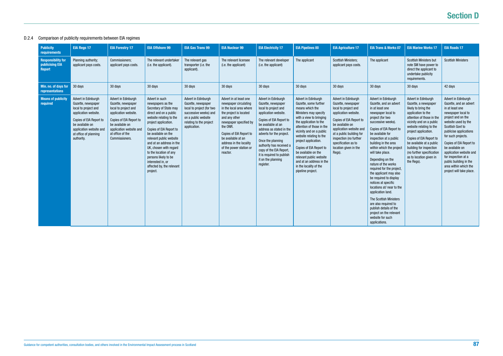# **Section D**

### D.2.4 Comparison of publicity requirements between EIA regimes

| <b>Publicity</b><br><b>requirements</b>                       | <b>EIA Regs 17</b>                                                                                                                                                                                        | <b>EIA Forestry 17</b>                                                                                                                                                                                   | <b>EIA Offshore 99</b>                                                                                                                                                                                                                                                                                                                                                                        | <b>EIA Gas Trans 99</b>                                                                                                                                           | <b>EIA Nuclear 99</b>                                                                                                                                                                                                                                                          | <b>EIA Electricity 17</b>                                                                                                                                                                                                                                                                                                                      | <b>EIA Pipelines 00</b>                                                                                                                                                                                                                                                                                                                                                                                           | <b>EIA Agriculture 17</b>                                                                                                                                                                                                                                                          | <b>EIA Trans &amp; Works 07</b>                                                                                                                                                                                                                                                                                                                                                                                                                                                                                                                                                                                                    | <b>EIA Marine Works 17</b>                                                                                                                                                                                                                                                                                                                                   | <b>EIA Roads 17</b>                                                                                                                                                                                                                                                                                                                                                                    |
|---------------------------------------------------------------|-----------------------------------------------------------------------------------------------------------------------------------------------------------------------------------------------------------|----------------------------------------------------------------------------------------------------------------------------------------------------------------------------------------------------------|-----------------------------------------------------------------------------------------------------------------------------------------------------------------------------------------------------------------------------------------------------------------------------------------------------------------------------------------------------------------------------------------------|-------------------------------------------------------------------------------------------------------------------------------------------------------------------|--------------------------------------------------------------------------------------------------------------------------------------------------------------------------------------------------------------------------------------------------------------------------------|------------------------------------------------------------------------------------------------------------------------------------------------------------------------------------------------------------------------------------------------------------------------------------------------------------------------------------------------|-------------------------------------------------------------------------------------------------------------------------------------------------------------------------------------------------------------------------------------------------------------------------------------------------------------------------------------------------------------------------------------------------------------------|------------------------------------------------------------------------------------------------------------------------------------------------------------------------------------------------------------------------------------------------------------------------------------|------------------------------------------------------------------------------------------------------------------------------------------------------------------------------------------------------------------------------------------------------------------------------------------------------------------------------------------------------------------------------------------------------------------------------------------------------------------------------------------------------------------------------------------------------------------------------------------------------------------------------------|--------------------------------------------------------------------------------------------------------------------------------------------------------------------------------------------------------------------------------------------------------------------------------------------------------------------------------------------------------------|----------------------------------------------------------------------------------------------------------------------------------------------------------------------------------------------------------------------------------------------------------------------------------------------------------------------------------------------------------------------------------------|
| <b>Responsibility for</b><br>publicising EIA<br><b>Report</b> | Planning authority;<br>applicant pays costs.                                                                                                                                                              | Commissioners;<br>applicant pays costs.                                                                                                                                                                  | The relevant undertaker<br>(i.e. the applicant).                                                                                                                                                                                                                                                                                                                                              | The relevant gas<br>transporter (i.e. the<br>applicant).                                                                                                          | The relevant licensee<br>(i.e. the applicant)                                                                                                                                                                                                                                  | The relevant developer<br>(i.e. the applicant)                                                                                                                                                                                                                                                                                                 | The applicant                                                                                                                                                                                                                                                                                                                                                                                                     | <b>Scottish Ministers;</b><br>applicant pays costs.                                                                                                                                                                                                                                | The applicant                                                                                                                                                                                                                                                                                                                                                                                                                                                                                                                                                                                                                      | Scottish Ministers but<br>note SM have power to<br>direct the applicant to<br>undertake publicity<br>requirements.                                                                                                                                                                                                                                           | <b>Scottish Ministers</b>                                                                                                                                                                                                                                                                                                                                                              |
| Min. no. of days for<br>representations                       | $30 \text{ days}$                                                                                                                                                                                         | 30 days                                                                                                                                                                                                  | 30 days                                                                                                                                                                                                                                                                                                                                                                                       | 30 days                                                                                                                                                           | 30 days                                                                                                                                                                                                                                                                        | 30 days                                                                                                                                                                                                                                                                                                                                        | 30 days                                                                                                                                                                                                                                                                                                                                                                                                           | 30 days                                                                                                                                                                                                                                                                            | 30 days                                                                                                                                                                                                                                                                                                                                                                                                                                                                                                                                                                                                                            | 30 days                                                                                                                                                                                                                                                                                                                                                      | 42 days                                                                                                                                                                                                                                                                                                                                                                                |
| <b>Means of publicity</b><br>required                         | Advert in Edinburgh<br>Gazette, newspaper<br>local to project and<br>application website.<br>Copies of EIA Report to<br>be available on<br>application website and<br>at office of planning<br>authority. | Advert in Edinburgh<br>Gazette, newspaper<br>local to project and<br>application website.<br>Copies of EIA Report to<br>be available on<br>application website and<br>at office of the<br>Commissioners. | Advert in such<br>newspapers as the<br>Secretary of State may<br>direct and on a public<br>website relating to the<br>project application.<br>Copies of EIA Report to<br>be available on the<br>relevant public website<br>and at an address in the<br>UK, chosen with regard<br>to the location of any<br>persons likely to be<br>interested in, or<br>affected by, the relevant<br>project. | Advert in Edinburgh<br>Gazette, newspaper<br>local to project (for two<br>successive weeks) and<br>on a public website<br>relating to the project<br>application. | Advert in at least one<br>newspaper circulating<br>in the local area where<br>the project is located<br>and any other<br>newspaper specified by<br>the ONR.<br>Copies of EIA Report to<br>be available at an<br>address in the locality<br>of the power station or<br>reactor. | Advert in Edinburgh<br>Gazette, newspaper<br>local to project and<br>application website.<br>Copies of EIA Report to<br>be available at an<br>address as stated in the<br>adverts for the project.<br>Once the planning<br>authority has received a<br>copy of the EIA Report,<br>it is required to publish<br>it on the planning<br>register. | Advert in Edinburgh<br>Gazette, some further<br>means which the<br>Ministers may specify<br>with a view to bringing<br>the application to the<br>attention of those in the<br>vicinity and on a public<br>website relating to the<br>project application.<br>Copies of EIA Report to<br>be available on the<br>relevant public website<br>and at an address in the<br>in the locality of the<br>pipeline project. | Advert in Edinburgh<br>Gazette, newspaper<br>local to project and<br>application website.<br>Copies of EIA Report to<br>be available on<br>application website and<br>at a public building for<br>inspection (no further<br>specification as to<br>location given in the<br>Regs). | Advert in Edinburgh<br>Gazette, and an advert<br>in at least one<br>newspaper local to<br>project (for two<br>successive weeks).<br>Copies of EIA Report to<br>be available for<br>inspection at a public<br>building in the area<br>within which the project<br>will take place.<br>Depending on the<br>nature of the works<br>required for the project,<br>the applicant may also<br>be required to display<br>notices at specific<br>locations at/ near to the<br>application land.<br>The Scottish Ministers<br>are also required to<br>publish details of the<br>project on the relevant<br>website for such<br>applications. | Advert in Edinburgh<br>Gazette, a newspaper<br>likely to bring the<br>application to the<br>attention of those in the<br>vicinity and on a public<br>website relating to the<br>project application.<br>Copies of EIA Report to<br>be available at a public<br>building for inspection<br>(no further specification<br>as to location given in<br>the Regs). | Advert in Edinburgh<br>Gazette, and an advert<br>in at least one<br>newspaper local to<br>project and on the<br>website used by the<br>Scottish Govt to<br>publicise applications<br>for such projects.<br>Copies of EIA Report to<br>be available on<br>application website and<br>for inspection at a<br>public building in the<br>area within which the<br>project will take place. |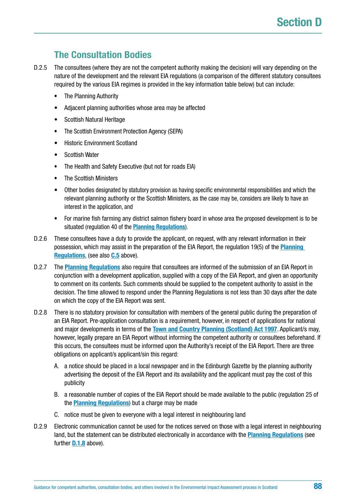# **The Consultation Bodies**

- D.2.5 The consultees (where they are not the competent authority making the decision) will vary depending on the nature of the development and the relevant EIA regulations (a comparison of the different statutory consultees required by the various EIA regimes is provided in the key information table below) but can include:
	- The Planning Authority
	- Adjacent planning authorities whose area may be affected
	- Scottish Natural Heritage
	- The Scottish Environment Protection Agency (SEPA)
	- Historic Environment Scotland
	- Scottish Water
	- The Health and Safety Executive (but not for roads EIA)
	- The Scottish Ministers
	- Other bodies designated by statutory provision as having specific environmental responsibilities and which the relevant planning authority or the Scottish Ministers, as the case may be, considers are likely to have an interest in the application, and
	- For marine fish farming any district salmon fishery board in whose area the proposed development is to be situated (regulation 40 of the **[Planning Regulations](https://www.legislation.gov.uk/uksi/2017/571/contents/made)**).
- D.2.6 These consultees have a duty to provide the applicant, on request, with any relevant information in their possession, which may assist in the preparation of the EIA Report, the regulation 19(5) of the **[Planning](https://www.legislation.gov.uk/uksi/2017/571/contents/made)  [Regulations](https://www.legislation.gov.uk/uksi/2017/571/contents/made)**, (see also **[C.5](#page-64-0)** above).
- D.2.7 The **[Planning Regulations](https://www.legislation.gov.uk/uksi/2017/571/contents/made)** also require that consultees are informed of the submission of an EIA Report in conjunction with a development application, supplied with a copy of the EIA Report, and given an opportunity to comment on its contents. Such comments should be supplied to the competent authority to assist in the decision. The time allowed to respond under the Planning Regulations is not less than 30 days after the date on which the copy of the EIA Report was sent.
- D.2.8 There is no statutory provision for consultation with members of the general public during the preparation of an EIA Report. Pre-application consultation is a requirement, however, in respect of applications for national and major developments in terms of the **[Town and Country Planning \(Scotland\) Act 1997](https://www.legislation.gov.uk/ukpga/1997/8/contents)**. Applicant/s may, however, legally prepare an EIA Report without informing the competent authority or consultees beforehand. If this occurs, the consultees must be informed upon the Authority's receipt of the EIA Report. There are three obligations on applicant/s applicant/sin this regard:
	- A. a notice should be placed in a local newspaper and in the Edinburgh Gazette by the planning authority advertising the deposit of the EIA Report and its availability and the applicant must pay the cost of this publicity
	- B. a reasonable number of copies of the EIA Report should be made available to the public (regulation 25 of the **[Planning Regulations](https://www.legislation.gov.uk/uksi/2017/571/contents/made)**) but a charge may be made
	- C. notice must be given to everyone with a legal interest in neighbouring land
- D.2.9 Electronic communication cannot be used for the notices served on those with a legal interest in neighbouring land, but the statement can be distributed electronically in accordance with the **[Planning Regulations](https://www.legislation.gov.uk/uksi/2017/571/contents/made)** (see further **[D.1.8](#page-84-0)** above).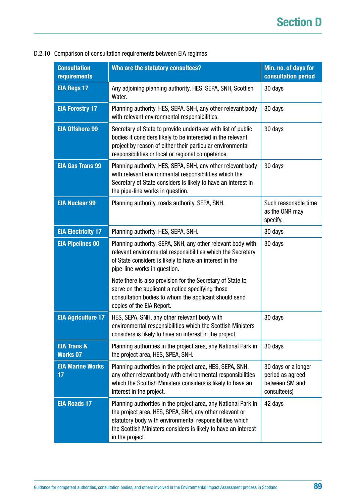| <b>Consultation</b><br>requirements       | Who are the statutory consultees?                                                                                                                                                                                                                                          | Min. no. of days for<br>consultation period                               |  |
|-------------------------------------------|----------------------------------------------------------------------------------------------------------------------------------------------------------------------------------------------------------------------------------------------------------------------------|---------------------------------------------------------------------------|--|
| <b>EIA Regs 17</b>                        | Any adjoining planning authority, HES, SEPA, SNH, Scottish<br>Water.                                                                                                                                                                                                       | 30 days                                                                   |  |
| <b>EIA Forestry 17</b>                    | Planning authority, HES, SEPA, SNH, any other relevant body<br>with relevant environmental responsibilities.                                                                                                                                                               | 30 days                                                                   |  |
| <b>EIA Offshore 99</b>                    | Secretary of State to provide undertaker with list of public<br>bodies it considers likely to be interested in the relevant<br>project by reason of either their particular environmental<br>responsibilities or local or regional competence.                             | 30 days                                                                   |  |
| <b>EIA Gas Trans 99</b>                   | Planning authority, HES, SEPA, SNH, any other relevant body<br>with relevant environmental responsibilities which the<br>Secretary of State considers is likely to have an interest in<br>the pipe-line works in question.                                                 | 30 days                                                                   |  |
| <b>EIA Nuclear 99</b>                     | Planning authority, roads authority, SEPA, SNH.                                                                                                                                                                                                                            | Such reasonable time<br>as the ONR may<br>specify.                        |  |
| <b>EIA Electricity 17</b>                 | Planning authority, HES, SEPA, SNH.                                                                                                                                                                                                                                        | 30 days                                                                   |  |
| <b>EIA Pipelines 00</b>                   | Planning authority, SEPA, SNH, any other relevant body with<br>relevant environmental responsibilities which the Secretary<br>of State considers is likely to have an interest in the<br>pipe-line works in question.                                                      | 30 days                                                                   |  |
|                                           | Note there is also provision for the Secretary of State to<br>serve on the applicant a notice specifying those<br>consultation bodies to whom the applicant should send<br>copies of the EIA Report.                                                                       |                                                                           |  |
| <b>EIA Agriculture 17</b>                 | HES, SEPA, SNH, any other relevant body with<br>environmental responsibilities which the Scottish Ministers<br>considers is likely to have an interest in the project.                                                                                                     | 30 days                                                                   |  |
| <b>EIA Trans &amp;</b><br><b>Works 07</b> | Planning authorities in the project area, any National Park in<br>the project area, HES, SPEA, SNH.                                                                                                                                                                        | 30 days                                                                   |  |
| <b>EIA Marine Works</b><br>17             | Planning authorities in the project area, HES, SEPA, SNH,<br>any other relevant body with environmental responsibilities<br>which the Scottish Ministers considers is likely to have an<br>interest in the project.                                                        | 30 days or a longer<br>period as agreed<br>between SM and<br>consultee(s) |  |
| <b>EIA Roads 17</b>                       | Planning authorities in the project area, any National Park in<br>the project area, HES, SPEA, SNH, any other relevant or<br>statutory body with environmental responsibilities which<br>the Scottish Ministers considers is likely to have an interest<br>in the project. | 42 days                                                                   |  |

#### D.2.10 Comparison of consultation requirements between EIA regimes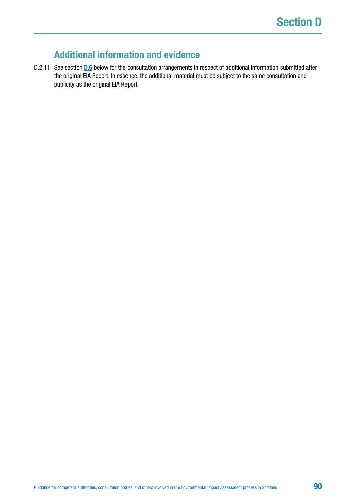## **Additional information and evidence**

D.2.11 See section **[D.6](#page-93-0)** below for the consultation arrangements in respect of additional information submitted after the original EIA Report. In essence, the additional material must be subject to the same consultation and publicity as the original EIA Report.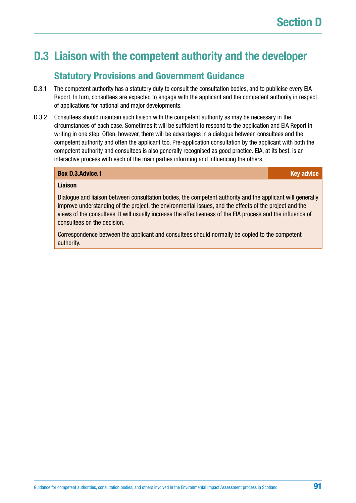# <span id="page-90-0"></span>**D.3 Liaison with the competent authority and the developer**

### **Statutory Provisions and Government Guidance**

- D.3.1 The competent authority has a statutory duty to consult the consultation bodies, and to publicise every EIA Report. In turn, consultees are expected to engage with the applicant and the competent authority in respect of applications for national and major developments.
- D.3.2 Consultees should maintain such liaison with the competent authority as may be necessary in the circumstances of each case. Sometimes it will be sufficient to respond to the application and EIA Report in writing in one step. Often, however, there will be advantages in a dialogue between consultees and the competent authority and often the applicant too. Pre-application consultation by the applicant with both the competent authority and consultees is also generally recognised as good practice. EIA, at its best, is an interactive process with each of the main parties informing and influencing the others.

| <b>Key advic</b> |
|------------------|
|                  |

#### **Liaison**

**Box [D.3.Advice](http://D.3.Advice).1** 

Dialogue and liaison between consultation bodies, the competent authority and the applicant will generally improve understanding of the project, the environmental issues, and the effects of the project and the views of the consultees. It will usually increase the effectiveness of the EIA process and the influence of consultees on the decision.

Correspondence between the applicant and consultees should normally be copied to the competent authority.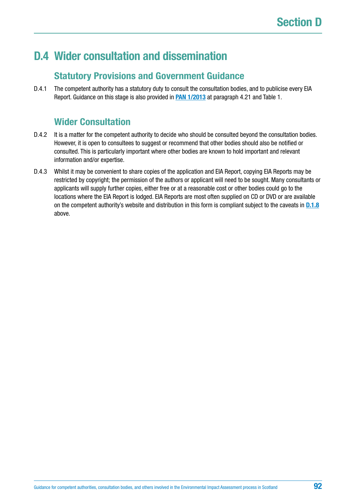# **D.4 Wider consultation and dissemination**

## **Statutory Provisions and Government Guidance**

D.4.1 The competent authority has a statutory duty to consult the consultation bodies, and to publicise every EIA Report. Guidance on this stage is also provided in **[PAN 1/2013](http://www.gov.scot/Publications/2013/08/6471)** at paragraph 4.21 and Table 1.

# **Wider Consultation**

- D.4.2 It is a matter for the competent authority to decide who should be consulted beyond the consultation bodies. However, it is open to consultees to suggest or recommend that other bodies should also be notified or consulted. This is particularly important where other bodies are known to hold important and relevant information and/or expertise.
- D.4.3 Whilst it may be convenient to share copies of the application and EIA Report, copying EIA Reports may be restricted by copyright; the permission of the authors or applicant will need to be sought. Many consultants or applicants will supply further copies, either free or at a reasonable cost or other bodies could go to the locations where the EIA Report is lodged. EIA Reports are most often supplied on CD or DVD or are available on the competent authority's website and distribution in this form is compliant subject to the caveats in **[D.1.8](#page-84-0)** above.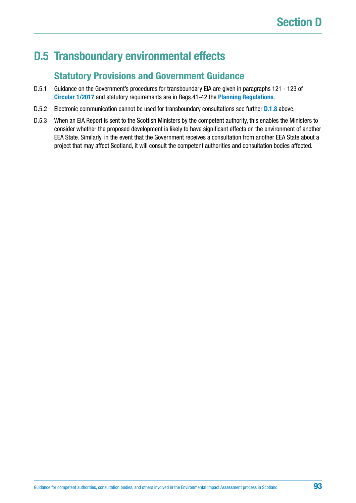# **D.5 Transboundary environmental effects**

## **Statutory Provisions and Government Guidance**

- D.5.1 Guidance on the Government's procedures for transboundary EIA are given in paragraphs 121 123 of **[Circular 1/2017](http://www.gov.scot/Publications/2017/05/6292)** and statutory requirements are in Regs.41-42 the **[Planning Regulations](https://www.legislation.gov.uk/uksi/2017/571/contents/made)**.
- D.5.2 Electronic communication cannot be used for transboundary consultations see further **[D.1.8](#page-84-0)** above.
- D.5.3 When an EIA Report is sent to the Scottish Ministers by the competent authority, this enables the Ministers to consider whether the proposed development is likely to have significant effects on the environment of another EEA State. Similarly, in the event that the Government receives a consultation from another EEA State about a project that may affect Scotland, it will consult the competent authorities and consultation bodies affected.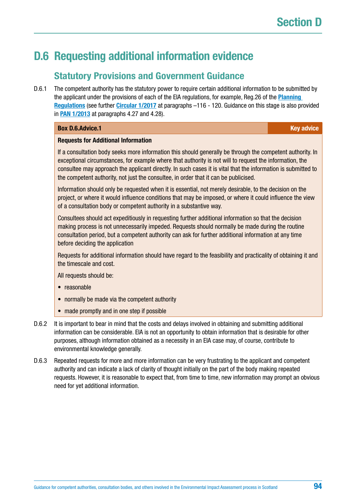# <span id="page-93-0"></span>**D.6 Requesting additional information evidence**

## **Statutory Provisions and Government Guidance**

D.6.1 The competent authority has the statutory power to require certain additional information to be submitted by the applicant under the provisions of each of the EIA regulations, for example, Reg.26 of the **[Planning](https://www.legislation.gov.uk/uksi/2017/571/contents/made)  [Regulations](https://www.legislation.gov.uk/uksi/2017/571/contents/made)** (see further **[Circular 1/2017](http://www.gov.scot/Publications/2017/05/6292)** at paragraphs –116 - 120. Guidance on this stage is also provided in **[PAN 1/2013](http://www.gov.scot/Publications/2013/08/6471)** at paragraphs 4.27 and 4.28).

#### **Box [D.6.Advice](http://D.6.Advice).1 Key advice** *Reserve EXISTENTIAL CONTRACT: A CONTRACT: CONTRACT: CONTRACT: CONTRACT: CONTRACT: CONTRACT: CONTRACT: CONTRACT: CONTRACT: CONTRACT: CONTRACT: CONTRACT: CONTRACT: CONTRACT: CONTRACT: CONTRA*

#### **Requests for Additional Information**

If a consultation body seeks more information this should generally be through the competent authority. In exceptional circumstances, for example where that authority is not will to request the information, the consultee may approach the applicant directly. In such cases it is vital that the information is submitted to the competent authority, not just the consultee, in order that it can be publicised.

Information should only be requested when it is essential, not merely desirable, to the decision on the project, or where it would influence conditions that may be imposed, or where it could influence the view of a consultation body or competent authority in a substantive way.

Consultees should act expeditiously in requesting further additional information so that the decision making process is not unnecessarily impeded. Requests should normally be made during the routine consultation period, but a competent authority can ask for further additional information at any time before deciding the application

Requests for additional information should have regard to the feasibility and practicality of obtaining it and the timescale and cost.

All requests should be:

- reasonable
- normally be made via the competent authority
- made promptly and in one step if possible
- D.6.2 It is important to bear in mind that the costs and delays involved in obtaining and submitting additional information can be considerable. EIA is not an opportunity to obtain information that is desirable for other purposes, although information obtained as a necessity in an EIA case may, of course, contribute to environmental knowledge generally.
- D.6.3 Repeated requests for more and more information can be very frustrating to the applicant and competent authority and can indicate a lack of clarity of thought initially on the part of the body making repeated requests. However, it is reasonable to expect that, from time to time, new information may prompt an obvious need for yet additional information.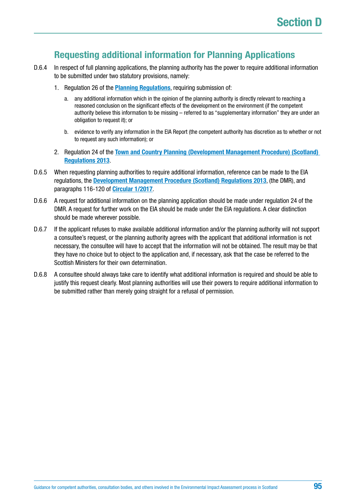## **Requesting additional information for Planning Applications**

- D.6.4 In respect of full planning applications, the planning authority has the power to require additional information to be submitted under two statutory provisions, namely:
	- 1. Regulation 26 of the **[Planning Regulations](https://www.legislation.gov.uk/uksi/2017/571/contents/made)**, requiring submission of:
		- a. any additional information which in the opinion of the planning authority is directly relevant to reaching a reasoned conclusion on the significant effects of the development on the environment (if the competent authority believe this information to be missing – referred to as "supplementary information" they are under an obligation to request it); or
		- b. evidence to verify any information in the EIA Report (the competent authority has discretion as to whether or not to request any such information); or
	- 2. Regulation 24 of the **[Town and Country Planning \(Development Management Procedure\) \(Scotland\)](http://www.legislation.gov.uk/ssi/2013/155/contents/made)  [Regulations 2013](http://www.legislation.gov.uk/ssi/2013/155/contents/made)**.
- D.6.5 When requesting planning authorities to require additional information, reference can be made to the EIA regulations, the **[Development Management Procedure \(Scotland\) Regulations 2013](http://www.legislation.gov.uk/ssi/2013/155/contents/made)**, (the DMR), and paragraphs 116-120 of **[Circular 1/2017](http://www.gov.scot/Publications/2017/05/6292)**.
- D.6.6 A request for additional information on the planning application should be made under regulation 24 of the DMR. A request for further work on the EIA should be made under the EIA regulations. A clear distinction should be made wherever possible.
- D.6.7 If the applicant refuses to make available additional information and/or the planning authority will not support a consultee's request, or the planning authority agrees with the applicant that additional information is not necessary, the consultee will have to accept that the information will not be obtained. The result may be that they have no choice but to object to the application and, if necessary, ask that the case be referred to the Scottish Ministers for their own determination.
- D.6.8 A consultee should always take care to identify what additional information is required and should be able to justify this request clearly. Most planning authorities will use their powers to require additional information to be submitted rather than merely going straight for a refusal of permission.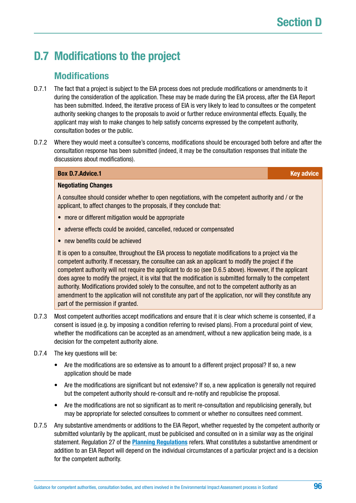# <span id="page-95-0"></span>**D.7 Modifications to the project**

### **Modifications**

- D.7.1 The fact that a project is subject to the EIA process does not preclude modifications or amendments to it during the consideration of the application. These may be made during the EIA process, after the EIA Report has been submitted. Indeed, the iterative process of EIA is very likely to lead to consultees or the competent authority seeking changes to the proposals to avoid or further reduce environmental effects. Equally, the applicant may wish to make changes to help satisfy concerns expressed by the competent authority, consultation bodes or the public.
- D.7.2 Where they would meet a consultee's concerns, modifications should be encouraged both before and after the consultation response has been submitted (indeed, it may be the consultation responses that initiate the discussions about modifications).

#### **Box [D.7.Advice](http://D.7.Advice).1 Key advice** *Reserve EXISTENTIAL CONTRACT: A CONTRACT: CONTRACT: CONTRACT: CONTRACT: CONTRACT: CONTRACT: CONTRACT: CONTRACT: CONTRACT: CONTRACT: CONTRACT: CONTRACT: CONTRACT: CONTRACT: CONTRACT: CONTRA*

#### **Negotiating Changes**

A consultee should consider whether to open negotiations, with the competent authority and / or the applicant, to affect changes to the proposals, if they conclude that:

- more or different mitigation would be appropriate
- adverse effects could be avoided, cancelled, reduced or compensated
- new benefits could be achieved

It is open to a consultee, throughout the EIA process to negotiate modifications to a project via the competent authority. If necessary, the consultee can ask an applicant to modify the project if the competent authority will not require the applicant to do so (see D.6.5 above). However, if the applicant does agree to modify the project, it is vital that the modification is submitted formally to the competent authority. Modifications provided solely to the consultee, and not to the competent authority as an amendment to the application will not constitute any part of the application, nor will they constitute any part of the permission if granted.

- D.7.3 Most competent authorities accept modifications and ensure that it is clear which scheme is consented, if a consent is issued (e.g. by imposing a condition referring to revised plans). From a procedural point of view, whether the modifications can be accepted as an amendment, without a new application being made, is a decision for the competent authority alone.
- D.7.4 The key questions will be:
	- Are the modifications are so extensive as to amount to a different project proposal? If so, a new application should be made
	- Are the modifications are significant but not extensive? If so, a new application is generally not required but the competent authority should re-consult and re-notify and republicise the proposal.
	- Are the modifications are not so significant as to merit re-consultation and republicising generally, but may be appropriate for selected consultees to comment or whether no consultees need comment.
- D.7.5 Any substantive amendments or additions to the EIA Report, whether requested by the competent authority or submitted voluntarily by the applicant, must be publicised and consulted on in a similar way as the original statement. Regulation 27 of the **[Planning Regulations](https://www.legislation.gov.uk/uksi/2017/571/contents/made)** refers. What constitutes a substantive amendment or addition to an EIA Report will depend on the individual circumstances of a particular project and is a decision for the competent authority.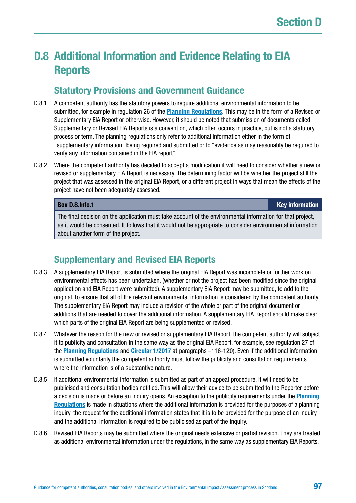# **D.8 Additional Information and Evidence Relating to EIA Reports**

# **Statutory Provisions and Government Guidance**

- D.8.1 A competent authority has the statutory powers to require additional environmental information to be submitted, for example in regulation 26 of the **[Planning Regulations](https://www.legislation.gov.uk/uksi/2017/571/contents/made)**. This may be in the form of a Revised or Supplementary EIA Report or otherwise. However, it should be noted that submission of documents called Supplementary or Revised EIA Reports is a convention, which often occurs in practice, but is not a statutory process or term. The planning regulations only refer to additional information either in the form of "supplementary information" being required and submitted or to "evidence as may reasonably be required to verify any information contained in the EIA report".
- D.8.2 Where the competent authority has decided to accept a modification it will need to consider whether a new or revised or supplementary EIA Report is necessary. The determining factor will be whether the project still the project that was assessed in the original EIA Report, or a different project in ways that mean the effects of the project have not been adequately assessed.

**Box [D.8.Info.](http://D.8.Info)1 Key information**

The final decision on the application must take account of the environmental information for that project, as it would be consented. It follows that it would not be appropriate to consider environmental information about another form of the project.

# **Supplementary and Revised EIA Reports**

- D.8.3 A supplementary EIA Report is submitted where the original EIA Report was incomplete or further work on environmental effects has been undertaken, (whether or not the project has been modified since the original application and EIA Report were submitted). A supplementary EIA Report may be submitted, to add to the original, to ensure that all of the relevant environmental information is considered by the competent authority. The supplementary EIA Report may include a revision of the whole or part of the original document or additions that are needed to cover the additional information. A supplementary EIA Report should make clear which parts of the original EIA Report are being supplemented or revised.
- D.8.4 Whatever the reason for the new or revised or supplementary EIA Report, the competent authority will subject it to publicity and consultation in the same way as the original EIA Report, for example, see regulation 27 of the **[Planning Regulations](https://www.legislation.gov.uk/uksi/2017/571/contents/made)** and **[Circular 1/2017](http://www.gov.scot/Publications/2017/05/6292)** at paragraphs –116-120). Even if the additional information is submitted voluntarily the competent authority must follow the publicity and consultation requirements where the information is of a substantive nature.
- D.8.5 If additional environmental information is submitted as part of an appeal procedure, it will need to be publicised and consultation bodies notified. This will allow their advice to be submitted to the Reporter before a decision is made or before an Inquiry opens. An exception to the publicity requirements under the **[Planning](https://www.legislation.gov.uk/uksi/2017/571/contents/made)  [Regulations](https://www.legislation.gov.uk/uksi/2017/571/contents/made)** is made in situations where the additional information is provided for the purposes of a planning inquiry, the request for the additional information states that it is to be provided for the purpose of an inquiry and the additional information is required to be publicised as part of the inquiry.
- D.8.6 Revised EIA Reports may be submitted where the original needs extensive or partial revision. They are treated as additional environmental information under the regulations, in the same way as supplementary EIA Reports.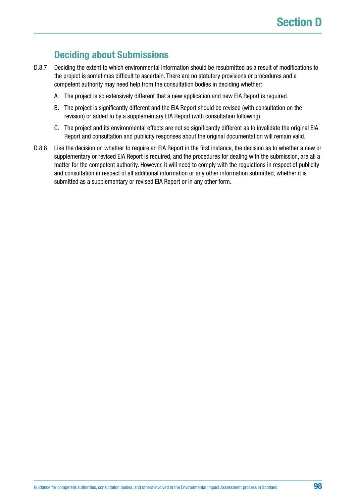# **Deciding about Submissions**

- D.8.7 Deciding the extent to which environmental information should be resubmitted as a result of modifications to the project is sometimes difficult to ascertain. There are no statutory provisions or procedures and a competent authority may need help from the consultation bodies in deciding whether:
	- A. The project is so extensively different that a new application and new EIA Report is required.
	- B. The project is significantly different and the EIA Report should be revised (with consultation on the revision) or added to by a supplementary EIA Report (with consultation following).
	- C. The project and its environmental effects are not so significantly different as to invalidate the original EIA Report and consultation and publicity responses about the original documentation will remain valid.
- D.8.8 Like the decision on whether to require an EIA Report in the first instance, the decision as to whether a new or supplementary or revised EIA Report is required, and the procedures for dealing with the submission, are all a matter for the competent authority. However, it will need to comply with the regulations in respect of publicity and consultation in respect of all additional information or any other information submitted, whether it is submitted as a supplementary or revised EIA Report or in any other form.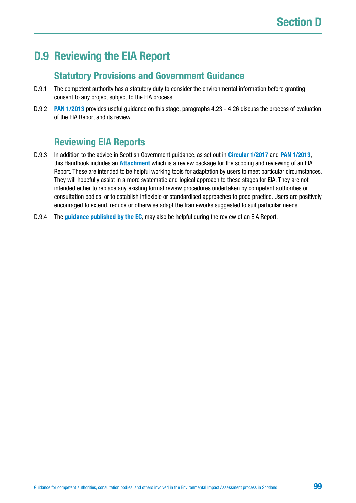# **D.9 Reviewing the EIA Report**

## **Statutory Provisions and Government Guidance**

- D.9.1 The competent authority has a statutory duty to consider the environmental information before granting consent to any project subject to the EIA process.
- D.9.2 **[PAN 1/2013](http://www.gov.scot/Publications/2013/08/6471)** provides useful guidance on this stage, paragraphs 4.23 4.26 discuss the process of evaluation of the EIA Report and its review.

# **Reviewing EIA Reports**

- D.9.3 In addition to the advice in Scottish Government guidance, as set out in **[Circular 1/2017](http://www.gov.scot/Resource/0051/00518122.pdf)** and **[PAN 1/2013](http://www.gov.scot/Publications/2013/08/6471)**, this Handbook includes an **[Attachment](#page-165-0)** which is a review package for the scoping and reviewing of an EIA Report. These are intended to be helpful working tools for adaptation by users to meet particular circumstances. They will hopefully assist in a more systematic and logical approach to these stages for EIA. They are not intended either to replace any existing formal review procedures undertaken by competent authorities or consultation bodies, or to establish inflexible or standardised approaches to good practice. Users are positively encouraged to extend, reduce or otherwise adapt the frameworks suggested to suit particular needs.
- D.9.4 The **[guidance published by the EC](http://ec.europa.eu/environment/eia/pdf/EIA_guidance_EIA_report_final.pdf)**, may also be helpful during the review of an EIA Report.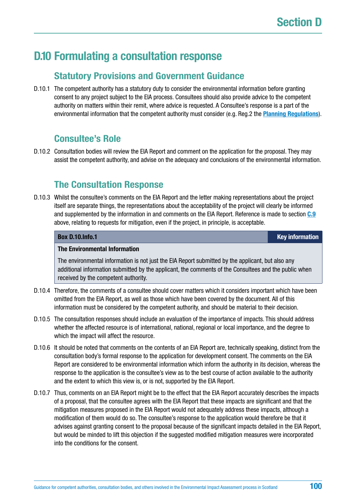# **D.10 Formulating a consultation response**

### **Statutory Provisions and Government Guidance**

D.10.1 The competent authority has a statutory duty to consider the environmental information before granting consent to any project subject to the EIA process. Consultees should also provide advice to the competent authority on matters within their remit, where advice is requested. A Consultee's response is a part of the environmental information that the competent authority must consider (e.g. Reg.2 the **[Planning Regulations](https://www.legislation.gov.uk/uksi/2017/571/contents/made)**).

## **Consultee's Role**

D.10.2 Consultation bodies will review the EIA Report and comment on the application for the proposal. They may assist the competent authority, and advise on the adequacy and conclusions of the environmental information.

# **The Consultation Response**

D.10.3 Whilst the consultee's comments on the EIA Report and the letter making representations about the project itself are separate things, the representations about the acceptability of the project will clearly be informed and supplemented by the information in and comments on the EIA Report. Reference is made to section **[C.9](#page-76-0)** above, relating to requests for mitigation, even if the project, in principle, is acceptable.

#### **Box [D.10.Info](http://D.10.Info).1 Key information**

#### **The Environmental Information**

The environmental information is not just the EIA Report submitted by the applicant, but also any additional information submitted by the applicant, the comments of the Consultees and the public when received by the competent authority.

- D.10.4 Therefore, the comments of a consultee should cover matters which it considers important which have been omitted from the EIA Report, as well as those which have been covered by the document. All of this information must be considered by the competent authority, and should be material to their decision.
- D.10.5 The consultation responses should include an evaluation of the importance of impacts. This should address whether the affected resource is of international, national, regional or local importance, and the degree to which the impact will affect the resource.
- D.10.6 It should be noted that comments on the contents of an EIA Report are, technically speaking, distinct from the consultation body's formal response to the application for development consent. The comments on the EIA Report are considered to be environmental information which inform the authority in its decision, whereas the response to the application is the consultee's view as to the best course of action available to the authority and the extent to which this view is, or is not, supported by the EIA Report.
- D.10.7 Thus, comments on an EIA Report might be to the effect that the EIA Report accurately describes the impacts of a proposal, that the consultee agrees with the EIA Report that these impacts are significant and that the mitigation measures proposed in the EIA Report would not adequately address these impacts, although a modification of them would do so. The consultee's response to the application would therefore be that it advises against granting consent to the proposal because of the significant impacts detailed in the EIA Report, but would be minded to lift this objection if the suggested modified mitigation measures were incorporated into the conditions for the consent.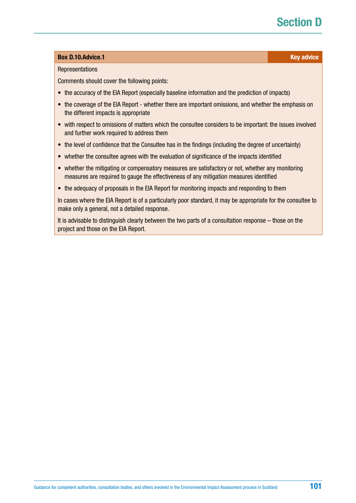# **Section D**

#### **Box [D.10.Advice.](http://D.10.Advice)1 Contract Contract Contract Contract Contract Contract Contract Contract Contract Contract Contract Contract Contract Contract Contract Contract Contract Contract Contract Contract Contract Contract Con**

#### **Representations**

Comments should cover the following points:

- the accuracy of the EIA Report (especially baseline information and the prediction of impacts)
- the coverage of the EIA Report whether there are important omissions, and whether the emphasis on the different impacts is appropriate
- with respect to omissions of matters which the consultee considers to be important: the issues involved and further work required to address them
- the level of confidence that the Consultee has in the findings (including the degree of uncertainty)
- whether the consultee agrees with the evaluation of significance of the impacts identified
- whether the mitigating or compensatory measures are satisfactory or not, whether any monitoring measures are required to gauge the effectiveness of any mitigation measures identified
- the adequacy of proposals in the EIA Report for monitoring impacts and responding to them

In cases where the EIA Report is of a particularly poor standard, it may be appropriate for the consultee to make only a general, not a detailed response.

It is advisable to distinguish clearly between the two parts of a consultation response – those on the project and those on the EIA Report.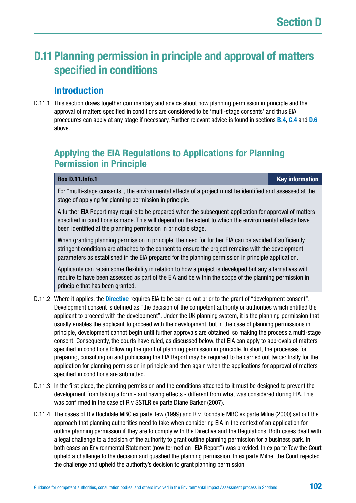# **D.11 Planning permission in principle and approval of matters specified in conditions**

# **Introduction**

D.11.1 This section draws together commentary and advice about how planning permission in principle and the approval of matters specified in conditions are considered to be 'multi-stage consents' and thus EIA procedures can apply at any stage if necessary. Further relevant advice is found in sections **[B.4](#page-21-0)**, **[C.4](#page-56-0)** and **[D.6](#page-93-0)** above.

# **Applying the EIA Regulations to Applications for Planning Permission in Principle**

#### **Box [D.11.Info](http://D.11.Info).1 Key information**

For "multi-stage consents", the environmental effects of a project must be identified and assessed at the stage of applying for planning permission in principle.

A further EIA Report may require to be prepared when the subsequent application for approval of matters specified in conditions is made. This will depend on the extent to which the environmental effects have been identified at the planning permission in principle stage.

When granting planning permission in principle, the need for further EIA can be avoided if sufficiently stringent conditions are attached to the consent to ensure the project remains with the development parameters as established in the EIA prepared for the planning permission in principle application.

Applicants can retain some flexibility in relation to how a project is developed but any alternatives will require to have been assessed as part of the EIA and be within the scope of the planning permission in principle that has been granted.

- D.11.2 Where it applies, the **[Directive](http://ec.europa.eu/environment/eia/pdf/EIA_Directive_informal.pdf)** requires EIA to be carried out prior to the grant of "development consent". Development consent is defined as "the decision of the competent authority or authorities which entitled the applicant to proceed with the development". Under the UK planning system, it is the planning permission that usually enables the applicant to proceed with the development, but in the case of planning permissions in principle, development cannot begin until further approvals are obtained, so making the process a multi-stage consent. Consequently, the courts have ruled, as discussed below, that EIA can apply to approvals of matters specified in conditions following the grant of planning permission in principle. In short, the processes for preparing, consulting on and publicising the EIA Report may be required to be carried out twice: firstly for the application for planning permission in principle and then again when the applications for approval of matters specified in conditions are submitted.
- D.11.3 In the first place, the planning permission and the conditions attached to it must be designed to prevent the development from taking a form - and having effects - different from what was considered during EIA. This was confirmed in the case of R v SSTLR ex parte Diane Barker (2007).
- D.11.4 The cases of R v Rochdale MBC ex parte Tew (1999) and R v Rochdale MBC ex parte Milne (2000) set out the approach that planning authorities need to take when considering EIA in the context of an application for outline planning permission if they are to comply with the Directive and the Regulations. Both cases dealt with a legal challenge to a decision of the authority to grant outline planning permission for a business park. In both cases an Environmental Statement (now termed an "EIA Report") was provided. In ex parte Tew the Court upheld a challenge to the decision and quashed the planning permission. In ex parte Milne, the Court rejected the challenge and upheld the authority's decision to grant planning permission.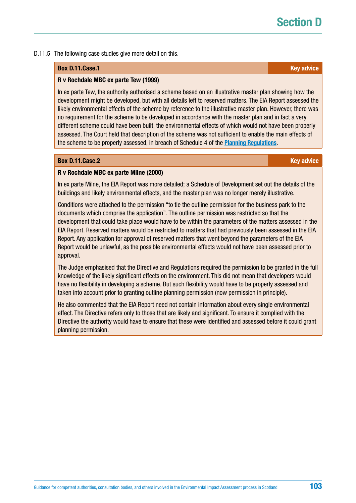# **Section**

#### D.11.5 The following case studies give more detail on this.

#### **Box [D.11.Case](http://D.11.Case).1 Key advice**

#### **R v Rochdale MBC ex parte Tew (1999)**

In ex parte Tew, the authority authorised a scheme based on an illustrative master plan showing how the development might be developed, but with all details left to reserved matters. The EIA Report assessed the likely environmental effects of the scheme by reference to the illustrative master plan. However, there was no requirement for the scheme to be developed in accordance with the master plan and in fact a very different scheme could have been built, the environmental effects of which would not have been properly assessed. The Court held that description of the scheme was not sufficient to enable the main effects of the scheme to be properly assessed, in breach of Schedule 4 of the **[Planning Regulations](https://www.legislation.gov.uk/uksi/2017/571/contents/made)**.

#### **Box [D.11.Case](http://D.11.Case).2 Key advice** *Research <b>COVID-2012* **Key advice** *Research <b>COVID-2012* **Key advice**

#### **R v Rochdale MBC ex parte Milne (2000)**

In ex parte Milne, the EIA Report was more detailed; a Schedule of Development set out the details of the buildings and likely environmental effects, and the master plan was no longer merely illustrative.

Conditions were attached to the permission "to tie the outline permission for the business park to the documents which comprise the application". The outline permission was restricted so that the development that could take place would have to be within the parameters of the matters assessed in the EIA Report. Reserved matters would be restricted to matters that had previously been assessed in the EIA Report. Any application for approval of reserved matters that went beyond the parameters of the EIA Report would be unlawful, as the possible environmental effects would not have been assessed prior to approval.

The Judge emphasised that the Directive and Regulations required the permission to be granted in the full knowledge of the likely significant effects on the environment. This did not mean that developers would have no flexibility in developing a scheme. But such flexibility would have to be properly assessed and taken into account prior to granting outline planning permission (now permission in principle).

He also commented that the EIA Report need not contain information about every single environmental effect. The Directive refers only to those that are likely and significant. To ensure it complied with the Directive the authority would have to ensure that these were identified and assessed before it could grant planning permission.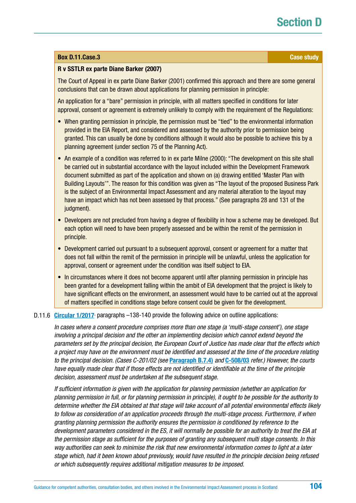# **Section**

#### **Box [D.11.Case](http://D.11.Case).3 Case study**

#### **R v SSTLR ex parte Diane Barker (2007)**

The Court of Appeal in ex parte Diane Barker (2001) confirmed this approach and there are some general conclusions that can be drawn about applications for planning permission in principle:

An application for a "bare" permission in principle, with all matters specified in conditions for later approval, consent or agreement is extremely unlikely to comply with the requirement of the Regulations:

- When granting permission in principle, the permission must be "tied" to the environmental information provided in the EIA Report, and considered and assessed by the authority prior to permission being granted. This can usually be done by conditions although it would also be possible to achieve this by a planning agreement (under section 75 of the Planning Act).
- An example of a condition was referred to in ex parte Milne (2000): "The development on this site shall be carried out in substantial accordance with the layout included within the Development Framework document submitted as part of the application and shown on (a) drawing entitled 'Master Plan with Building Layouts'". The reason for this condition was given as "The layout of the proposed Business Park is the subject of an Environmental Impact Assessment and any material alteration to the layout may have an impact which has not been assessed by that process." (See paragraphs 28 and 131 of the judgment).
- Developers are not precluded from having a degree of flexibility in how a scheme may be developed. But each option will need to have been properly assessed and be within the remit of the permission in principle.
- Development carried out pursuant to a subsequent approval, consent or agreement for a matter that does not fall within the remit of the permission in principle will be unlawful, unless the application for approval, consent or agreement under the condition was itself subject to EIA.
- In circumstances where it does not become apparent until after planning permission in principle has been granted for a development falling within the ambit of EIA development that the project is likely to have significant effects on the environment, an assessment would have to be carried out at the approval of matters specified in conditions stage before consent could be given for the development.

#### D.11.6 [Circular 1/2017](http://www.gov.scot/Publications/2017/05/6292)<sup>,</sup> paragraphs -138-140 provide the following advice on outline applications:

*In cases where a consent procedure comprises more than one stage (a 'multi-stage consent'), one stage involving a principal decision and the other an implementing decision which cannot extend beyond the parameters set by the principal decision, the European Court of Justice has made clear that the effects which a project may have on the environment must be identified and assessed at the time of the procedure relating to the principal decision. (Cases C-201/02 (see* **[Paragraph B.7.4\)](#page-95-0)** *and* **[C-508/03](http://curia.europa.eu/juris/liste.jsf?language=en&num=C-508/03)** *refer.) However, the courts have equally made clear that if those effects are not identified or identifiable at the time of the principle decision, assessment must be undertaken at the subsequent stage.*

*If sufficient information is given with the application for planning permission (whether an application for planning permission in full, or for planning permission in principle), it ought to be possible for the authority to determine whether the EIA obtained at that stage will take account of all potential environmental effects likely to follow as consideration of an application proceeds through the multi-stage process. Furthermore, if when granting planning permission the authority ensures the permission is conditioned by reference to the development parameters considered in the ES, it will normally be possible for an authority to treat the EIA at the permission stage as sufficient for the purposes of granting any subsequent multi stage consents. In this way authorities can seek to minimise the risk that new environmental information comes to light at a later stage which, had it been known about previously, would have resulted in the principle decision being refused or which subsequently requires additional mitigation measures to be imposed.*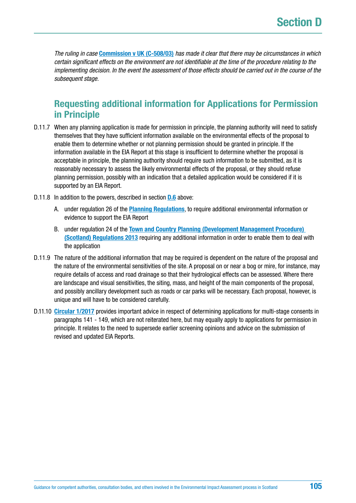*The ruling in case* **[Commission v UK \(C-508/03\)](http://curia.europa.eu/juris/liste.jsf?language=en&num=C-508/03)** *has made it clear that there may be circumstances in which certain significant effects on the environment are not identifiable at the time of the procedure relating to the implementing decision. In the event the assessment of those effects should be carried out in the course of the subsequent stage.* 

## **Requesting additional information for Applications for Permission in Principle**

- D.11.7 When any planning application is made for permission in principle, the planning authority will need to satisfy themselves that they have sufficient information available on the environmental effects of the proposal to enable them to determine whether or not planning permission should be granted in principle. If the information available in the EIA Report at this stage is insufficient to determine whether the proposal is acceptable in principle, the planning authority should require such information to be submitted, as it is reasonably necessary to assess the likely environmental effects of the proposal, or they should refuse planning permission, possibly with an indication that a detailed application would be considered if it is supported by an EIA Report.
- D.11.8 In addition to the powers, described in section **[D.6](#page-93-0)** above:
	- A. under regulation 26 of the **[Planning Regulations](https://www.legislation.gov.uk/uksi/2017/571/contents/made)**, to require additional environmental information or evidence to support the EIA Report
	- B. under regulation 24 of the **[Town and Country Planning \(Development Management Procedure\)](http://www.legislation.gov.uk/ssi/2013/155/contents/made)  [\(Scotland\) Regulations 2013](http://www.legislation.gov.uk/ssi/2013/155/contents/made)** requiring any additional information in order to enable them to deal with the application
- D.11.9 The nature of the additional information that may be required is dependent on the nature of the proposal and the nature of the environmental sensitivities of the site. A proposal on or near a bog or mire, for instance, may require details of access and road drainage so that their hydrological effects can be assessed. Where there are landscape and visual sensitivities, the siting, mass, and height of the main components of the proposal, and possibly ancillary development such as roads or car parks will be necessary. Each proposal, however, is unique and will have to be considered carefully.
- D.11.10 **[Circular 1/2017](http://www.gov.scot/Publications/2017/05/6292)** provides important advice in respect of determining applications for multi-stage consents in paragraphs 141 - 149, which are not reiterated here, but may equally apply to applications for permission in principle. It relates to the need to supersede earlier screening opinions and advice on the submission of revised and updated EIA Reports.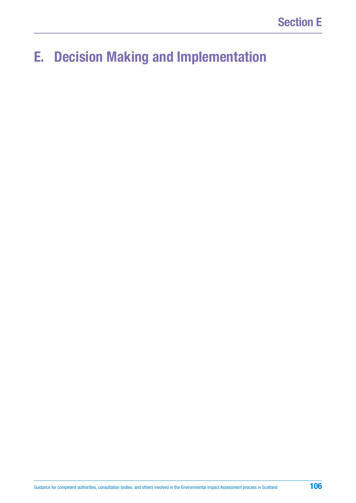# **E. Decision Making and Implementation**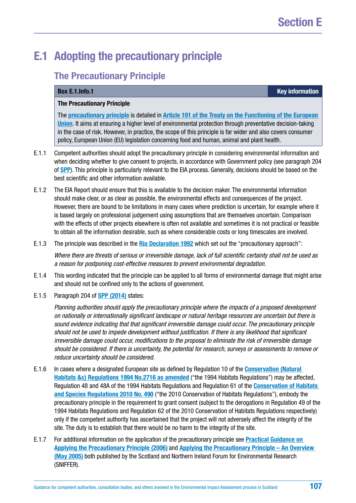# <span id="page-106-0"></span>**E.1 Adopting the precautionary principle**

## **The Precautionary Principle**

**Box [E.1.Info.](http://E.1.Info)1 Key information**

#### **The Precautionary Principle**

The **[precautionary principle](http://eur-lex.europa.eu/summary/glossary/precautionary_principle.html)** is detailed in **[Article 191 of the Treaty on the Functioning of the European](http://eur-lex.europa.eu/legal-content/EN/AUTO/?uri=celex:12016E191)  [Union](http://eur-lex.europa.eu/legal-content/EN/AUTO/?uri=celex:12016E191)**. It aims at ensuring a higher level of environmental protection through preventative decision-taking in the case of risk. However, in practice, the scope of this principle is far wider and also covers consumer policy, European Union (EU) legislation concerning food and human, animal and plant health.

- E.1.1 Competent authorities should adopt the precautionary principle in considering environmental information and when deciding whether to give consent to projects, in accordance with Government policy (see paragraph 204 of **[SPP](http://www.gov.scot/Resource/0045/00453827.pdf)**). This principle is particularly relevant to the EIA process. Generally, decisions should be based on the best scientific and other information available.
- E.1.2 The EIA Report should ensure that this is available to the decision maker. The environmental information should make clear, or as clear as possible, the environmental effects and consequences of the project. However, there are bound to be limitations in many cases where prediction is uncertain, for example where it is based largely on professional judgement using assumptions that are themselves uncertain. Comparison with the effects of other projects elsewhere is often not available and sometimes it is not practical or feasible to obtain all the information desirable, such as where considerable costs or long timescales are involved.
- E.1.3 The principle was described in the **[Rio Declaration 1992](http://www.un.org/documents/ga/conf151/aconf15126-1annex1.htm)** which set out the "precautionary approach":

*Where there are threats of serious or irreversible damage, lack of full scientific certainty shall not be used as a reason for postponing cost-effective measures to prevent environmental degradation.*

- E.1.4 This wording indicated that the principle can be applied to all forms of environmental damage that might arise and should not be confined only to the actions of government.
- E.1.5 Paragraph 204 of **[SPP \(2014\)](http://www.scotland.gov.uk/Resource/Doc/300760/0093908.pdf)** states:

*Planning authorities should apply the precautionary principle where the impacts of a proposed development on nationally or internationally significant landscape or natural heritage resources are uncertain but there is sound evidence indicating that that significant irreversible damage could occur. The precautionary principle should not be used to impede development without justification. If there is any likelihood that significant irreversible damage could occur, modifications to the proposal to eliminate the risk of irreversible damage should be considered. If there is uncertainty, the potential for research, surveys or assessments to remove or reduce uncertainty should be considered.*

- E.1.6 In cases where a designated European site as defined by Regulation 10 of the **[Conservation \(Natural](http://www.legislation.gov.uk/uksi/1994/2716/contents/made)  [Habitats &c\) Regulations 1994 No.2716 as amended](http://www.legislation.gov.uk/uksi/1994/2716/contents/made)** ("the 1994 Habitats Regulations") may be affected, Regulation 48 and 48A of the 1994 Habitats Regulations and Regulation 61 of the **[Conservation of Habitats](http://www.legislation.gov.uk/uksi/2010/490/contents/made)  [and Species Regulations 2010 No. 490](http://www.legislation.gov.uk/uksi/2010/490/contents/made)** ("the 2010 Conservation of Habitats Regulations"), embody the precautionary principle in the requirement to grant consent (subject to the derogations in Regulation 49 of the 1994 Habitats Regulations and Regulation 62 of the 2010 Conservation of Habitats Regulations respectively) only if the competent authority has ascertained that the project will not adversely affect the integrity of the site. The duty is to establish that there would be no harm to the integrity of the site.
- E.1.7 For additional information on the application of the precautionary principle see **[Practical Guidance on](https://www.sniffer.org.uk/Handlers/Download.ashx?IDMF=27cf3a7a-4141-4e24-9bf9-26207847f153)  [Applying the Precautionary Principle \(2006\)](https://www.sniffer.org.uk/Handlers/Download.ashx?IDMF=27cf3a7a-4141-4e24-9bf9-26207847f153)** and **[Applying the Precautionary Principle – An Overview](http://www.envirobase.info/PDF/SNIFFER_UKCC05.pdf)  [\(May 2005\)](http://www.envirobase.info/PDF/SNIFFER_UKCC05.pdf)** both published by the Scotland and Northern Ireland Forum for Environmental Research (SNIFFER).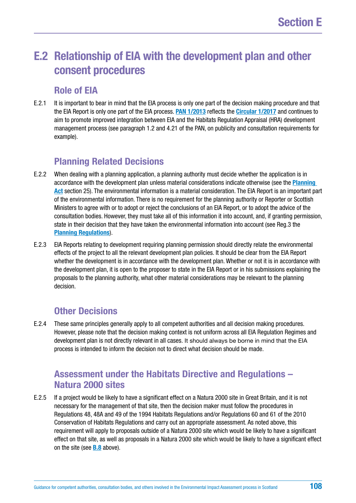# **E.2 Relationship of EIA with the development plan and other consent procedures**

### **Role of EIA**

E.2.1 It is important to bear in mind that the EIA process is only one part of the decision making procedure and that the EIA Report is only one part of the EIA process. **[PAN 1/2013](http://www.gov.scot/Publications/2013/08/6471)** reflects the **[Circular 1/2017](http://www.gov.scot/Publications/2017/05/6292)** and continues to aim to promote improved integration between EIA and the Habitats Regulation Appraisal (HRA) development management process (see paragraph 1.2 and 4.21 of the PAN, on publicity and consultation requirements for example).

# **Planning Related Decisions**

- E.2.2 When dealing with a planning application, a planning authority must decide whether the application is in accordance with the development plan unless material considerations indicate otherwise (see the **[Planning](https://www.legislation.gov.uk/ukpga/1997/8/contents)  [Act](https://www.legislation.gov.uk/ukpga/1997/8/contents)** section 25). The environmental information is a material consideration. The EIA Report is an important part of the environmental information. There is no requirement for the planning authority or Reporter or Scottish Ministers to agree with or to adopt or reject the conclusions of an EIA Report, or to adopt the advice of the consultation bodies. However, they must take all of this information it into account, and, if granting permission, state in their decision that they have taken the environmental information into account (see Reg.3 the **[Planning Regulations](https://www.legislation.gov.uk/uksi/2017/571/contents/made)**).
- E.2.3 EIA Reports relating to development requiring planning permission should directly relate the environmental effects of the project to all the relevant development plan policies. It should be clear from the EIA Report whether the development is in accordance with the development plan. Whether or not it is in accordance with the development plan, it is open to the proposer to state in the EIA Report or in his submissions explaining the proposals to the planning authority, what other material considerations may be relevant to the planning decision.

# **Other Decisions**

E.2.4 These same principles generally apply to all competent authorities and all decision making procedures. However, please note that the decision making context is not uniform across all EIA Regulation Regimes and development plan is not directly relevant in all cases. It should always be borne in mind that the EIA process is intended to inform the decision not to direct what decision should be made.

## **Assessment under the Habitats Directive and Regulations – Natura 2000 sites**

E.2.5 If a project would be likely to have a significant effect on a Natura 2000 site in Great Britain, and it is not necessary for the management of that site, then the decision maker must follow the procedures in Regulations 48, 48A and 49 of the 1994 Habitats Regulations and/or Regulations 60 and 61 of the 2010 Conservation of Habitats Regulations and carry out an appropriate assessment. As noted above, this requirement will apply to proposals outside of a Natura 2000 site which would be likely to have a significant effect on that site, as well as proposals in a Natura 2000 site which would be likely to have a significant effect on the site (see **[B.8](#page-44-0)** above).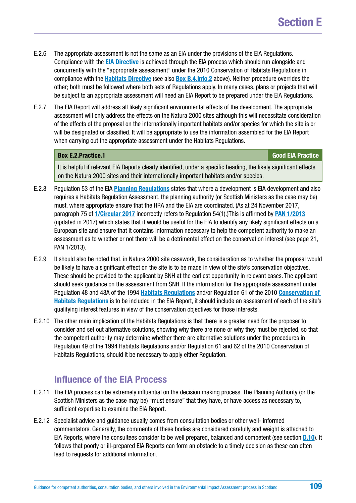- E.2.6 The appropriate assessment is not the same as an EIA under the provisions of the EIA Regulations. Compliance with the **[EIA Directive](http://ec.europa.eu/environment/eia/pdf/EIA_Directive_informal.pdf)** is achieved through the EIA process which should run alongside and concurrently with the "appropriate assessment" under the 2010 Conservation of Habitats Regulations in compliance with the **[Habitats Directive](http://ec.europa.eu/environment/nature/legislation/habitatsdirective/index_en.htm)** (see also **[Box B.4.Info.2](#page-23-0)** above). Neither procedure overrides the other; both must be followed where both sets of Regulations apply. In many cases, plans or projects that will be subject to an appropriate assessment will need an EIA Report to be prepared under the EIA Regulations.
- E.2.7 The EIA Report will address all likely significant environmental effects of the development. The appropriate assessment will only address the effects on the Natura 2000 sites although this will necessitate consideration of the effects of the proposal on the internationally important habitats and/or species for which the site is or will be designated or classified. It will be appropriate to use the information assembled for the EIA Report when carrying out the appropriate assessment under the Habitats Regulations.

#### **Box [E.2.Practice](http://E.2.Practice).1 Good EIA Practice**

It is helpful if relevant EIA Reports clearly identified, under a specific heading, the likely significant effects on the Natura 2000 sites and their internationally important habitats and/or species.

- E.2.8 Regulation 53 of the EIA **[Planning Regulations](https://www.legislation.gov.uk/uksi/2017/571/contents/made)** states that where a development is EIA development and also requires a Habitats Regulation Assessment, the planning authority (or Scottish Ministers as the case may be) must, where appropriate ensure that the HRA and the EIA are coordinated. (As at 24 November 2017, paragraph 75 of **[1/Circular 2017](http://www.gov.scot/Resource/0051/00518122.pdf)** incorrectly refers to Regulation 54(1).)This is affirmed by **[PAN 1/2013](http://www.gov.scot/Publications/2013/08/6471)** (updated in 2017) which states that it would be useful for the EIA to identify any likely significant effects on a European site and ensure that it contains information necessary to help the competent authority to make an assessment as to whether or not there will be a detrimental effect on the conservation interest (see page 21, PAN 1/2013).
- E.2.9 It should also be noted that, in Natura 2000 site casework, the consideration as to whether the proposal would be likely to have a significant effect on the site is to be made in view of the site's conservation objectives. These should be provided to the applicant by SNH at the earliest opportunity in relevant cases. The applicant should seek guidance on the assessment from SNH. If the information for the appropriate assessment under Regulation 48 and 48A of the 1994 **[Habitats Regulations](http://www.legislation.gov.uk/uksi/1994/2716/contents/made)** and/or Regulation 61 of the 2010 **[Conservation of](http://www.legislation.gov.uk/uksi/2010/490/contents/made)  [Habitats Regulations](http://www.legislation.gov.uk/uksi/2010/490/contents/made)** is to be included in the EIA Report, it should include an assessment of each of the site's qualifying interest features in view of the conservation objectives for those interests.
- E.2.10 The other main implication of the Habitats Regulations is that there is a greater need for the proposer to consider and set out alternative solutions, showing why there are none or why they must be rejected, so that the competent authority may determine whether there are alternative solutions under the procedures in Regulation 49 of the 1994 Habitats Regulations and/or Regulation 61 and 62 of the 2010 Conservation of Habitats Regulations, should it be necessary to apply either Regulation.

### **Influence of the EIA Process**

- E.2.11 The EIA process can be extremely influential on the decision making process. The Planning Authority (or the Scottish Ministers as the case may be) "must ensure" that they have, or have access as necessary to, sufficient expertise to examine the EIA Report.
- E.2.12 Specialist advice and guidance usually comes from consultation bodies or other well- informed commentators. Generally, the comments of these bodies are considered carefully and weight is attached to EIA Reports, where the consultees consider to be well prepared, balanced and competent (see section **[D.10](#page-99-0)**). It follows that poorly or ill-prepared EIA Reports can form an obstacle to a timely decision as these can often lead to requests for additional information.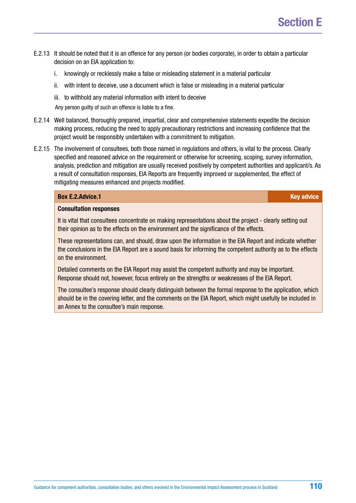- E.2.13 It should be noted that it is an offence for any person (or bodies corporate), in order to obtain a particular decision on an EIA application to:
	- i. knowingly or recklessly make a false or misleading statement in a material particular
	- ii. with intent to deceive, use a document which is false or misleading in a material particular
	- iii. to withhold any material information with intent to deceive

Any person guilty of such an offence is liable to a fine.

- E.2.14 Well balanced, thoroughly prepared, impartial, clear and comprehensive statements expedite the decision making process, reducing the need to apply precautionary restrictions and increasing confidence that the project would be responsibly undertaken with a commitment to mitigation.
- E.2.15 The involvement of consultees, both those named in regulations and others, is vital to the process. Clearly specified and reasoned advice on the requirement or otherwise for screening, scoping, survey information, analysis, prediction and mitigation are usually received positively by competent authorities and applicant/s. As a result of consultation responses, EIA Reports are frequently improved or supplemented, the effect of mitigating measures enhanced and projects modified.

#### **Box [E.2.Advice.](http://E.2.Advice)1 Key advice**

#### **Consultation responses**

It is vital that consultees concentrate on making representations about the project - clearly setting out their opinion as to the effects on the environment and the significance of the effects.

These representations can, and should, draw upon the information in the EIA Report and indicate whether the conclusions in the EIA Report are a sound basis for informing the competent authority as to the effects on the environment.

Detailed comments on the EIA Report may assist the competent authority and may be important. Response should not, however, focus entirely on the strengths or weaknesses of the EIA Report.

The consultee's response should clearly distinguish between the formal response to the application, which should be in the covering letter, and the comments on the EIA Report, which might usefully be included in an Annex to the consultee's main response.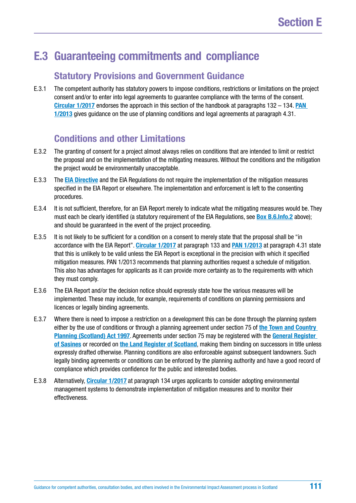# <span id="page-110-0"></span>**E.3 Guaranteeing commitments and compliance**

#### **Statutory Provisions and Government Guidance**

E.3.1 The competent authority has statutory powers to impose conditions, restrictions or limitations on the project consent and/or to enter into legal agreements to guarantee compliance with the terms of the consent. **[Circular 1/2017](http://www.gov.scot/Publications/2017/05/6292)** endorses the approach in this section of the handbook at paragraphs 132 – 134. **[PAN](http://www.gov.scot/Publications/2013/08/6471)  [1/2013](http://www.gov.scot/Publications/2013/08/6471)** gives guidance on the use of planning conditions and legal agreements at paragraph 4.31.

#### **Conditions and other Limitations**

- E.3.2 The granting of consent for a project almost always relies on conditions that are intended to limit or restrict the proposal and on the implementation of the mitigating measures. Without the conditions and the mitigation the project would be environmentally unacceptable.
- E.3.3 The **[EIA Directive](http://ec.europa.eu/environment/eia/pdf/EIA_Directive_informal.pdf)** and the EIA Regulations do not require the implementation of the mitigation measures specified in the EIA Report or elsewhere. The implementation and enforcement is left to the consenting procedures.
- E.3.4 It is not sufficient, therefore, for an EIA Report merely to indicate what the mitigating measures would be. They must each be clearly identified (a statutory requirement of the EIA Regulations, see **[Box B.6.Info.2](#page-38-0)** above); and should be guaranteed in the event of the project proceeding.
- E.3.5 It is not likely to be sufficient for a condition on a consent to merely state that the proposal shall be "in accordance with the EIA Report". **[Circular 1/2017](http://www.gov.scot/Publications/2017/05/6292)** at paragraph 133 and **[PAN 1/2013](http://www.gov.scot/Publications/2013/08/6471)** at paragraph 4.31 state that this is unlikely to be valid unless the EIA Report is exceptional in the precision with which it specified mitigation measures. PAN 1/2013 recommends that planning authorities request a schedule of mitigation. This also has advantages for applicants as it can provide more certainty as to the requirements with which they must comply.
- E.3.6 The EIA Report and/or the decision notice should expressly state how the various measures will be implemented. These may include, for example, requirements of conditions on planning permissions and licences or legally binding agreements.
- E.3.7 Where there is need to impose a restriction on a development this can be done through the planning system either by the use of conditions or through a planning agreement under section 75 of **[the Town and Country](https://www.legislation.gov.uk/ukpga/1997/8/contents)  [Planning \(Scotland\) Act 1997](https://www.legislation.gov.uk/ukpga/1997/8/contents)**. Agreements under section 75 may be registered with the **[General Register](https://www.ros.gov.uk/services/registration/sasine-register)  [of Sasines](https://www.ros.gov.uk/services/registration/sasine-register)** or recorded on **[the Land Register of Scotland](https://www.ros.gov.uk/services/registration/land-register)**, making them binding on successors in title unless expressly drafted otherwise. Planning conditions are also enforceable against subsequent landowners. Such legally binding agreements or conditions can be enforced by the planning authority and have a good record of compliance which provides confidence for the public and interested bodies.
- E.3.8 Alternatively, **[Circular 1/2017](http://www.gov.scot/Publications/2017/05/6292)** at paragraph 134 urges applicants to consider adopting environmental management systems to demonstrate implementation of mitigation measures and to monitor their effectiveness.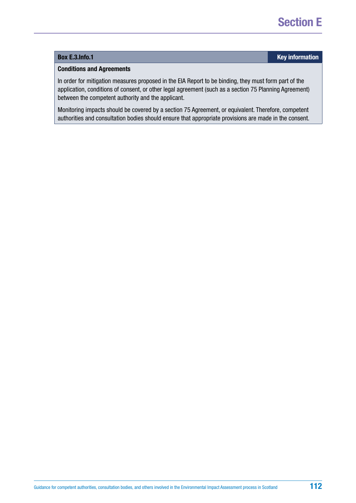#### **Box [E.3.Info.](http://E.3.Info)1 Key information**

#### **Conditions and Agreements**

In order for mitigation measures proposed in the EIA Report to be binding, they must form part of the application, conditions of consent, or other legal agreement (such as a section 75 Planning Agreement) between the competent authority and the applicant.

Monitoring impacts should be covered by a section 75 Agreement, or equivalent. Therefore, competent authorities and consultation bodies should ensure that appropriate provisions are made in the consent.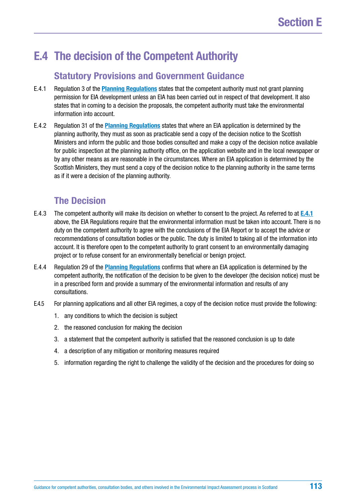# **E.4 The decision of the Competent Authority**

#### **Statutory Provisions and Government Guidance**

- E.4.1 Regulation 3 of the **[Planning Regulations](https://www.legislation.gov.uk/uksi/2017/571/contents/made)** states that the competent authority must not grant planning permission for EIA development unless an EIA has been carried out in respect of that development. It also states that in coming to a decision the proposals, the competent authority must take the environmental information into account.
- E.4.2 Regulation 31 of the **[Planning Regulations](https://www.legislation.gov.uk/uksi/2017/571/contents/made)** states that where an EIA application is determined by the planning authority, they must as soon as practicable send a copy of the decision notice to the Scottish Ministers and inform the public and those bodies consulted and make a copy of the decision notice available for public inspection at the planning authority office, on the application website and in the local newspaper or by any other means as are reasonable in the circumstances. Where an EIA application is determined by the Scottish Ministers, they must send a copy of the decision notice to the planning authority in the same terms as if it were a decision of the planning authority.

#### **The Decision**

- E.4.3 The competent authority will make its decision on whether to consent to the project. As referred to at **E.4.1** above, the EIA Regulations require that the environmental information must be taken into account. There is no duty on the competent authority to agree with the conclusions of the EIA Report or to accept the advice or recommendations of consultation bodies or the public. The duty is limited to taking all of the information into account. It is therefore open to the competent authority to grant consent to an environmentally damaging project or to refuse consent for an environmentally beneficial or benign project.
- E.4.4 Regulation 29 of the **[Planning Regulations](https://www.legislation.gov.uk/uksi/2017/571/contents/made)** confirms that where an EIA application is determined by the competent authority, the notification of the decision to be given to the developer (the decision notice) must be in a prescribed form and provide a summary of the environmental information and results of any consultations.
- E.4.5 For planning applications and all other EIA regimes, a copy of the decision notice must provide the following:
	- 1. any conditions to which the decision is subject
	- 2. the reasoned conclusion for making the decision
	- 3. a statement that the competent authority is satisfied that the reasoned conclusion is up to date
	- 4. a description of any mitigation or monitoring measures required
	- 5. information regarding the right to challenge the validity of the decision and the procedures for doing so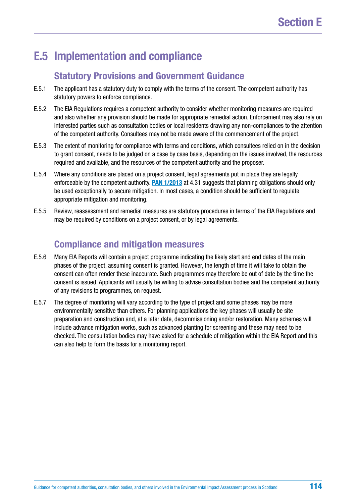# **E.5 Implementation and compliance**

#### **Statutory Provisions and Government Guidance**

- E.5.1 The applicant has a statutory duty to comply with the terms of the consent. The competent authority has statutory powers to enforce compliance.
- E.5.2 The EIA Regulations requires a competent authority to consider whether monitoring measures are required and also whether any provision should be made for appropriate remedial action. Enforcement may also rely on interested parties such as consultation bodies or local residents drawing any non-compliances to the attention of the competent authority. Consultees may not be made aware of the commencement of the project.
- E.5.3 The extent of monitoring for compliance with terms and conditions, which consultees relied on in the decision to grant consent, needs to be judged on a case by case basis, depending on the issues involved, the resources required and available, and the resources of the competent authority and the proposer.
- E.5.4 Where any conditions are placed on a project consent, legal agreements put in place they are legally enforceable by the competent authority. **[PAN 1/2013](http://www.gov.scot/Publications/2013/08/6471)** at 4.31 suggests that planning obligations should only be used exceptionally to secure mitigation. In most cases, a condition should be sufficient to regulate appropriate mitigation and monitoring.
- E.5.5 Review, reassessment and remedial measures are statutory procedures in terms of the EIA Regulations and may be required by conditions on a project consent, or by legal agreements.

#### **Compliance and mitigation measures**

- E.5.6 Many EIA Reports will contain a project programme indicating the likely start and end dates of the main phases of the project, assuming consent is granted. However, the length of time it will take to obtain the consent can often render these inaccurate. Such programmes may therefore be out of date by the time the consent is issued. Applicants will usually be willing to advise consultation bodies and the competent authority of any revisions to programmes, on request.
- E.5.7 The degree of monitoring will vary according to the type of project and some phases may be more environmentally sensitive than others. For planning applications the key phases will usually be site preparation and construction and, at a later date, decommissioning and/or restoration. Many schemes will include advance mitigation works, such as advanced planting for screening and these may need to be checked. The consultation bodies may have asked for a schedule of mitigation within the EIA Report and this can also help to form the basis for a monitoring report.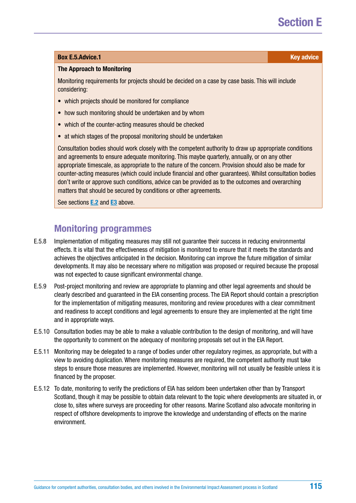#### **Box [E.5.Advice.](http://E.5.Advice)1 Key advice** *CON*

#### **The Approach to Monitoring**

Monitoring requirements for projects should be decided on a case by case basis. This will include considering:

- which projects should be monitored for compliance
- how such monitoring should be undertaken and by whom
- which of the counter-acting measures should be checked
- at which stages of the proposal monitoring should be undertaken

Consultation bodies should work closely with the competent authority to draw up appropriate conditions and agreements to ensure adequate monitoring. This maybe quarterly, annually, or on any other appropriate timescale, as appropriate to the nature of the concern. Provision should also be made for counter-acting measures (which could include financial and other guarantees). Whilst consultation bodies don't write or approve such conditions, advice can be provided as to the outcomes and overarching matters that should be secured by conditions or other agreements.

See sections **[E.2](#page-107-0)** and **[E3](#page-110-0)** above.

#### **Monitoring programmes**

- E.5.8 Implementation of mitigating measures may still not guarantee their success in reducing environmental effects. It is vital that the effectiveness of mitigation is monitored to ensure that it meets the standards and achieves the objectives anticipated in the decision. Monitoring can improve the future mitigation of similar developments. It may also be necessary where no mitigation was proposed or required because the proposal was not expected to cause significant environmental change.
- E.5.9 Post-project monitoring and review are appropriate to planning and other legal agreements and should be clearly described and guaranteed in the EIA consenting process. The EIA Report should contain a prescription for the implementation of mitigating measures, monitoring and review procedures with a clear commitment and readiness to accept conditions and legal agreements to ensure they are implemented at the right time and in appropriate ways.
- E.5.10 Consultation bodies may be able to make a valuable contribution to the design of monitoring, and will have the opportunity to comment on the adequacy of monitoring proposals set out in the EIA Report.
- E.5.11 Monitoring may be delegated to a range of bodies under other regulatory regimes, as appropriate, but with a view to avoiding duplication. Where monitoring measures are required, the competent authority must take steps to ensure those measures are implemented. However, monitoring will not usually be feasible unless it is financed by the proposer.
- E.5.12 To date, monitoring to verify the predictions of EIA has seldom been undertaken other than by Transport Scotland, though it may be possible to obtain data relevant to the topic where developments are situated in, or close to, sites where surveys are proceeding for other reasons. Marine Scotland also advocate monitoring in respect of offshore developments to improve the knowledge and understanding of effects on the marine environment.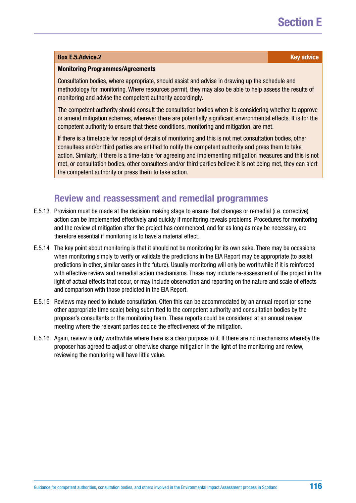#### **Box [E.5.Advice.](http://E.5.Advice)2 Key advice**

#### **Monitoring Programmes/Agreements**

Consultation bodies, where appropriate, should assist and advise in drawing up the schedule and methodology for monitoring. Where resources permit, they may also be able to help assess the results of monitoring and advise the competent authority accordingly.

The competent authority should consult the consultation bodies when it is considering whether to approve or amend mitigation schemes, wherever there are potentially significant environmental effects. It is for the competent authority to ensure that these conditions, monitoring and mitigation, are met.

If there is a timetable for receipt of details of monitoring and this is not met consultation bodies, other consultees and/or third parties are entitled to notify the competent authority and press them to take action. Similarly, if there is a time-table for agreeing and implementing mitigation measures and this is not met, or consultation bodies, other consultees and/or third parties believe it is not being met, they can alert the competent authority or press them to take action.

#### **Review and reassessment and remedial programmes**

- E.5.13 Provision must be made at the decision making stage to ensure that changes or remedial (i.e. corrective) action can be implemented effectively and quickly if monitoring reveals problems. Procedures for monitoring and the review of mitigation after the project has commenced, and for as long as may be necessary, are therefore essential if monitoring is to have a material effect.
- E.5.14 The key point about monitoring is that it should not be monitoring for its own sake. There may be occasions when monitoring simply to verify or validate the predictions in the EIA Report may be appropriate (to assist predictions in other, similar cases in the future). Usually monitoring will only be worthwhile if it is reinforced with effective review and remedial action mechanisms. These may include re-assessment of the project in the light of actual effects that occur, or may include observation and reporting on the nature and scale of effects and comparison with those predicted in the EIA Report.
- E.5.15 Reviews may need to include consultation. Often this can be accommodated by an annual report (or some other appropriate time scale) being submitted to the competent authority and consultation bodies by the proposer's consultants or the monitoring team. These reports could be considered at an annual review meeting where the relevant parties decide the effectiveness of the mitigation.
- E.5.16 Again, review is only worthwhile where there is a clear purpose to it. If there are no mechanisms whereby the proposer has agreed to adjust or otherwise change mitigation in the light of the monitoring and review, reviewing the monitoring will have little value.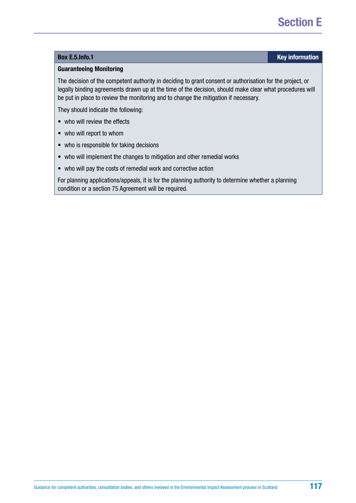#### **Box [E.5.Info.](http://E.5.Info)1 Key information**

#### **Guaranteeing Monitoring**

The decision of the competent authority in deciding to grant consent or authorisation for the project, or legally binding agreements drawn up at the time of the decision, should make clear what procedures will be put in place to review the monitoring and to change the mitigation if necessary.

They should indicate the following:

- who will review the effects
- who will report to whom
- who is responsible for taking decisions
- who will implement the changes to mitigation and other remedial works
- who will pay the costs of remedial work and corrective action

For planning applications/appeals, it is for the planning authority to determine whether a planning condition or a section 75 Agreement will be required.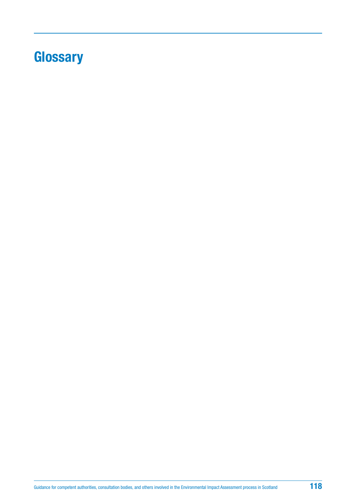# <span id="page-117-0"></span>**Glossary**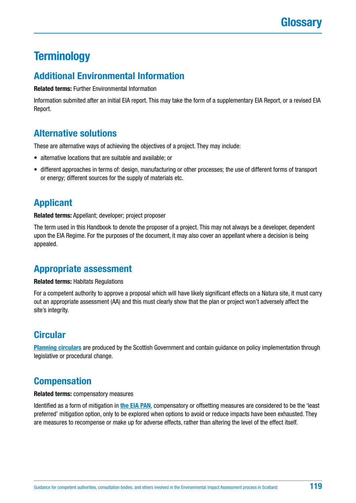# **Terminology**

#### **Additional Environmental Information**

**Related terms:** Further Environmental Information

Information submited after an initial EIA report. This may take the form of a supplementary EIA Report, or a revised EIA Report.

### **Alternative solutions**

These are alternative ways of achieving the objectives of a project. They may include:

- alternative locations that are suitable and available; or
- different approaches in terms of: design, manufacturing or other processes; the use of different forms of transport or energy; different sources for the supply of materials etc.

### **Applicant**

**Related terms:** Appellant; developer; project proposer

The term used in this Handbook to denote the proposer of a project. This may not always be a developer, dependent upon the EIA Regime. For the purposes of the document, it may also cover an appellant where a decision is being appealed.

### **Appropriate assessment**

**Related terms:** Habitats Regulations

For a competent authority to approve a proposal which will have likely significant effects on a Natura site, it must carry out an appropriate assessment (AA) and this must clearly show that the plan or project won't adversely affect the site's integrity.

### **Circular**

**[Planning circulars](http://www.gov.scot/Topics/Built-Environment/planning/publications/circulars)** are produced by the Scottish Government and contain guidance on policy implementation through legislative or procedural change.

### **Compensation**

#### **Related terms:** compensatory measures

Identified as a form of mitigation in **[the EIA PAN](http://www.gov.scot/Publications/2013/08/6471)**, compensatory or offsetting measures are considered to be the 'least preferred' mitigation option, only to be explored when options to avoid or reduce impacts have been exhausted. They are measures to recompense or make up for adverse effects, rather than altering the level of the effect itself.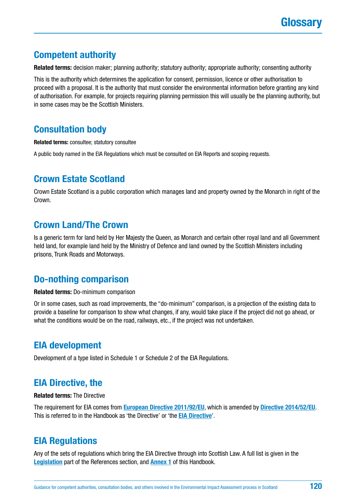

### **Competent authority**

**Related terms:** decision maker; planning authority; statutory authority; appropriate authority; consenting authority

This is the authority which determines the application for consent, permission, licence or other authorisation to proceed with a proposal. It is the authority that must consider the environmental information before granting any kind of authorisation. For example, for projects requiring planning permission this will usually be the planning authority, but in some cases may be the Scottish Ministers.

#### **Consultation body**

**Related terms:** consultee; statutory consultee

A public body named in the EIA Regulations which must be consulted on EIA Reports and scoping requests.

#### **Crown Estate Scotland**

Crown Estate Scotland is a public corporation which manages land and property owned by the Monarch in right of the Crown.

#### **Crown Land/The Crown**

Is a generic term for land held by Her Majesty the Queen, as Monarch and certain other royal land and all Government held land, for example land held by the Ministry of Defence and land owned by the Scottish Ministers including prisons, Trunk Roads and Motorways.

#### **Do-nothing comparison**

**Related terms:** Do-minimum comparison

Or in some cases, such as road improvements, the "do-minimum" comparison, is a projection of the existing data to provide a baseline for comparison to show what changes, if any, would take place if the project did not go ahead, or what the conditions would be on the road, railways, etc., if the project was not undertaken.

#### **EIA development**

Development of a type listed in Schedule 1 or Schedule 2 of the EIA Regulations.

#### **EIA Directive, the**

#### **Related terms:** The Directive

The requirement for EIA comes from **[European Directive 2011/92/EU](http://eur-lex.europa.eu/legal-content/EN/TXT/?uri=celex%3A32011L0092)**, which is amended by **[Directive 2014/52/EU](http://eur-lex.europa.eu/legal-content/EN/TXT/?uri=celex%3A32014L0052)**. This is referred to in the Handbook as 'the Directive' or 'the **[EIA Directive](http://ec.europa.eu/environment/eia/pdf/EIA_Directive_informal.pdf)**'.

### **EIA Regulations**

Any of the sets of regulations which bring the EIA Directive through into Scottish Law. A full list is given in the **[Legislation](#page-129-0)** part of the References section, and **[Annex 1](#page-137-0)** of this Handbook.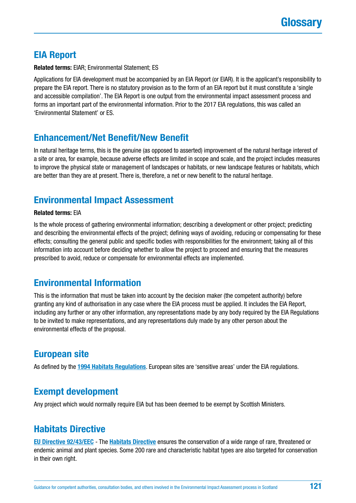## **EIA Report**

#### **Related terms:** EIAR; Environmental Statement; ES

Applications for EIA development must be accompanied by an EIA Report (or EIAR). It is the applicant's responsibility to prepare the EIA report. There is no statutory provision as to the form of an EIA report but it must constitute a 'single and accessible compilation'. The EIA Report is one output from the environmental impact assessment process and forms an important part of the environmental information. Prior to the 2017 EIA regulations, this was called an 'Environmental Statement' or ES.

### **Enhancement/Net Benefit/New Benefit**

In natural heritage terms, this is the genuine (as opposed to asserted) improvement of the natural heritage interest of a site or area, for example, because adverse effects are limited in scope and scale, and the project includes measures to improve the physical state or management of landscapes or habitats, or new landscape features or habitats, which are better than they are at present. There is, therefore, a net or new benefit to the natural heritage.

## **Environmental Impact Assessment**

#### **Related terms:** EIA

Is the whole process of gathering environmental information; describing a development or other project; predicting and describing the environmental effects of the project; defining ways of avoiding, reducing or compensating for these effects; consulting the general public and specific bodies with responsibilities for the environment; taking all of this information into account before deciding whether to allow the project to proceed and ensuring that the measures prescribed to avoid, reduce or compensate for environmental effects are implemented.

### **Environmental Information**

This is the information that must be taken into account by the decision maker (the competent authority) before granting any kind of authorisation in any case where the EIA process must be applied. It includes the EIA Report, including any further or any other information, any representations made by any body required by the EIA Regulations to be invited to make representations, and any representations duly made by any other person about the environmental effects of the proposal.

### **European site**

As defined by the **[1994 Habitats Regulations](http://www.legislation.gov.uk/uksi/1994/2716/contents/made)**. European sites are 'sensitive areas' under the EIA regulations.

#### **Exempt development**

Any project which would normally require EIA but has been deemed to be exempt by Scottish Ministers.

### **Habitats Directive**

**[EU Directive 92/43/EEC](http://eur-lex.europa.eu/legal-content/EN/TXT/?uri=CELEX:31992L0043)** - The **[Habitats Directive](http://ec.europa.eu/environment/nature/legislation/habitatsdirective/index_en.htm)** ensures the conservation of a wide range of rare, threatened or endemic animal and plant species. Some 200 rare and characteristic habitat types are also targeted for conservation in their own right.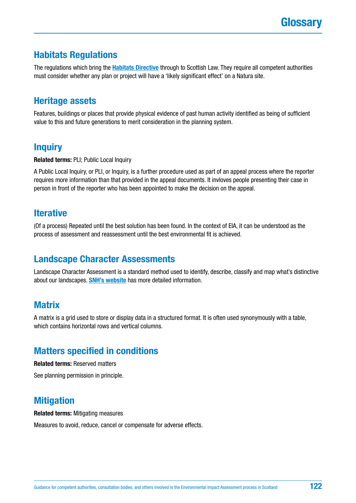### **Habitats Regulations**

The regulations which bring the **[Habitats Directive](http://ec.europa.eu/environment/nature/legislation/habitatsdirective/index_en.htm)** through to Scottish Law. They require all competent authorities must consider whether any plan or project will have a 'likely significant effect' on a Natura site.

#### **Heritage assets**

Features, buildings or places that provide physical evidence of past human activity identified as being of sufficient value to this and future generations to merit consideration in the planning system.

### **Inquiry**

**Related terms:** PLI; Public Local Inquiry

A Public Local Inquiry, or PLI, or Inquiry, is a further procedure used as part of an appeal process where the reporter requires more information than that provided in the appeal documents. It invloves people presenting their case in person in front of the reporter who has been appointed to make the decision on the appeal.

#### **Iterative**

(Of a process) Repeated until the best solution has been found. In the context of EIA, it can be understood as the process of assessment and reassessment until the best environmental fit is achieved.

### **Landscape Character Assessments**

Landscape Character Assessment is a standard method used to identify, describe, classify and map what's distinctive about our landscapes. **[SNH's website](https://www.nature.scot/professional-advice/landscape-change/landscape-character-assessment)** has more detailed information.

#### **Matrix**

A matrix is a grid used to store or display data in a structured format. It is often used synonymously with a table, which contains horizontal rows and vertical columns.

### **Matters specified in conditions**

**Related terms:** Reserved matters

See planning permission in principle.

### **Mitigation**

#### **Related terms:** Mitigating measures

Measures to avoid, reduce, cancel or compensate for adverse effects.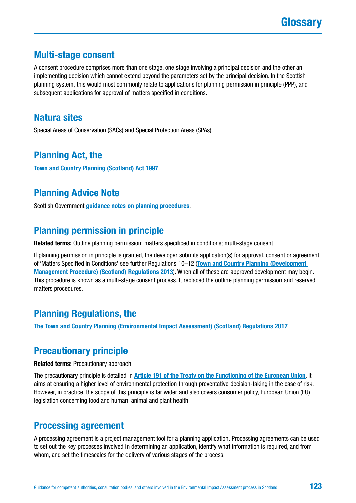#### **Multi-stage consent**

A consent procedure comprises more than one stage, one stage involving a principal decision and the other an implementing decision which cannot extend beyond the parameters set by the principal decision. In the Scottish planning system, this would most commonly relate to applications for planning permission in principle (PPP), and subsequent applications for approval of matters specified in conditions.

#### **Natura sites**

Special Areas of Conservation (SACs) and Special Protection Areas (SPAs).

### **Planning Act, the**

**[Town and Country Planning \(Scotland\) Act 1997](https://www.legislation.gov.uk/ukpga/1997/8/contents)**

#### **Planning Advice Note**

Scottish Government **[guidance notes on planning procedures](http://www.gov.scot/Topics/Built-Environment/planning/publications/pans)**.

### **Planning permission in principle**

**Related terms:** Outline planning permission; matters specificed in conditions; multi-stage consent

If planning permission in principle is granted, the developer submits application(s) for approval, consent or agreement of 'Matters Specified in Conditions' see further Regulations 10–12 (**[Town and Country Planning \(Development](http://www.legislation.gov.uk/ssi/2013/155/contents/made)  [Management Procedure\) \(Scotland\) Regulations 2013](http://www.legislation.gov.uk/ssi/2013/155/contents/made)**). When all of these are approved development may begin. This procedure is known as a multi-stage consent process. It replaced the outline planning permission and reserved matters procedures.

### **Planning Regulations, the**

**[The Town and Country Planning \(Environmental Impact Assessment\) \(Scotland\) Regulations 2017](http://www.legislation.gov.uk/ssi/2017/102/contents/made)**

### **Precautionary principle**

**Related terms:** Precautionary approach

The precautionary principle is detailed in **[Article 191 of the Treaty on the Functioning of the European Union](http://www.lisbon-treaty.org/wcm/the-lisbon-treaty/treaty-on-the-functioning-of-the-european-union-and-comments/part-3-union-policies-and-internal-actions/title-xx-environment-climate-change/479-article-191.html)**. It aims at ensuring a higher level of environmental protection through preventative decision-taking in the case of risk. However, in practice, the scope of this principle is far wider and also covers consumer policy, European Union (EU) legislation concerning food and human, animal and plant health.

#### **Processing agreement**

A processing agreement is a project management tool for a planning application. Processing agreements can be used to set out the key processes involved in determining an application, identify what information is required, and from whom, and set the timescales for the delivery of various stages of the process.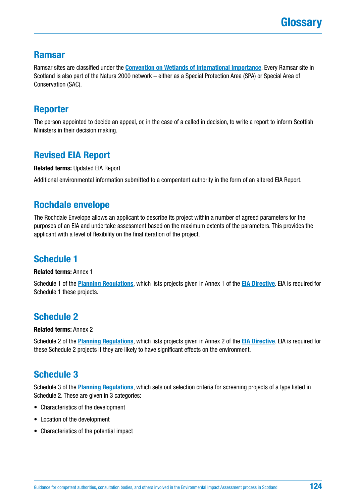#### **Ramsar**

Ramsar sites are classified under the **[Convention on Wetlands of International Importance](https://www.ramsar.org/)**. Every Ramsar site in Scotland is also part of the Natura 2000 network – either as a Special Protection Area (SPA) or Special Area of Conservation (SAC).

#### **Reporter**

The person appointed to decide an appeal, or, in the case of a called in decision, to write a report to inform Scottish Ministers in their decision making.

## **Revised EIA Report**

**Related terms:** Updated EIA Report

Additional environmental information submitted to a compentent authority in the form of an altered EIA Report.

### **Rochdale envelope**

The Rochdale Envelope allows an applicant to describe its project within a number of agreed parameters for the purposes of an EIA and undertake assessment based on the maximum extents of the parameters. This provides the applicant with a level of flexibility on the final iteration of the project.

## **Schedule 1**

**Related terms:** Annex 1

Schedule 1 of the **[Planning Regulations](http://www.legislation.gov.uk/ssi/2017/102/contents/made)**, which lists projects given in Annex 1 of the **[EIA Directive](http://ec.europa.eu/environment/eia/pdf/EIA_Directive_informal.pdf)**. EIA is required for Schedule 1 these projects.

## **Schedule 2**

#### **Related terms:** Annex 2

Schedule 2 of the **[Planning Regulations](http://www.legislation.gov.uk/ssi/2017/102/contents/made)**, which lists projects given in Annex 2 of the **[EIA Directive](http://ec.europa.eu/environment/eia/pdf/EIA_Directive_informal.pdf)**. EIA is required for these Schedule 2 projects if they are likely to have significant effects on the environment.

## **Schedule 3**

Schedule 3 of the **[Planning Regulations](http://www.legislation.gov.uk/ssi/2017/102/contents/made)**, which sets out selection criteria for screening projects of a type listed in Schedule 2. These are given in 3 categories:

- Characteristics of the development
- Location of the development
- Characteristics of the potential impact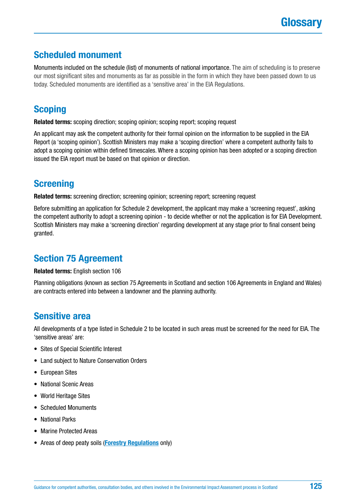### **Scheduled monument**

Monuments included on the schedule (list) of monuments of national importance. The aim of scheduling is to preserve our most significant sites and monuments as far as possible in the form in which they have been passed down to us today. Scheduled monuments are identified as a 'sensitive area' in the EIA Regulations.

### **Scoping**

**Related terms:** scoping direction; scoping opinion; scoping report; scoping request

An applicant may ask the competent authority for their formal opinion on the information to be supplied in the EIA Report (a 'scoping opinion'). Scottish Ministers may make a 'scoping direction' where a competent authority fails to adopt a scoping opinion within defined timescales. Where a scoping opinion has been adopted or a scoping direction issued the EIA report must be based on that opinion or direction.

### **Screening**

**Related terms:** screening direction; screening opinion; screening report; screening request

Before submitting an application for Schedule 2 development, the applicant may make a 'screening request', asking the competent authority to adopt a screening opinion - to decide whether or not the application is for EIA Development. Scottish Ministers may make a 'screening direction' regarding development at any stage prior to final consent being granted.

### **Section 75 Agreement**

**Related terms:** English section 106

Planning obligations (known as section 75 Agreements in Scotland and section 106 Agreements in England and Wales) are contracts entered into between a landowner and the planning authority.

### **Sensitive area**

All developments of a type listed in Schedule 2 to be located in such areas must be screened for the need for EIA. The 'sensitive areas' are:

- Sites of Special Scientific Interest
- Land subject to Nature Conservation Orders
- European Sites
- National Scenic Areas
- World Heritage Sites
- Scheduled Monuments
- National Parks
- Marine Protected Areas
- Areas of deep peaty soils (**[Forestry Regulations](http://www.legislation.gov.uk/ssi/2017/113/contents/made)** only)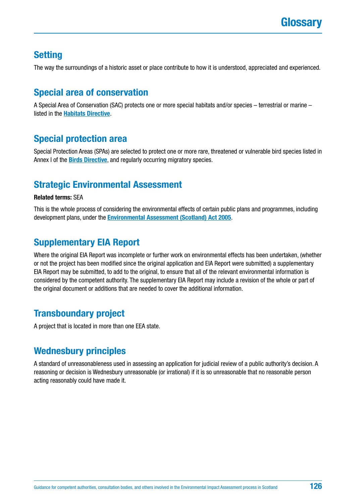### **Setting**

The way the surroundings of a historic asset or place contribute to how it is understood, appreciated and experienced.

## **Special area of conservation**

A Special Area of Conservation (SAC) protects one or more special habitats and/or species – terrestrial or marine – listed in the **[Habitats Directive](http://ec.europa.eu/environment/nature/legislation/habitatsdirective/index_en.htm)**.

### **Special protection area**

Special Protection Areas (SPAs) are selected to protect one or more rare, threatened or vulnerable bird species listed in Annex I of the **[Birds Directive](http://ec.europa.eu/environment/nature/legislation/birdsdirective/index_en.htm)**, and regularly occurring migratory species.

### **Strategic Environmental Assessment**

#### **Related terms:** SEA

This is the whole process of considering the environmental effects of certain public plans and programmes, including development plans, under the **[Environmental Assessment \(Scotland\) Act 2005](https://www.legislation.gov.uk/asp/2005/15/contents)**.

### **Supplementary EIA Report**

Where the original EIA Report was incomplete or further work on environmental effects has been undertaken, (whether or not the project has been modified since the original application and EIA Report were submitted) a supplementary EIA Report may be submitted, to add to the original, to ensure that all of the relevant environmental information is considered by the competent authority. The supplementary EIA Report may include a revision of the whole or part of the original document or additions that are needed to cover the additional information.

### **Transboundary project**

A project that is located in more than one EEA state.

### **Wednesbury principles**

A standard of unreasonableness used in assessing an application for judicial review of a public authority's decision. A reasoning or decision is Wednesbury unreasonable (or irrational) if it is so unreasonable that no reasonable person acting reasonably could have made it.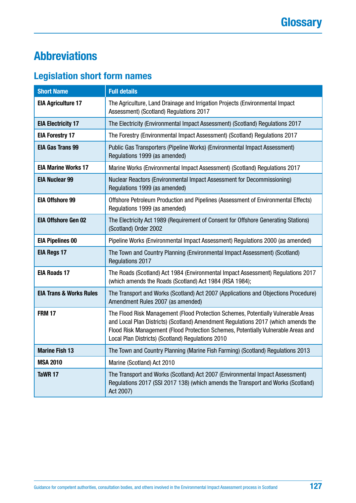# <span id="page-126-0"></span>**Abbreviations**

# **Legislation short form names**

| <b>Short Name</b>                  | <b>Full details</b>                                                                                                                                                                                                                                                                                              |
|------------------------------------|------------------------------------------------------------------------------------------------------------------------------------------------------------------------------------------------------------------------------------------------------------------------------------------------------------------|
| <b>EIA Agriculture 17</b>          | The Agriculture, Land Drainage and Irrigation Projects (Environmental Impact<br>Assessment) (Scotland) Regulations 2017                                                                                                                                                                                          |
| <b>EIA Electricity 17</b>          | The Electricity (Environmental Impact Assessment) (Scotland) Regulations 2017                                                                                                                                                                                                                                    |
| <b>EIA Forestry 17</b>             | The Forestry (Environmental Impact Assessment) (Scotland) Regulations 2017                                                                                                                                                                                                                                       |
| <b>EIA Gas Trans 99</b>            | Public Gas Transporters (Pipeline Works) (Environmental Impact Assessment)<br>Regulations 1999 (as amended)                                                                                                                                                                                                      |
| <b>EIA Marine Works 17</b>         | Marine Works (Environmental Impact Assessment) (Scotland) Regulations 2017                                                                                                                                                                                                                                       |
| <b>EIA Nuclear 99</b>              | Nuclear Reactors (Environmental Impact Assessment for Decommissioning)<br>Regulations 1999 (as amended)                                                                                                                                                                                                          |
| <b>EIA Offshore 99</b>             | Offshore Petroleum Production and Pipelines (Assessment of Environmental Effects)<br>Regulations 1999 (as amended)                                                                                                                                                                                               |
| <b>EIA Offshore Gen 02</b>         | The Electricity Act 1989 (Requirement of Consent for Offshore Generating Stations)<br>(Scotland) Order 2002                                                                                                                                                                                                      |
| <b>EIA Pipelines 00</b>            | Pipeline Works (Environmental Impact Assessment) Regulations 2000 (as amended)                                                                                                                                                                                                                                   |
| <b>EIA Regs 17</b>                 | The Town and Country Planning (Environmental Impact Assessment) (Scotland)<br>Regulations 2017                                                                                                                                                                                                                   |
| <b>EIA Roads 17</b>                | The Roads (Scotland) Act 1984 (Environmental Impact Assessment) Regulations 2017<br>(which amends the Roads (Scotland) Act 1984 (RSA 1984);                                                                                                                                                                      |
| <b>EIA Trans &amp; Works Rules</b> | The Transport and Works (Scotland) Act 2007 (Applications and Objections Procedure)<br>Amendment Rules 2007 (as amended)                                                                                                                                                                                         |
| <b>FRM 17</b>                      | The Flood Risk Management (Flood Protection Schemes, Potentially Vulnerable Areas<br>and Local Plan Districts) (Scotland) Amendment Regulations 2017 (which amends the<br>Flood Risk Management (Flood Protection Schemes, Potentially Vulnerable Areas and<br>Local Plan Districts) (Scotland) Regulations 2010 |
| <b>Marine Fish 13</b>              | The Town and Country Planning (Marine Fish Farming) (Scotland) Regulations 2013                                                                                                                                                                                                                                  |
| <b>MSA 2010</b>                    | Marine (Scotland) Act 2010                                                                                                                                                                                                                                                                                       |
| TaWR 17                            | The Transport and Works (Scotland) Act 2007 (Environmental Impact Assessment)<br>Regulations 2017 (SSI 2017 138) (which amends the Transport and Works (Scotland)<br>Act 2007)                                                                                                                                   |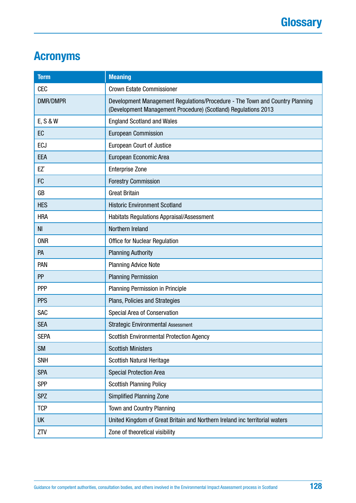# **Acronyms**

| <b>Term</b>     | <b>Meaning</b>                                                                                                                                 |
|-----------------|------------------------------------------------------------------------------------------------------------------------------------------------|
| <b>CEC</b>      | <b>Crown Estate Commissioner</b>                                                                                                               |
| <b>DMR/DMPR</b> | Development Management Regulations/Procedure - The Town and Country Planning<br>(Development Management Procedure) (Scotland) Regulations 2013 |
| E, S & W        | <b>England Scotland and Wales</b>                                                                                                              |
| EC              | <b>European Commission</b>                                                                                                                     |
| <b>ECJ</b>      | <b>European Court of Justice</b>                                                                                                               |
| EEA             | European Economic Area                                                                                                                         |
| EZ`             | <b>Enterprise Zone</b>                                                                                                                         |
| FC              | <b>Forestry Commission</b>                                                                                                                     |
| GB              | <b>Great Britain</b>                                                                                                                           |
| <b>HES</b>      | <b>Historic Environment Scotland</b>                                                                                                           |
| <b>HRA</b>      | <b>Habitats Regulations Appraisal/Assessment</b>                                                                                               |
| N <sub>1</sub>  | Northern Ireland                                                                                                                               |
| <b>ONR</b>      | <b>Office for Nuclear Regulation</b>                                                                                                           |
| PA              | <b>Planning Authority</b>                                                                                                                      |
| PAN             | <b>Planning Advice Note</b>                                                                                                                    |
| PP              | <b>Planning Permission</b>                                                                                                                     |
| <b>PPP</b>      | Planning Permission in Principle                                                                                                               |
| <b>PPS</b>      | Plans, Policies and Strategies                                                                                                                 |
| SAC             | Special Area of Conservation                                                                                                                   |
| <b>SEA</b>      | <b>Strategic Environmental Assessment</b>                                                                                                      |
| <b>SEPA</b>     | <b>Scottish Environmental Protection Agency</b>                                                                                                |
| <b>SM</b>       | <b>Scottish Ministers</b>                                                                                                                      |
| <b>SNH</b>      | Scottish Natural Heritage                                                                                                                      |
| <b>SPA</b>      | <b>Special Protection Area</b>                                                                                                                 |
| <b>SPP</b>      | <b>Scottish Planning Policy</b>                                                                                                                |
| <b>SPZ</b>      | <b>Simplified Planning Zone</b>                                                                                                                |
| <b>TCP</b>      | Town and Country Planning                                                                                                                      |
| <b>UK</b>       | United Kingdom of Great Britain and Northern Ireland inc territorial waters                                                                    |
| ZTV             | Zone of theoretical visibility                                                                                                                 |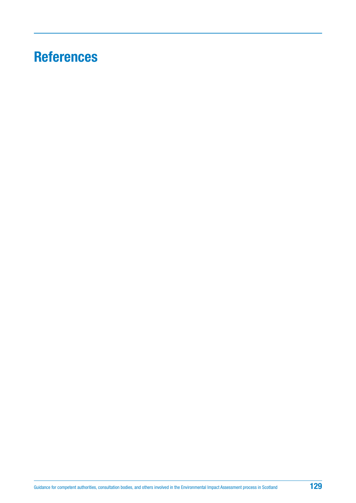# **References**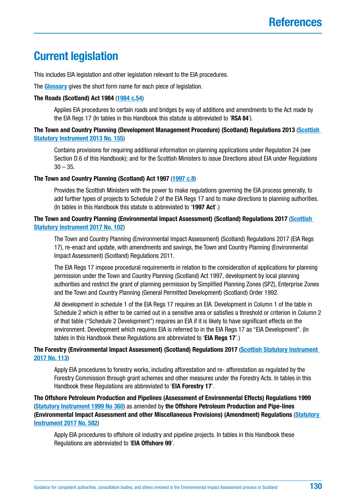# <span id="page-129-0"></span>**Current legislation**

This includes EIA legislation and other legislation relevant to the EIA procedures.

The **[Glossary](#page-117-0)** gives the short form name for each piece of legislation.

#### **The Roads (Scotland) Act 1984** (**[1984 c.54](https://www.legislation.gov.uk/ukpga/1984/54/contents)**)

Applies EIA procedures to certain roads and bridges by way of additions and amendments to the Act made by the EIA Regs 17 (In tables in this Handbook this statute is abbreviated to '**RSA 84**').

#### **The Town and Country Planning (Development Management Procedure) (Scotland) Regulations 2013** (**[Scottish](http://www.legislation.gov.uk/ssi/2013/155/contents/made)  [Statutory Instrument 2013 No. 155](http://www.legislation.gov.uk/ssi/2013/155/contents/made)**)

Contains provisions for requiring additional information on planning applications under Regulation 24 (see Section D.6 of this Handbook); and for the Scottish Ministers to issue Directions about EIA under Regulations  $30 - 35.$ 

#### **The Town and Country Planning (Scotland) Act 1997** (**[1997 c.8](https://www.legislation.gov.uk/ukpga/1997/8)**)

Provides the Scottish Ministers with the power to make regulations governing the EIA process generally, to add further types of projects to Schedule 2 of the EIA Regs 17 and to make directions to planning authorities. (In tables in this Handbook this statute is abbreviated to '**1997 Act**'.)

#### **The Town and Country Planning (Environmental Impact Assessment) (Scotland) Regulations 2017** (**[Scottish](http://www.legislation.gov.uk/ssi/2017/102/contents/made)  [Statutory Instrument 2017 No. 102](http://www.legislation.gov.uk/ssi/2017/102/contents/made)**)

The Town and Country Planning (Environmental Impact Assessment) (Scotland) Regulations 2017 (EIA Regs 17), re-enact and update, with amendments and savings, the Town and Country Planning (Environmental Impact Assessment) (Scotland) Regulations 2011.

The EIA Regs 17 impose procedural requirements in relation to the consideration of applications for planning permission under the Town and Country Planning (Scotland) Act 1997, development by local planning authorities and restrict the grant of planning permission by Simplified Planning Zones (SPZ), Enterprise Zones and the Town and Country Planning (General Permitted Development) (Scotland) Order 1992.

All development in schedule 1 of the EIA Regs 17 requires an EIA. Development in Column 1 of the table in Schedule 2 which is either to be carried out in a sensitive area or satisfies a threshold or criterion in Column 2 of that table ("Schedule 2 Development") requires an EIA if it is likely to have significant effects on the environment. Development which requires EIA is referred to in the EIA Regs 17 as "EIA Development". (In tables in this Handbook these Regulations are abbreviated to '**EIA Regs 17**'.)

#### **The Forestry (Environmental Impact Assessment) (Scotland) Regulations 2017** (**[Scottish Statutory Instrument](http://www.legislation.gov.uk/ssi/2017/113/contents/made)  [2017 No. 113](http://www.legislation.gov.uk/ssi/2017/113/contents/made)**)

Apply EIA procedures to forestry works, including afforestation and re- afforestation as regulated by the Forestry Commission through grant schemes and other measures under the Forestry Acts. In tables in this Handbook these Regulations are abbreviated to '**EIA Forestry 17**'.

**The Offshore Petroleum Production and Pipelines (Assessment of Environmental Effects) Regulations 1999** (**[Statutory Instrument 1999 No 360](http://www.legislation.gov.uk/uksi/1999/360/contents/made)**) as amended by **the Offshore Petroleum Production and Pipe-lines (Environmental Impact Assessment and other Miscellaneous Provisions) (Amendment) Regulations** (**[Statutory](http://www.legislation.gov.uk/uksi/2017/582/contents/made)  [Instrument 2017 No. 582](http://www.legislation.gov.uk/uksi/2017/582/contents/made)**)

Apply EIA procedures to offshore oil industry and pipeline projects. In tables in this Handbook these Regulations are abbreviated to '**EIA Offshore 99**'.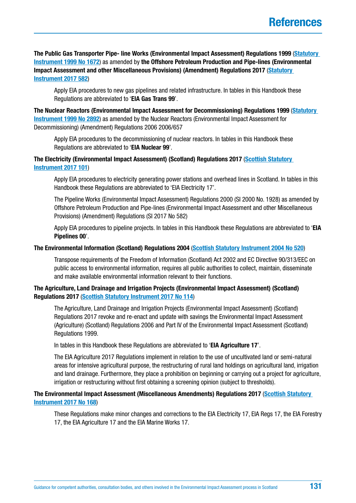**The Public Gas Transporter Pipe- line Works (Environmental Impact Assessment) Regulations 1999** (**[Statutory](https://www.legislation.gov.uk/uksi/1999/1672/contents/made)  [Instrument 1999 No 1672](https://www.legislation.gov.uk/uksi/1999/1672/contents/made)**) as amended by **the Offshore Petroleum Production and Pipe-lines (Environmental Impact Assessment and other Miscellaneous Provisions) (Amendment) Regulations 2017** (**[Statutory](http://www.legislation.gov.uk/uksi/2017/582/contents/made)  [Instrument 2017 582](http://www.legislation.gov.uk/uksi/2017/582/contents/made)**)

Apply EIA procedures to new gas pipelines and related infrastructure. In tables in this Handbook these Regulations are abbreviated to '**EIA Gas Trans 99**'.

**The Nuclear Reactors (Environmental Impact Assessment for Decommissioning) Regulations 1999** (**[Statutory](https://www.legislation.gov.uk/uksi/1999/2892/contents/made)  [Instrument 1999 No 2892](https://www.legislation.gov.uk/uksi/1999/2892/contents/made)**) as amended by the Nuclear Reactors (Environmental Impact Assessment for Decommissioning) (Amendment) Regulations 2006 2006/657

Apply EIA procedures to the decommissioning of nuclear reactors. In tables in this Handbook these Regulations are abbreviated to '**EIA Nuclear 99**'.

#### **The Electricity (Environmental Impact Assessment) (Scotland) Regulations 2017** (**[Scottish Statutory](https://www.legislation.gov.uk/ssi/2017/101/introduction/made)  [Instrument 2017 101](https://www.legislation.gov.uk/ssi/2017/101/introduction/made)**)

Apply EIA procedures to electricity generating power stations and overhead lines in Scotland. In tables in this Handbook these Regulations are abbreviated to 'EIA Electricity 17'.

The Pipeline Works (Environmental Impact Assessment) Regulations 2000 (SI 2000 No. 1928) as amended by Offshore Petroleum Production and Pipe-lines (Environmental Impact Assessment and other Miscellaneous Provisions) (Amendment) Regulations (SI 2017 No 582)

Apply EIA procedures to pipeline projects. In tables in this Handbook these Regulations are abbreviated to '**EIA Pipelines 00**'.

#### **The Environmental Information (Scotland) Regulations 2004** (**[Scottish Statutory Instrument 2004 No 520](http://www.legislation.gov.uk/ssi/2004/520/pdfs/ssi_20040520_en.pdf)**)

Transpose requirements of the Freedom of Information (Scotland) Act 2002 and EC Directive 90/313/EEC on public access to environmental information, requires all public authorities to collect, maintain, disseminate and make available environmental information relevant to their functions.

#### **The Agriculture, Land Drainage and Irrigation Projects (Environmental Impact Assessment) (Scotland) Regulations 2017** (**[Scottish Statutory Instrument 2017 No 114](https://www.legislation.gov.uk/ssi/2017/114/contents/made)**)

The Agriculture, Land Drainage and Irrigation Projects (Environmental Impact Assessment) (Scotland) Regulations 2017 revoke and re-enact and update with savings the Environmental Impact Assessment (Agriculture) (Scotland) Regulations 2006 and Part IV of the Environmental Impact Assessment (Scotland) Regulations 1999.

In tables in this Handbook these Regulations are abbreviated to '**EIA Agriculture 17**'.

The EIA Agriculture 2017 Regulations implement in relation to the use of uncultivated land or semi-natural areas for intensive agricultural purpose, the restructuring of rural land holdings on agricultural land, irrigation and land drainage. Furthermore, they place a prohibition on beginning or carrying out a project for agriculture, irrigation or restructuring without first obtaining a screening opinion (subject to thresholds).

#### **The Environmental Impact Assessment (Miscellaneous Amendments) Regulations 2017** (**[Scottish Statutory](http://www.legislation.gov.uk/ssi/2017/168/contents/made)  [Instrument 2017 No 168](http://www.legislation.gov.uk/ssi/2017/168/contents/made)**)

These Regulations make minor changes and corrections to the EIA Electricity 17, EIA Regs 17, the EIA Forestry 17, the EIA Agriculture 17 and the EIA Marine Works 17.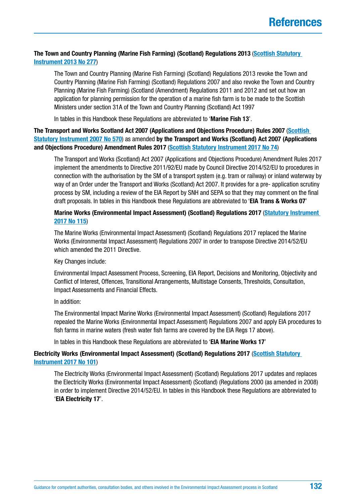#### **The Town and Country Planning (Marine Fish Farming) (Scotland) Regulations 2013** (**[Scottish Statutory](https://www.legislation.gov.uk/ssi/2013/277/contents/made)  [Instrument 2013 No 277](https://www.legislation.gov.uk/ssi/2013/277/contents/made)**)

The Town and Country Planning (Marine Fish Farming) (Scotland) Regulations 2013 revoke the Town and Country Planning (Marine Fish Farming) (Scotland) Regulations 2007 and also revoke the Town and Country Planning (Marine Fish Farming) (Scotland (Amendment) Regulations 2011 and 2012 and set out how an application for planning permission for the operation of a marine fish farm is to be made to the Scottish Ministers under section 31A of the Town and Country Planning (Scotland) Act 1997

In tables in this Handbook these Regulations are abbreviated to '**Marine Fish 13**'.

**The Transport and Works Scotland Act 2007 (Applications and Objections Procedure) Rules 2007** (**[Scottish](http://www.legislation.gov.uk/ssi/2007/570/contents/made)  [Statutory Instrument 2007 No 570](http://www.legislation.gov.uk/ssi/2007/570/contents/made)**) as amended **by the Transport and Works (Scotland) Act 2007 (Applications and Objections Procedure) Amendment Rules 2017** (**[Scottish Statutory Instrument 2017 No 74](https://www.legislation.gov.uk/ssi/2017/74/introduction/made)**)

The Transport and Works (Scotland) Act 2007 (Applications and Objections Procedure) Amendment Rules 2017 implement the amendments to Directive 2011/92/EU made by Council Directive 2014/52/EU to procedures in connection with the authorisation by the SM of a transport system (e.g. tram or railway) or inland waterway by way of an Order under the Transport and Works (Scotland) Act 2007. It provides for a pre- application scrutiny process by SM, including a review of the EIA Report by SNH and SEPA so that they may comment on the final draft proposals. In tables in this Handbook these Regulations are abbreviated to '**EIA Trans & Works 07**'

#### **Marine Works (Environmental Impact Assessment) (Scotland) Regulations 2017** (**[Statutory Instrument](https://www.legislation.gov.uk/ssi/2017/115/introduction/made)  [2017 No 115](https://www.legislation.gov.uk/ssi/2017/115/introduction/made)**)

The Marine Works (Environmental Impact Assessment) (Scotland) Regulations 2017 replaced the Marine Works (Environmental Impact Assessment) Regulations 2007 in order to transpose Directive 2014/52/EU which amended the 2011 Directive.

Key Changes include:

Environmental Impact Assessment Process, Screening, EIA Report, Decisions and Monitoring, Objectivity and Conflict of Interest, Offences, Transitional Arrangements, Multistage Consents, Thresholds, Consultation, Impact Assessments and Financial Effects.

In addition:

The Environmental Impact Marine Works (Environmental Impact Assessment) (Scotland) Regulations 2017 repealed the Marine Works (Environmental Impact Assessment) Regulations 2007 and apply EIA procedures to fish farms in marine waters (fresh water fish farms are covered by the EIA Regs 17 above).

In tables in this Handbook these Regulations are abbreviated to '**EIA Marine Works 17**'

#### **Electricity Works (Environmental Impact Assessment) (Scotland) Regulations 2017** (**[Scottish Statutory](https://www.legislation.gov.uk/ssi/2017/101/introduction/made)  [Instrument 2017 No 101](https://www.legislation.gov.uk/ssi/2017/101/introduction/made)**)

The Electricity Works (Environmental Impact Assessment) (Scotland) Regulations 2017 updates and replaces the Electricity Works (Environmental Impact Assessment) (Scotland) (Regulations 2000 (as amended in 2008) in order to implement Directive 2014/52/EU. In tables in this Handbook these Regulations are abbreviated to '**EIA Electricity 17**'.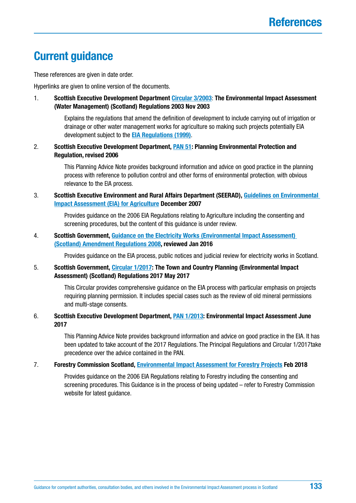# **Current guidance**

These references are given in date order.

Hyperlinks are given to online version of the documents.

1. **Scottish Executive Development Department [Circular 3/2003](http://www.gov.scot/Publications/2003/11/18481/28782)**: **The Environmental Impact Assessment (Water Management) (Scotland) Regulations 2003 Nov 2003**

> Explains the regulations that amend the definition of development to include carrying out of irrigation or drainage or other water management works for agriculture so making such projects potentially EIA development subject to the **[EIA Regulations \(1999\)](http://www.legislation.gov.uk/ssi/1999/1/contents/made)**.

2. **Scottish Executive Development Department, [PAN 51](http://www.gov.scot/Publications/2006/10/20095106/0): Planning Environmental Protection and Regulation, revised 2006**

> This Planning Advice Note provides background information and advice on good practice in the planning process with reference to pollution control and other forms of environmental protection, with obvious relevance to the EIA process.

3. **Scottish Executive Environment and Rural Affairs Department (SEERAD), [Guidelines on Environmental](http://www.gov.scot/Resource/Doc/30701/0044119.pdf)  [Impact Assessment \(EIA\) for Agriculture](http://www.gov.scot/Resource/Doc/30701/0044119.pdf) December 2007**

> Provides guidance on the 2006 EIA Regulations relating to Agriculture including the consenting and screening procedures, but the content of this guidance is under review.

4. **Scottish Government, [Guidance on the Electricity Works \(Environmental Impact Assessment\)](http://www.gov.scot/Topics/Business-Industry/Energy/Infrastructure/Energy-Consents/Guidance/EIA-Amendment-Regs-2008)  [\(Scotland\) Amendment Regulations 2008,](http://www.gov.scot/Topics/Business-Industry/Energy/Infrastructure/Energy-Consents/Guidance/EIA-Amendment-Regs-2008) reviewed Jan 2016**

Provides guidance on the EIA process, public notices and judicial review for electricity works in Scotland.

5. **Scottish Government, [Circular 1/2017](http://www.gov.scot/Publications/2017/05/6292): The Town and Country Planning (Environmental Impact Assessment) (Scotland) Regulations 2017 May 2017** 

> This Circular provides comprehensive guidance on the EIA process with particular emphasis on projects requiring planning permission. It includes special cases such as the review of old mineral permissions and multi-stage consents.

6. **Scottish Executive Development Department, [PAN 1/2013:](http://www.gov.scot/Publications/2013/08/6471) Environmental Impact Assessment June 2017** 

> This Planning Advice Note provides background information and advice on good practice in the EIA. It has been updated to take account of the 2017 Regulations. The Principal Regulations and Circular 1/2017take precedence over the advice contained in the PAN.

7. **Forestry Commission Scotland, [Environmental Impact Assessment for Forestry Projects](http://scotland.forestry.gov.uk/images/corporate/pdf/environmental-impact-assessment-for-forestry-projects.PDF) Feb 2018**

Provides guidance on the 2006 EIA Regulations relating to Forestry including the consenting and screening procedures. This Guidance is in the process of being updated – refer to Forestry Commission website for latest guidance.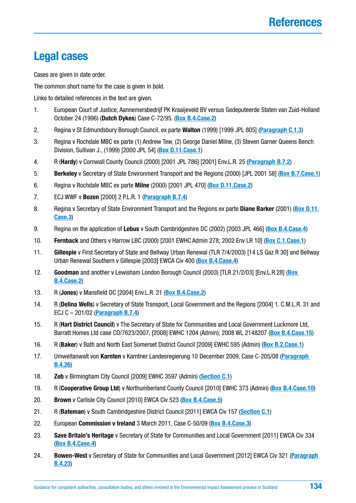# **Legal cases**

Cases are given in date order.

The common short name for the case is given in bold.

Links to detailed references in the text are given.

- 1. European Court of Justice, Aannemersbedrijf PK Kraaijeveld BV versus Gedeputeerde Staten van Zuid-Holland October 24 (1996) (**Dutch Dykes**) Case C-72/95. (**[Box B.4.Case.2](#page-23-0)**)
- 2. Regina v St Edmundsbury Borough Council, ex parte **Walton** (1999) [1999 JPL 805] (**[Paragraph C.1.3](#page-48-0)**)
- 3. Regina v Rochdale MBC ex parte (1) Andrew Tew, (2) George Daniel Milne, (3) Steven Garner Queens Bench Division, Sullivan J., (1999) [2000 JPL 54] (**[Box D.11.Case.1](#page-102-0)**)
- 4. R (**Hardy**) v Cornwall County Council (2000) [2001 JPL 786] [2001] Env.L.R. 25 (**[Paragraph B.7.2](#page-42-0)**)
- 5. **Berkeley** v Secretary of State Environment Transport and the Regions (2000) [JPL 2001 58] (**[Box B.7.Case.1](#page-42-0)**)
- 6. Regina v Rochdale MBC ex parte **Milne** (2000) [2001 JPL 470] (**[Box D.11.Case.2](#page-102-0)**)
- 7. ECJ WWF v **Bozen** [2000] 2 P.L.R. 1 (**[Paragraph B.7.4](#page-95-0)**)
- 8. Regina v Secretary of State Environment Transport and the Regions ex parte **Diane Barker** (2001) (**[Box D.11.](#page-103-0) [Case.3](#page-103-0)**)
- 9. Regina on the application of **Lebus** v South Cambridgeshire DC (2002) [2003 JPL 466] (**[Box B.4.Case.4](#page-24-0)**)
- 10. **Fernback** and Others v Harrow LBC (2000) [2001 EWHC Admin 278; 2002 Env LR 10] (**[Box C.1.Case.1](#page-50-0)**)
- 11. **Gillespie** v First Secretary of State and Bellway Urban Renewal (TLR 7/4/2003) [14 LS Gaz R 30] and Bellway Urban Renewal Southern v Gillespie [2003] EWCA Civ 400 (**[Box B.4.Case.4](#page-24-0)**)
- 12. **Goodman** and another v Lewisham London Borough Council (2003) [TLR 21/2/03] [Env.L.R.28] (**[Box](#page-23-0)  [B.4.Case.2](#page-23-0)**)
- 13. R (**Jones**) v Mansfield DC [2004] Env.L.R. 21 (**[Box B.4.Case.2](#page-23-0)**)
- 14. R (**Delina Wells**) v Secretary of State Transport, Local Government and the Regions [2004] 1. C.M.L.R. 31 and ECJ C – 201/02 (**[Paragraph B.7.4](#page-42-0)**)
- 15. R (**Hart District Council**) v The Secretary of State for Communities and Local Government Luckmore Ltd, Barratt Homes Ltd case CO/7623/2007, [2008] EWHC 1204 (Admin); 2008 WL 2148207 (**[Box B.4.Case.15](#page-34-0)**)
- 16. R (**Baker**) v Bath and North East Somerset District Council [2009] EWHC 595 (Admin) (**[Box B.2.Case.1](#page-18-0)**)
- 17. Umweltanwalt von **Karnten** v Karntner Landesregierung 10 December 2009, Case C-205/08 (**[Paragraph](#page-25-0)  [B.4.26](#page-25-0)**)
- 18. **Zeb** v Birmingham City Council [2009] EWHC 3597 (Admin) (**[Section C.1](#page-48-0)**)
- 19. R (**Cooperative Group Ltd**) v Northumberland County Council [2010] EWHC 373 (Admin) (**[Box B.4.Case.10](#page-30-0)**)
- 20. **Brown** v Carlisle City Council [2010] EWCA Civ 523 (**[Box B.4.Case.5](#page-27-0)**)
- 21. R (**Bateman**) v South Cambridgeshire District Council [2011] EWCA Civ 157 (**[Section C.1](#page-48-0)**)
- 22. European **Commission v Ireland** 3 March 2011, Case C-50/09 (**[Box B.4.Case.3](#page-24-0)**)
- 23. **Save Britain's Heritage** v Secretary of State for Communities and Local Government [2011] EWCA Civ 334 (**[Box B.4.Case.4](#page-24-0)**)
- 24. **Bowen-West** v Secretary of State for Communities and Local Government [2012] EWCA Civ 321 (**[Paragraph](#page-27-0)  [B.4.23](#page-27-0)**)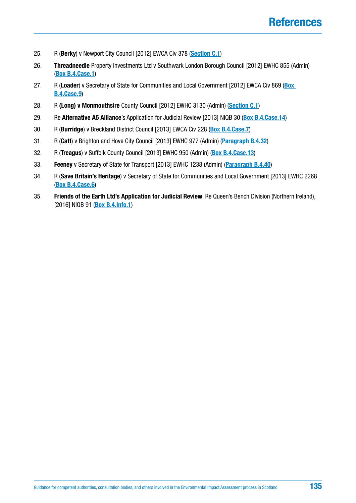- 25. R (**Berky**) v Newport City Council [2012] EWCA Civ 378 (**[Section C.1](#page-48-0)**)
- 26. **Threadneedle** Property Investments Ltd v Southwark London Borough Council [2012] EWHC 855 (Admin) (**[Box B.4.Case.1](#page-22-0)**)
- 27. R (**Loader**) v Secretary of State for Communities and Local Government [2012] EWCA Civ 869 (**[Box](#page-30-0)  [B.4.Case.9](#page-30-0)**)
- 28. R **(Long) v Monmouthsire** County Council [2012] EWHC 3130 (Admin) (**[Section C.1](#page-48-0)**)
- 29. Re **Alternative A5 Alliance**'s Application for Judicial Review [2013] NIQB 30 (**[Box B.4.Case.14](#page-33-0)**)
- 30. R (**Burridge**) v Breckland District Council [2013] EWCA Civ 228 (**[Box B.4.Case.7](#page-28-0)**)
- 31. R (**Catt**) v Brighton and Hove City Council [2013] EWHC 977 (Admin) (**[Paragraph B.4.32](#page-29-0)**)
- 32. R (**Treagus**) v Suffolk County Council [2013] EWHC 950 (Admin) (**[Box B.4.Case.13](#page-33-0)**)
- 33. **Feeney** v Secretary of State for Transport [2013] EWHC 1238 (Admin) (**[Paragraph B.4.40](#page-33-0)**)
- 34. R (**Save Britain's Heritage**) v Secretary of State for Communities and Local Government [2013] EWHC 2268 (**[Box B.4.Case.6](#page-28-0)**)
- 35. **Friends of the Earth Ltd's Application for Judicial Review**, Re Queen's Bench Division (Northern Ireland), [2016] NIQB 91 (**[Box B.4.Info.1](#page-22-0)**)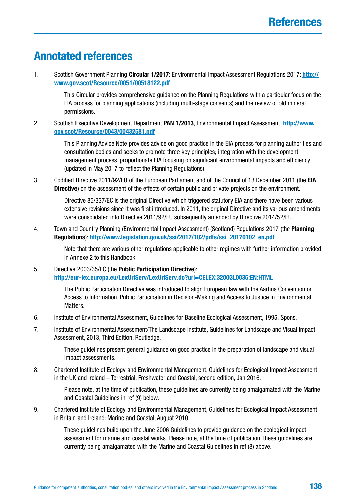# **Annotated references**

1. Scottish Government Planning **Circular 1/2017**: Environmental Impact Assessment Regulations 2017: **[http://](http://www.gov.scot/Resource/0051/00518122.pdf) [www.gov.scot/Resource/0051/00518122.pdf](http://www.gov.scot/Resource/0051/00518122.pdf)**

> This Circular provides comprehensive guidance on the Planning Regulations with a particular focus on the EIA process for planning applications (including multi-stage consents) and the review of old mineral permissions.

2. Scottish Executive Development Department **PAN 1/2013**, Environmental Impact Assessment: **[http://www.](http://www.gov.scot/Resource/0043/00432581.pdf) [gov.scot/Resource/0043/00432581.pdf](http://www.gov.scot/Resource/0043/00432581.pdf)**

> This Planning Advice Note provides advice on good practice in the EIA process for planning authorities and consultation bodies and seeks to promote three key principles; integration with the development management process, proportionate EIA focusing on significant environmental impacts and efficiency (updated in May 2017 to reflect the Planning Regulations).

3. Codified Directive 2011/92/EU of the European Parliament and of the Council of 13 December 2011 (the **EIA Directive**) on the assessment of the effects of certain public and private projects on the environment.

> Directive 85/337/EC is the original Directive which triggered statutory EIA and there have been various extensive revisions since it was first introduced. In 2011, the original Directive and its various amendments were consolidated into Directive 2011/92/EU subsequently amended by Directive 2014/52/EU.

4. Town and Country Planning (Environmental Impact Assessment) (Scotland) Regulations 2017 (the **Planning Regulations**): **[http://www.legislation.gov.uk/ssi/2017/102/pdfs/ssi\\_20170102\\_en.pdf](http://www.legislation.gov.uk/ssi/2017/102/pdfs/ssi_20170102_en.pdf)**

> Note that there are various other regulations applicable to other regimes with further information provided in Annexe 2 to this Handbook.

5. Directive 2003/35/EC (the **Public Participation Directive**): **<http://eur-lex.europa.eu/LexUriServ/LexUriServ.do?uri=CELEX:32003L0035:EN:HTML>**

> The Public Participation Directive was introduced to align European law with the Aarhus Convention on Access to Information, Public Participation in Decision-Making and Access to Justice in Environmental Matters.

- 6. Institute of Environmental Assessment, Guidelines for Baseline Ecological Assessment, 1995, Spons.
- 7. Institute of Environmental Assessment/The Landscape Institute, Guidelines for Landscape and Visual Impact Assessment, 2013, Third Edition, Routledge.

These guidelines present general guidance on good practice in the preparation of landscape and visual impact assessments.

8. Chartered Institute of Ecology and Environmental Management, Guidelines for Ecological Impact Assessment in the UK and Ireland – Terrestrial, Freshwater and Coastal, second edition, Jan 2016.

> Please note, at the time of publication, these guidelines are currently being amalgamated with the Marine and Coastal Guidelines in ref (9) below.

9. Chartered Institute of Ecology and Environmental Management, Guidelines for Ecological Impact Assessment in Britain and Ireland: Marine and Coastal, August 2010.

> These guidelines build upon the June 2006 Guidelines to provide guidance on the ecological impact assessment for marine and coastal works. Please note, at the time of publication, these guidelines are currently being amalgamated with the Marine and Coastal Guidelines in ref (8) above.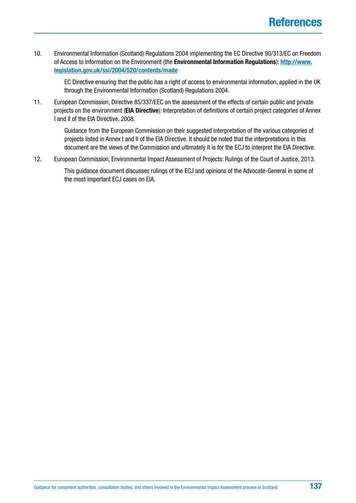10. Environmental Information (Scotland) Regulations 2004 implementing the EC Directive 90/313/EC on Freedom of Access to Information on the Environment (the **Environmental Information Regulations**): **[http://www.](http://www.legislation.gov.uk/ssi/2004/520/contents/made) [legislation.gov.uk/ssi/2004/520/contents/made](http://www.legislation.gov.uk/ssi/2004/520/contents/made)**

> EC Directive ensuring that the public has a right of access to environmental information, applied in the UK through the Environmental Information (Scotland) Regulations 2004.

11. European Commission, Directive 85/337/EEC on the assessment of the effects of certain public and private projects on the environment (**EIA Directive**): Interpretation of definitions of certain project categories of Annex I and II of the EIA Directive, 2008.

> Guidance from the European Commission on their suggested interpretation of the various categories of projects listed in Annex I and II of the EIA Directive. It should be noted that the interpretations in this document are the views of the Commission and ultimately it is for the ECJ to interpret the EIA Directive.

12. European Commission, Environmental Impact Assessment of Projects: Rulings of the Court of Justice, 2013.

This guidance document discusses rulings of the ECJ and opinions of the Advocate-General in some of the most important ECJ cases on EIA.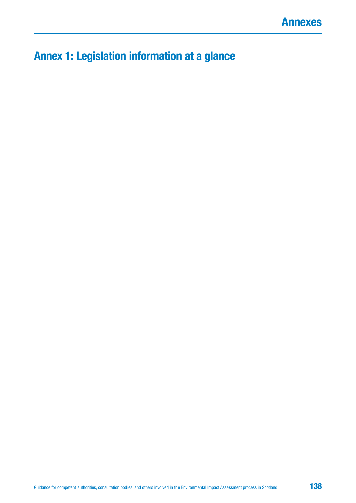# <span id="page-137-0"></span>**Annex 1: Legislation information at a glance**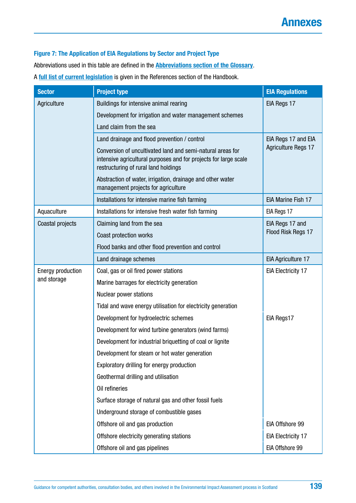#### **Figure 7: The Application of EIA Regulations by Sector and Project Type**

Abbreviations used in this table are defined in the **[Abbreviations section of the Glossary](#page-126-0)**.

#### A **[full list of current legislation](#page-129-0)** is given in the References section of the Handbook.

| <b>Sector</b>            | <b>Project type</b>                                                                                                                                                    | <b>EIA Regulations</b>     |  |  |  |
|--------------------------|------------------------------------------------------------------------------------------------------------------------------------------------------------------------|----------------------------|--|--|--|
| Agriculture              | Buildings for intensive animal rearing                                                                                                                                 | EIA Regs 17                |  |  |  |
|                          | Development for irrigation and water management schemes                                                                                                                |                            |  |  |  |
|                          | Land claim from the sea                                                                                                                                                |                            |  |  |  |
|                          | Land drainage and flood prevention / control                                                                                                                           | EIA Regs 17 and EIA        |  |  |  |
|                          | Conversion of uncultivated land and semi-natural areas for<br>intensive agricultural purposes and for projects for large scale<br>restructuring of rural land holdings | <b>Agriculture Regs 17</b> |  |  |  |
|                          | Abstraction of water, irrigation, drainage and other water<br>management projects for agriculture                                                                      |                            |  |  |  |
|                          | Installations for intensive marine fish farming                                                                                                                        | <b>EIA Marine Fish 17</b>  |  |  |  |
| Aquaculture              | Installations for intensive fresh water fish farming                                                                                                                   | EIA Regs 17                |  |  |  |
| Coastal projects         | Claiming land from the sea                                                                                                                                             | EIA Regs 17 and            |  |  |  |
|                          | Coast protection works                                                                                                                                                 | Flood Risk Regs 17         |  |  |  |
|                          | Flood banks and other flood prevention and control                                                                                                                     |                            |  |  |  |
|                          | Land drainage schemes                                                                                                                                                  | EIA Agriculture 17         |  |  |  |
| <b>Energy production</b> | Coal, gas or oil fired power stations                                                                                                                                  | <b>EIA Electricity 17</b>  |  |  |  |
| and storage              | Marine barrages for electricity generation                                                                                                                             |                            |  |  |  |
|                          | Nuclear power stations                                                                                                                                                 |                            |  |  |  |
|                          | Tidal and wave energy utilisation for electricity generation                                                                                                           |                            |  |  |  |
|                          | Development for hydroelectric schemes                                                                                                                                  | EIA Regs17                 |  |  |  |
|                          | Development for wind turbine generators (wind farms)                                                                                                                   |                            |  |  |  |
|                          | Development for industrial briquetting of coal or lignite                                                                                                              |                            |  |  |  |
|                          | Development for steam or hot water generation                                                                                                                          |                            |  |  |  |
|                          | Exploratory drilling for energy production                                                                                                                             |                            |  |  |  |
|                          | Geothermal drilling and utilisation                                                                                                                                    |                            |  |  |  |
|                          | Oil refineries                                                                                                                                                         |                            |  |  |  |
|                          | Surface storage of natural gas and other fossil fuels                                                                                                                  |                            |  |  |  |
|                          | Underground storage of combustible gases                                                                                                                               |                            |  |  |  |
|                          | Offshore oil and gas production                                                                                                                                        | EIA Offshore 99            |  |  |  |
|                          | Offshore electricity generating stations                                                                                                                               | <b>EIA Electricity 17</b>  |  |  |  |
|                          | Offshore oil and gas pipelines                                                                                                                                         | EIA Offshore 99            |  |  |  |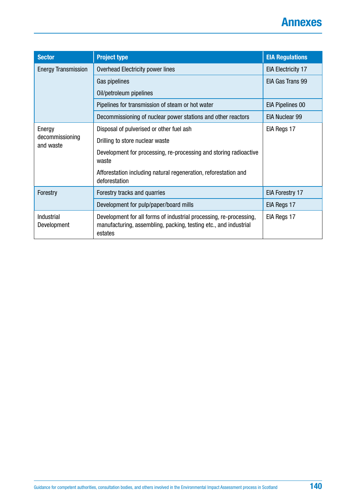# **Annexes**

| <b>Sector</b>                | <b>Project type</b>                                                                                                                               | <b>EIA Regulations</b>    |  |
|------------------------------|---------------------------------------------------------------------------------------------------------------------------------------------------|---------------------------|--|
| <b>Energy Transmission</b>   | Overhead Electricity power lines                                                                                                                  | <b>EIA Electricity 17</b> |  |
|                              | Gas pipelines                                                                                                                                     | EIA Gas Trans 99          |  |
|                              | Oil/petroleum pipelines                                                                                                                           |                           |  |
|                              | Pipelines for transmission of steam or hot water                                                                                                  | <b>EIA Pipelines 00</b>   |  |
|                              | Decommissioning of nuclear power stations and other reactors                                                                                      | <b>EIA Nuclear 99</b>     |  |
| Energy                       | Disposal of pulverised or other fuel ash                                                                                                          | EIA Regs 17               |  |
| decommissioning<br>and waste | Drilling to store nuclear waste                                                                                                                   |                           |  |
|                              | Development for processing, re-processing and storing radioactive<br>waste                                                                        |                           |  |
|                              | Afforestation including natural regeneration, reforestation and<br>deforestation                                                                  |                           |  |
| Forestry                     | Forestry tracks and quarries                                                                                                                      | EIA Forestry 17           |  |
|                              | Development for pulp/paper/board mills                                                                                                            | EIA Regs 17               |  |
| Industrial<br>Development    | Development for all forms of industrial processing, re-processing,<br>manufacturing, assembling, packing, testing etc., and industrial<br>estates | EIA Regs 17               |  |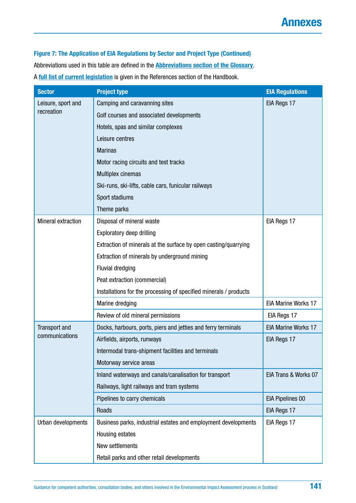**Figure 7: The Application of EIA Regulations by Sector and Project Type (Continued)** Abbreviations used in this table are defined in the **[Abbreviations section of the Glossary](#page-126-0)**. A **[full list of current legislation](#page-129-0)** is given in the References section of the Handbook.

| <b>Sector</b>             | <b>Project type</b>                                               | <b>EIA Regulations</b>     |  |  |
|---------------------------|-------------------------------------------------------------------|----------------------------|--|--|
| Leisure, sport and        | Camping and caravanning sites                                     | EIA Regs 17                |  |  |
| recreation                | Golf courses and associated developments                          |                            |  |  |
|                           | Hotels, spas and similar complexes                                |                            |  |  |
|                           | Leisure centres                                                   |                            |  |  |
|                           | <b>Marinas</b>                                                    |                            |  |  |
|                           | Motor racing circuits and test tracks                             |                            |  |  |
|                           | Multiplex cinemas                                                 |                            |  |  |
|                           | Ski-runs, ski-lifts, cable cars, funicular railways               |                            |  |  |
|                           | Sport stadiums                                                    |                            |  |  |
|                           | Theme parks                                                       |                            |  |  |
| <b>Mineral extraction</b> | Disposal of mineral waste                                         | EIA Regs 17                |  |  |
|                           | <b>Exploratory deep drilling</b>                                  |                            |  |  |
|                           | Extraction of minerals at the surface by open casting/quarrying   |                            |  |  |
|                           | Extraction of minerals by underground mining                      |                            |  |  |
|                           | <b>Fluvial dredging</b>                                           |                            |  |  |
|                           | Peat extraction (commercial)                                      |                            |  |  |
|                           | Installations for the processing of specified minerals / products |                            |  |  |
|                           | Marine dredging                                                   | <b>EIA Marine Works 17</b> |  |  |
|                           | Review of old mineral permissions                                 | EIA Regs 17                |  |  |
| <b>Transport and</b>      | Docks, harbours, ports, piers and jetties and ferry terminals     | <b>EIA Marine Works 17</b> |  |  |
| communications            | Airfields, airports, runways                                      | EIA Regs 17                |  |  |
|                           | Intermodal trans-shipment facilities and terminals                |                            |  |  |
|                           | Motorway service areas                                            |                            |  |  |
|                           | Inland waterways and canals/canalisation for transport            | EIA Trans & Works 07       |  |  |
|                           | Railways, light railways and tram systems                         |                            |  |  |
|                           | Pipelines to carry chemicals                                      | <b>EIA Pipelines 00</b>    |  |  |
|                           | Roads                                                             | EIA Regs 17                |  |  |
| Urban developments        | Business parks, industrial estates and employment developments    | EIA Regs 17                |  |  |
|                           | Housing estates                                                   |                            |  |  |
|                           | New settlements                                                   |                            |  |  |
|                           | Retail parks and other retail developments                        |                            |  |  |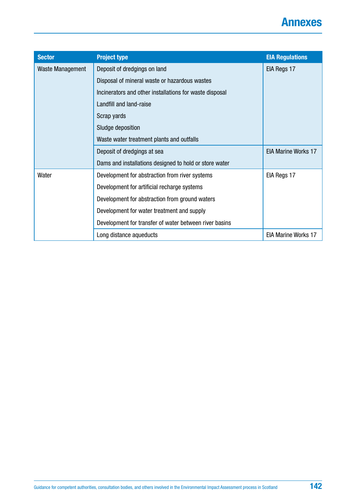

| <b>Sector</b>    | <b>Project type</b>                                     | <b>EIA Regulations</b>     |
|------------------|---------------------------------------------------------|----------------------------|
| Waste Management | Deposit of dredgings on land                            | EIA Regs 17                |
|                  | Disposal of mineral waste or hazardous wastes           |                            |
|                  | Incinerators and other installations for waste disposal |                            |
|                  | Landfill and land-raise                                 |                            |
|                  | Scrap yards                                             |                            |
|                  | Sludge deposition                                       |                            |
|                  | Waste water treatment plants and outfalls               |                            |
|                  | Deposit of dredgings at sea                             | <b>EIA Marine Works 17</b> |
|                  | Dams and installations designed to hold or store water  |                            |
| Water            | Development for abstraction from river systems          | EIA Regs 17                |
|                  | Development for artificial recharge systems             |                            |
|                  | Development for abstraction from ground waters          |                            |
|                  | Development for water treatment and supply              |                            |
|                  | Development for transfer of water between river basins  |                            |
|                  | Long distance aqueducts                                 | <b>EIA Marine Works 17</b> |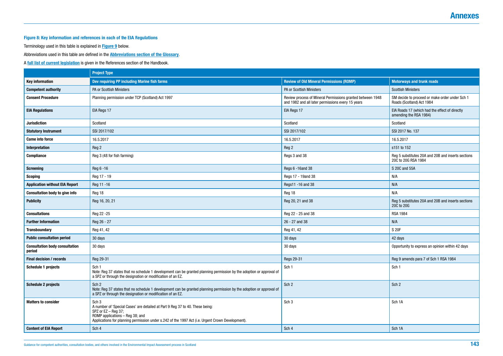# **Annexes**

#### **Figure 8: Key information and references in each of the EIA Regulations**

Terminology used in this table is explained in **[Figure 9](#page-145-0)** below.

Abbreviations used in this table are defined in the **[Abbreviations section of the Glossary](#page-126-0)**.

A **[full list of current legislation](#page-129-0)** is given in the References section of the Handbook.

|                                                 | <b>Project Type</b>                                                                                                                                                                                                                                                |                                                                                                                 |                                                                             |  |
|-------------------------------------------------|--------------------------------------------------------------------------------------------------------------------------------------------------------------------------------------------------------------------------------------------------------------------|-----------------------------------------------------------------------------------------------------------------|-----------------------------------------------------------------------------|--|
| <b>Key information</b>                          | Dev requiring PP including Marine fish farms                                                                                                                                                                                                                       | <b>Review of Old Mineral Permissions (ROMP)</b>                                                                 | <b>Motorways and trunk roads</b>                                            |  |
| <b>Competent authority</b>                      | PA or Scottish Ministers                                                                                                                                                                                                                                           | PA or Scottish Ministers                                                                                        | <b>Scottish Ministers</b>                                                   |  |
| <b>Consent Procedure</b>                        | Planning permission under TCP (Scotland) Act 1997                                                                                                                                                                                                                  | Review process of Mineral Permissions granted between 1948<br>and 1982 and all later permissions every 15 years | SM decide to proceed or make order under Sch 1<br>Roads (Scotland) Act 1984 |  |
| <b>EIA Regulations</b>                          | EIA Regs 17                                                                                                                                                                                                                                                        | EIA Regs 17                                                                                                     | EIA Roads 17 (which had the effect of directly<br>amending the RSA 1984)    |  |
| <b>Jurisdiction</b>                             | Scotland                                                                                                                                                                                                                                                           | Scotland                                                                                                        | Scotland                                                                    |  |
| <b>Statutory Instrument</b>                     | SSI 2017/102                                                                                                                                                                                                                                                       | SSI 2017/102                                                                                                    | SSI 2017 No. 137                                                            |  |
| <b>Came into force</b>                          | 16.5.2017                                                                                                                                                                                                                                                          | 16.5.2017                                                                                                       | 16.5.2017                                                                   |  |
| Interpretation                                  | Reg 2                                                                                                                                                                                                                                                              | Reg 2                                                                                                           | s151 to 152                                                                 |  |
| <b>Compliance</b>                               | Reg 3 (48 for fish farming)                                                                                                                                                                                                                                        | Regs 3 and 38                                                                                                   | Reg 5 substitutes 20A and 20B and inserts sections<br>20C to 20G RSA 1984   |  |
| <b>Screening</b>                                | Reg 6 -16                                                                                                                                                                                                                                                          | Regs 6 -16and 38                                                                                                | S 20C and 55A                                                               |  |
| <b>Scoping</b>                                  | Reg 17 - 19                                                                                                                                                                                                                                                        | Regs 17 - 19and 38                                                                                              | N/A                                                                         |  |
| <b>Application without EIA Report</b>           | Reg 11 -16                                                                                                                                                                                                                                                         | Regs11 -16 and 38                                                                                               | N/A                                                                         |  |
| <b>Consultation body to give info</b>           | Reg 18                                                                                                                                                                                                                                                             | Reg 18                                                                                                          | N/A                                                                         |  |
| <b>Publicity</b>                                | Reg 16, 20, 21                                                                                                                                                                                                                                                     | Reg 20, 21 and 38                                                                                               | Reg 5 substitutes 20A and 20B and inserts sections<br>20C to 20G            |  |
| <b>Consultations</b>                            | Reg 22 - 25                                                                                                                                                                                                                                                        | Reg 22 - 25 and 38                                                                                              | <b>RSA 1984</b>                                                             |  |
| <b>Further Information</b>                      | Reg 26 - 27                                                                                                                                                                                                                                                        | 26 - 27 and 38                                                                                                  | N/A                                                                         |  |
| <b>Transboundary</b>                            | Reg 41, 42                                                                                                                                                                                                                                                         | Reg 41, 42                                                                                                      | S 20F                                                                       |  |
| <b>Public consultation period</b>               | 30 days                                                                                                                                                                                                                                                            | 30 days                                                                                                         | 42 days                                                                     |  |
| <b>Consultation body consultation</b><br>period | 30 days                                                                                                                                                                                                                                                            | 30 days                                                                                                         | Opportunity to express an opinion within 42 days                            |  |
| <b>Final decision / records</b>                 | Reg 29-31                                                                                                                                                                                                                                                          | Regs 29-31                                                                                                      | Reg 9 amends para 7 of Sch 1 RSA 1984                                       |  |
| <b>Schedule 1 projects</b>                      | Sch <sub>1</sub><br>Note: Reg 37 states that no schedule 1 development can be granted planning permission by the adoption or approval of<br>a SPZ or through the designation or modification of an EZ.                                                             | Sch 1                                                                                                           | Sch 1                                                                       |  |
| <b>Schedule 2 projects</b>                      | Sch <sub>2</sub><br>Note: Reg 37 states that no schedule 1 development can be granted planning permission by the adoption or approval of<br>a SPZ or through the designation or modification of an EZ.                                                             | Sch <sub>2</sub>                                                                                                | Sch <sub>2</sub>                                                            |  |
| <b>Matters to consider</b>                      | Sch <sub>3</sub><br>A number of 'Special Cases' are detailed at Part 9 Reg 37 to 40. These being:<br>SPZ or $EZ - Reg$ 37;<br>ROMP applications - Reg 38; and<br>Applications for planning permission under s.242 of the 1997 Act (i.e. Urgent Crown Development). | Sch <sub>3</sub>                                                                                                | Sch 1A                                                                      |  |
| <b>Content of EIA Report</b>                    | Sch 4                                                                                                                                                                                                                                                              | Sch 4                                                                                                           | Sch 1A                                                                      |  |
|                                                 |                                                                                                                                                                                                                                                                    |                                                                                                                 |                                                                             |  |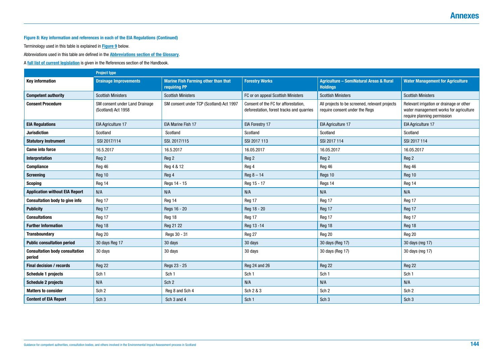#### **Figure 8: Key information and references in each of the EIA Regulations (Continued)**

Terminology used in this table is explained in **[Figure 9](#page-145-0)** below.

Abbreviations used in this table are defined in the **[Abbreviations section of the Glossary](#page-126-0)**.

A **[full list of current legislation](#page-129-0)** is given in the References section of the Handbook.

|                                                 | <b>Project type</b>                                   |                                                            |                                                                                   |                                                                                  |                                                                                                                   |
|-------------------------------------------------|-------------------------------------------------------|------------------------------------------------------------|-----------------------------------------------------------------------------------|----------------------------------------------------------------------------------|-------------------------------------------------------------------------------------------------------------------|
| <b>Key information</b>                          | <b>Drainage Improvements</b>                          | <b>Marine Fish Farming other than that</b><br>requiring PP | <b>Forestry Works</b>                                                             | <b>Agriculture - SemiNatural Areas &amp; Rural</b><br><b>Holdings</b>            | <b>Water Management for Agriculture</b>                                                                           |
| <b>Competent authority</b>                      | <b>Scottish Ministers</b>                             | <b>Scottish Ministers</b>                                  | FC or on appeal Scottish Ministers                                                | <b>Scottish Ministers</b>                                                        | <b>Scottish Ministers</b>                                                                                         |
| <b>Consent Procedure</b>                        | SM consent under Land Drainage<br>(Scotland) Act 1958 | SM consent under TCP (Scotland) Act 1997                   | Consent of the FC for afforestation,<br>deforestation, forest tracks and quarries | All projects to be screened, relevant projects<br>require consent under the Regs | Relevant irrigation or drainage or other<br>water management works for agriculture<br>require planning permission |
| <b>EIA Regulations</b>                          | EIA Agriculture 17                                    | EIA Marine Fish 17                                         | EIA Forestry 17                                                                   | <b>EIA Agriculture 17</b>                                                        | EIA Agriculture 17                                                                                                |
| <b>Jurisdiction</b>                             | Scotland                                              | Scotland                                                   | Scotland                                                                          | Scotland                                                                         | Scotland                                                                                                          |
| <b>Statutory Instrument</b>                     | SSI 2017/114                                          | SSI. 2017/115                                              | SSI 2017 113                                                                      | SSI 2017 114                                                                     | SSI 2017 114                                                                                                      |
| <b>Came into force</b>                          | 16.5.2017                                             | 16.5.2017                                                  | 16.05.2017                                                                        | 16.05.2017                                                                       | 16.05.2017                                                                                                        |
| Interpretation                                  | Reg 2                                                 | Reg 2                                                      | Reg 2                                                                             | Reg 2                                                                            | Reg 2                                                                                                             |
| <b>Compliance</b>                               | Reg 46                                                | Reg 4 & 12                                                 | Reg 4                                                                             | Reg 46                                                                           | Reg 46                                                                                                            |
| <b>Screening</b>                                | Reg 10                                                | Reg 4                                                      | $Reg 8 - 14$                                                                      | Regs 10                                                                          | Reg 10                                                                                                            |
| <b>Scoping</b>                                  | Reg 14                                                | Regs 14 - 15                                               | Reg 15 - 17                                                                       | Regs 14                                                                          | Reg 14                                                                                                            |
| <b>Application without EIA Report</b>           | N/A                                                   | N/A                                                        | N/A                                                                               | N/A                                                                              | N/A                                                                                                               |
| <b>Consultation body to give info</b>           | Reg 17                                                | Reg 14                                                     | Reg 17                                                                            | Reg 17                                                                           | Reg 17                                                                                                            |
| <b>Publicity</b>                                | Reg 17                                                | Regs 16 - 20                                               | Reg 18 - 20                                                                       | Reg 17                                                                           | Reg 17                                                                                                            |
| <b>Consultations</b>                            | Reg 17                                                | Reg 18                                                     | Reg 17                                                                            | Reg 17                                                                           | Reg 17                                                                                                            |
| <b>Further Information</b>                      | Reg 18                                                | Reg 21 22                                                  | Reg 13 - 14                                                                       | Reg 18                                                                           | Reg 18                                                                                                            |
| <b>Transboundary</b>                            | Reg 20                                                | Regs 30 - 31                                               | Reg 27                                                                            | Reg 20                                                                           | Reg 20                                                                                                            |
| <b>Public consultation period</b>               | 30 days Reg 17                                        | 30 days                                                    | 30 days                                                                           | 30 days (Reg 17)                                                                 | 30 days (reg 17)                                                                                                  |
| <b>Consultation body consultation</b><br>period | 30 days                                               | 30 days                                                    | 30 days                                                                           | 30 days (Reg 17)                                                                 | 30 days (reg 17)                                                                                                  |
| Final decision / records                        | Reg 22                                                | Regs 23 - 25                                               | Reg 24 and 26                                                                     | Reg 22                                                                           | Reg 22                                                                                                            |
| <b>Schedule 1 projects</b>                      | Sch 1                                                 | Sch <sub>1</sub>                                           | Sch <sub>1</sub>                                                                  | Sch 1                                                                            | Sch 1                                                                                                             |
| <b>Schedule 2 projects</b>                      | N/A                                                   | Sch <sub>2</sub>                                           | N/A                                                                               | N/A                                                                              | N/A                                                                                                               |
| <b>Matters to consider</b>                      | Sch <sub>2</sub>                                      | Reg 8 and Sch 4                                            | Sch 2 & 3                                                                         | Sch <sub>2</sub>                                                                 | Sch <sub>2</sub>                                                                                                  |
| <b>Content of EIA Report</b>                    | Sch <sub>3</sub>                                      | Sch 3 and 4                                                | Sch 1                                                                             | Sch <sub>3</sub>                                                                 | Sch <sub>3</sub>                                                                                                  |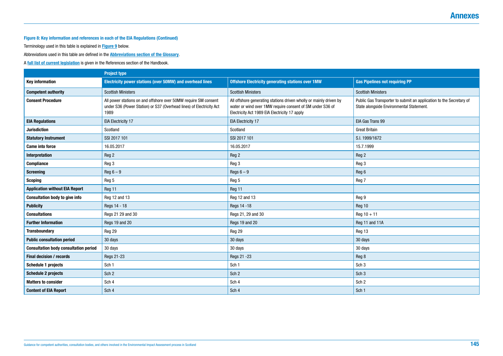

### **Figure 8: Key information and references in each of the EIA Regulations (Continued)**

Terminology used in this table is explained in **[Figure 9](#page-145-0)** below.

Abbreviations used in this table are defined in the **[Abbreviations section of the Glossary](#page-126-0)**.

A **[full list of current legislation](#page-129-0)** is given in the References section of the Handbook.

| <b>Gas Pipelines not requiring PP</b>                                                                           |
|-----------------------------------------------------------------------------------------------------------------|
| <b>Scottish Ministers</b>                                                                                       |
| Public Gas Transporter to submit an application to the Secretary of<br>State alongside Environmental Statement. |
| EIA Gas Trans 99                                                                                                |
| <b>Great Britain</b>                                                                                            |
| S.I. 1999/1672                                                                                                  |
| 15.7.1999                                                                                                       |
| Reg 2                                                                                                           |
| Reg 3                                                                                                           |
| Reg 6                                                                                                           |
| Reg 7                                                                                                           |
|                                                                                                                 |
| Reg 9                                                                                                           |
| Reg 10                                                                                                          |
| $Reg 10 + 11$                                                                                                   |
| Reg 11 and 11A                                                                                                  |
| Reg 13                                                                                                          |
| 30 days                                                                                                         |
| 30 days                                                                                                         |
| Reg 8                                                                                                           |
| Sch <sub>3</sub>                                                                                                |
| Sch <sub>3</sub>                                                                                                |
| Sch <sub>2</sub>                                                                                                |
| Sch 1                                                                                                           |

|                                              | <b>Project type</b>                                                                                                                             |                                                                                                                                                                                  |                                                                     |
|----------------------------------------------|-------------------------------------------------------------------------------------------------------------------------------------------------|----------------------------------------------------------------------------------------------------------------------------------------------------------------------------------|---------------------------------------------------------------------|
| <b>Key information</b>                       | Electricity power stations (over 50MW) and overhead lines                                                                                       | <b>Offshore Electricity generating stations over 1MW</b>                                                                                                                         | <b>Gas Pipelines not requiring PP</b>                               |
| <b>Competent authority</b>                   | <b>Scottish Ministers</b>                                                                                                                       | <b>Scottish Ministers</b>                                                                                                                                                        | <b>Scottish Ministers</b>                                           |
| <b>Consent Procedure</b>                     | All power stations on and offshore over 50MW require SM consent<br>under S36 (Power Station) or S37 (Overhead lines) of Electricity Act<br>1989 | All offshore generating stations driven wholly or mainly driven by<br>water or wind over 1MW require consent of SM under S36 of<br>Electricity Act 1989 EIA Electricity 17 apply | Public Gas Transporter to submit<br>State alongside Environmental S |
| <b>EIA Regulations</b>                       | <b>EIA Electricity 17</b>                                                                                                                       | <b>EIA Electricity 17</b>                                                                                                                                                        | EIA Gas Trans 99                                                    |
| <b>Jurisdiction</b>                          | Scotland                                                                                                                                        | Scotland                                                                                                                                                                         | <b>Great Britain</b>                                                |
| <b>Statutory Instrument</b>                  | SSI 2017 101                                                                                                                                    | SSI 2017 101                                                                                                                                                                     | S.I. 1999/1672                                                      |
| <b>Came into force</b>                       | 16.05.2017                                                                                                                                      | 16.05.2017                                                                                                                                                                       | 15.7.1999                                                           |
| <b>Interpretation</b>                        | Reg 2                                                                                                                                           | Reg 2                                                                                                                                                                            | Reg 2                                                               |
| <b>Compliance</b>                            | Reg 3                                                                                                                                           | Reg 3                                                                                                                                                                            | Reg 3                                                               |
| <b>Screening</b>                             | $Reg 6 - 9$                                                                                                                                     | Regs $6-9$                                                                                                                                                                       | Reg 6                                                               |
| <b>Scoping</b>                               | Reg 5                                                                                                                                           | Reg 5                                                                                                                                                                            | Reg 7                                                               |
| <b>Application without EIA Report</b>        | Reg 11                                                                                                                                          | Reg 11                                                                                                                                                                           |                                                                     |
| <b>Consultation body to give info</b>        | Reg 12 and 13                                                                                                                                   | Reg 12 and 13                                                                                                                                                                    | Reg 9                                                               |
| <b>Publicity</b>                             | Regs 14 - 18                                                                                                                                    | Regs 14 - 18                                                                                                                                                                     | Reg 10                                                              |
| <b>Consultations</b>                         | Regs 21 29 and 30                                                                                                                               | Regs 21, 29 and 30                                                                                                                                                               | $Reg 10 + 11$                                                       |
| <b>Further Information</b>                   | Regs 19 and 20                                                                                                                                  | Regs 19 and 20                                                                                                                                                                   | Reg 11 and 11A                                                      |
| <b>Transboundary</b>                         | Reg 29                                                                                                                                          | Reg 29                                                                                                                                                                           | Reg 13                                                              |
| <b>Public consultation period</b>            | 30 days                                                                                                                                         | 30 days                                                                                                                                                                          | 30 days                                                             |
| <b>Consultation body consultation period</b> | 30 days                                                                                                                                         | 30 days                                                                                                                                                                          | 30 days                                                             |
| <b>Final decision / records</b>              | Regs 21-23                                                                                                                                      | Regs 21 -23                                                                                                                                                                      | Reg 8                                                               |
| <b>Schedule 1 projects</b>                   | Sch 1                                                                                                                                           | Sch 1                                                                                                                                                                            | Sch <sub>3</sub>                                                    |
| <b>Schedule 2 projects</b>                   | Sch <sub>2</sub>                                                                                                                                | Sch <sub>2</sub>                                                                                                                                                                 | Sch <sub>3</sub>                                                    |
| <b>Matters to consider</b>                   | Sch 4                                                                                                                                           | Sch 4                                                                                                                                                                            | Sch <sub>2</sub>                                                    |
| <b>Content of EIA Report</b>                 | Sch 4                                                                                                                                           | Sch 4                                                                                                                                                                            | Sch 1                                                               |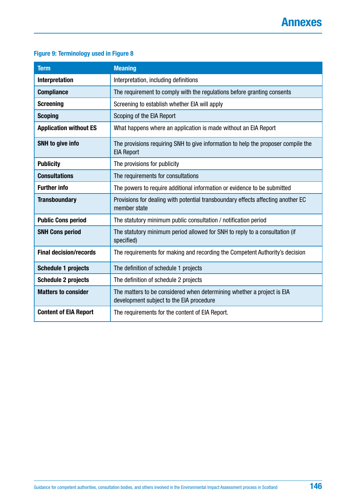### <span id="page-145-0"></span>**Figure 9: Terminology used in Figure 8**

| <b>Term</b>                   | <b>Meaning</b>                                                                                                     |
|-------------------------------|--------------------------------------------------------------------------------------------------------------------|
| <b>Interpretation</b>         | Interpretation, including definitions                                                                              |
| <b>Compliance</b>             | The requirement to comply with the regulations before granting consents                                            |
| <b>Screening</b>              | Screening to establish whether EIA will apply                                                                      |
| <b>Scoping</b>                | Scoping of the EIA Report                                                                                          |
| <b>Application without ES</b> | What happens where an application is made without an EIA Report                                                    |
| <b>SNH</b> to give info       | The provisions requiring SNH to give information to help the proposer compile the<br><b>EIA Report</b>             |
| <b>Publicity</b>              | The provisions for publicity                                                                                       |
| <b>Consultations</b>          | The requirements for consultations                                                                                 |
| <b>Further info</b>           | The powers to require additional information or evidence to be submitted                                           |
| <b>Transboundary</b>          | Provisions for dealing with potential transboundary effects affecting another EC<br>member state                   |
| <b>Public Cons period</b>     | The statutory minimum public consultation / notification period                                                    |
| <b>SNH Cons period</b>        | The statutory minimum period allowed for SNH to reply to a consultation (if<br>specified)                          |
| <b>Final decision/records</b> | The requirements for making and recording the Competent Authority's decision                                       |
| <b>Schedule 1 projects</b>    | The definition of schedule 1 projects                                                                              |
| <b>Schedule 2 projects</b>    | The definition of schedule 2 projects                                                                              |
| <b>Matters to consider</b>    | The matters to be considered when determining whether a project is EIA<br>development subject to the EIA procedure |
| <b>Content of EIA Report</b>  | The requirements for the content of EIA Report.                                                                    |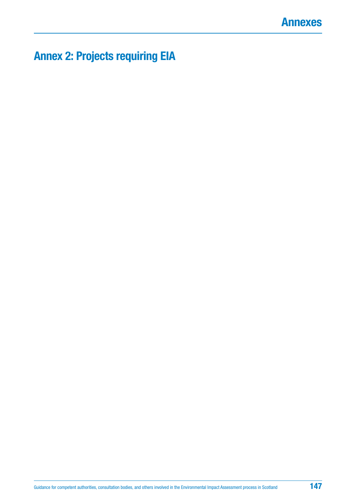

# **Annex 2: Projects requiring EIA**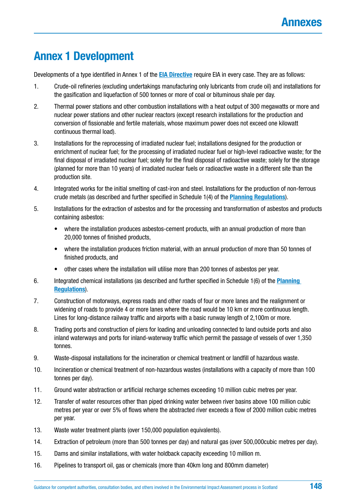## **Annex 1 Development**

Developments of a type identified in Annex 1 of the **[EIA Directive](http://ec.europa.eu/environment/eia/pdf/EIA_Directive_informal.pdf)** require EIA in every case. They are as follows:

- 1. Crude-oil refineries (excluding undertakings manufacturing only lubricants from crude oil) and installations for the gasification and liquefaction of 500 tonnes or more of coal or bituminous shale per day.
- 2. Thermal power stations and other combustion installations with a heat output of 300 megawatts or more and nuclear power stations and other nuclear reactors (except research installations for the production and conversion of fissionable and fertile materials, whose maximum power does not exceed one kilowatt continuous thermal load).
- 3. Installations for the reprocessing of irradiated nuclear fuel; installations designed for the production or enrichment of nuclear fuel; for the processing of irradiated nuclear fuel or high-level radioactive waste; for the final disposal of irradiated nuclear fuel; solely for the final disposal of radioactive waste; solely for the storage (planned for more than 10 years) of irradiated nuclear fuels or radioactive waste in a different site than the production site.
- 4. Integrated works for the initial smelting of cast-iron and steel. Installations for the production of non-ferrous crude metals (as described and further specified in Schedule 1(4) of the **[Planning Regulations](https://www.legislation.gov.uk/uksi/2017/571/contents/made)**).
- 5. Installations for the extraction of asbestos and for the processing and transformation of asbestos and products containing asbestos:
	- where the installation produces asbestos-cement products, with an annual production of more than 20,000 tonnes of finished products,
	- where the installation produces friction material, with an annual production of more than 50 tonnes of finished products, and
	- other cases where the installation will utilise more than 200 tonnes of asbestos per year.
- 6. Integrated chemical installations (as described and further specified in Schedule 1(6) of the **[Planning](https://www.legislation.gov.uk/uksi/2017/571/contents/made)  [Regulations](https://www.legislation.gov.uk/uksi/2017/571/contents/made)**).
- 7. Construction of motorways, express roads and other roads of four or more lanes and the realignment or widening of roads to provide 4 or more lanes where the road would be 10 km or more continuous length. Lines for long-distance railway traffic and airports with a basic runway length of 2,100m or more.
- 8. Trading ports and construction of piers for loading and unloading connected to land outside ports and also inland waterways and ports for inland-waterway traffic which permit the passage of vessels of over 1,350 tonnes.
- 9. Waste-disposal installations for the incineration or chemical treatment or landfill of hazardous waste.
- 10. Incineration or chemical treatment of non-hazardous wastes (installations with a capacity of more than 100 tonnes per day).
- 11. Ground water abstraction or artificial recharge schemes exceeding 10 million cubic metres per year.
- 12. Transfer of water resources other than piped drinking water between river basins above 100 million cubic metres per year or over 5% of flows where the abstracted river exceeds a flow of 2000 million cubic metres per year.
- 13. Waste water treatment plants (over 150,000 population equivalents).
- 14. Extraction of petroleum (more than 500 tonnes per day) and natural gas (over 500,000cubic metres per day).
- 15. Dams and similar installations, with water holdback capacity exceeding 10 million m.
- 16. Pipelines to transport oil, gas or chemicals (more than 40km long and 800mm diameter)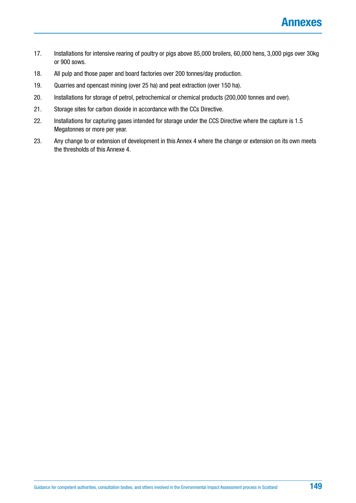- 17. Installations for intensive rearing of poultry or pigs above 85,000 broilers, 60,000 hens, 3,000 pigs over 30kg or 900 sows.
- 18. All pulp and those paper and board factories over 200 tonnes/day production.
- 19. Quarries and opencast mining (over 25 ha) and peat extraction (over 150 ha).
- 20. Installations for storage of petrol, petrochemical or chemical products (200,000 tonnes and over).
- 21. Storage sites for carbon dioxide in accordance with the CCs Directive.
- 22. Installations for capturing gases intended for storage under the CCS Directive where the capture is 1.5 Megatonnes or more per year.
- 23. Any change to or extension of development in this Annex 4 where the change or extension on its own meets the thresholds of this Annexe 4.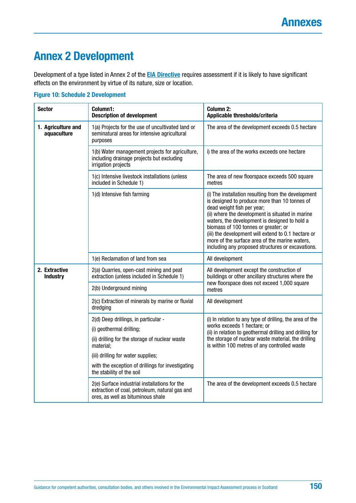## **Annex 2 Development**

Development of a type listed in Annex 2 of the **[EIA Directive](http://ec.europa.eu/environment/eia/pdf/EIA_Directive_informal.pdf)** requires assessment if it is likely to have significant effects on the environment by virtue of its nature, size or location.

| <b>Sector</b>                     | Column1:<br><b>Description of development</b>                                                                                        | Column 2:<br>Applicable thresholds/criteria                                                                                                                                                                                                                                                                                                                                                                                                   |
|-----------------------------------|--------------------------------------------------------------------------------------------------------------------------------------|-----------------------------------------------------------------------------------------------------------------------------------------------------------------------------------------------------------------------------------------------------------------------------------------------------------------------------------------------------------------------------------------------------------------------------------------------|
| 1. Agriculture and<br>aquaculture | 1(a) Projects for the use of uncultivated land or<br>seminatural areas for intensive agricultural<br>purposes                        | The area of the development exceeds 0.5 hectare                                                                                                                                                                                                                                                                                                                                                                                               |
|                                   | 1(b) Water management projects for agriculture,<br>including drainage projects but excluding<br>irrigation projects                  | i) the area of the works exceeds one hectare                                                                                                                                                                                                                                                                                                                                                                                                  |
|                                   | 1(c) Intensive livestock installations (unless<br>included in Schedule 1)                                                            | The area of new floorspace exceeds 500 square<br>metres                                                                                                                                                                                                                                                                                                                                                                                       |
|                                   | 1(d) Intensive fish farming                                                                                                          | (i) The installation resulting from the development<br>is designed to produce more than 10 tonnes of<br>dead weight fish per year;<br>(ii) where the development is situated in marine<br>waters, the development is designed to hold a<br>biomass of 100 tonnes or greater; or<br>(iii) the development will extend to 0.1 hectare or<br>more of the surface area of the marine waters,<br>including any proposed structures or excavations. |
|                                   | 1(e) Reclamation of land from sea                                                                                                    | All development                                                                                                                                                                                                                                                                                                                                                                                                                               |
| 2. Extractive<br><b>Industry</b>  | 2(a) Quarries, open-cast mining and peat<br>extraction (unless included in Schedule 1)                                               | All development except the construction of<br>buildings or other ancillary structures where the                                                                                                                                                                                                                                                                                                                                               |
|                                   | 2(b) Underground mining                                                                                                              | new floorspace does not exceed 1,000 square<br>metres                                                                                                                                                                                                                                                                                                                                                                                         |
|                                   | 2(c) Extraction of minerals by marine or fluvial<br>dredging                                                                         | All development                                                                                                                                                                                                                                                                                                                                                                                                                               |
|                                   | 2(d) Deep drillings, in particular -                                                                                                 | (i) In relation to any type of drilling, the area of the                                                                                                                                                                                                                                                                                                                                                                                      |
|                                   | (i) geothermal drilling;                                                                                                             | works exceeds 1 hectare; or<br>(ii) in relation to geothermal drilling and drilling for                                                                                                                                                                                                                                                                                                                                                       |
|                                   | (ii) drilling for the storage of nuclear waste<br>material;                                                                          | the storage of nuclear waste material, the drilling<br>is within 100 metres of any controlled waste                                                                                                                                                                                                                                                                                                                                           |
|                                   | (iii) drilling for water supplies;                                                                                                   |                                                                                                                                                                                                                                                                                                                                                                                                                                               |
|                                   | with the exception of drillings for investigating<br>the stability of the soil                                                       |                                                                                                                                                                                                                                                                                                                                                                                                                                               |
|                                   | 2(e) Surface industrial installations for the<br>extraction of coal, petroleum, natural gas and<br>ores, as well as bituminous shale | The area of the development exceeds 0.5 hectare                                                                                                                                                                                                                                                                                                                                                                                               |

#### **Figure 10: Schedule 2 Development**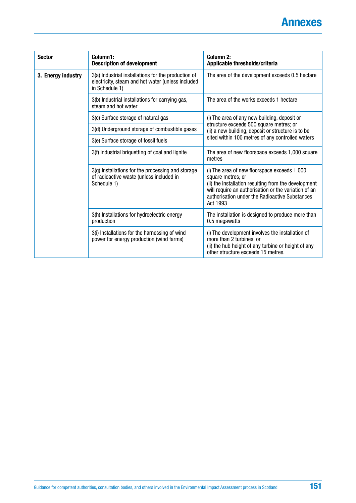| <b>Sector</b>      | Column1:<br><b>Description of development</b>                                                                              | Column 2:<br>Applicable thresholds/criteria                                                                                                                                                                                                     |  |
|--------------------|----------------------------------------------------------------------------------------------------------------------------|-------------------------------------------------------------------------------------------------------------------------------------------------------------------------------------------------------------------------------------------------|--|
| 3. Energy industry | 3(a) Industrial installations for the production of<br>electricity, steam and hot water (unless included<br>in Schedule 1) | The area of the development exceeds 0.5 hectare                                                                                                                                                                                                 |  |
|                    | 3(b) Industrial installations for carrying gas,<br>steam and hot water                                                     | The area of the works exceeds 1 hectare                                                                                                                                                                                                         |  |
|                    | 3(c) Surface storage of natural gas                                                                                        | (i) The area of any new building, deposit or                                                                                                                                                                                                    |  |
|                    | 3(d) Underground storage of combustible gases                                                                              | structure exceeds 500 square metres; or<br>(ii) a new building, deposit or structure is to be                                                                                                                                                   |  |
|                    | 3(e) Surface storage of fossil fuels                                                                                       | sited within 100 metres of any controlled waters                                                                                                                                                                                                |  |
|                    | 3(f) Industrial briquetting of coal and lignite                                                                            | The area of new floorspace exceeds 1,000 square<br>metres                                                                                                                                                                                       |  |
|                    | 3(g) Installations for the processing and storage<br>of radioactive waste (unless included in<br>Schedule 1)               | (i) The area of new floorspace exceeds 1,000<br>square metres; or<br>(ii) the installation resulting from the development<br>will require an authorisation or the variation of an<br>authorisation under the Radioactive Substances<br>Act 1993 |  |
|                    | 3(h) Installations for hydroelectric energy<br>production                                                                  | The installation is designed to produce more than<br>0.5 megawatts                                                                                                                                                                              |  |
|                    | 3(i) Installations for the harnessing of wind<br>power for energy production (wind farms)                                  | (i) The development involves the installation of<br>more than 2 turbines; or<br>(ii) the hub height of any turbine or height of any<br>other structure exceeds 15 metres.                                                                       |  |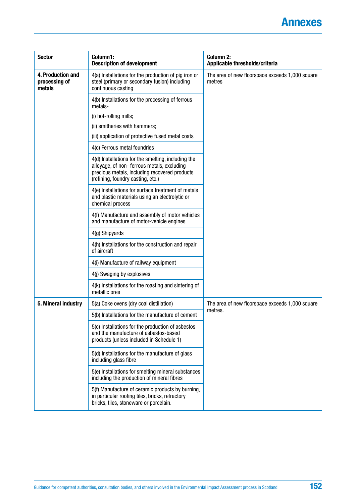| <b>Sector</b>                                | Column1:<br><b>Description of development</b>                                                                                                                                           | <b>Column 2:</b><br>Applicable thresholds/criteria        |
|----------------------------------------------|-----------------------------------------------------------------------------------------------------------------------------------------------------------------------------------------|-----------------------------------------------------------|
| 4. Production and<br>processing of<br>metals | 4(a) Installations for the production of pig iron or<br>steel (primary or secondary fusion) including<br>continuous casting                                                             | The area of new floorspace exceeds 1,000 square<br>metres |
|                                              | 4(b) Installations for the processing of ferrous<br>metals-                                                                                                                             |                                                           |
|                                              | (i) hot-rolling mills;                                                                                                                                                                  |                                                           |
|                                              | (ii) smitheries with hammers;                                                                                                                                                           |                                                           |
|                                              | (iii) application of protective fused metal coats                                                                                                                                       |                                                           |
|                                              | 4(c) Ferrous metal foundries                                                                                                                                                            |                                                           |
|                                              | 4(d) Installations for the smelting, including the<br>alloyage, of non- ferrous metals, excluding<br>precious metals, including recovered products<br>(refining, foundry casting, etc.) |                                                           |
|                                              | 4(e) Installations for surface treatment of metals<br>and plastic materials using an electrolytic or<br>chemical process                                                                |                                                           |
|                                              | 4(f) Manufacture and assembly of motor vehicles<br>and manufacture of motor-vehicle engines                                                                                             |                                                           |
|                                              | 4(g) Shipyards                                                                                                                                                                          |                                                           |
|                                              | 4(h) Installations for the construction and repair<br>of aircraft                                                                                                                       |                                                           |
|                                              | 4(i) Manufacture of railway equipment                                                                                                                                                   |                                                           |
|                                              | 4(j) Swaging by explosives                                                                                                                                                              |                                                           |
|                                              | 4(k) Installations for the roasting and sintering of<br>metallic ores                                                                                                                   |                                                           |
| 5. Mineral industry                          | 5(a) Coke ovens (dry coal distillation)                                                                                                                                                 | The area of new floorspace exceeds 1,000 square           |
|                                              | 5(b) Installations for the manufacture of cement                                                                                                                                        | metres.                                                   |
|                                              | 5(c) Installations for the production of asbestos<br>and the manufacture of asbestos-based<br>products (unless included in Schedule 1)                                                  |                                                           |
|                                              | 5(d) Installations for the manufacture of glass<br>including glass fibre                                                                                                                |                                                           |
|                                              | 5(e) Installations for smelting mineral substances<br>including the production of mineral fibres                                                                                        |                                                           |
|                                              | 5(f) Manufacture of ceramic products by burning,<br>in particular roofing tiles, bricks, refractory<br>bricks, tiles, stoneware or porcelain.                                           |                                                           |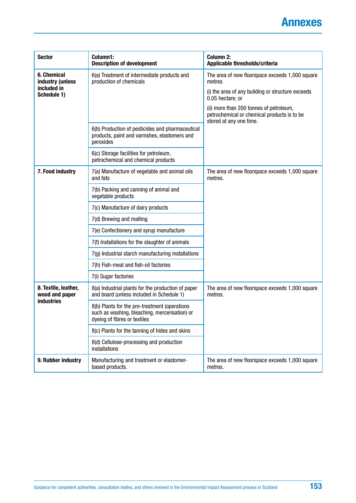| <b>Sector</b>                                               | Column1:<br><b>Description of development</b>                                                                                  | <b>Column 2:</b><br>Applicable thresholds/criteria                                                                |
|-------------------------------------------------------------|--------------------------------------------------------------------------------------------------------------------------------|-------------------------------------------------------------------------------------------------------------------|
| <b>6. Chemical</b><br>industry (unless                      | 6(a) Treatment of intermediate products and<br>production of chemicals                                                         | The area of new floorspace exceeds 1,000 square<br>metres                                                         |
| included in<br>Schedule 1)                                  |                                                                                                                                | (i) the area of any building or structure exceeds<br>0.05 hectare; or                                             |
|                                                             |                                                                                                                                | (ii) more than 200 tonnes of petroleum,<br>petrochemical or chemical products is to be<br>stored at any one time. |
|                                                             | 6(b) Production of pesticides and pharmaceutical<br>products, paint and varnishes, elastomers and<br>peroxides                 |                                                                                                                   |
|                                                             | 6(c) Storage facilities for petroleum,<br>petrochemical and chemical products                                                  |                                                                                                                   |
| 7. Food industry                                            | 7(a) Manufacture of vegetable and animal oils<br>and fats                                                                      | The area of new floorspace exceeds 1,000 square<br>metres.                                                        |
|                                                             | 7(b) Packing and canning of animal and<br>vegetable products                                                                   |                                                                                                                   |
|                                                             | 7(c) Manufacture of dairy products                                                                                             |                                                                                                                   |
|                                                             | 7(d) Brewing and malting                                                                                                       |                                                                                                                   |
|                                                             | 7(e) Confectionery and syrup manufacture                                                                                       |                                                                                                                   |
|                                                             | 7(f) Installations for the slaughter of animals                                                                                |                                                                                                                   |
|                                                             | 7(g) Industrial starch manufacturing installations                                                                             |                                                                                                                   |
|                                                             | 7(h) Fish-meal and fish-oil factories                                                                                          |                                                                                                                   |
|                                                             | 7(i) Sugar factories                                                                                                           |                                                                                                                   |
| 8. Textile, leather,<br>wood and paper<br><b>industries</b> | 8(a) Industrial plants for the production of paper<br>and board (unless included in Schedule 1)                                | The area of new floorspace exceeds 1,000 square<br>metres.                                                        |
|                                                             | 8(b) Plants for the pre-treatment (operations<br>such as washing, bleaching, mercerisation) or<br>dyeing of fibres or textiles |                                                                                                                   |
|                                                             | 8(c) Plants for the tanning of hides and skins                                                                                 |                                                                                                                   |
|                                                             | 8(d) Cellulose-processing and production<br><i>installations</i>                                                               |                                                                                                                   |
| 9. Rubber industry                                          | Manufacturing and treatment or elastomer-<br>based products.                                                                   | The area of new floorspace exceeds 1,000 square<br>metres.                                                        |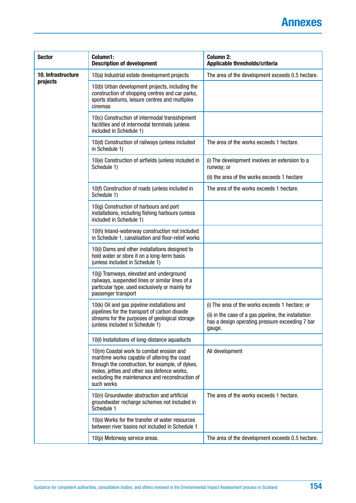| <b>Sector</b>      | Column1:<br><b>Description of development</b>                                                                                                                                                                                                                | <b>Column 2:</b><br>Applicable thresholds/criteria                                                                |
|--------------------|--------------------------------------------------------------------------------------------------------------------------------------------------------------------------------------------------------------------------------------------------------------|-------------------------------------------------------------------------------------------------------------------|
| 10. Infrastructure | 10(a) Industrial estate development projects                                                                                                                                                                                                                 | The area of the development exceeds 0.5 hectare.                                                                  |
| projects           | 10(b) Urban development projects, including the<br>construction of shopping centres and car parks,<br>sports stadiums, leisure centres and multiplex<br>cinemas                                                                                              |                                                                                                                   |
|                    | 10(c) Construction of intermodal transshipment<br>facilities and of intermodal terminals (unless<br>included in Schedule 1)                                                                                                                                  |                                                                                                                   |
|                    | 10(d) Construction of railways (unless included<br>in Schedule 1)                                                                                                                                                                                            | The area of the works exceeds 1 hectare.                                                                          |
|                    | 10(e) Construction of airfields (unless included in<br>Schedule 1)                                                                                                                                                                                           | (i) The development involves an extension to a<br>runway; or                                                      |
|                    |                                                                                                                                                                                                                                                              | (ii) the area of the works exceeds 1 hectare                                                                      |
|                    | 10(f) Construction of roads (unless included in<br>Schedule 1)                                                                                                                                                                                               | The area of the works exceeds 1 hectare.                                                                          |
|                    | 10(g) Construction of harbours and port<br>installations, including fishing harbours (unless<br>included in Schedule 1)                                                                                                                                      |                                                                                                                   |
|                    | 10(h) Inland-waterway construction not included<br>in Schedule 1, canalisation and floor-relief works                                                                                                                                                        |                                                                                                                   |
|                    | 10(i) Dams and other installations designed to<br>hold water or store it on a long-term basis<br>(unless included in Schedule 1)                                                                                                                             |                                                                                                                   |
|                    | 10(j) Tramways, elevated and underground<br>railways, suspended lines or similar lines of a<br>particular type, used exclusively or mainly for<br>passenger transport                                                                                        |                                                                                                                   |
|                    | 10(k) Oil and gas pipeline installations and                                                                                                                                                                                                                 | (i) The area of the works exceeds 1 hectare; or                                                                   |
|                    | pipelines for the transport of carbon dioxide<br>streams for the purposes of geological storage<br>(unless included in Schedule 1)                                                                                                                           | (ii) in the case of a gas pipeline, the installation<br>has a design operating pressure exceeding 7 bar<br>gauge. |
|                    | 10(I) Installations of long-distance aquaducts                                                                                                                                                                                                               |                                                                                                                   |
|                    | 10(m) Coastal work to combat erosion and<br>maritime works capable of altering the coast<br>through the construction, for example, of dykes,<br>moles, jetties and other sea defence works,<br>excluding the maintenance and reconstruction of<br>such works | All development                                                                                                   |
|                    | 10(n) Groundwater abstraction and artificial<br>groundwater recharge schemes not included in<br>Schedule 1                                                                                                                                                   | The area of the works exceeds 1 hectare.                                                                          |
|                    | 10(0) Works for the transfer of water resources<br>between river basins not included in Schedule 1                                                                                                                                                           |                                                                                                                   |
|                    | 10(p) Motorway service areas.                                                                                                                                                                                                                                | The area of the development exceeds 0.5 hectare.                                                                  |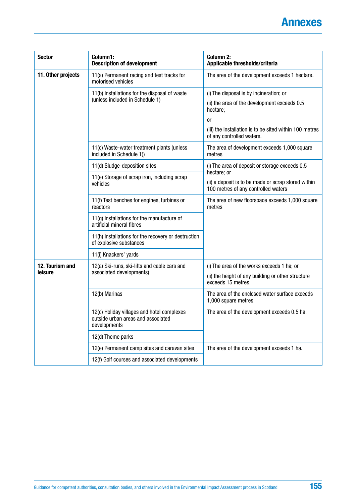| <b>Sector</b>      | Column1:<br><b>Description of development</b>                                                    | <b>Column 2:</b><br>Applicable thresholds/criteria                                                        |  |
|--------------------|--------------------------------------------------------------------------------------------------|-----------------------------------------------------------------------------------------------------------|--|
| 11. Other projects | 11(a) Permanent racing and test tracks for<br>motorised vehicles                                 | The area of the development exceeds 1 hectare.                                                            |  |
|                    | 11(b) Installations for the disposal of waste                                                    | (i) The disposal is by incineration; or                                                                   |  |
|                    | (unless included in Schedule 1)                                                                  | (ii) the area of the development exceeds 0.5<br>hectare;                                                  |  |
|                    |                                                                                                  | <b>or</b>                                                                                                 |  |
|                    |                                                                                                  | (iii) the installation is to be sited within 100 metres<br>of any controlled waters.                      |  |
|                    | 11(c) Waste-water treatment plants (unless<br>included in Schedule 1))                           | The area of development exceeds 1,000 square<br>metres                                                    |  |
|                    | 11(d) Sludge-deposition sites                                                                    | (i) The area of deposit or storage exceeds 0.5                                                            |  |
|                    | 11(e) Storage of scrap iron, including scrap<br>vehicles                                         | hectare; or<br>(ii) a deposit is to be made or scrap stored within<br>100 metres of any controlled waters |  |
|                    | 11(f) Test benches for engines, turbines or<br>reactors                                          | The area of new floorspace exceeds 1,000 square<br>metres                                                 |  |
|                    | 11(g) Installations for the manufacture of<br>artificial mineral fibres                          |                                                                                                           |  |
|                    | 11(h) Installations for the recovery or destruction<br>of explosive substances                   |                                                                                                           |  |
|                    | 11(i) Knackers' yards                                                                            |                                                                                                           |  |
| 12. Tourism and    | 12(a) Ski-runs, ski-lifts and cable cars and                                                     | (i) The area of the works exceeds 1 ha; or                                                                |  |
| leisure            | associated developments)                                                                         | (ii) the height of any building or other structure<br>exceeds 15 metres.                                  |  |
|                    | 12(b) Marinas                                                                                    | The area of the enclosed water surface exceeds<br>1,000 square metres.                                    |  |
|                    | 12(c) Holiday villages and hotel complexes<br>outside urban areas and associated<br>developments | The area of the development exceeds 0.5 ha.                                                               |  |
|                    | 12(d) Theme parks                                                                                |                                                                                                           |  |
|                    | 12(e) Permanent camp sites and caravan sites                                                     | The area of the development exceeds 1 ha.                                                                 |  |
|                    | 12(f) Golf courses and associated developments                                                   |                                                                                                           |  |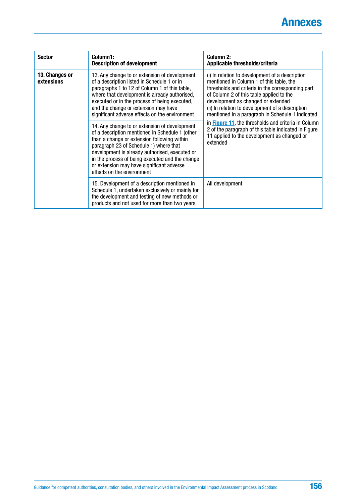| <b>Sector</b>                | Column1:<br><b>Description of development</b>                                                                                                                                                                                                                                                                                                                             | Column 2:<br>Applicable thresholds/criteria                                                                                                                                                                                                                                                                                                |  |
|------------------------------|---------------------------------------------------------------------------------------------------------------------------------------------------------------------------------------------------------------------------------------------------------------------------------------------------------------------------------------------------------------------------|--------------------------------------------------------------------------------------------------------------------------------------------------------------------------------------------------------------------------------------------------------------------------------------------------------------------------------------------|--|
| 13. Changes or<br>extensions | 13. Any change to or extension of development<br>of a description listed in Schedule 1 or in<br>paragraphs 1 to 12 of Column 1 of this table,<br>where that development is already authorised,<br>executed or in the process of being executed,<br>and the change or extension may have<br>significant adverse effects on the environment                                 | (i) In relation to development of a description<br>mentioned in Column 1 of this table, the<br>thresholds and criteria in the corresponding part<br>of Column 2 of this table applied to the<br>development as changed or extended<br>(ii) In relation to development of a description<br>mentioned in a paragraph in Schedule 1 indicated |  |
|                              | 14. Any change to or extension of development<br>of a description mentioned in Schedule 1 (other<br>than a change or extension following within<br>paragraph 23 of Schedule 1) where that<br>development is already authorised, executed or<br>in the process of being executed and the change<br>or extension may have significant adverse<br>effects on the environment | in Figure 11, the thresholds and criteria in Column<br>2 of the paragraph of this table indicated in Figure<br>11 applied to the development as changed or<br>extended                                                                                                                                                                     |  |
|                              | 15. Development of a description mentioned in<br>Schedule 1, undertaken exclusively or mainly for<br>the development and testing of new methods or<br>products and not used for more than two years.                                                                                                                                                                      | All development.                                                                                                                                                                                                                                                                                                                           |  |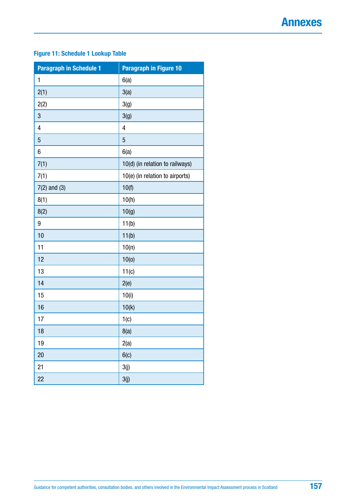### <span id="page-156-0"></span>**Figure 11: Schedule 1 Lookup Table**

| <b>Paragraph in Schedule 1</b> | <b>Paragraph in Figure 10</b>   |
|--------------------------------|---------------------------------|
| $\mathbf{1}$                   | 6(a)                            |
| 2(1)                           | 3(a)                            |
| 2(2)                           | 3(g)                            |
| 3                              | 3(g)                            |
| 4                              | 4                               |
| 5                              | $\overline{5}$                  |
| 6                              | 6(a)                            |
| 7(1)                           | 10(d) (in relation to railways) |
| 7(1)                           | 10(e) (in relation to airports) |
| $7(2)$ and $(3)$               | 10(f)                           |
| 8(1)                           | 10(h)                           |
| 8(2)                           | 10(g)                           |
| 9                              | 11(b)                           |
| 10                             | 11(b)                           |
| 11                             | 10(n)                           |
| 12                             | 10(0)                           |
| 13                             | 11(c)                           |
| 14                             | 2(e)                            |
| 15                             | 10(i)                           |
| 16                             | 10(k)                           |
| 17                             | 1(c)                            |
| 18                             | 8(a)                            |
| 19                             | 2(a)                            |
| 20                             | 6(c)                            |
| 21                             | 3(j)                            |
| 22                             | 3(j)                            |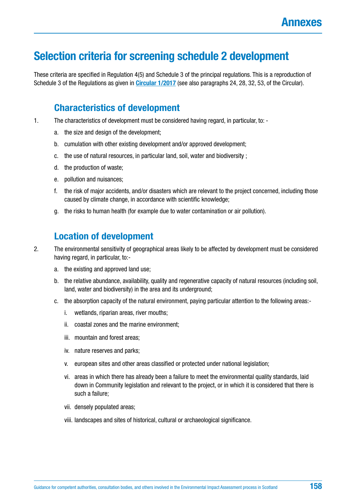## **Selection criteria for screening schedule 2 development**

These criteria are specified in Regulation 4(5) and Schedule 3 of the principal regulations. This is a reproduction of Schedule 3 of the Regulations as given in **[Circular 1/2017](http://www.gov.scot/Resource/0051/00518122.pdf)** (see also paragraphs 24, 28, 32, 53, of the Circular).

### **Characteristics of development**

- 1. The characteristics of development must be considered having regard, in particular, to:
	- a. the size and design of the development;
	- b. cumulation with other existing development and/or approved development;
	- c. the use of natural resources, in particular land, soil, water and biodiversity ;
	- d. the production of waste;
	- e. pollution and nuisances;
	- f. the risk of major accidents, and/or disasters which are relevant to the project concerned, including those caused by climate change, in accordance with scientific knowledge;
	- g. the risks to human health (for example due to water contamination or air pollution).

### **Location of development**

2. The environmental sensitivity of geographical areas likely to be affected by development must be considered having regard, in particular, to:-

- a. the existing and approved land use;
- b. the relative abundance, availability, quality and regenerative capacity of natural resources (including soil, land, water and biodiversity) in the area and its underground;
- c. the absorption capacity of the natural environment, paying particular attention to the following areas:
	- i. wetlands, riparian areas, river mouths;
	- ii. coastal zones and the marine environment;
	- iii. mountain and forest areas;
	- iv. nature reserves and parks;
	- v. european sites and other areas classified or protected under national legislation;
	- vi. areas in which there has already been a failure to meet the environmental quality standards, laid down in Community legislation and relevant to the project, or in which it is considered that there is such a failure;
	- vii. densely populated areas;
	- viii. landscapes and sites of historical, cultural or archaeological significance.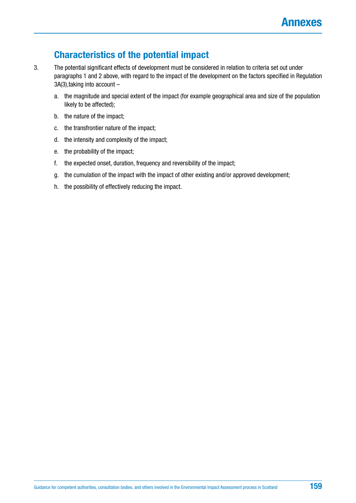## **Characteristics of the potential impact**

- 3. The potential significant effects of development must be considered in relation to criteria set out under paragraphs 1 and 2 above, with regard to the impact of the development on the factors specified in Regulation 3A(3),taking into account –
	- a. the magnitude and special extent of the impact (for example geographical area and size of the population likely to be affected);
	- b. the nature of the impact;
	- c. the transfrontier nature of the impact;
	- d. the intensity and complexity of the impact;
	- e. the probability of the impact;
	- f. the expected onset, duration, frequency and reversibility of the impact;
	- g. the cumulation of the impact with the impact of other existing and/or approved development;
	- h. the possibility of effectively reducing the impact.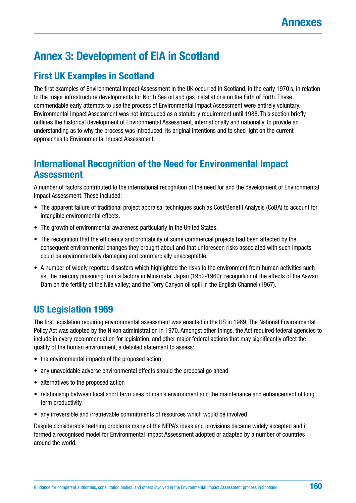## **Annex 3: Development of EIA in Scotland**

## **First UK Examples in Scotland**

The first examples of Environmental Impact Assessment in the UK occurred in Scotland, in the early 1970's, in relation to the major infrastructure developments for North Sea oil and gas installations on the Firth of Forth. These commendable early attempts to use the process of Environmental Impact Assessment were entirely voluntary. Environmental Impact Assessment was not introduced as a statutory requirement until 1988. This section briefly outlines the historical development of Environmental Assessment, internationally and nationally, to provide an understanding as to why the process was introduced, its original intentions and to shed light on the current approaches to Environmental Impact Assessment.

## **International Recognition of the Need for Environmental Impact Assessment**

A number of factors contributed to the international recognition of the need for and the development of Environmental Impact Assessment. These included:

- The apparent failure of traditional project appraisal techniques such as Cost/Benefit Analysis (CoBA) to account for intangible environmental effects.
- The growth of environmental awareness particularly in the United States.
- The recognition that the efficiency and profitability of some commercial projects had been affected by the consequent environmental changes they brought about and that unforeseen risks associated with such impacts could be environmentally damaging and commercially unacceptable.
- A number of widely reported disasters which highlighted the risks to the environment from human activities such as: the mercury poisoning from a factory in Minamata, Japan (1952-1960); recognition of the effects of the Aswan Dam on the fertility of the Nile valley; and the Torry Canyon oil spill in the English Channel (1967).

## **US Legislation 1969**

The first legislation requiring environmental assessment was enacted in the US in 1969. The National Environmental Policy Act was adopted by the Nixon administration in 1970. Amongst other things, the Act required federal agencies to include in every recommendation for legislation, and other major federal actions that may significantly affect the quality of the human environment, a detailed statement to assess:

- the environmental impacts of the proposed action
- any unavoidable adverse environmental effects should the proposal go ahead
- alternatives to the proposed action
- relationship between local short term uses of man's environment and the maintenance and enhancement of long term productivity
- any irreversible and irretrievable commitments of resources which would be involved

Despite considerable teething problems many of the NEPA's ideas and provisions became widely accepted and it formed a recognised model for Environmental Impact Assessment adopted or adapted by a number of countries around the world.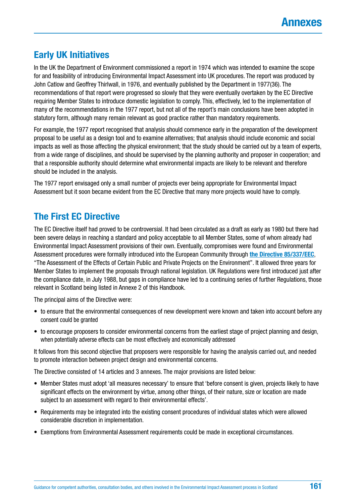## **Early UK Initiatives**

In the UK the Department of Environment commissioned a report in 1974 which was intended to examine the scope for and feasibility of introducing Environmental Impact Assessment into UK procedures. The report was produced by John Catlow and Geoffrey Thirlwall, in 1976, and eventually published by the Department in 1977(36). The recommendations of that report were progressed so slowly that they were eventually overtaken by the EC Directive requiring Member States to introduce domestic legislation to comply. This, effectively, led to the implementation of many of the recommendations in the 1977 report, but not all of the report's main conclusions have been adopted in statutory form, although many remain relevant as good practice rather than mandatory requirements.

For example, the 1977 report recognised that analysis should commence early in the preparation of the development proposal to be useful as a design tool and to examine alternatives; that analysis should include economic and social impacts as well as those affecting the physical environment; that the study should be carried out by a team of experts, from a wide range of disciplines, and should be supervised by the planning authority and proposer in cooperation; and that a responsible authority should determine what environmental impacts are likely to be relevant and therefore should be included in the analysis.

The 1977 report envisaged only a small number of projects ever being appropriate for Environmental Impact Assessment but it soon became evident from the EC Directive that many more projects would have to comply.

## **The First EC Directive**

The EC Directive itself had proved to be controversial. It had been circulated as a draft as early as 1980 but there had been severe delays in reaching a standard and policy acceptable to all Member States, some of whom already had Environmental Impact Assessment provisions of their own. Eventually, compromises were found and Environmental Assessment procedures were formally introduced into the European Community through **[the Directive 85/337/EEC](file:///\\HES.SCOT\SharedData\DCGROUP_LH1\Heritage\Strategic%20Team\Projects\SNH%20HES%20EIA%20Handbook\Work%20in%20progress%20-%20do%20not%20edit\Directive%2085\337\EEC)**, "The Assessment of the Effects of Certain Public and Private Projects on the Environment". It allowed three years for Member States to implement the proposals through national legislation. UK Regulations were first introduced just after the compliance date, in July 1988, but gaps in compliance have led to a continuing series of further Regulations, those relevant in Scotland being listed in Annexe 2 of this Handbook.

The principal aims of the Directive were:

- to ensure that the environmental consequences of new development were known and taken into account before any consent could be granted
- to encourage proposers to consider environmental concerns from the earliest stage of project planning and design, when potentially adverse effects can be most effectively and economically addressed

It follows from this second objective that proposers were responsible for having the analysis carried out, and needed to promote interaction between project design and environmental concerns.

The Directive consisted of 14 articles and 3 annexes. The major provisions are listed below:

- Member States must adopt 'all measures necessary' to ensure that 'before consent is given, projects likely to have significant effects on the environment by virtue, among other things, of their nature, size or location are made subject to an assessment with regard to their environmental effects'.
- Requirements may be integrated into the existing consent procedures of individual states which were allowed considerable discretion in implementation.
- Exemptions from Environmental Assessment requirements could be made in exceptional circumstances.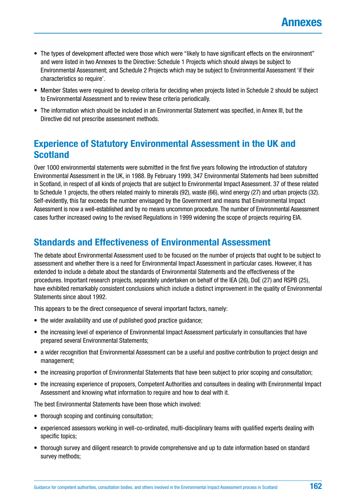- The types of development affected were those which were "likely to have significant effects on the environment" and were listed in two Annexes to the Directive: Schedule 1 Projects which should always be subject to Environmental Assessment; and Schedule 2 Projects which may be subject to Environmental Assessment 'if their characteristics so require'.
- Member States were required to develop criteria for deciding when projects listed in Schedule 2 should be subject to Environmental Assessment and to review these criteria periodically.
- The information which should be included in an Environmental Statement was specified, in Annex III, but the Directive did not prescribe assessment methods.

## **Experience of Statutory Environmental Assessment in the UK and Scotland**

Over 1000 environmental statements were submitted in the first five years following the introduction of statutory Environmental Assessment in the UK, in 1988. By February 1999, 347 Environmental Statements had been submitted in Scotland, in respect of all kinds of projects that are subject to Environmental Impact Assessment. 37 of these related to Schedule 1 projects, the others related mainly to minerals (92), waste (66), wind energy (27) and urban projects (32). Self-evidently, this far exceeds the number envisaged by the Government and means that Environmental Impact Assessment is now a well-established and by no means uncommon procedure. The number of Environmental Assessment cases further increased owing to the revised Regulations in 1999 widening the scope of projects requiring EIA.

### **Standards and Effectiveness of Environmental Assessment**

The debate about Environmental Assessment used to be focused on the number of projects that ought to be subject to assessment and whether there is a need for Environmental Impact Assessment in particular cases. However, it has extended to include a debate about the standards of Environmental Statements and the effectiveness of the procedures. Important research projects, separately undertaken on behalf of the IEA (26), DoE (27) and RSPB (25), have exhibited remarkably consistent conclusions which include a distinct improvement in the quality of Environmental Statements since about 1992.

This appears to be the direct consequence of several important factors, namely:

- the wider availability and use of published good practice guidance;
- the increasing level of experience of Environmental Impact Assessment particularly in consultancies that have prepared several Environmental Statements;
- a wider recognition that Environmental Assessment can be a useful and positive contribution to project design and management;
- the increasing proportion of Environmental Statements that have been subject to prior scoping and consultation;
- the increasing experience of proposers, Competent Authorities and consultees in dealing with Environmental Impact Assessment and knowing what information to require and how to deal with it.

The best Environmental Statements have been those which involved:

- thorough scoping and continuing consultation:
- experienced assessors working in well-co-ordinated, multi-disciplinary teams with qualified experts dealing with specific topics;
- thorough survey and diligent research to provide comprehensive and up to date information based on standard survey methods;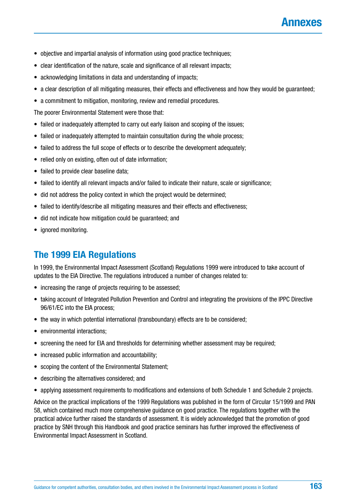- objective and impartial analysis of information using good practice techniques;
- clear identification of the nature, scale and significance of all relevant impacts;
- acknowledging limitations in data and understanding of impacts;
- a clear description of all mitigating measures, their effects and effectiveness and how they would be guaranteed;
- a commitment to mitigation, monitoring, review and remedial procedures.

The poorer Environmental Statement were those that:

- failed or inadequately attempted to carry out early liaison and scoping of the issues:
- failed or inadequately attempted to maintain consultation during the whole process;
- failed to address the full scope of effects or to describe the development adequately;
- relied only on existing, often out of date information;
- failed to provide clear baseline data;
- failed to identify all relevant impacts and/or failed to indicate their nature, scale or significance;
- did not address the policy context in which the project would be determined;
- failed to identify/describe all mitigating measures and their effects and effectiveness;
- did not indicate how mitigation could be guaranteed; and
- ignored monitoring.

## **The 1999 EIA Regulations**

In 1999, the Environmental Impact Assessment (Scotland) Regulations 1999 were introduced to take account of updates to the EIA Directive. The regulations introduced a number of changes related to:

- increasing the range of projects requiring to be assessed;
- taking account of Integrated Pollution Prevention and Control and integrating the provisions of the IPPC Directive 96/61/EC into the EIA process;
- the way in which potential international (transboundary) effects are to be considered;
- environmental interactions:
- screening the need for EIA and thresholds for determining whether assessment may be required;
- increased public information and accountability;
- scoping the content of the Environmental Statement;
- describing the alternatives considered; and
- applying assessment requirements to modifications and extensions of both Schedule 1 and Schedule 2 projects.

Advice on the practical implications of the 1999 Regulations was published in the form of Circular 15/1999 and PAN 58, which contained much more comprehensive guidance on good practice. The regulations together with the practical advice further raised the standards of assessment. It is widely acknowledged that the promotion of good practice by SNH through this Handbook and good practice seminars has further improved the effectiveness of Environmental Impact Assessment in Scotland.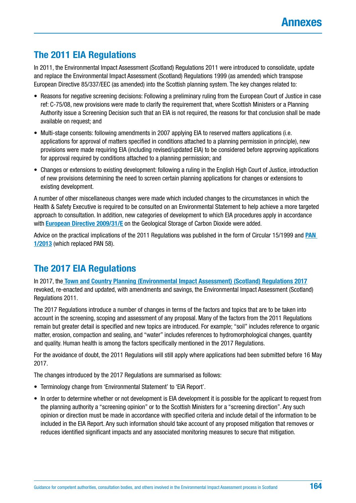## **The 2011 EIA Regulations**

In 2011, the Environmental Impact Assessment (Scotland) Regulations 2011 were introduced to consolidate, update and replace the Environmental Impact Assessment (Scotland) Regulations 1999 (as amended) which transpose European Directive 85/337/EEC (as amended) into the Scottish planning system. The key changes related to:

- Reasons for negative screening decisions: Following a preliminary ruling from the European Court of Justice in case ref: C-75/08, new provisions were made to clarify the requirement that, where Scottish Ministers or a Planning Authority issue a Screening Decision such that an EIA is not required, the reasons for that conclusion shall be made available on request; and
- Multi-stage consents: following amendments in 2007 applying EIA to reserved matters applications (i.e. applications for approval of matters specified in conditions attached to a planning permission in principle), new provisions were made requiring EIA (including revised/updated EIA) to be considered before approving applications for approval required by conditions attached to a planning permission; and
- Changes or extensions to existing development: following a ruling in the English High Court of Justice, introduction of new provisions determining the need to screen certain planning applications for changes or extensions to existing development.

A number of other miscellaneous changes were made which included changes to the circumstances in which the Health & Safety Executive is required to be consulted on an Environmental Statement to help achieve a more targeted approach to consultation. In addition, new categories of development to which EIA procedures apply in accordance with **[European Directive 2009/31/E](http://eur-lex.europa.eu/LexUriServ/LexUriServ.do?uri=OJ:L:2009:140:0114:0135:EN:PDF)** on the Geological Storage of Carbon Dioxide were added.

Advice on the practical implications of the 2011 Regulations was published in the form of Circular 15/1999 and **[PAN](http://www.gov.scot/Publications/2013/08/6471)  [1/2013](http://www.gov.scot/Publications/2013/08/6471)** (which replaced PAN 58).

## **The 2017 EIA Regulations**

In 2017, the **[Town and Country Planning \(Environmental Impact Assessment\) \(Scotland\) Regulations 2017](https://www.legislation.gov.uk/uksi/2017/571/contents/made)** revoked, re-enacted and updated, with amendments and savings, the Environmental Impact Assessment (Scotland) Regulations 2011.

The 2017 Regulations introduce a number of changes in terms of the factors and topics that are to be taken into account in the screening, scoping and assessment of any proposal. Many of the factors from the 2011 Regulations remain but greater detail is specified and new topics are introduced. For example; "soil" includes reference to organic matter, erosion, compaction and sealing, and "water" includes references to hydromorphological changes, quantity and quality. Human health is among the factors specifically mentioned in the 2017 Regulations.

For the avoidance of doubt, the 2011 Regulations will still apply where applications had been submitted before 16 May 2017.

The changes introduced by the 2017 Regulations are summarised as follows:

- Terminology change from 'Environmental Statement' to 'EIA Report'.
- In order to determine whether or not development is EIA development it is possible for the applicant to request from the planning authority a "screening opinion" or to the Scottish Ministers for a "screening direction". Any such opinion or direction must be made in accordance with specified criteria and include detail of the information to be included in the EIA Report. Any such information should take account of any proposed mitigation that removes or reduces identified significant impacts and any associated monitoring measures to secure that mitigation.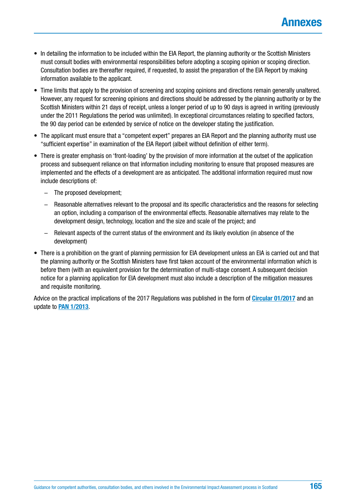- In detailing the information to be included within the EIA Report, the planning authority or the Scottish Ministers must consult bodies with environmental responsibilities before adopting a scoping opinion or scoping direction. Consultation bodies are thereafter required, if requested, to assist the preparation of the EIA Report by making information available to the applicant.
- Time limits that apply to the provision of screening and scoping opinions and directions remain generally unaltered. However, any request for screening opinions and directions should be addressed by the planning authority or by the Scottish Ministers within 21 days of receipt, unless a longer period of up to 90 days is agreed in writing (previously under the 2011 Regulations the period was unlimited). In exceptional circumstances relating to specified factors, the 90 day period can be extended by service of notice on the developer stating the justification.
- The applicant must ensure that a "competent expert" prepares an EIA Report and the planning authority must use "sufficient expertise" in examination of the EIA Report (albeit without definition of either term).
- There is greater emphasis on 'front-loading' by the provision of more information at the outset of the application process and subsequent reliance on that information including monitoring to ensure that proposed measures are implemented and the effects of a development are as anticipated. The additional information required must now include descriptions of:
	- − The proposed development;
	- − Reasonable alternatives relevant to the proposal and its specific characteristics and the reasons for selecting an option, including a comparison of the environmental effects. Reasonable alternatives may relate to the development design, technology, location and the size and scale of the project; and
	- − Relevant aspects of the current status of the environment and its likely evolution (in absence of the development)
- There is a prohibition on the grant of planning permission for EIA development unless an EIA is carried out and that the planning authority or the Scottish Ministers have first taken account of the environmental information which is before them (with an equivalent provision for the determination of multi-stage consent. A subsequent decision notice for a planning application for EIA development must also include a description of the mitigation measures and requisite monitoring.

Advice on the practical implications of the 2017 Regulations was published in the form of **[Circular 01/2017](http://www.gov.scot/Resource/0051/00518122.pdf)** and an update to **[PAN 1/2013](http://www.gov.scot/Publications/2013/08/6471)**.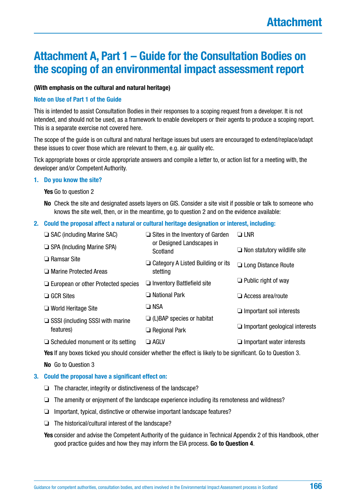## **Attachment A, Part 1 – Guide for the Consultation Bodies on the scoping of an environmental impact assessment report**

#### **(With emphasis on the cultural and natural heritage)**

#### **Note on Use of Part 1 of the Guide**

This is intended to assist Consultation Bodies in their responses to a scoping request from a developer. It is not intended, and should not be used, as a framework to enable developers or their agents to produce a scoping report. This is a separate exercise not covered here.

The scope of the guide is on cultural and natural heritage issues but users are encouraged to extend/replace/adapt these issues to cover those which are relevant to them, e.g. air quality etc.

Tick appropriate boxes or circle appropriate answers and compile a letter to, or action list for a meeting with, the developer and/or Competent Authority.

#### **1. Do you know the site?**

**Yes** Go to question 2

**No** Check the site and designated assets layers on GIS. Consider a site visit if possible or talk to someone who knows the site well, then, or in the meantime, go to question 2 and on the evidence available:

#### **2. Could the proposal affect a natural or cultural heritage designation or interest, including:**

| $\Box$ SAC (including Marine SAC)          | $\Box$ Sites in the Inventory of Garden  | $\Box$ LNR                            |
|--------------------------------------------|------------------------------------------|---------------------------------------|
| $\Box$ SPA (Including Marine SPA)          | or Designed Landscapes in<br>Scotland    | $\Box$ Non statutory wildlife site    |
| $\Box$ Ramsar Site                         | $\Box$ Category A Listed Building or its | $\Box$ Long Distance Route            |
| □ Marine Protected Areas                   | stetting                                 |                                       |
| $\Box$ European or other Protected species | $\Box$ Inventory Battlefield site        | $\Box$ Public right of way            |
| $\Box$ GCR Sites                           | $\Box$ National Park                     | $\Box$ Access area/route              |
| $\Box$ World Heritage Site                 | $\square$ NSA                            | $\Box$ Important soil interests       |
| $\Box$ SSSI (including SSSI with marine    | $\Box$ (L)BAP species or habitat         |                                       |
| features)                                  | $\Box$ Regional Park                     | $\Box$ Important geological interests |
| $\Box$ Scheduled monument or its setting   | $\Box$ agly                              | $\Box$ Important water interests      |
|                                            |                                          |                                       |

**Yes** If any boxes ticked you should consider whether the effect is likely to be significant. Go to Question 3.

**No** Go to Question 3

#### **3. Could the proposal have a significant effect on:**

- ❏ The character, integrity or distinctiveness of the landscape?
- ❏ The amenity or enjoyment of the landscape experience including its remoteness and wildness?
- ❏ Important, typical, distinctive or otherwise important landscape features?
- ❏ The historical/cultural interest of the landscape?

**Yes** consider and advise the Competent Authority of the guidance in Technical Appendix 2 of this Handbook, other good practice guides and how they may inform the EIA process. **Go to Question 4**.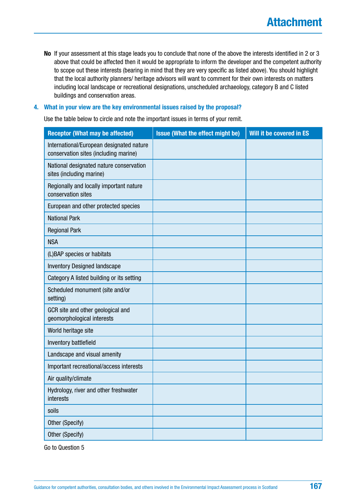**No** If your assessment at this stage leads you to conclude that none of the above the interests identified in 2 or 3 above that could be affected then it would be appropriate to inform the developer and the competent authority to scope out these interests (bearing in mind that they are very specific as listed above). You should highlight that the local authority planners/ heritage advisors will want to comment for their own interests on matters including local landscape or recreational designations, unscheduled archaeology, category B and C listed buildings and conservation areas.

#### **4. What in your view are the key environmental issues raised by the proposal?**

Use the table below to circle and note the important issues in terms of your remit.

| <b>Receptor (What may be affected)</b>                                            | <b>Issue (What the effect might be)</b> | Will it be covered in ES |
|-----------------------------------------------------------------------------------|-----------------------------------------|--------------------------|
| International/European designated nature<br>conservation sites (including marine) |                                         |                          |
| National designated nature conservation<br>sites (including marine)               |                                         |                          |
| Regionally and locally important nature<br>conservation sites                     |                                         |                          |
| European and other protected species                                              |                                         |                          |
| <b>National Park</b>                                                              |                                         |                          |
| <b>Regional Park</b>                                                              |                                         |                          |
| <b>NSA</b>                                                                        |                                         |                          |
| (L)BAP species or habitats                                                        |                                         |                          |
| <b>Inventory Designed landscape</b>                                               |                                         |                          |
| Category A listed building or its setting                                         |                                         |                          |
| Scheduled monument (site and/or<br>setting)                                       |                                         |                          |
| GCR site and other geological and<br>geomorphological interests                   |                                         |                          |
| World heritage site                                                               |                                         |                          |
| Inventory battlefield                                                             |                                         |                          |
| Landscape and visual amenity                                                      |                                         |                          |
| Important recreational/access interests                                           |                                         |                          |
| Air quality/climate                                                               |                                         |                          |
| Hydrology, river and other freshwater<br>interests                                |                                         |                          |
| soils                                                                             |                                         |                          |
| Other (Specify)                                                                   |                                         |                          |
| Other (Specify)                                                                   |                                         |                          |

Go to Question 5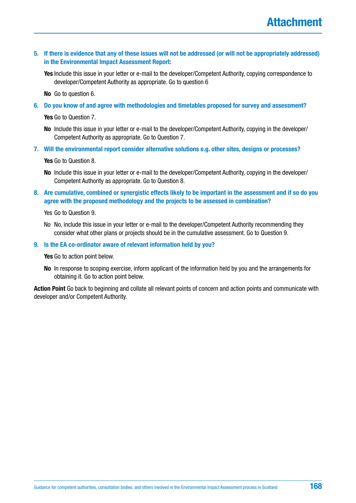**5. If there is evidence that any of these issues will not be addressed (or will not be appropriately addressed) in the Environmental Impact Assessment Report:**

**Yes** Include this issue in your letter or e-mail to the developer/Competent Authority, copying correspondence to developer/Competent Authority as appropriate. Go to question 6

**No** Go to question 6.

**6. Do you know of and agree with methodologies and timetables proposed for survey and assessment?**

**Yes** Go to Question 7.

- **No** Include this issue in your letter or e-mail to the developer/Competent Authority, copying in the developer/ Competent Authority as appropriate. Go to Question 7.
- **7. Will the environmental report consider alternative solutions e.g. other sites, designs or processes?**

**Yes** Go to Question 8.

- **No** Include this issue in your letter or e-mail to the developer/Competent Authority, copying in the developer/ Competent Authority as appropriate. Go to Question 8.
- **8. Are cumulative, combined or synergistic effects likely to be important in the assessment and if so do you agree with the proposed methodology and the projects to be assessed in combination?**

Yes Go to Question 9.

No No, include this issue in your letter or e-mail to the developer/Competent Authority recommending they consider what other plans or projects should be in the cumulative assessment. Go to Question 9.

#### **9. Is the EA co-ordinator aware of relevant information held by you?**

**Yes** Go to action point below.

**No** In response to scoping exercise, inform applicant of the information held by you and the arrangements for obtaining it. Go to action point below.

**Action Point** Go back to beginning and collate all relevant points of concern and action points and communicate with developer and/or Competent Authority.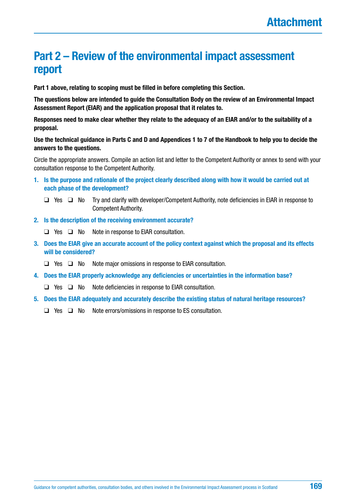## **Part 2 – Review of the environmental impact assessment report**

**Part 1 above, relating to scoping must be filled in before completing this Section.**

**The questions below are intended to guide the Consultation Body on the review of an Environmental Impact Assessment Report (EIAR) and the application proposal that it relates to.**

**Responses need to make clear whether they relate to the adequacy of an EIAR and/or to the suitability of a proposal.**

#### **Use the technical guidance in Parts C and D and Appendices 1 to 7 of the Handbook to help you to decide the answers to the questions.**

Circle the appropriate answers. Compile an action list and letter to the Competent Authority or annex to send with your consultation response to the Competent Authority.

- **1. Is the purpose and rationale of the project clearly described along with how it would be carried out at each phase of the development?**
	- ❑ Yes ❑ No Try and clarify with developer/Competent Authority, note deficiencies in EIAR in response to Competent Authority.
- **2. Is the description of the receiving environment accurate?**
	- ❑ Yes ❑ No Note in response to EIAR consultation.
- **3. Does the EIAR give an accurate account of the policy context against which the proposal and its effects will be considered?**
	- ❑ Yes ❑ No Note major omissions in response to EIAR consultation.
- **4. Does the EIAR properly acknowledge any deficiencies or uncertainties in the information base?**
	- ❑ Yes ❑ No Note deficiencies in response to EIAR consultation.
- **5. Does the EIAR adequately and accurately describe the existing status of natural heritage resources?**
	- ❑ Yes ❑ No Note errors/omissions in response to ES consultation.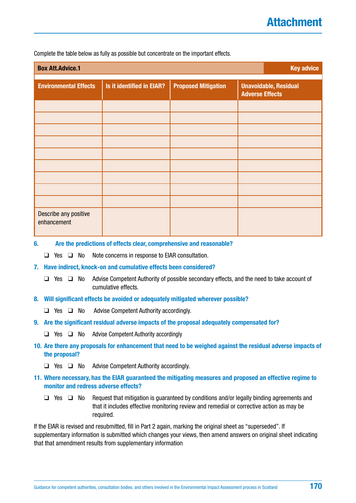Complete the table below as fully as possible but concentrate on the important effects.

| <b>Box Att.Advice.1</b>              | <b>Key advice</b>         |                            |                                                        |
|--------------------------------------|---------------------------|----------------------------|--------------------------------------------------------|
| <b>Environmental Effects</b>         | Is it identified in EIAR? | <b>Proposed Mitigation</b> | <b>Unavoidable, Residual</b><br><b>Adverse Effects</b> |
|                                      |                           |                            |                                                        |
|                                      |                           |                            |                                                        |
|                                      |                           |                            |                                                        |
|                                      |                           |                            |                                                        |
|                                      |                           |                            |                                                        |
|                                      |                           |                            |                                                        |
|                                      |                           |                            |                                                        |
|                                      |                           |                            |                                                        |
|                                      |                           |                            |                                                        |
| Describe any positive<br>enhancement |                           |                            |                                                        |

**6. Are the predictions of effects clear, comprehensive and reasonable?**

❑ Yes ❑ No Note concerns in response to EIAR consultation.

#### **7. Have indirect, knock-on and cumulative effects been considered?**

- ❑ Yes ❑ No Advise Competent Authority of possible secondary effects, and the need to take account of cumulative effects.
- **8. Will significant effects be avoided or adequately mitigated wherever possible?**
	- ❑ Yes ❑ No Advise Competent Authority accordingly.
- **9. Are the significant residual adverse impacts of the proposal adequately compensated for?**
	- ❑ Yes ❑ No Advise Competent Authority accordingly
- **10. Are there any proposals for enhancement that need to be weighed against the residual adverse impacts of the proposal?**
	- ❑ Yes ❑ No Advise Competent Authority accordingly.
- **11. Where necessary, has the EIAR guaranteed the mitigating measures and proposed an effective regime to monitor and redress adverse effects?**
	- ❑ Yes ❑ No Request that mitigation is guaranteed by conditions and/or legally binding agreements and that it includes effective monitoring review and remedial or corrective action as may be required.

If the EIAR is revised and resubmitted, fill in Part 2 again, marking the original sheet as "superseded". If supplementary information is submitted which changes your views, then amend answers on original sheet indicating that that amendment results from supplementary information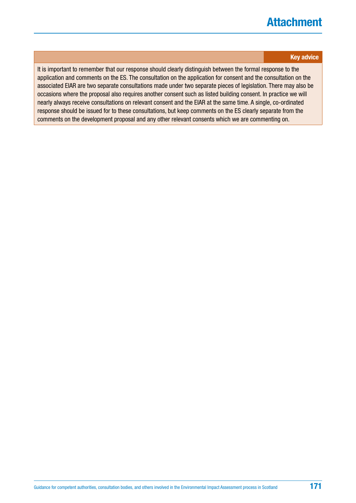## **Attachment**

#### **Key advice**

It is important to remember that our response should clearly distinguish between the formal response to the application and comments on the ES. The consultation on the application for consent and the consultation on the associated EIAR are two separate consultations made under two separate pieces of legislation. There may also be occasions where the proposal also requires another consent such as listed building consent. In practice we will nearly always receive consultations on relevant consent and the EIAR at the same time. A single, co-ordinated response should be issued for to these consultations, but keep comments on the ES clearly separate from the comments on the development proposal and any other relevant consents which we are commenting on.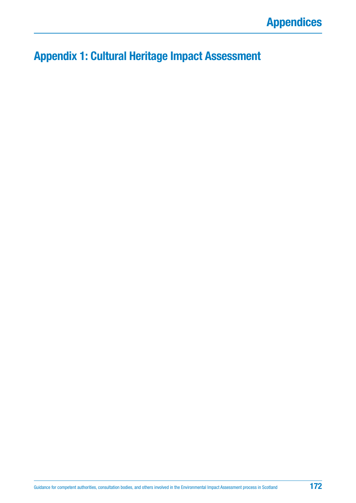## **Appendix 1: Cultural Heritage Impact Assessment**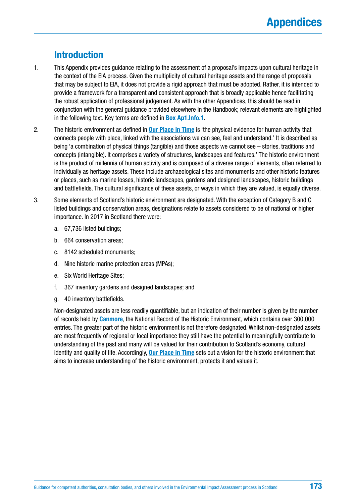## **Introduction**

- 1. This Appendix provides guidance relating to the assessment of a proposal's impacts upon cultural heritage in the context of the EIA process. Given the multiplicity of cultural heritage assets and the range of proposals that may be subject to EIA, it does not provide a rigid approach that must be adopted. Rather, it is intended to provide a framework for a transparent and consistent approach that is broadly applicable hence facilitating the robust application of professional judgement. As with the other Appendices, this should be read in conjunction with the general guidance provided elsewhere in the Handbook; relevant elements are highlighted in the following text. Key terms are defined in **[Box Ap1.Info.1](#page-174-0)**.
- 2. The historic environment as defined in **[Our Place in Time](http://www.gov.scot/Resource/0044/00445046.pdf)** is 'the physical evidence for human activity that connects people with place, linked with the associations we can see, feel and understand.' It is described as being 'a combination of physical things (tangible) and those aspects we cannot see – stories, traditions and concepts (intangible). It comprises a variety of structures, landscapes and features.' The historic environment is the product of millennia of human activity and is composed of a diverse range of elements, often referred to individually as heritage assets. These include archaeological sites and monuments and other historic features or places, such as marine losses, historic landscapes, gardens and designed landscapes, historic buildings and battlefields. The cultural significance of these assets, or ways in which they are valued, is equally diverse.
- 3. Some elements of Scotland's historic environment are designated. With the exception of Category B and C listed buildings and conservation areas, designations relate to assets considered to be of national or higher importance. In 2017 in Scotland there were:
	- a. 67,736 listed buildings;
	- b. 664 conservation areas;
	- c. 8142 scheduled monuments;
	- d. Nine historic marine protection areas (MPAs);
	- e. Six World Heritage Sites;
	- f. 367 inventory gardens and designed landscapes; and
	- g. 40 inventory battlefields.

Non-designated assets are less readily quantifiable, but an indication of their number is given by the number of records held by **[Canmore](https://canmore.org.uk/)**, the National Record of the Historic Environment, which contains over 300,000 entries. The greater part of the historic environment is not therefore designated. Whilst non-designated assets are most frequently of regional or local importance they still have the potential to meaningfully contribute to understanding of the past and many will be valued for their contribution to Scotland's economy, cultural identity and quality of life. Accordingly, **[Our Place in Time](http://www.gov.scot/Resource/0044/00445046.pdf)** sets out a vision for the historic environment that aims to increase understanding of the historic environment, protects it and values it.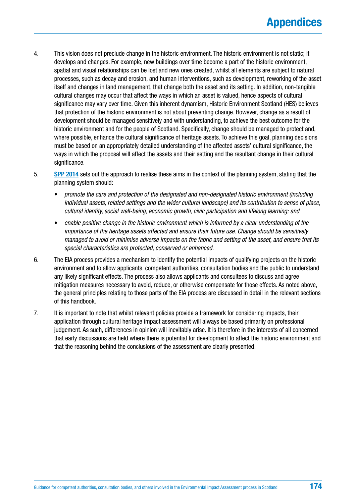- 4. This vision does not preclude change in the historic environment. The historic environment is not static; it develops and changes. For example, new buildings over time become a part of the historic environment, spatial and visual relationships can be lost and new ones created, whilst all elements are subject to natural processes, such as decay and erosion, and human interventions, such as development, reworking of the asset itself and changes in land management, that change both the asset and its setting. In addition, non-tangible cultural changes may occur that affect the ways in which an asset is valued, hence aspects of cultural significance may vary over time. Given this inherent dynamism, Historic Environment Scotland (HES) believes that protection of the historic environment is not about preventing change. However, change as a result of development should be managed sensitively and with understanding, to achieve the best outcome for the historic environment and for the people of Scotland. Specifically, change should be managed to protect and, where possible, enhance the cultural significance of heritage assets. To achieve this goal, planning decisions must be based on an appropriately detailed understanding of the affected assets' cultural significance, the ways in which the proposal will affect the assets and their setting and the resultant change in their cultural significance.
- 5. **[SPP 2014](http://www.gov.scot/Publications/2014/06/5823)** sets out the approach to realise these aims in the context of the planning system, stating that the planning system should:
	- *promote the care and protection of the designated and non-designated historic environment (including individual assets, related settings and the wider cultural landscape) and its contribution to sense of place, cultural identity, social well-being, economic growth, civic participation and lifelong learning; and*
	- *enable positive change in the historic environment which is informed by a clear understanding of the importance of the heritage assets affected and ensure their future use. Change should be sensitively managed to avoid or minimise adverse impacts on the fabric and setting of the asset, and ensure that its special characteristics are protected, conserved or enhanced.*
- 6. The EIA process provides a mechanism to identify the potential impacts of qualifying projects on the historic environment and to allow applicants, competent authorities, consultation bodies and the public to understand any likely significant effects. The process also allows applicants and consultees to discuss and agree mitigation measures necessary to avoid, reduce, or otherwise compensate for those effects. As noted above, the general principles relating to those parts of the EIA process are discussed in detail in the relevant sections of this handbook.
- 7. It is important to note that whilst relevant policies provide a framework for considering impacts, their application through cultural heritage impact assessment will always be based primarily on professional judgement. As such, differences in opinion will inevitably arise. It is therefore in the interests of all concerned that early discussions are held where there is potential for development to affect the historic environment and that the reasoning behind the conclusions of the assessment are clearly presented.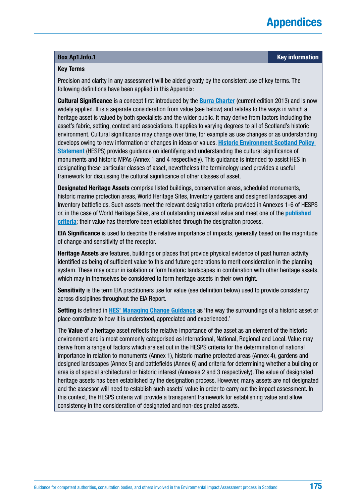## **Appendices**

#### <span id="page-174-0"></span>**Box [Ap1.Info.](http://Ap1.Info)1 Key information**

#### **Key Terms**

Precision and clarity in any assessment will be aided greatly by the consistent use of key terms. The following definitions have been applied in this Appendix:

**Cultural Significance** is a concept first introduced by the **[Burra Charter](http://australia.icomos.org/wp-content/uploads/The-Burra-Charter-2013-Adopted-31.10.2013.pdf)** (current edition 2013) and is now widely applied. It is a separate consideration from value (see below) and relates to the ways in which a heritage asset is valued by both specialists and the wider public. It may derive from factors including the asset's fabric, setting, context and associations. It applies to varying degrees to all of Scotland's historic environment. Cultural significance may change over time, for example as use changes or as understanding develops owing to new information or changes in ideas or values. **[Historic Environment Scotland Policy](https://www.historicenvironment.scot/archives-and-research/publications/publication/?publicationId=f413711b-bb7b-4a8d-a3e8-a619008ca8b5)  [Statement](https://www.historicenvironment.scot/archives-and-research/publications/publication/?publicationId=f413711b-bb7b-4a8d-a3e8-a619008ca8b5)** (HESPS) provides guidance on identifying and understanding the cultural significance of monuments and historic MPAs (Annex 1 and 4 respectively). This guidance is intended to assist HES in designating these particular classes of asset, nevertheless the terminology used provides a useful framework for discussing the cultural significance of other classes of asset.

**Designated Heritage Assets** comprise listed buildings, conservation areas, scheduled monuments, historic marine protection areas, World Heritage Sites, Inventory gardens and designed landscapes and Inventory battlefields. Such assets meet the relevant designation criteria provided in Annexes 1-6 of HESPS or, in the case of World Heritage Sites, are of outstanding universal value and meet one of the **[published](http://whc.unesco.org/en/criteria/)  [criteria](http://whc.unesco.org/en/criteria/)**; their value has therefore been established through the designation process.

**EIA Significance** is used to describe the relative importance of impacts, generally based on the magnitude of change and sensitivity of the receptor.

**Heritage Assets** are features, buildings or places that provide physical evidence of past human activity identified as being of sufficient value to this and future generations to merit consideration in the planning system. These may occur in isolation or form historic landscapes in combination with other heritage assets, which may in themselves be considered to form heritage assets in their own right.

**Sensitivity** is the term EIA practitioners use for value (see definition below) used to provide consistency across disciplines throughout the EIA Report.

**Setting** is defined in **[HES' Managing Change Guidance](https://www.historicenvironment.scot/archives-and-research/publications/publication/?publicationId=80b7c0a0-584b-4625-b1fd-a60b009c2549)** as 'the way the surroundings of a historic asset or place contribute to how it is understood, appreciated and experienced.'

The **Value** of a heritage asset reflects the relative importance of the asset as an element of the historic environment and is most commonly categorised as International, National, Regional and Local. Value may derive from a range of factors which are set out in the HESPS criteria for the determination of national importance in relation to monuments (Annex 1), historic marine protected areas (Annex 4), gardens and designed landscapes (Annex 5) and battlefields (Annex 6) and criteria for determining whether a building or area is of special architectural or historic interest (Annexes 2 and 3 respectively). The value of designated heritage assets has been established by the designation process. However, many assets are not designated and the assessor will need to establish such assets' value in order to carry out the impact assessment. In this context, the HESPS criteria will provide a transparent framework for establishing value and allow consistency in the consideration of designated and non-designated assets.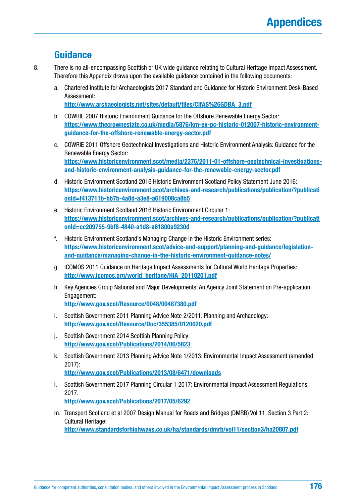### **Guidance**

- 8. There is no all-encompassing Scottish or UK wide guidance relating to Cultural Heritage Impact Assessment. Therefore this Appendix draws upon the available guidance contained in the following documents:
	- a. Chartered Institute for Archaeologists 2017 Standard and Guidance for Historic Environment Desk-Based Assessment:

**[http://www.archaeologists.net/sites/default/files/CIfAS%26GDBA\\_3.pdf](http://www.archaeologists.net/sites/default/files/CIfAS%26GDBA_3.pdf)**

- b. COWRIE 2007 Historic Environment Guidance for the Offshore Renewable Energy Sector: **[https://www.thecrownestate.co.uk/media/5876/km-ex-pc-historic-012007-historic-environment](https://www.thecrownestate.co.uk/media/5876/km-ex-pc-historic-012007-historic-environment-guidance-for-the-offshore-renewable-energy-sector.pdf)[guidance-for-the-offshore-renewable-energy-sector.pdf](https://www.thecrownestate.co.uk/media/5876/km-ex-pc-historic-012007-historic-environment-guidance-for-the-offshore-renewable-energy-sector.pdf)**
- c. COWRIE 2011 Offshore Geotechnical Investigations and Historic Environment Analysis: Guidance for the Renewable Energy Sector: **[https://www.historicenvironment.scot/media/2376/2011-01-offshore-geotechnical-investigations](https://www.historicenvironment.scot/media/2376/2011-01-offshore-geotechnical-investigations-and-historic-environment-analysis-guidance-for-the-renewable-energy-sector.pdf)[and-historic-environment-analysis-guidance-for-the-renewable-energy-sector.pdf](https://www.historicenvironment.scot/media/2376/2011-01-offshore-geotechnical-investigations-and-historic-environment-analysis-guidance-for-the-renewable-energy-sector.pdf)**
- d. Historic Environment Scotland 2016 Historic Environment Scotland Policy Statement June 2016: **[https://www.historicenvironment.scot/archives-and-research/publications/publication/?publicati](https://www.historicenvironment.scot/archives-and-research/publications/publication/?publicationId=f413711b-bb7b-4a8d-a3e8-a619008ca8b5) [onId=f413711b-bb7b-4a8d-a3e8-a619008ca8b5](https://www.historicenvironment.scot/archives-and-research/publications/publication/?publicationId=f413711b-bb7b-4a8d-a3e8-a619008ca8b5)**
- e. Historic Environment Scotland 2016 Historic Environment Circular 1: **[https://www.historicenvironment.scot/archives-and-research/publications/publication/?publicati](https://www.historicenvironment.scot/archives-and-research/publications/publication/?publicationId=ec209755-9bf8-4840-a1d8-a61800a9230d) [onId=ec209755-9bf8-4840-a1d8-a61800a9230d](https://www.historicenvironment.scot/archives-and-research/publications/publication/?publicationId=ec209755-9bf8-4840-a1d8-a61800a9230d)**
- f. Historic Environment Scotland's Managing Change in the Historic Environment series: **[https://www.historicenvironment.scot/advice-and-support/planning-and-guidance/legislation](https://www.historicenvironment.scot/advice-and-support/planning-and-guidance/legislation-and-guidance/managing-change-in-the-historic-environment-guidance-notes/)[and-guidance/managing-change-in-the-historic-environment-guidance-notes/](https://www.historicenvironment.scot/advice-and-support/planning-and-guidance/legislation-and-guidance/managing-change-in-the-historic-environment-guidance-notes/)**
- g. ICOMOS 2011 Guidance on Heritage Impact Assessments for Cultural World Heritage Properties: **[http://www.icomos.org/world\\_heritage/HIA\\_20110201.pdf](http://www.icomos.org/world_heritage/HIA_20110201.pdf)**
- h. Key Agencies Group National and Major Developments: An Agency Joint Statement on Pre-application Engagement: **<http://www.gov.scot/Resource/0048/00487380.pdf>**
- i. Scottish Government 2011 Planning Advice Note 2/2011: Planning and Archaeology: **<http://www.gov.scot/Resource/Doc/355385/0120020.pdf>**
- j. Scottish Government 2014 Scottish Planning Policy: **<http://www.gov.scot/Publications/2014/06/5823>**
- k. Scottish Government 2013 Planning Advice Note 1/2013: Environmental Impact Assessment (amended 2017): **<http://www.gov.scot/Publications/2013/08/6471/downloads>**
- l. Scottish Government 2017 Planning Circular 1 2017: Environmental Impact Assessment Regulations 2017: **<http://www.gov.scot/Publications/2017/05/6292>**
- m. Transport Scotland et al 2007 Design Manual for Roads and Bridges (DMRB) Vol 11, Section 3 Part 2: Cultural Heritage: **<http://www.standardsforhighways.co.uk/ha/standards/dmrb/vol11/section3/ha20807.pdf>**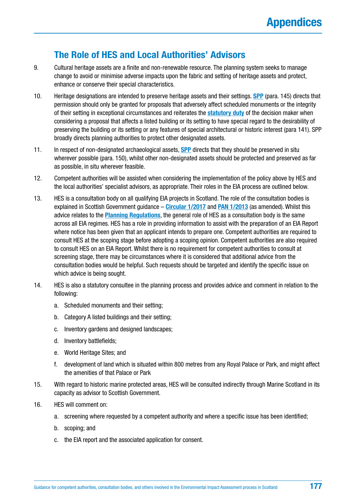## **The Role of HES and Local Authorities' Advisors**

- 9. Cultural heritage assets are a finite and non-renewable resource. The planning system seeks to manage change to avoid or minimise adverse impacts upon the fabric and setting of heritage assets and protect, enhance or conserve their special characteristics.
- 10. Heritage designations are intended to preserve heritage assets and their settings. **[SPP](http://www.gov.scot/Publications/2014/06/5823)** (para. 145) directs that permission should only be granted for proposals that adversely affect scheduled monuments or the integrity of their setting in exceptional circumstances and reiterates the **[statutory duty](https://www.legislation.gov.uk/ukpga/1997/9/section/59)** of the decision maker when considering a proposal that affects a listed building or its setting to have special regard to the desirability of preserving the building or its setting or any features of special architectural or historic interest (para 141). SPP broadly directs planning authorities to protect other designated assets.
- 11. In respect of non-designated archaeological assets, **[SPP](http://www.gov.scot/Publications/2014/06/5823)** directs that they should be preserved in situ wherever possible (para. 150), whilst other non-designated assets should be protected and preserved as far as possible, in situ wherever feasible.
- 12. Competent authorities will be assisted when considering the implementation of the policy above by HES and the local authorities' specialist advisors, as appropriate. Their roles in the EIA process are outlined below.
- 13. HES is a consultation body on all qualifying EIA projects in Scotland. The role of the consultation bodies is explained in Scottish Government guidance – **[Circular 1/2017](http://www.gov.scot/Publications/2017/05/6292)** and **[PAN 1/2013](http://www.gov.scot/Publications/2013/08/6471/downloads)** (as amended). Whilst this advice relates to the **[Planning Regulations](https://www.legislation.gov.uk/uksi/2017/571/contents/made)**, the general role of HES as a consultation body is the same across all EIA regimes. HES has a role in providing information to assist with the preparation of an EIA Report where notice has been given that an applicant intends to prepare one. Competent authorities are required to consult HES at the scoping stage before adopting a scoping opinion. Competent authorities are also required to consult HES on an EIA Report. Whilst there is no requirement for competent authorities to consult at screening stage, there may be circumstances where it is considered that additional advice from the consultation bodies would be helpful. Such requests should be targeted and identify the specific issue on which advice is being sought.
- 14. HES is also a statutory consultee in the planning process and provides advice and comment in relation to the following:
	- a. Scheduled monuments and their setting;
	- b. Category A listed buildings and their setting;
	- c. Inventory gardens and designed landscapes;
	- d. Inventory battlefields;
	- e. World Heritage Sites; and
	- f. development of land which is situated within 800 metres from any Royal Palace or Park, and might affect the amenities of that Palace or Park
- 15. With regard to historic marine protected areas, HES will be consulted indirectly through Marine Scotland in its capacity as advisor to Scottish Government.
- 16. HES will comment on:
	- a. screening where requested by a competent authority and where a specific issue has been identified;
	- b. scoping; and
	- c. the EIA report and the associated application for consent.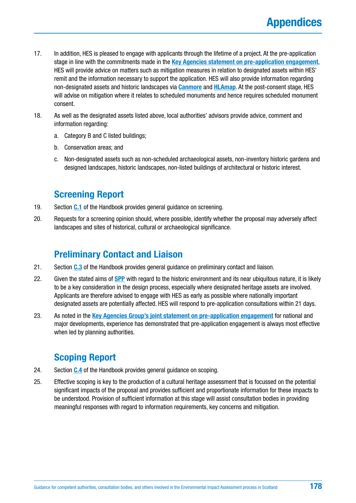- 17. In addition, HES is pleased to engage with applicants through the lifetime of a project. At the pre-application stage in line with the commitments made in the **[Key Agencies statement on pre-application engagement](http://www.gov.scot/Resource/0048/00487380.pdf)**, HES will provide advice on matters such as mitigation measures in relation to designated assets within HES' remit and the information necessary to support the application. HES will also provide information regarding non-designated assets and historic landscapes via **[Canmore](https://canmore.org.uk/)** and **[HLAmap](http://hlamap.org.uk/)**. At the post-consent stage, HES will advise on mitigation where it relates to scheduled monuments and hence requires scheduled monument consent.
- 18. As well as the designated assets listed above, local authorities' advisors provide advice, comment and information regarding:
	- a. Category B and C listed buildings;
	- b. Conservation areas; and
	- c. Non-designated assets such as non-scheduled archaeological assets, non-inventory historic gardens and designed landscapes, historic landscapes, non-listed buildings of architectural or historic interest.

### **Screening Report**

- 19. Section **[C.1](#page-48-0)** of the Handbook provides general guidance on screening.
- 20. Requests for a screening opinion should, where possible, identify whether the proposal may adversely affect landscapes and sites of historical, cultural or archaeological significance.

## **Preliminary Contact and Liaison**

- 21. Section **[C.3](#page-54-0)** of the Handbook provides general guidance on preliminary contact and liaison.
- 22. Given the stated aims of **[SPP](http://www.gov.scot/Publications/2014/06/5823)** with regard to the historic environment and its near ubiquitous nature, it is likely to be a key consideration in the design process, especially where designated heritage assets are involved. Applicants are therefore advised to engage with HES as early as possible where nationally important designated assets are potentially affected. HES will respond to pre-application consultations within 21 days.
- 23. As noted in the **[Key Agencies Group's joint statement on pre-application engagement](http://www.gov.scot/Resource/0048/00487380.pdf)** for national and major developments, experience has demonstrated that pre-application engagement is always most effective when led by planning authorities.

## **Scoping Report**

- 24. Section **[C.4](#page-56-0)** of the Handbook provides general guidance on scoping.
- 25. Effective scoping is key to the production of a cultural heritage assessment that is focussed on the potential significant impacts of the proposal and provides sufficient and proportionate information for these impacts to be understood. Provision of sufficient information at this stage will assist consultation bodies in providing meaningful responses with regard to information requirements, key concerns and mitigation.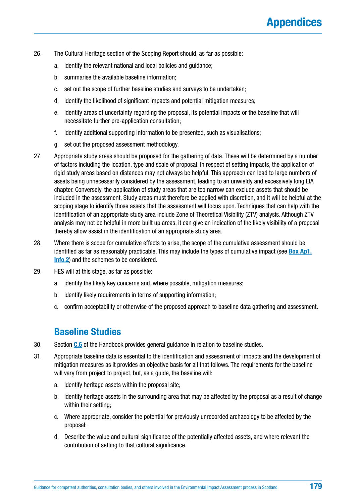- 26. The Cultural Heritage section of the Scoping Report should, as far as possible:
	- a. identify the relevant national and local policies and guidance;
	- b. summarise the available baseline information;
	- c. set out the scope of further baseline studies and surveys to be undertaken;
	- d. identify the likelihood of significant impacts and potential mitigation measures;
	- e. identify areas of uncertainty regarding the proposal, its potential impacts or the baseline that will necessitate further pre-application consultation;
	- f. identify additional supporting information to be presented, such as visualisations;
	- g. set out the proposed assessment methodology.
- 27. Appropriate study areas should be proposed for the gathering of data. These will be determined by a number of factors including the location, type and scale of proposal. In respect of setting impacts, the application of rigid study areas based on distances may not always be helpful. This approach can lead to large numbers of assets being unnecessarily considered by the assessment, leading to an unwieldy and excessively long EIA chapter. Conversely, the application of study areas that are too narrow can exclude assets that should be included in the assessment. Study areas must therefore be applied with discretion, and it will be helpful at the scoping stage to identify those assets that the assessment will focus upon. Techniques that can help with the identification of an appropriate study area include Zone of Theoretical Visibility (ZTV) analysis. Although ZTV analysis may not be helpful in more built up areas, it can give an indication of the likely visibility of a proposal thereby allow assist in the identification of an appropriate study area.
- 28. Where there is scope for cumulative effects to arise, the scope of the cumulative assessment should be identified as far as reasonably practicable. This may include the types of cumulative impact (see **[Box Ap1.](#page-182-0) [Info.2](#page-182-0)**) and the schemes to be considered.
- 29. HES will at this stage, as far as possible:
	- a. identify the likely key concerns and, where possible, mitigation measures;
	- b. identify likely requirements in terms of supporting information;
	- c. confirm acceptability or otherwise of the proposed approach to baseline data gathering and assessment.

### **Baseline Studies**

- 30. Section **[C.6](#page-66-0)** of the Handbook provides general guidance in relation to baseline studies.
- 31. Appropriate baseline data is essential to the identification and assessment of impacts and the development of mitigation measures as it provides an objective basis for all that follows. The requirements for the baseline will vary from project to project, but, as a guide, the baseline will:
	- a. Identify heritage assets within the proposal site;
	- b. Identify heritage assets in the surrounding area that may be affected by the proposal as a result of change within their setting;
	- c. Where appropriate, consider the potential for previously unrecorded archaeology to be affected by the proposal;
	- d. Describe the value and cultural significance of the potentially affected assets, and where relevant the contribution of setting to that cultural significance.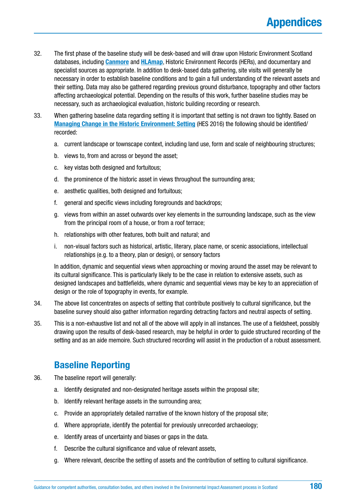- 32. The first phase of the baseline study will be desk-based and will draw upon Historic Environment Scotland databases, including **[Canmore](https://canmore.org.uk/)** and **[HLAmap](http://hlamap.org.uk/)**, Historic Environment Records (HERs), and documentary and specialist sources as appropriate. In addition to desk-based data gathering, site visits will generally be necessary in order to establish baseline conditions and to gain a full understanding of the relevant assets and their setting. Data may also be gathered regarding previous ground disturbance, topography and other factors affecting archaeological potential. Depending on the results of this work, further baseline studies may be necessary, such as archaeological evaluation, historic building recording or research.
- 33. When gathering baseline data regarding setting it is important that setting is not drawn too tightly. Based on **[Managing Change in the Historic Environment: Setting](https://www.historicenvironment.scot/archives-and-research/publications/publication/?publicationId=80b7c0a0-584b-4625-b1fd-a60b009c2549)** (HES 2016) the following should be identified/ recorded:
	- a. current landscape or townscape context, including land use, form and scale of neighbouring structures;
	- b. views to, from and across or beyond the asset;
	- c. key vistas both designed and fortuitous;
	- d. the prominence of the historic asset in views throughout the surrounding area;
	- e. aesthetic qualities, both designed and fortuitous;
	- f. general and specific views including foregrounds and backdrops;
	- g. views from within an asset outwards over key elements in the surrounding landscape, such as the view from the principal room of a house, or from a roof terrace;
	- h. relationships with other features, both built and natural; and
	- i. non-visual factors such as historical, artistic, literary, place name, or scenic associations, intellectual relationships (e.g. to a theory, plan or design), or sensory factors

In addition, dynamic and sequential views when approaching or moving around the asset may be relevant to its cultural significance. This is particularly likely to be the case in relation to extensive assets, such as designed landscapes and battlefields, where dynamic and sequential views may be key to an appreciation of design or the role of topography in events, for example.

- 34. The above list concentrates on aspects of setting that contribute positively to cultural significance, but the baseline survey should also gather information regarding detracting factors and neutral aspects of setting.
- 35. This is a non-exhaustive list and not all of the above will apply in all instances. The use of a fieldsheet, possibly drawing upon the results of desk-based research, may be helpful in order to guide structured recording of the setting and as an aide memoire. Such structured recording will assist in the production of a robust assessment.

## **Baseline Reporting**

- 36. The baseline report will generally:
	- a. Identify designated and non-designated heritage assets within the proposal site;
	- b. Identify relevant heritage assets in the surrounding area;
	- c. Provide an appropriately detailed narrative of the known history of the proposal site;
	- d. Where appropriate, identify the potential for previously unrecorded archaeology;
	- e. Identify areas of uncertainty and biases or gaps in the data.
	- f. Describe the cultural significance and value of relevant assets,
	- g. Where relevant, describe the setting of assets and the contribution of setting to cultural significance.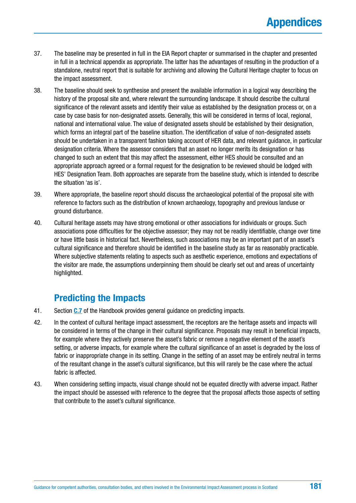- 37. The baseline may be presented in full in the EIA Report chapter or summarised in the chapter and presented in full in a technical appendix as appropriate. The latter has the advantages of resulting in the production of a standalone, neutral report that is suitable for archiving and allowing the Cultural Heritage chapter to focus on the impact assessment.
- 38. The baseline should seek to synthesise and present the available information in a logical way describing the history of the proposal site and, where relevant the surrounding landscape. It should describe the cultural significance of the relevant assets and identify their value as established by the designation process or, on a case by case basis for non-designated assets. Generally, this will be considered in terms of local, regional, national and international value. The value of designated assets should be established by their designation. which forms an integral part of the baseline situation. The identification of value of non-designated assets should be undertaken in a transparent fashion taking account of HER data, and relevant guidance, in particular designation criteria. Where the assessor considers that an asset no longer merits its designation or has changed to such an extent that this may affect the assessment, either HES should be consulted and an appropriate approach agreed or a formal request for the designation to be reviewed should be lodged with HES' Designation Team. Both approaches are separate from the baseline study, which is intended to describe the situation 'as is'.
- 39. Where appropriate, the baseline report should discuss the archaeological potential of the proposal site with reference to factors such as the distribution of known archaeology, topography and previous landuse or ground disturbance.
- 40. Cultural heritage assets may have strong emotional or other associations for individuals or groups. Such associations pose difficulties for the objective assessor; they may not be readily identifiable, change over time or have little basis in historical fact. Nevertheless, such associations may be an important part of an asset's cultural significance and therefore should be identified in the baseline study as far as reasonably practicable. Where subjective statements relating to aspects such as aesthetic experience, emotions and expectations of the visitor are made, the assumptions underpinning them should be clearly set out and areas of uncertainty highlighted.

### **Predicting the Impacts**

- 41. Section **[C.7](#page-69-0)** of the Handbook provides general guidance on predicting impacts.
- 42. In the context of cultural heritage impact assessment, the receptors are the heritage assets and impacts will be considered in terms of the change in their cultural significance. Proposals may result in beneficial impacts, for example where they actively preserve the asset's fabric or remove a negative element of the asset's setting, or adverse impacts, for example where the cultural significance of an asset is degraded by the loss of fabric or inappropriate change in its setting. Change in the setting of an asset may be entirely neutral in terms of the resultant change in the asset's cultural significance, but this will rarely be the case where the actual fabric is affected.
- 43. When considering setting impacts, visual change should not be equated directly with adverse impact. Rather the impact should be assessed with reference to the degree that the proposal affects those aspects of setting that contribute to the asset's cultural significance.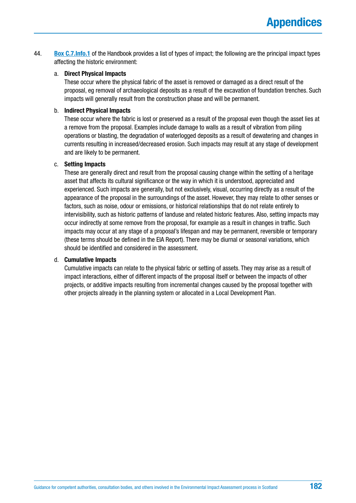44. **[Box C.7.Info.1](#page-70-0)** of the Handbook provides a list of types of impact; the following are the principal impact types affecting the historic environment:

#### a. **Direct Physical Impacts**

These occur where the physical fabric of the asset is removed or damaged as a direct result of the proposal, eg removal of archaeological deposits as a result of the excavation of foundation trenches. Such impacts will generally result from the construction phase and will be permanent.

#### b. **Indirect Physical Impacts**

These occur where the fabric is lost or preserved as a result of the proposal even though the asset lies at a remove from the proposal. Examples include damage to walls as a result of vibration from piling operations or blasting, the degradation of waterlogged deposits as a result of dewatering and changes in currents resulting in increased/decreased erosion. Such impacts may result at any stage of development and are likely to be permanent.

#### c. **Setting Impacts**

These are generally direct and result from the proposal causing change within the setting of a heritage asset that affects its cultural significance or the way in which it is understood, appreciated and experienced. Such impacts are generally, but not exclusively, visual, occurring directly as a result of the appearance of the proposal in the surroundings of the asset. However, they may relate to other senses or factors, such as noise, odour or emissions, or historical relationships that do not relate entirely to intervisibility, such as historic patterns of landuse and related historic features. Also, setting impacts may occur indirectly at some remove from the proposal, for example as a result in changes in traffic. Such impacts may occur at any stage of a proposal's lifespan and may be permanent, reversible or temporary (these terms should be defined in the EIA Report). There may be diurnal or seasonal variations, which should be identified and considered in the assessment.

### d. **Cumulative Impacts**

Cumulative impacts can relate to the physical fabric or setting of assets. They may arise as a result of impact interactions, either of different impacts of the proposal itself or between the impacts of other projects, or additive impacts resulting from incremental changes caused by the proposal together with other projects already in the planning system or allocated in a Local Development Plan.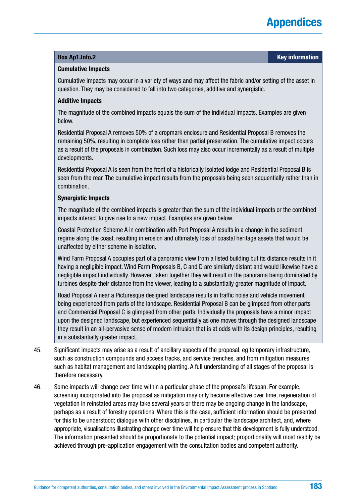#### **Box [Ap1.Info](http://Ap1.Info).2 Key information**

#### **Cumulative Impacts**

Cumulative impacts may occur in a variety of ways and may affect the fabric and/or setting of the asset in question. They may be considered to fall into two categories, additive and synergistic.

#### **Additive Impacts**

The magnitude of the combined impacts equals the sum of the individual impacts. Examples are given below.

Residential Proposal A removes 50% of a cropmark enclosure and Residential Proposal B removes the remaining 50%, resulting in complete loss rather than partial preservation. The cumulative impact occurs as a result of the proposals in combination. Such loss may also occur incrementally as a result of multiple developments.

Residential Proposal A is seen from the front of a historically isolated lodge and Residential Proposal B is seen from the rear. The cumulative impact results from the proposals being seen sequentially rather than in combination.

#### **Synergistic Impacts**

The magnitude of the combined impacts is greater than the sum of the individual impacts or the combined impacts interact to give rise to a new impact. Examples are given below.

Coastal Protection Scheme A in combination with Port Proposal A results in a change in the sediment regime along the coast, resulting in erosion and ultimately loss of coastal heritage assets that would be unaffected by either scheme in isolation.

Wind Farm Proposal A occupies part of a panoramic view from a listed building but its distance results in it having a negligible impact. Wind Farm Proposals B, C and D are similarly distant and would likewise have a negligible impact individually. However, taken together they will result in the panorama being dominated by turbines despite their distance from the viewer, leading to a substantially greater magnitude of impact.

Road Proposal A near a Picturesque designed landscape results in traffic noise and vehicle movement being experienced from parts of the landscape. Residential Proposal B can be glimpsed from other parts and Commercial Proposal C is glimpsed from other parts. Individually the proposals have a minor impact upon the designed landscape, but experienced sequentially as one moves through the designed landscape they result in an all-pervasive sense of modern intrusion that is at odds with its design principles, resulting in a substantially greater impact.

- 45. Significant impacts may arise as a result of ancillary aspects of the proposal, eg temporary infrastructure, such as construction compounds and access tracks, and service trenches, and from mitigation measures such as habitat management and landscaping planting. A full understanding of all stages of the proposal is therefore necessary.
- 46. Some impacts will change over time within a particular phase of the proposal's lifespan. For example, screening incorporated into the proposal as mitigation may only become effective over time, regeneration of vegetation in reinstated areas may take several years or there may be ongoing change in the landscape, perhaps as a result of forestry operations. Where this is the case, sufficient information should be presented for this to be understood; dialogue with other disciplines, in particular the landscape architect, and, where appropriate, visualisations illustrating change over time will help ensure that this development is fully understood. The information presented should be proportionate to the potential impact; proportionality will most readily be achieved through pre-application engagement with the consultation bodies and competent authority.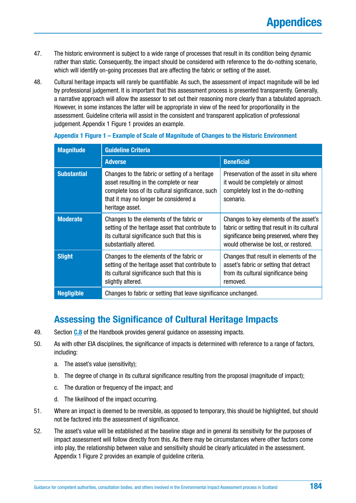- <span id="page-183-0"></span>47. The historic environment is subject to a wide range of processes that result in its condition being dynamic rather than static. Consequently, the impact should be considered with reference to the do-nothing scenario, which will identify on-going processes that are affecting the fabric or setting of the asset.
- 48. Cultural heritage impacts will rarely be quantifiable. As such, the assessment of impact magnitude will be led by professional judgement. It is important that this assessment process is presented transparently. Generally, a narrative approach will allow the assessor to set out their reasoning more clearly than a tabulated approach. However, in some instances the latter will be appropriate in view of the need for proportionality in the assessment. Guideline criteria will assist in the consistent and transparent application of professional judgement. Appendix 1 Figure 1 provides an example.

| <b>Magnitude</b>   | <b>Guideline Criteria</b>                                                                                                                                                                                 |                                                                                                                                                                              |  |  |
|--------------------|-----------------------------------------------------------------------------------------------------------------------------------------------------------------------------------------------------------|------------------------------------------------------------------------------------------------------------------------------------------------------------------------------|--|--|
|                    | <b>Adverse</b>                                                                                                                                                                                            | <b>Beneficial</b>                                                                                                                                                            |  |  |
| <b>Substantial</b> | Changes to the fabric or setting of a heritage<br>asset resulting in the complete or near<br>complete loss of its cultural significance, such<br>that it may no longer be considered a<br>heritage asset. | Preservation of the asset in situ where<br>it would be completely or almost<br>completely lost in the do-nothing<br>scenario.                                                |  |  |
| <b>Moderate</b>    | Changes to the elements of the fabric or<br>setting of the heritage asset that contribute to<br>its cultural significance such that this is<br>substantially altered.                                     | Changes to key elements of the asset's<br>fabric or setting that result in its cultural<br>significance being preserved, where they<br>would otherwise be lost, or restored. |  |  |
| <b>Slight</b>      | Changes to the elements of the fabric or<br>setting of the heritage asset that contribute to<br>its cultural significance such that this is<br>slightly altered.                                          | Changes that result in elements of the<br>asset's fabric or setting that detract<br>from its cultural significance being<br>removed.                                         |  |  |
| <b>Negligible</b>  | Changes to fabric or setting that leave significance unchanged.                                                                                                                                           |                                                                                                                                                                              |  |  |

#### **Appendix 1 Figure 1 – Example of Scale of Magnitude of Changes to the Historic Environment**

### **Assessing the Significance of Cultural Heritage Impacts**

- 49. Section **[C.8](#page-72-0)** of the Handbook provides general guidance on assessing impacts.
- 50. As with other EIA disciplines, the significance of impacts is determined with reference to a range of factors, including:
	- a. The asset's value (sensitivity);
	- b. The degree of change in its cultural significance resulting from the proposal (magnitude of impact);
	- c. The duration or frequency of the impact; and
	- d. The likelihood of the impact occurring.
- 51. Where an impact is deemed to be reversible, as opposed to temporary, this should be highlighted, but should not be factored into the assessment of significance.
- 52. The asset's value will be established at the baseline stage and in general its sensitivity for the purposes of impact assessment will follow directly from this. As there may be circumstances where other factors come into play, the relationship between value and sensitivity should be clearly articulated in the assessment. Appendix 1 Figure 2 provides an example of guideline criteria.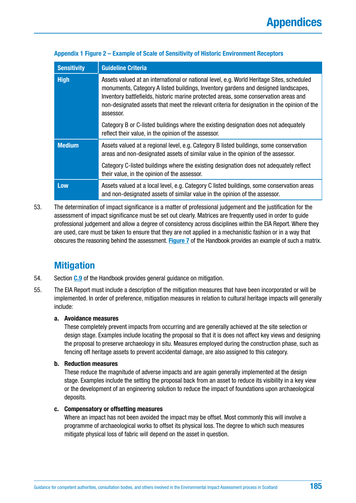| <b>Sensitivity</b> | <b>Guideline Criteria</b>                                                                                                                                                                                                                                                                                                                                                           |
|--------------------|-------------------------------------------------------------------------------------------------------------------------------------------------------------------------------------------------------------------------------------------------------------------------------------------------------------------------------------------------------------------------------------|
| <b>High</b>        | Assets valued at an international or national level, e.g. World Heritage Sites, scheduled<br>monuments, Category A listed buildings, Inventory gardens and designed landscapes,<br>Inventory battlefields, historic marine protected areas, some conservation areas and<br>non-designated assets that meet the relevant criteria for designation in the opinion of the<br>assessor. |
|                    | Category B or C-listed buildings where the existing designation does not adequately<br>reflect their value, in the opinion of the assessor.                                                                                                                                                                                                                                         |
| <b>Medium</b>      | Assets valued at a regional level, e.g. Category B listed buildings, some conservation<br>areas and non-designated assets of similar value in the opinion of the assessor.                                                                                                                                                                                                          |
|                    | Category C-listed buildings where the existing designation does not adequately reflect<br>their value, in the opinion of the assessor.                                                                                                                                                                                                                                              |
| <b>Low</b>         | Assets valued at a local level, e.g. Category C listed buildings, some conservation areas<br>and non-designated assets of similar value in the opinion of the assessor.                                                                                                                                                                                                             |

### **Appendix 1 Figure 2 – Example of Scale of Sensitivity of Historic Environment Receptors**

53. The determination of impact significance is a matter of professional judgement and the justification for the assessment of impact significance must be set out clearly. Matrices are frequently used in order to guide professional judgement and allow a degree of consistency across disciplines within the EIA Report. Where they are used, care must be taken to ensure that they are not applied in a mechanistic fashion or in a way that obscures the reasoning behind the assessment. **[Figure 7](#page-138-0)** of the Handbook provides an example of such a matrix.

### **Mitigation**

- 54. Section **[C.9](#page-76-0)** of the Handbook provides general guidance on mitigation.
- 55. The EIA Report must include a description of the mitigation measures that have been incorporated or will be implemented. In order of preference, mitigation measures in relation to cultural heritage impacts will generally include:

### **a. Avoidance measures**

These completely prevent impacts from occurring and are generally achieved at the site selection or design stage. Examples include locating the proposal so that it is does not affect key views and designing the proposal to preserve archaeology in situ. Measures employed during the construction phase, such as fencing off heritage assets to prevent accidental damage, are also assigned to this category.

### **b. Reduction measures**

These reduce the magnitude of adverse impacts and are again generally implemented at the design stage. Examples include the setting the proposal back from an asset to reduce its visibility in a key view or the development of an engineering solution to reduce the impact of foundations upon archaeological deposits.

#### **c. Compensatory or offsetting measures**

Where an impact has not been avoided the impact may be offset. Most commonly this will involve a programme of archaeological works to offset its physical loss. The degree to which such measures mitigate physical loss of fabric will depend on the asset in question.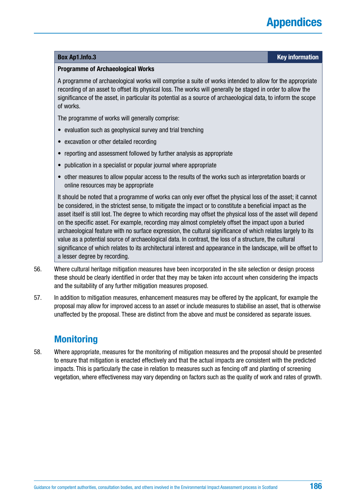#### **Box [Ap1.Info.](http://Ap1.Info)3 Key information**

#### **Programme of Archaeological Works**

A programme of archaeological works will comprise a suite of works intended to allow for the appropriate recording of an asset to offset its physical loss. The works will generally be staged in order to allow the significance of the asset, in particular its potential as a source of archaeological data, to inform the scope of works.

The programme of works will generally comprise:

- evaluation such as geophysical survey and trial trenching
- excavation or other detailed recording
- reporting and assessment followed by further analysis as appropriate
- publication in a specialist or popular journal where appropriate
- other measures to allow popular access to the results of the works such as interpretation boards or online resources may be appropriate

It should be noted that a programme of works can only ever offset the physical loss of the asset; it cannot be considered, in the strictest sense, to mitigate the impact or to constitute a beneficial impact as the asset itself is still lost. The degree to which recording may offset the physical loss of the asset will depend on the specific asset. For example, recording may almost completely offset the impact upon a buried archaeological feature with no surface expression, the cultural significance of which relates largely to its value as a potential source of archaeological data. In contrast, the loss of a structure, the cultural significance of which relates to its architectural interest and appearance in the landscape, will be offset to a lesser degree by recording.

- 56. Where cultural heritage mitigation measures have been incorporated in the site selection or design process these should be clearly identified in order that they may be taken into account when considering the impacts and the suitability of any further mitigation measures proposed.
- 57. In addition to mitigation measures, enhancement measures may be offered by the applicant, for example the proposal may allow for improved access to an asset or include measures to stabilise an asset, that is otherwise unaffected by the proposal. These are distinct from the above and must be considered as separate issues.

### **Monitoring**

58. Where appropriate, measures for the monitoring of mitigation measures and the proposal should be presented to ensure that mitigation is enacted effectively and that the actual impacts are consistent with the predicted impacts. This is particularly the case in relation to measures such as fencing off and planting of screening vegetation, where effectiveness may vary depending on factors such as the quality of work and rates of growth.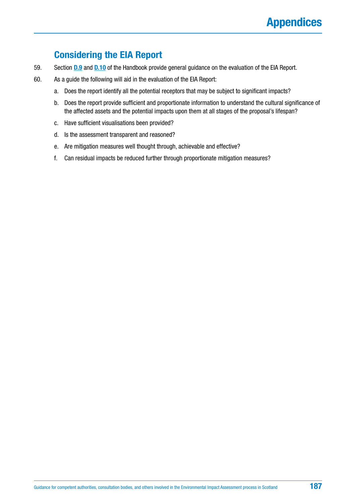### **Considering the EIA Report**

- 59. Section **[D.9](#page-98-0)** and **[D.10](#page-99-0)** of the Handbook provide general guidance on the evaluation of the EIA Report.
- 60. As a guide the following will aid in the evaluation of the EIA Report:
	- a. Does the report identify all the potential receptors that may be subject to significant impacts?
	- b. Does the report provide sufficient and proportionate information to understand the cultural significance of the affected assets and the potential impacts upon them at all stages of the proposal's lifespan?
	- c. Have sufficient visualisations been provided?
	- d. Is the assessment transparent and reasoned?
	- e. Are mitigation measures well thought through, achievable and effective?
	- f. Can residual impacts be reduced further through proportionate mitigation measures?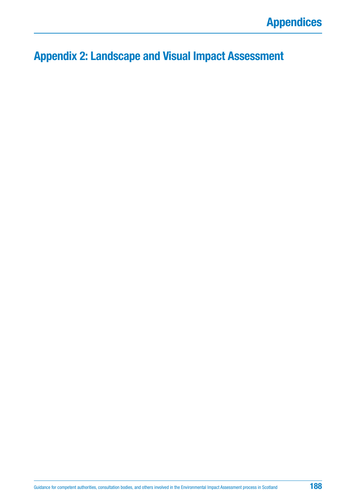# **Appendix 2: Landscape and Visual Impact Assessment**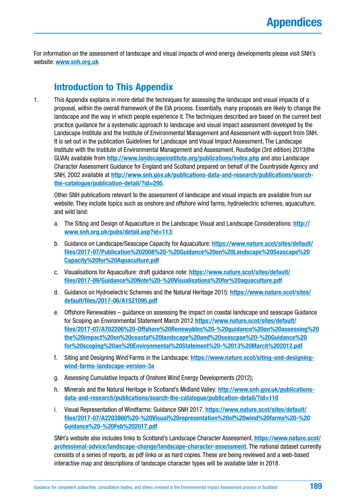For information on the assessment of landscape and visual impacts of wind energy developments please visit SNH's website: **[www.snh.org.uk](http://www.snh.org.uk)**

### **Introduction to This Appendix**

1. This Appendix explains in more detail the techniques for assessing the landscape and visual impacts of a proposal, within the overall framework of the EIA process. Essentially, many proposals are likely to change the landscape and the way in which people experience it. The techniques described are based on the current best practice guidance for a systematic approach to landscape and visual impact assessment developed by the Landscape Institute and the Institute of Environmental Management and Assessment with support from SNH. It is set out in the publication Guidelines for Landscape and Visual Impact Assessment, The Landscape Institute with the Institute of Environmental Management and Assessment, Routledge (3rd edition) 2013(the GLVIA) available from **<http://www.landscapeinstitute.org/publications/index.php>** and also Landscape Character Assessment Guidance for England and Scotland prepared on behalf of the Countryside Agency and SNH, 2002 available at **[http://www.snh.gov.uk/publications-data-and-research/publications/search](http://www.snh.gov.uk/publications-data-and-research/publications/search-the-catalogue/publication-detail/?id=295)[the-catalogue/publication-detail/?id=295](http://www.snh.gov.uk/publications-data-and-research/publications/search-the-catalogue/publication-detail/?id=295)**.

Other SNH publications relevant to the assessment of landscape and visual impacts are available from our website. They include topics such as onshore and offshore wind farms, hydroelectric schemes, aquaculture, and wild land:

- a. The Siting and Design of Aquaculture in the Landscape: Visual and Landscape Considerations: **[http://](http://www.snh.org.uk/pubs/detail.asp?id=113) [www.snh.org.uk/pubs/detail.asp?id=113](http://www.snh.org.uk/pubs/detail.asp?id=113)**;
- b. Guidance on Landscape/Seascape Capacity for Aquaculture: **[https://www.nature.scot/sites/default/](https://www.nature.scot/sites/default/files/2017-07/Publication) [files/2017-07/Publication%202008%20-%20Guidance%20on%20Landscape%20Seascape%20](https://www.nature.scot/sites/default/files/2017-07/Publication) [Capacity%20for%20Aquaculture.pdf](http://20Aquaculture.pdf)**
- c. Visualisations for Aquaculture: draft guidance note: **[https://www.nature.scot/sites/default/](https://www.nature.scot/sites/default/files/2017-09/Guidance%20Note%20-%20Visualisations%20for%20aquaculture.pdf) [files/2017-09/Guidance%20Note%20-%20Visualisations%20for%20aquaculture.pdf](https://www.nature.scot/sites/default/files/2017-09/Guidance%20Note%20-%20Visualisations%20for%20aquaculture.pdf)**
- d. Guidance on Hydroelectric Schemes and the Natural Heritage 2015: **[https://www.nature.scot/sites/](https://www.nature.scot/sites/default/files/2017-06/A1521095.pdf) [default/files/2017-06/A1521095.pdf](https://www.nature.scot/sites/default/files/2017-06/A1521095.pdf)**
- e. Offshore Renewables guidance on assessing the impact on coastal landscape and seascape Guidance for Scoping an Environmental Statement March 2012 **[https://www.nature.scot/sites/default/](https://www.nature.scot/sites/default/files/2017-07/A702206%20-Offshore%20Renewables%20-%20guidance%20on%20assessing%20the%20impact%20on%20coastal%20landscape%20and%20seascpae%20-%20Guidance%20for%20scoping%20an%20Environmental%20Statement%20-%2013%20March%202012.pdf) [files/2017-07/A702206%20-Offshore%20Renewables%20-%20guidance%20on%20assessing%20](https://www.nature.scot/sites/default/files/2017-07/A702206%20-Offshore%20Renewables%20-%20guidance%20on%20assessing%20the%20impact%20on%20coastal%20landscape%20and%20seascpae%20-%20Guidance%20for%20scoping%20an%20Environmental%20Statement%20-%2013%20March%202012.pdf) [the%20impact%20on%20coastal%20landscape%20and%20seascpae%20-%20Guidance%20](https://www.nature.scot/sites/default/files/2017-07/A702206%20-Offshore%20Renewables%20-%20guidance%20on%20assessing%20the%20impact%20on%20coastal%20landscape%20and%20seascpae%20-%20Guidance%20for%20scoping%20an%20Environmental%20Statement%20-%2013%20March%202012.pdf) [for%20scoping%20an%20Environmental%20Statement%20-%2013%20March%202012.pdf](https://www.nature.scot/sites/default/files/2017-07/A702206%20-Offshore%20Renewables%20-%20guidance%20on%20assessing%20the%20impact%20on%20coastal%20landscape%20and%20seascpae%20-%20Guidance%20for%20scoping%20an%20Environmental%20Statement%20-%2013%20March%202012.pdf)**
- f. Siting and Designing Wind Farms in the Landscape: **[https://www.nature.scot/siting-and-designing](https://www.nature.scot/siting-and-designing-wind-farms-landscape-version-3a)[wind-farms-landscape-version-3a](https://www.nature.scot/siting-and-designing-wind-farms-landscape-version-3a)**
- g. Assessing Cumulative Impacts of Onshore Wind Energy Developments (2012);
- h. Minerals and the Natural Heritage in Scotland's Midland Valley: **[http://www.snh.gov.uk/publications](http://www.snh.gov.uk/publications-data-and-research/publications/search-the-catalogue/publication-detail/?id=110)[data-and-research/publications/search-the-catalogue/publication-detail/?id=110](http://www.snh.gov.uk/publications-data-and-research/publications/search-the-catalogue/publication-detail/?id=110)**
- i. Visual Representation of Windfarms: Guidance SNH 2017. **[https://www.nature.scot/sites/default/](https://www.nature.scot/sites/default/files/2017-07/A2203860%20-%20Visual%20representation%20of%20wind%20farms%20-%20Guidance%20-%20Feb%202017.pdf) [files/2017-07/A2203860%20-%20Visual%20representation%20of%20wind%20farms%20-%20](https://www.nature.scot/sites/default/files/2017-07/A2203860%20-%20Visual%20representation%20of%20wind%20farms%20-%20Guidance%20-%20Feb%202017.pdf) [Guidance%20-%20Feb%202017.pdf](https://www.nature.scot/sites/default/files/2017-07/A2203860%20-%20Visual%20representation%20of%20wind%20farms%20-%20Guidance%20-%20Feb%202017.pdf)**

SNH's website also includes links to Scotland's Landscape Character Assessment. **[https://www.nature.scot/](https://www.nature.scot/professional-advice/landscape-change/landscape-character-assessment) [professional-advice/landscape-change/landscape-character-assessment](https://www.nature.scot/professional-advice/landscape-change/landscape-character-assessment)**. The national dataset currently consists of a series of reports, as pdf links or as hard copies. These are being reviewed and a web-based interactive map and descriptions of landscape character types will be available later in 2018.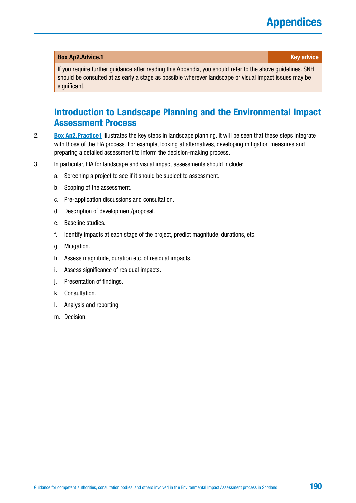### **Box [Ap2.Advice](http://Ap2.Advice).1 Key advice** *Apple <b>Apple 2014 Key advice*

If you require further guidance after reading this Appendix, you should refer to the above guidelines. SNH should be consulted at as early a stage as possible wherever landscape or visual impact issues may be significant.

### **Introduction to Landscape Planning and the Environmental Impact Assessment Process**

- 2. **[Box Ap2.Practice1](#page-190-0)** illustrates the key steps in landscape planning. It will be seen that these steps integrate with those of the EIA process. For example, looking at alternatives, developing mitigation measures and preparing a detailed assessment to inform the decision-making process.
- 3. In particular, EIA for landscape and visual impact assessments should include:
	- a. Screening a project to see if it should be subject to assessment.
	- b. Scoping of the assessment.
	- c. Pre-application discussions and consultation.
	- d. Description of development/proposal.
	- e. Baseline studies.
	- f. Identify impacts at each stage of the project, predict magnitude, durations, etc.
	- g. Mitigation.
	- h. Assess magnitude, duration etc. of residual impacts.
	- i. Assess significance of residual impacts.
	- j. Presentation of findings.
	- k. Consultation.
	- l. Analysis and reporting.
	- m. Decision.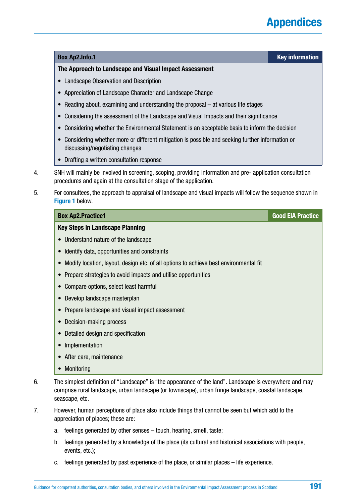#### <span id="page-190-0"></span>**Box [Ap2.Info.](http://Ap2.Info)1 Key information**

#### **The Approach to Landscape and Visual Impact Assessment**

- Landscape Observation and Description
- Appreciation of Landscape Character and Landscape Change
- Reading about, examining and understanding the proposal at various life stages
- Considering the assessment of the Landscape and Visual Impacts and their significance
- Considering whether the Environmental Statement is an acceptable basis to inform the decision
- Considering whether more or different mitigation is possible and seeking further information or discussing/negotiating changes
- Drafting a written consultation response
- 4. SNH will mainly be involved in screening, scoping, providing information and pre- application consultation procedures and again at the consultation stage of the application.
- 5. For consultees, the approach to appraisal of landscape and visual impacts will follow the sequence shown in **[Figure 1](#page-183-0)** below.

| <b>Box Ap2.Practice1</b>                                                                           | <b>Good EIA Practice</b> |
|----------------------------------------------------------------------------------------------------|--------------------------|
| <b>Key Steps in Landscape Planning</b>                                                             |                          |
| Understand nature of the landscape<br>$\bullet$                                                    |                          |
| Identify data, opportunities and constraints<br>$\bullet$                                          |                          |
| Modify location, layout, design etc. of all options to achieve best environmental fit<br>$\bullet$ |                          |
| Prepare strategies to avoid impacts and utilise opportunities<br>$\bullet$                         |                          |
| Compare options, select least harmful<br>$\bullet$                                                 |                          |
| Develop landscape masterplan<br>$\bullet$                                                          |                          |
| Prepare landscape and visual impact assessment<br>$\bullet$                                        |                          |
| Decision-making process<br>$\bullet$                                                               |                          |
| Detailed design and specification<br>$\bullet$                                                     |                          |
| Implementation<br>$\bullet$                                                                        |                          |
| After care, maintenance<br>$\bullet$                                                               |                          |
| Monitoring<br>$\bullet$                                                                            |                          |

- 6. The simplest definition of "Landscape" is "the appearance of the land". Landscape is everywhere and may comprise rural landscape, urban landscape (or townscape), urban fringe landscape, coastal landscape, seascape, etc.
- 7. However, human perceptions of place also include things that cannot be seen but which add to the appreciation of places; these are:
	- a. feelings generated by other senses touch, hearing, smell, taste;
	- b. feelings generated by a knowledge of the place (its cultural and historical associations with people, events, etc.);
	- c. feelings generated by past experience of the place, or similar places life experience.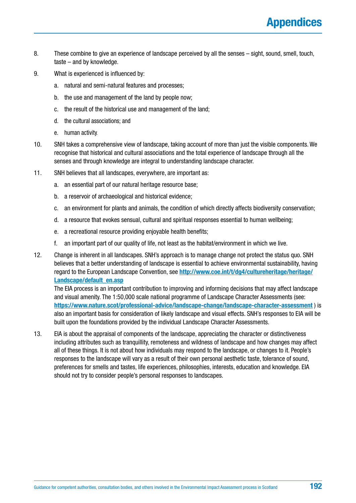- 8. These combine to give an experience of landscape perceived by all the senses sight, sound, smell, touch, taste – and by knowledge.
- 9. What is experienced is influenced by:
	- a. natural and semi-natural features and processes;
	- b. the use and management of the land by people now;
	- c. the result of the historical use and management of the land;
	- d. the cultural associations; and
	- e. human activity.
- 10. SNH takes a comprehensive view of landscape, taking account of more than just the visible components. We recognise that historical and cultural associations and the total experience of landscape through all the senses and through knowledge are integral to understanding landscape character.
- 11. SNH believes that all landscapes, everywhere, are important as:
	- a. an essential part of our natural heritage resource base;
	- b. a reservoir of archaeological and historical evidence;
	- c. an environment for plants and animals, the condition of which directly affects biodiversity conservation;
	- d. a resource that evokes sensual, cultural and spiritual responses essential to human wellbeing;
	- e. a recreational resource providing enjoyable health benefits;
	- f. an important part of our quality of life, not least as the habitat/environment in which we live.
- 12. Change is inherent in all landscapes. SNH's approach is to manage change not protect the status quo. SNH believes that a better understanding of landscape is essential to achieve environmental sustainability, having regard to the European Landscape Convention, see **[http://www.coe.int/t/dg4/cultureheritage/heritage/](http://www.coe.int/t/dg4/cultureheritage/heritage/Landscape/default_en.asp) [Landscape/default\\_en.asp](http://www.coe.int/t/dg4/cultureheritage/heritage/Landscape/default_en.asp)**

The EIA process is an important contribution to improving and informing decisions that may affect landscape and visual amenity. The 1:50,000 scale national programme of Landscape Character Assessments (see: **<https://www.nature.scot/professional-advice/landscape-change/landscape-character-assessment>** ) is also an important basis for consideration of likely landscape and visual effects. SNH's responses to EIA will be built upon the foundations provided by the individual Landscape Character Assessments.

13. EIA is about the appraisal of components of the landscape, appreciating the character or distinctiveness including attributes such as tranquillity, remoteness and wildness of landscape and how changes may affect all of these things. It is not about how individuals may respond to the landscape, or changes to it. People's responses to the landscape will vary as a result of their own personal aesthetic taste, tolerance of sound, preferences for smells and tastes, life experiences, philosophies, interests, education and knowledge. EIA should not try to consider people's personal responses to landscapes.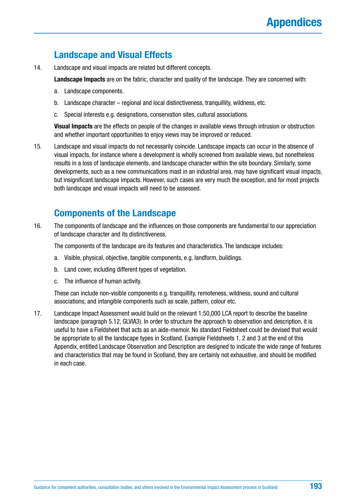### **Landscape and Visual Effects**

14. Landscape and visual impacts are related but different concepts.

**Landscape Impacts** are on the fabric, character and quality of the landscape. They are concerned with:

- a. Landscape components.
- b. Landscape character regional and local distinctiveness, tranquillity, wildness, etc.
- c. Special interests e.g. designations, conservation sites, cultural associations.

**Visual Impacts** are the effects on people of the changes in available views through intrusion or obstruction and whether important opportunities to enjoy views may be improved or reduced.

15. Landscape and visual impacts do not necessarily coincide. Landscape impacts can occur in the absence of visual impacts, for instance where a development is wholly screened from available views, but nonetheless results in a loss of landscape elements, and landscape character within the site boundary. Similarly, some developments, such as a new communications mast in an industrial area, may have significant visual impacts, but insignificant landscape impacts. However, such cases are very much the exception, and for most projects both landscape and visual impacts will need to be assessed.

### **Components of the Landscape**

16. The components of landscape and the influences on those components are fundamental to our appreciation of landscape character and its distinctiveness.

The components of the landscape are its features and characteristics. The landscape includes:

- a. Visible, physical, objective, tangible components, e.g. landform, buildings.
- b. Land cover, including different types of vegetation.
- c. The influence of human activity.

These can include non-visible components e.g. tranquillity, remoteness, wildness, sound and cultural associations; and intangible components such as scale, pattern, colour etc.

17. Landscape Impact Assessment would build on the relevant 1:50,000 LCA report to describe the baseline landscape (paragraph 5.12, GLVIA3). In order to structure the approach to observation and description, it is useful to have a Fieldsheet that acts as an aide-memoir. No standard Fieldsheet could be devised that would be appropriate to all the landscape types in Scotland. Example Fieldsheets 1, 2 and 3 at the end of this Appendix, entitled Landscape Observation and Description are designed to indicate the wide range of features and characteristics that may be found in Scotland, they are certainly not exhaustive, and should be modified in each case.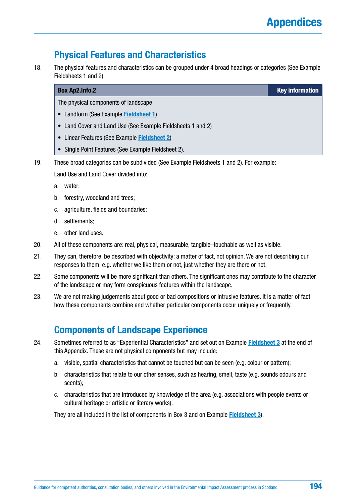## **Physical Features and Characteristics**

18. The physical features and characteristics can be grouped under 4 broad headings or categories (See Example Fieldsheets 1 and 2).

| <b>Box Ap2.Info.2</b>                                       | <b>Key information</b> |
|-------------------------------------------------------------|------------------------|
| The physical components of landscape                        |                        |
| • Landform (See Example Fieldsheet 1)                       |                        |
| • Land Cover and Land Use (See Example Fieldsheets 1 and 2) |                        |
| • Linear Features (See Example Fieldsheet 2)                |                        |
| • Single Point Features (See Example Fieldsheet 2).         |                        |

19. These broad categories can be subdivided (See Example Fieldsheets 1 and 2). For example:

Land Use and Land Cover divided into:

- a. water;
- b. forestry, woodland and trees;
- c. agriculture, fields and boundaries;
- d. settlements;
- e. other land uses.
- 20. All of these components are: real, physical, measurable, tangible–touchable as well as visible.
- 21. They can, therefore, be described with objectivity: a matter of fact, not opinion. We are not describing our responses to them, e.g. whether we like them or not, just whether they are there or not.
- 22. Some components will be more significant than others. The significant ones may contribute to the character of the landscape or may form conspicuous features within the landscape.
- 23. We are not making judgements about good or bad compositions or intrusive features. It is a matter of fact how these components combine and whether particular components occur uniquely or frequently.

### **Components of Landscape Experience**

- 24. Sometimes referred to as "Experiential Characteristics" and set out on Example **[Fieldsheet 3](#page-200-0)** at the end of this Appendix. These are not physical components but may include:
	- a. visible, spatial characteristics that cannot be touched but can be seen (e.g. colour or pattern);
	- b. characteristics that relate to our other senses, such as hearing, smell, taste (e.g. sounds odours and scents);
	- c. characteristics that are introduced by knowledge of the area (e.g. associations with people events or cultural heritage or artistic or literary works).

They are all included in the list of components in Box 3 and on Example **[Fieldsheet 3](#page-200-0)**).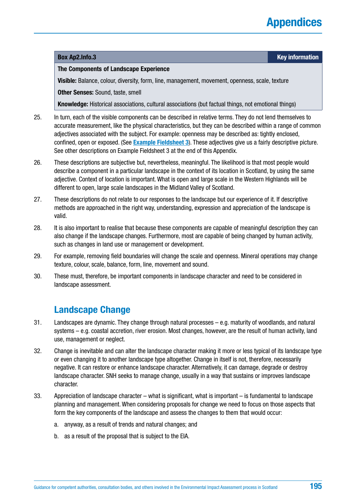#### **Box [Ap2.Info.](http://Ap2.Info)3 Key information**

#### **The Components of Landscape Experience**

**Visible:** Balance, colour, diversity, form, line, management, movement, openness, scale, texture

**Other Senses:** Sound, taste, smell

**Knowledge:** Historical associations, cultural associations (but factual things, not emotional things)

- 25. In turn, each of the visible components can be described in relative terms. They do not lend themselves to accurate measurement, like the physical characteristics, but they can be described within a range of common adjectives associated with the subject. For example: openness may be described as: tightly enclosed, confined, open or exposed. (See **[Example Fieldsheet 3](#page-200-0)**). These adjectives give us a fairly descriptive picture. See other descriptions on Example Fieldsheet 3 at the end of this Appendix.
- 26. These descriptions are subjective but, nevertheless, meaningful. The likelihood is that most people would describe a component in a particular landscape in the context of its location in Scotland, by using the same adjective. Context of location is important. What is open and large scale in the Western Highlands will be different to open, large scale landscapes in the Midland Valley of Scotland.
- 27. These descriptions do not relate to our responses to the landscape but our experience of it. If descriptive methods are approached in the right way, understanding, expression and appreciation of the landscape is valid.
- 28. It is also important to realise that because these components are capable of meaningful description they can also change if the landscape changes. Furthermore, most are capable of being changed by human activity, such as changes in land use or management or development.
- 29. For example, removing field boundaries will change the scale and openness. Mineral operations may change texture, colour, scale, balance, form, line, movement and sound.
- 30. These must, therefore, be important components in landscape character and need to be considered in landscape assessment.

### **Landscape Change**

- 31. Landscapes are dynamic. They change through natural processes e.g. maturity of woodlands, and natural systems – e.g. coastal accretion, river erosion. Most changes, however, are the result of human activity, land use, management or neglect.
- 32. Change is inevitable and can alter the landscape character making it more or less typical of its landscape type or even changing it to another landscape type altogether. Change in itself is not, therefore, necessarily negative. It can restore or enhance landscape character. Alternatively, it can damage, degrade or destroy landscape character. SNH seeks to manage change, usually in a way that sustains or improves landscape character.
- 33. Appreciation of landscape character what is significant, what is important is fundamental to landscape planning and management. When considering proposals for change we need to focus on those aspects that form the key components of the landscape and assess the changes to them that would occur:
	- a. anyway, as a result of trends and natural changes; and
	- b. as a result of the proposal that is subject to the EIA.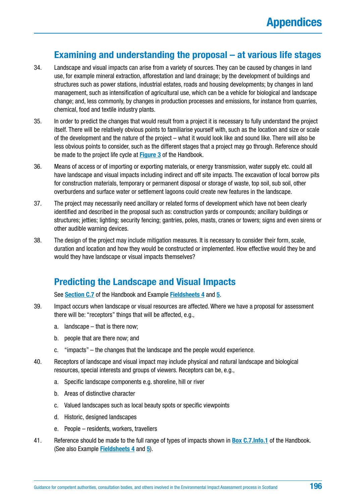### **Examining and understanding the proposal – at various life stages**

- 34. Landscape and visual impacts can arise from a variety of sources. They can be caused by changes in land use, for example mineral extraction, afforestation and land drainage; by the development of buildings and structures such as power stations, industrial estates, roads and housing developments; by changes in land management, such as intensification of agricultural use, which can be a vehicle for biological and landscape change; and, less commonly, by changes in production processes and emissions, for instance from quarries, chemical, food and textile industry plants.
- 35. In order to predict the changes that would result from a project it is necessary to fully understand the project itself. There will be relatively obvious points to familiarise yourself with, such as the location and size or scale of the development and the nature of the project – what it would look like and sound like. There will also be less obvious points to consider, such as the different stages that a project may go through. Reference should be made to the project life cycle at **[Figure 3](#page-61-0)** of the Handbook.
- 36. Means of access or of importing or exporting materials, or energy transmission, water supply etc. could all have landscape and visual impacts including indirect and off site impacts. The excavation of local borrow pits for construction materials, temporary or permanent disposal or storage of waste, top soil, sub soil, other overburdens and surface water or settlement lagoons could create new features in the landscape.
- 37. The project may necessarily need ancillary or related forms of development which have not been clearly identified and described in the proposal such as: construction yards or compounds; ancillary buildings or structures; jetties; lighting; security fencing; gantries, poles, masts, cranes or towers; signs and even sirens or other audible warning devices.
- 38. The design of the project may include mitigation measures. It is necessary to consider their form, scale, duration and location and how they would be constructed or implemented. How effective would they be and would they have landscape or visual impacts themselves?

### **Predicting the Landscape and Visual Impacts**

See **[Section C.7](#page-69-0)** of the Handbook and Example **[Fieldsheets 4](#page-201-0)** and **[5](#page-202-0)**.

- 39. Impact occurs when landscape or visual resources are affected. Where we have a proposal for assessment there will be: "receptors" things that will be affected, e.g.,
	- a. landscape that is there now;
	- b. people that are there now; and
	- c. "impacts" the changes that the landscape and the people would experience.
- 40. Receptors of landscape and visual impact may include physical and natural landscape and biological resources, special interests and groups of viewers. Receptors can be, e.g.,
	- a. Specific landscape components e.g. shoreline, hill or river
	- b. Areas of distinctive character
	- c. Valued landscapes such as local beauty spots or specific viewpoints
	- d. Historic, designed landscapes
	- e. People residents, workers, travellers
- 41. Reference should be made to the full range of types of impacts shown in **[Box C.7.Info.1](#page-70-0)** of the Handbook. (See also Example **[Fieldsheets 4](#page-201-0)** and **5**[\).](#page-202-0)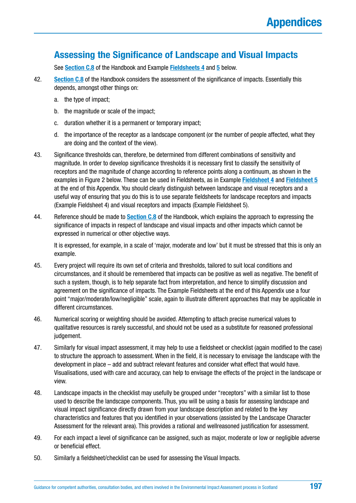### **Assessing the Significance of Landscape and Visual Impacts**

See **[Section C.8](#page-72-0)** of the Handbook and Example **[Fieldsheets 4](#page-201-0)** and **5** [b](#page-202-0)elow.

- 42. **[Section C.8](#page-72-0)** of the Handbook considers the assessment of the significance of impacts. Essentially this depends, amongst other things on:
	- a. the type of impact;
	- b. the magnitude or scale of the impact;
	- c. duration whether it is a permanent or temporary impact;
	- d. the importance of the receptor as a landscape component (or the number of people affected, what they are doing and the context of the view).
- 43. Significance thresholds can, therefore, be determined from different combinations of sensitivity and magnitude. In order to develop significance thresholds it is necessary first to classify the sensitivity of receptors and the magnitude of change according to reference points along a continuum, as shown in the examples in Figure 2 below. These can be used in Fieldsheets, as in Example **[Fieldsheet 4](#page-201-0)** and **[Fieldsheet 5](#page-202-0)** at the end of this Appendix. You should clearly distinguish between landscape and visual receptors and a useful way of ensuring that you do this is to use separate fieldsheets for landscape receptors and impacts (Example Fieldsheet 4) and visual receptors and impacts (Example Fieldsheet 5).
- 44. Reference should be made to **[Section C.8](#page-72-0)** of the Handbook, which explains the approach to expressing the significance of impacts in respect of landscape and visual impacts and other impacts which cannot be expressed in numerical or other objective ways.

It is expressed, for example, in a scale of 'major, moderate and low' but it must be stressed that this is only an example.

- 45. Every project will require its own set of criteria and thresholds, tailored to suit local conditions and circumstances, and it should be remembered that impacts can be positive as well as negative. The benefit of such a system, though, is to help separate fact from interpretation, and hence to simplify discussion and agreement on the significance of impacts. The Example Fieldsheets at the end of this Appendix use a four point "major/moderate/low/negligible" scale, again to illustrate different approaches that may be applicable in different circumstances.
- 46. Numerical scoring or weighting should be avoided. Attempting to attach precise numerical values to qualitative resources is rarely successful, and should not be used as a substitute for reasoned professional judgement.
- 47. Similarly for visual impact assessment, it may help to use a fieldsheet or checklist (again modified to the case) to structure the approach to assessment. When in the field, it is necessary to envisage the landscape with the development in place – add and subtract relevant features and consider what effect that would have. Visualisations, used with care and accuracy, can help to envisage the effects of the project in the landscape or view.
- 48. Landscape impacts in the checklist may usefully be grouped under "receptors" with a similar list to those used to describe the landscape components. Thus, you will be using a basis for assessing landscape and visual impact significance directly drawn from your landscape description and related to the key characteristics and features that you identified in your observations (assisted by the Landscape Character Assessment for the relevant area). This provides a rational and wellreasoned justification for assessment.
- 49. For each impact a level of significance can be assigned, such as major, moderate or low or negligible adverse or beneficial effect.
- 50. Similarly a fieldsheet/checklist can be used for assessing the Visual Impacts.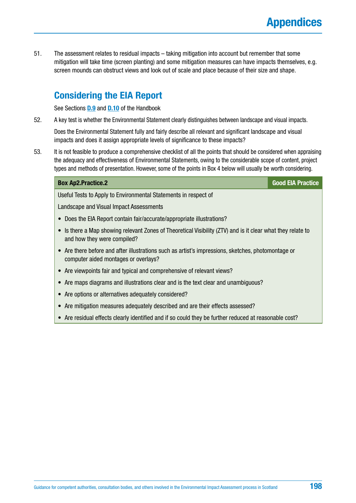51. The assessment relates to residual impacts – taking mitigation into account but remember that some mitigation will take time (screen planting) and some mitigation measures can have impacts themselves, e.g. screen mounds can obstruct views and look out of scale and place because of their size and shape.

### **Considering the EIA Report**

See Sections **[D.9](#page-98-0)** and **[D.10](#page-99-0)** of the Handbook

52. A key test is whether the Environmental Statement clearly distinguishes between landscape and visual impacts.

Does the Environmental Statement fully and fairly describe all relevant and significant landscape and visual impacts and does it assign appropriate levels of significance to these impacts?

53. It is not feasible to produce a comprehensive checklist of all the points that should be considered when appraising the adequacy and effectiveness of Environmental Statements, owing to the considerable scope of content, project types and methods of presentation. However, some of the points in Box 4 below will usually be worth considering.

| <b>Box Ap2.Practice.2</b>                                                                                                                | <b>Good EIA Practice</b> |
|------------------------------------------------------------------------------------------------------------------------------------------|--------------------------|
| Useful Tests to Apply to Environmental Statements in respect of                                                                          |                          |
| Landscape and Visual Impact Assessments                                                                                                  |                          |
| Does the EIA Report contain fair/accurate/appropriate illustrations?                                                                     |                          |
| Is there a Map showing relevant Zones of Theoretical Visibility (ZTV) and is it clear what they relate to<br>and how they were compiled? |                          |
| Are there before and after illustrations such as artist's impressions, sketches, photomontage or<br>computer aided montages or overlays? |                          |
| Are viewpoints fair and typical and comprehensive of relevant views?                                                                     |                          |
| Are maps diagrams and illustrations clear and is the text clear and unambiguous?                                                         |                          |
| Are options or alternatives adequately considered?                                                                                       |                          |
| Are mitigation measures adequately described and are their effects assessed?                                                             |                          |
| Are residual effects clearly identified and if so could they be further reduced at reasonable cost?                                      |                          |
|                                                                                                                                          |                          |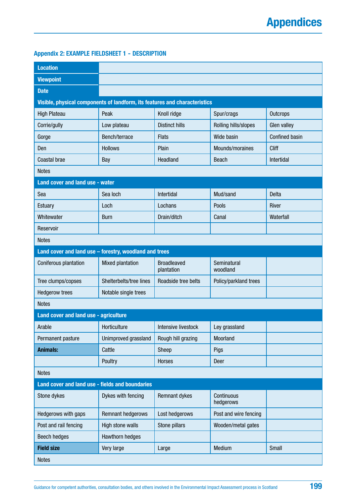### <span id="page-198-0"></span>**Appendix 2: EXAMPLE FIELDSHEET 1 - DESCRIPTION**

| <b>Location</b>                                                            |                          |                                  |                         |                       |
|----------------------------------------------------------------------------|--------------------------|----------------------------------|-------------------------|-----------------------|
| <b>Viewpoint</b>                                                           |                          |                                  |                         |                       |
| <b>Date</b>                                                                |                          |                                  |                         |                       |
| Visible, physical components of landform, its features and characteristics |                          |                                  |                         |                       |
| <b>High Plateau</b>                                                        | Peak                     | Knoll ridge                      | Spur/crags              | Outcrops              |
| Corrie/gully                                                               | Low plateau              | <b>Distinct hills</b>            | Rolling hills/slopes    | Glen valley           |
| Gorge                                                                      | Bench/terrace            | <b>Flats</b>                     | Wide basin              | <b>Confined basin</b> |
| Den                                                                        | <b>Hollows</b>           | Plain                            | Mounds/moraines         | Cliff                 |
| Coastal brae                                                               | Bay                      | Headland                         | <b>Beach</b>            | Intertidal            |
| <b>Notes</b>                                                               |                          |                                  |                         |                       |
| Land cover and land use - water                                            |                          |                                  |                         |                       |
| Sea                                                                        | Sea loch                 | Intertidal                       | Mud/sand                | <b>Delta</b>          |
| <b>Estuary</b>                                                             | Loch                     | Lochans                          | Pools                   | River                 |
| Whitewater                                                                 | <b>Burn</b>              | Drain/ditch                      | Canal                   | Waterfall             |
| Reservoir                                                                  |                          |                                  |                         |                       |
| <b>Notes</b>                                                               |                          |                                  |                         |                       |
| Land cover and land use - forestry, woodland and trees                     |                          |                                  |                         |                       |
| Coniferous plantation                                                      | Mixed plantation         | <b>Broadleaved</b><br>plantation | Seminatural<br>woodland |                       |
| Tree clumps/copses                                                         | Shelterbelts/tree lines  | Roadside tree belts              | Policy/parkland trees   |                       |
| <b>Hedgerow trees</b>                                                      | Notable single trees     |                                  |                         |                       |
| <b>Notes</b>                                                               |                          |                                  |                         |                       |
| Land cover and land use - agriculture                                      |                          |                                  |                         |                       |
| Arable                                                                     | Horticulture             | Intensive livestock              | Ley grassland           |                       |
| Permanent pasture                                                          | Unimproved grassland     | Rough hill grazing               | Moorland                |                       |
| <b>Animals:</b>                                                            | Cattle                   | Sheep                            | Pigs                    |                       |
|                                                                            | Poultry                  | <b>Horses</b>                    | Deer                    |                       |
| <b>Notes</b>                                                               |                          |                                  |                         |                       |
| Land cover and land use - fields and boundaries                            |                          |                                  |                         |                       |
| Stone dykes                                                                | Dykes with fencing       | Remnant dykes                    | Continuous<br>hedgerows |                       |
| Hedgerows with gaps                                                        | <b>Remnant hedgerows</b> | Lost hedgerows                   | Post and wire fencing   |                       |
| Post and rail fencing                                                      | High stone walls         | Stone pillars                    | Wooden/metal gates      |                       |
| <b>Beech hedges</b>                                                        | Hawthorn hedges          |                                  |                         |                       |
| <b>Field size</b>                                                          | Very large               | Large                            | Medium                  | Small                 |
| <b>Notes</b>                                                               |                          |                                  |                         |                       |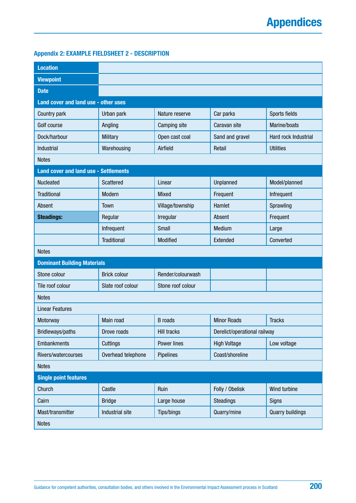### <span id="page-199-0"></span>**Appendix 2: EXAMPLE FIELDSHEET 2 - DESCRIPTION**

| <b>Location</b>                              |                     |                    |                              |                         |
|----------------------------------------------|---------------------|--------------------|------------------------------|-------------------------|
| <b>Viewpoint</b>                             |                     |                    |                              |                         |
| <b>Date</b>                                  |                     |                    |                              |                         |
| Land cover and land use - other uses         |                     |                    |                              |                         |
| Country park                                 | Urban park          | Nature reserve     | Car parks                    | Sports fields           |
| Golf course                                  | Angling             | Camping site       | Caravan site                 | Marine/boats            |
| Dock/harbour                                 | <b>Military</b>     | Open cast coal     | Sand and gravel              | Hard rock Industrial    |
| Industrial                                   | Warehousing         | Airfield           | Retail                       | <b>Utilities</b>        |
| <b>Notes</b>                                 |                     |                    |                              |                         |
| <b>Land cover and land use - Settlements</b> |                     |                    |                              |                         |
| Nucleated                                    | Scattered           | Linear             | Unplanned                    | Model/planned           |
| <b>Traditional</b>                           | Modern              | Mixed              | Frequent                     | Infrequent              |
| Absent                                       | Town                | Village/township   | Hamlet                       | Sprawling               |
| <b>Steadings:</b>                            | Regular             | Irregular          | Absent                       | Frequent                |
|                                              | Infrequent          | Small              | Medium                       | Large                   |
|                                              | <b>Traditional</b>  | Modified           | Extended                     | Converted               |
| <b>Notes</b>                                 |                     |                    |                              |                         |
| <b>Dominant Building Materials</b>           |                     |                    |                              |                         |
| Stone colour                                 | <b>Brick colour</b> | Render/colourwash  |                              |                         |
| Tile roof colour                             | Slate roof colour   | Stone roof colour  |                              |                         |
| <b>Notes</b>                                 |                     |                    |                              |                         |
| <b>Linear Features</b>                       |                     |                    |                              |                         |
| Motorway                                     | Main road           | <b>B</b> roads     | <b>Minor Roads</b>           | <b>Tracks</b>           |
| Bridleways/paths                             | Drove roads         | <b>Hill tracks</b> | Derelict/operational railway |                         |
| <b>Embankments</b>                           | Cuttings            | Power lines        | <b>High Voltage</b>          | Low voltage             |
| Rivers/watercourses                          | Overhead telephone  | Pipelines          | Coast/shoreline              |                         |
| <b>Notes</b>                                 |                     |                    |                              |                         |
| <b>Single point features</b>                 |                     |                    |                              |                         |
| Church                                       | Castle              | Ruin               | Folly / Obelisk              | Wind turbine            |
| Cairn                                        | <b>Bridge</b>       | Large house        | <b>Steadings</b>             | Signs                   |
| Mast/transmitter                             | Industrial site     | Tips/bings         | Quarry/mine                  | <b>Quarry buildings</b> |
| <b>Notes</b>                                 |                     |                    |                              |                         |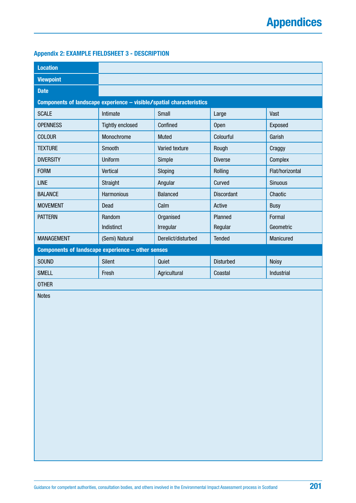### <span id="page-200-0"></span>**Appendix 2: EXAMPLE FIELDSHEET 3 - DESCRIPTION**

| <b>Location</b>                                                      |                         |                    |                   |                 |
|----------------------------------------------------------------------|-------------------------|--------------------|-------------------|-----------------|
| <b>Viewpoint</b>                                                     |                         |                    |                   |                 |
| <b>Date</b>                                                          |                         |                    |                   |                 |
| Components of landscape experience - visible/spatial characteristics |                         |                    |                   |                 |
| <b>SCALE</b>                                                         | Intimate                | Small              | Large             | Vast            |
| <b>OPENNESS</b>                                                      | <b>Tightly enclosed</b> | Confined           | <b>Open</b>       | Exposed         |
| <b>COLOUR</b>                                                        | Monochrome              | <b>Muted</b>       | Colourful         | Garish          |
| <b>TEXTURE</b>                                                       | Smooth                  | Varied texture     | Rough             | Craggy          |
| <b>DIVERSITY</b>                                                     | Uniform                 | Simple             | <b>Diverse</b>    | Complex         |
| <b>FORM</b>                                                          | Vertical                | Sloping            | Rolling           | Flat/horizontal |
| <b>LINE</b>                                                          | Straight                | Angular            | Curved            | <b>Sinuous</b>  |
| <b>BALANCE</b>                                                       | Harmonious              | <b>Balanced</b>    | <b>Discordant</b> | Chaotic         |
| <b>MOVEMENT</b>                                                      | Dead                    | Calm               | Active            | <b>Busy</b>     |
| <b>PATTERN</b>                                                       | Random                  | Organised          | Planned           | Formal          |
|                                                                      | Indistinct              | Irregular          | Regular           | Geometric       |
| <b>MANAGEMENT</b>                                                    | (Semi) Natural          | Derelict/disturbed | <b>Tended</b>     | Manicured       |
| Components of landscape experience - other senses                    |                         |                    |                   |                 |
| <b>SOUND</b>                                                         | <b>Silent</b>           | Quiet              | <b>Disturbed</b>  | <b>Noisy</b>    |
| <b>SMELL</b>                                                         | Fresh                   | Agricultural       | Coastal           | Industrial      |
| <b>OTHER</b>                                                         |                         |                    |                   |                 |

Notes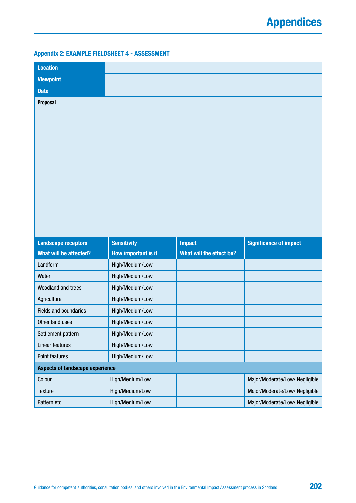### <span id="page-201-0"></span>**Appendix 2: EXAMPLE FIELDSHEET 4 - ASSESSMENT**

| <b>Location</b>                        |                     |                          |                                |
|----------------------------------------|---------------------|--------------------------|--------------------------------|
| <b>Viewpoint</b>                       |                     |                          |                                |
| <b>Date</b>                            |                     |                          |                                |
| Proposal                               |                     |                          |                                |
|                                        |                     |                          |                                |
| <b>Landscape receptors</b>             | <b>Sensitivity</b>  | <b>Impact</b>            | <b>Significance of impact</b>  |
| What will be affected?                 | How important is it | What will the effect be? |                                |
| Landform                               | High/Medium/Low     |                          |                                |
| Water                                  | High/Medium/Low     |                          |                                |
| Woodland and trees                     | High/Medium/Low     |                          |                                |
| Agriculture                            | High/Medium/Low     |                          |                                |
| <b>Fields and boundaries</b>           | High/Medium/Low     |                          |                                |
| Other land uses                        | High/Medium/Low     |                          |                                |
| Settlement pattern                     | High/Medium/Low     |                          |                                |
| <b>Linear features</b>                 | High/Medium/Low     |                          |                                |
| Point features                         | High/Medium/Low     |                          |                                |
| <b>Aspects of landscape experience</b> |                     |                          |                                |
| Colour                                 | High/Medium/Low     |                          | Major/Moderate/Low/ Negligible |
| <b>Texture</b>                         | High/Medium/Low     |                          | Major/Moderate/Low/ Negligible |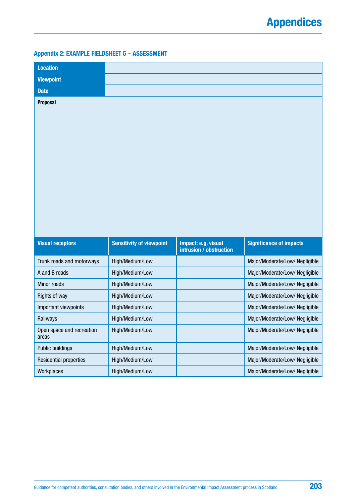### <span id="page-202-0"></span>**Appendix 2: EXAMPLE FIELDSHEET 5 - ASSESSMENT**

| <b>Location</b>                    |                                 |                                                |                                |
|------------------------------------|---------------------------------|------------------------------------------------|--------------------------------|
| <b>Viewpoint</b>                   |                                 |                                                |                                |
| <b>Date</b>                        |                                 |                                                |                                |
| <b>Proposal</b>                    |                                 |                                                |                                |
| <b>Visual receptors</b>            | <b>Sensitivity of viewpoint</b> | Impact: e.g. visual<br>intrusion / obstruction | <b>Significance of impacts</b> |
| Trunk roads and motorways          | High/Medium/Low                 |                                                | Major/Moderate/Low/ Negligible |
| A and B roads                      | High/Medium/Low                 |                                                |                                |
| <b>Minor roads</b>                 |                                 |                                                | Major/Moderate/Low/ Negligible |
|                                    | High/Medium/Low                 |                                                | Major/Moderate/Low/ Negligible |
| Rights of way                      | High/Medium/Low                 |                                                | Major/Moderate/Low/ Negligible |
| Important viewpoints               | High/Medium/Low                 |                                                | Major/Moderate/Low/ Negligible |
| Railways                           | High/Medium/Low                 |                                                | Major/Moderate/Low/ Negligible |
| Open space and recreation<br>areas | High/Medium/Low                 |                                                | Major/Moderate/Low/ Negligible |
| Public buildings                   | High/Medium/Low                 |                                                | Major/Moderate/Low/ Negligible |
| <b>Residential properties</b>      | High/Medium/Low                 |                                                | Major/Moderate/Low/ Negligible |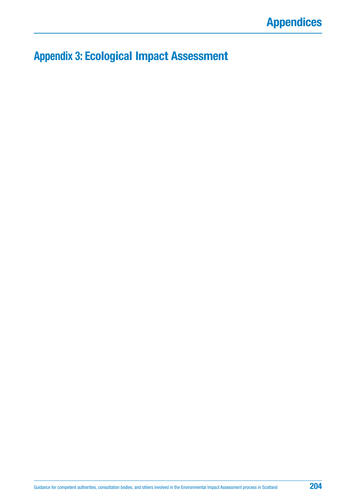# **Appendix 3: Ecological Impact Assessment**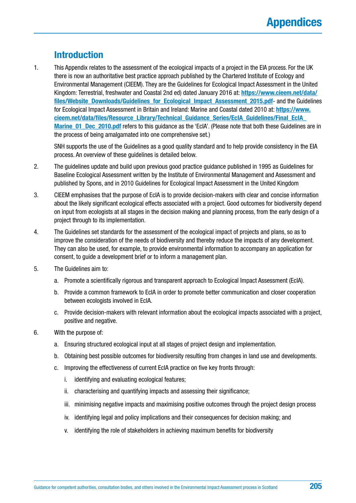### **Introduction**

1. This Appendix relates to the assessment of the ecological impacts of a project in the EIA process. For the UK there is now an authoritative best practice approach published by the Chartered Institute of Ecology and Environmental Management (CIEEM). They are the Guidelines for Ecological Impact Assessment in the United Kingdom: Terrestrial, freshwater and Coastal 2nd ed) dated January 2016 at: **[https://www.cieem.net/data/](https://www.cieem.net/data/files/Website_Downloads/Guidelines_for_Ecological_Impact_Assessment_2015.pdf)** [files/Website\\_Downloads/Guidelines\\_for\\_Ecological\\_Impact\\_Assessment\\_2015.pdf](https://www.cieem.net/data/files/Website_Downloads/Guidelines_for_Ecological_Impact_Assessment_2015.pdf)- and the Guidelines for Ecological Impact Assessment in Britain and Ireland: Marine and Coastal dated 2010 at: **[https://www.](https://www.cieem.net/data/files/Resource_Library/Technical_Guidance_Series/EcIA_Guidelines/Final_EcIA_Marine_01_Dec_2010.pdf) [cieem.net/data/files/Resource\\_Library/Technical\\_Guidance\\_Series/EcIA\\_Guidelines/Final\\_EcIA\\_](https://www.cieem.net/data/files/Resource_Library/Technical_Guidance_Series/EcIA_Guidelines/Final_EcIA_Marine_01_Dec_2010.pdf) [Marine\\_01\\_Dec\\_2010.pdf](https://www.cieem.net/data/files/Resource_Library/Technical_Guidance_Series/EcIA_Guidelines/Final_EcIA_Marine_01_Dec_2010.pdf)** refers to this guidance as the 'EcIA'. (Please note that both these Guidelines are in the process of being amalgamated into one comprehensive set.)

SNH supports the use of the Guidelines as a good quality standard and to help provide consistency in the EIA process. An overview of these guidelines is detailed below.

- 2. The guidelines update and build upon previous good practice guidance published in 1995 as Guidelines for Baseline Ecological Assessment written by the Institute of Environmental Management and Assessment and published by Spons, and in 2010 Guidelines for Ecological Impact Assessment in the United Kingdom
- 3. CIEEM emphasises that the purpose of EcIA is to provide decision-makers with clear and concise information about the likely significant ecological effects associated with a project. Good outcomes for biodiversity depend on input from ecologists at all stages in the decision making and planning process, from the early design of a project through to its implementation.
- 4. The Guidelines set standards for the assessment of the ecological impact of projects and plans, so as to improve the consideration of the needs of biodiversity and thereby reduce the impacts of any development. They can also be used, for example, to provide environmental information to accompany an application for consent, to guide a development brief or to inform a management plan.
- 5. The Guidelines aim to:
	- a. Promote a scientifically rigorous and transparent approach to Ecological Impact Assessment (EcIA).
	- b. Provide a common framework to EcIA in order to promote better communication and closer cooperation between ecologists involved in EcIA.
	- c. Provide decision-makers with relevant information about the ecological impacts associated with a project, positive and negative.
- 6. With the purpose of:
	- a. Ensuring structured ecological input at all stages of project design and implementation.
	- b. Obtaining best possible outcomes for biodiversity resulting from changes in land use and developments.
	- c. Improving the effectiveness of current EcIA practice on five key fronts through:
		- i. identifying and evaluating ecological features;
		- ii. characterising and quantifying impacts and assessing their significance;
		- iii. minimising negative impacts and maximising positive outcomes through the project design process
		- iv. identifying legal and policy implications and their consequences for decision making; and
		- v. identifying the role of stakeholders in achieving maximum benefits for biodiversity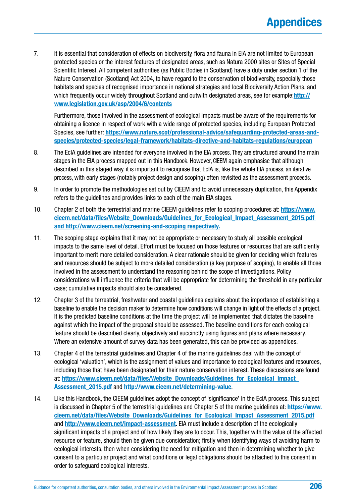7. It is essential that consideration of effects on biodiversity, flora and fauna in EIA are not limited to European protected species or the interest features of designated areas, such as Natura 2000 sites or Sites of Special Scientific Interest. All competent authorities (as Public Bodies in Scotland) have a duty under section 1 of the Nature Conservation (Scotland) Act 2004, to have regard to the conservation of biodiversity, especially those habitats and species of recognised importance in national strategies and local Biodiversity Action Plans, and which frequently occur widely throughout Scotland and outwith designated areas, see for example:**[http://](http://www.legislation.gov.uk/asp/2004/6/contents) [www.legislation.gov.uk/asp/2004/6/contents](http://www.legislation.gov.uk/asp/2004/6/contents)**

Furthermore, those involved in the assessment of ecological impacts must be aware of the requirements for obtaining a licence in respect of work with a wide range of protected species, including European Protected Species, see further: **[https://www.nature.scot/professional-advice/safeguarding-protected-areas-and](https://www.nature.scot/professional-advice/safeguarding-protected-areas-and-species/protected-species/legal-framework/habitats-directive-and-habitats-regulations/european)[species/protected-species/legal-framework/habitats-directive-and-habitats-regulations/european](https://www.nature.scot/professional-advice/safeguarding-protected-areas-and-species/protected-species/legal-framework/habitats-directive-and-habitats-regulations/european)**

- 8. The EcIA guidelines are intended for everyone involved in the EIA process. They are structured around the main stages in the EIA process mapped out in this Handbook. However, CIEEM again emphasise that although described in this staged way, it is important to recognise that EcIA is, like the whole EIA process, an iterative process, with early stages (notably project design and scoping) often revisited as the assessment proceeds.
- 9. In order to promote the methodologies set out by CIEEM and to avoid unnecessary duplication, this Appendix refers to the guidelines and provides links to each of the main EIA stages.
- 10. Chapter 2 of both the terrestrial and marine CIEEM guidelines refer to scoping procedures at: **[https://www.](https://www.cieem.net/data/files/Website_Downloads/Guidelines_for_Ecological_Impact_Assessment_2015.pdf) [cieem.net/data/files/Website\\_Downloads/Guidelines\\_for\\_Ecological\\_Impact\\_Assessment\\_2015.pdf](https://www.cieem.net/data/files/Website_Downloads/Guidelines_for_Ecological_Impact_Assessment_2015.pdf)  and [http://www.cieem.net/screening-and-scoping respectively.](http://www.cieem.net/screening-and-scoping)**
- 11. The scoping stage explains that it may not be appropriate or necessary to study all possible ecological impacts to the same level of detail. Effort must be focused on those features or resources that are sufficiently important to merit more detailed consideration. A clear rationale should be given for deciding which features and resources should be subject to more detailed consideration (a key purpose of scoping), to enable all those involved in the assessment to understand the reasoning behind the scope of investigations. Policy considerations will influence the criteria that will be appropriate for determining the threshold in any particular case; cumulative impacts should also be considered.
- 12. Chapter 3 of the terrestrial, freshwater and coastal guidelines explains about the importance of establishing a baseline to enable the decision maker to determine how conditions will change in light of the effects of a project. It is the predicted baseline conditions at the time the project will be implemented that dictates the baseline against which the impact of the proposal should be assessed. The baseline conditions for each ecological feature should be described clearly, objectively and succinctly using figures and plans where necessary. Where an extensive amount of survey data has been generated, this can be provided as appendices.
- 13. Chapter 4 of the terrestrial guidelines and Chapter 4 of the marine guidelines deal with the concept of ecological 'valuation', which is the assignment of values and importance to ecological features and resources, including those that have been designated for their nature conservation interest. These discussions are found at: **[https://www.cieem.net/data/files/Website\\_Downloads/Guidelines\\_for\\_Ecological\\_Impact\\_](https://www.cieem.net/data/files/Website_Downloads/Guidelines_for_Ecological_Impact_Assessment_2015.pdf) [Assessment\\_2015.pdf](https://www.cieem.net/data/files/Website_Downloads/Guidelines_for_Ecological_Impact_Assessment_2015.pdf)** and **<http://www.cieem.net/determining-value>**.
- 14. Like this Handbook, the CIEEM guidelines adopt the concept of 'significance' in the EcIA process. This subject is discussed in Chapter 5 of the terrestrial guidelines and Chapter 5 of the marine guidelines at: **[https://www.](https://www.cieem.net/data/files/Website_Downloads/Guidelines_for_Ecological_Impact_Assessment_2015.pdf) [cieem.net/data/files/Website\\_Downloads/Guidelines\\_for\\_Ecological\\_Impact\\_Assessment\\_2015.pdf](https://www.cieem.net/data/files/Website_Downloads/Guidelines_for_Ecological_Impact_Assessment_2015.pdf)** and **<http://www.cieem.net/impact-assessment>**. EIA must include a description of the ecologically significant impacts of a project and of how likely they are to occur. This, together with the value of the affected resource or feature, should then be given due consideration; firstly when identifying ways of avoiding harm to ecological interests, then when considering the need for mitigation and then in determining whether to give consent to a particular project and what conditions or legal obligations should be attached to this consent in order to safeguard ecological interests.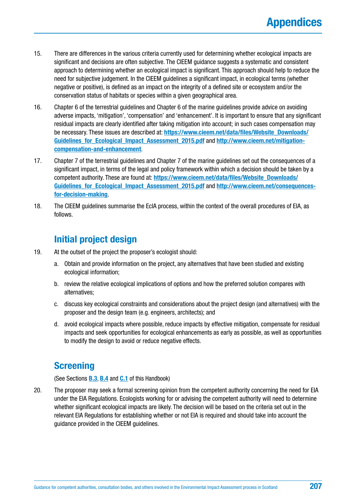- 15. There are differences in the various criteria currently used for determining whether ecological impacts are significant and decisions are often subjective. The CIEEM guidance suggests a systematic and consistent approach to determining whether an ecological impact is significant. This approach should help to reduce the need for subjective judgement. In the CIEEM guidelines a significant impact, in ecological terms (whether negative or positive), is defined as an impact on the integrity of a defined site or ecosystem and/or the conservation status of habitats or species within a given geographical area.
- 16. Chapter 6 of the terrestrial guidelines and Chapter 6 of the marine guidelines provide advice on avoiding adverse impacts, 'mitigation', 'compensation' and 'enhancement'. It is important to ensure that any significant residual impacts are clearly identified after taking mitigation into account; in such cases compensation may be necessary. These issues are described at: **[https://www.cieem.net/data/files/Website\\_Downloads/](https://www.cieem.net/data/files/Website_Downloads/Guidelines_for_Ecological_Impact_Assessment_2015.pdf) [Guidelines\\_for\\_Ecological\\_Impact\\_Assessment\\_2015.pdf](https://www.cieem.net/data/files/Website_Downloads/Guidelines_for_Ecological_Impact_Assessment_2015.pdf)** and **[http://www.cieem.net/mitigation](http://www.cieem.net/mitigation-compensation-and-enhancement)[compensation-and-enhancement](http://www.cieem.net/mitigation-compensation-and-enhancement)**.
- 17. Chapter 7 of the terrestrial guidelines and Chapter 7 of the marine guidelines set out the consequences of a significant impact, in terms of the legal and policy framework within which a decision should be taken by a competent authority. These are found at: **[https://www.cieem.net/data/files/Website\\_Downloads/](https://www.cieem.net/data/files/Website_Downloads/Guidelines_for_Ecological_Impact_Assessment_2015.pdf) [Guidelines\\_for\\_Ecological\\_Impact\\_Assessment\\_2015.pdf](https://www.cieem.net/data/files/Website_Downloads/Guidelines_for_Ecological_Impact_Assessment_2015.pdf)** and **[http://www.cieem.net/consequences](http://www.cieem.net/consequences-for-decision-making)[for-decision-making](http://www.cieem.net/consequences-for-decision-making)**.
- 18. The CIEEM guidelines summarise the EcIA process, within the context of the overall procedures of EIA, as follows.

## **Initial project design**

- 19. At the outset of the project the proposer's ecologist should:
	- a. Obtain and provide information on the project, any alternatives that have been studied and existing ecological information;
	- b. review the relative ecological implications of options and how the preferred solution compares with alternatives;
	- c. discuss key ecological constraints and considerations about the project design (and alternatives) with the proposer and the design team (e.g. engineers, architects); and
	- d. avoid ecological impacts where possible, reduce impacts by effective mitigation, compensate for residual impacts and seek opportunities for ecological enhancements as early as possible, as well as opportunities to modify the design to avoid or reduce negative effects.

### **Screening**

(See Sections **[B.3](#page-19-0)**, **[B.4](#page-21-0)** and **[C.1](#page-48-0)** of this Handbook)

20. The proposer may seek a formal screening opinion from the competent authority concerning the need for EIA under the EIA Regulations. Ecologists working for or advising the competent authority will need to determine whether significant ecological impacts are likely. The decision will be based on the criteria set out in the relevant EIA Regulations for establishing whether or not EIA is required and should take into account the guidance provided in the CIEEM guidelines.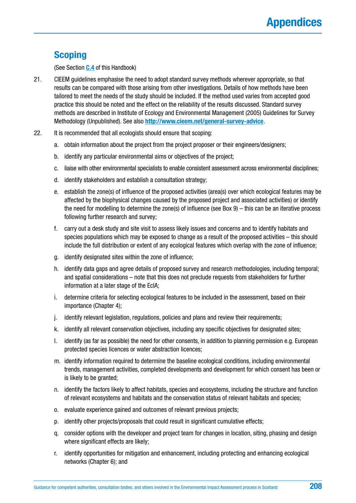### **Scoping**

(See Section **[C.4](#page-56-0)** of this Handbook)

- 21. CIEEM guidelines emphasise the need to adopt standard survey methods wherever appropriate, so that results can be compared with those arising from other investigations. Details of how methods have been tailored to meet the needs of the study should be included. If the method used varies from accepted good practice this should be noted and the effect on the reliability of the results discussed. Standard survey methods are described in Institute of Ecology and Environmental Management (2005) Guidelines for Survey Methodology (Unpublished). See also **<http://www.cieem.net/general-survey-advice>**.
- 22. It is recommended that all ecologists should ensure that scoping:
	- a. obtain information about the project from the project proposer or their engineers/designers;
	- b. identify any particular environmental aims or objectives of the project;
	- c. liaise with other environmental specialists to enable consistent assessment across environmental disciplines;
	- d. identify stakeholders and establish a consultation strategy;
	- e. establish the zone(s) of influence of the proposed activities (area(s) over which ecological features may be affected by the biophysical changes caused by the proposed project and associated activities) or identify the need for modelling to determine the zone(s) of influence (see Box 9) – this can be an iterative process following further research and survey;
	- f. carry out a desk study and site visit to assess likely issues and concerns and to identify habitats and species populations which may be exposed to change as a result of the proposed activities – this should include the full distribution or extent of any ecological features which overlap with the zone of influence;
	- g. identify designated sites within the zone of influence;
	- h. identify data gaps and agree details of proposed survey and research methodologies, including temporal; and spatial considerations – note that this does not preclude requests from stakeholders for further information at a later stage of the EcIA;
	- i. determine criteria for selecting ecological features to be included in the assessment, based on their importance (Chapter 4);
	- j. identify relevant legislation, regulations, policies and plans and review their requirements;
	- k. identify all relevant conservation objectives, including any specific objectives for designated sites;
	- l. identify (as far as possible) the need for other consents, in addition to planning permission e.g. European protected species licences or water abstraction licences;
	- m. identify information required to determine the baseline ecological conditions, including environmental trends, management activities, completed developments and development for which consent has been or is likely to be granted;
	- n. identify the factors likely to affect habitats, species and ecosystems, including the structure and function of relevant ecosystems and habitats and the conservation status of relevant habitats and species;
	- o. evaluate experience gained and outcomes of relevant previous projects;
	- p. identify other projects/proposals that could result in significant cumulative effects;
	- q. consider options with the developer and project team for changes in location, siting, phasing and design where significant effects are likely;
	- r. identify opportunities for mitigation and enhancement, including protecting and enhancing ecological networks (Chapter 6); and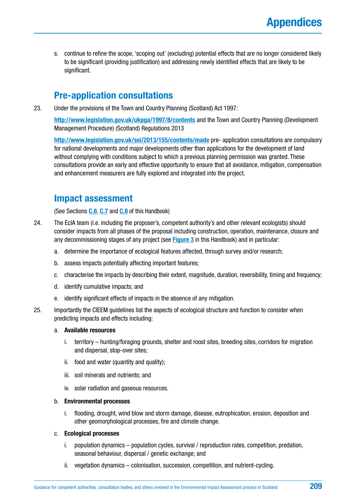s. continue to refine the scope, 'scoping out' (excluding) potential effects that are no longer considered likely to be significant (providing justification) and addressing newly identified effects that are likely to be significant.

### **Pre-application consultations**

23. Under the provisions of the Town and Country Planning (Scotland) Act 1997:

**<http://www.legislation.gov.uk/ukpga/1997/8/contents>** and the Town and Country Planning (Development Management Procedure) (Scotland) Regulations 2013

**<http://www.legislation.gov.uk/ssi/2013/155/contents/made>** pre- application consultations are compulsory for national developments and major developments other than applications for the development of land without complying with conditions subject to which a previous planning permission was granted. These consultations provide an early and effective opportunity to ensure that all avoidance, mitigation, compensation and enhancement measurers are fully explored and integrated into the project.

### **Impact assessment**

(See Sections **[C.6](#page-66-0)**, **[C.7](#page-69-0)** and **[C.8](#page-72-0)** of this Handbook)

- 24. The EcIA team (i.e. including the proposer's, competent authority's and other relevant ecologists) should consider impacts from all phases of the proposal including construction, operation, maintenance, closure and any decommissioning stages of any project (see **[Figure 3](#page-61-0)** in this Handbook) and in particular:
	- a. determine the importance of ecological features affected, through survey and/or research;
	- b. assess impacts potentially affecting important features;
	- c. characterise the impacts by describing their extent, magnitude, duration, reversibility, timing and frequency;
	- d. identify cumulative impacts; and
	- e. identify significant effects of impacts in the absence of any mitigation.
- 25. Importantly the CIEEM guidelines list the aspects of ecological structure and function to consider when predicting impacts and effects including:

#### a. **Available resources**

- i. territory hunting/foraging grounds, shelter and roost sites, breeding sites, corridors for migration and dispersal, stop-over sites;
- ii. food and water (quantity and quality);
- iii. soil minerals and nutrients; and
- iv. solar radiation and gaseous resources.

#### b. **Environmental processes**

i. flooding, drought, wind blow and storm damage, disease, eutrophication, erosion, deposition and other geomorphological processes, fire and climate change.

#### c. **Ecological processes**

- i. population dynamics population cycles, survival / reproduction rates, competition, predation, seasonal behaviour, dispersal / genetic exchange; and
- ii. vegetation dynamics colonisation, succession, competition, and nutrient-cycling.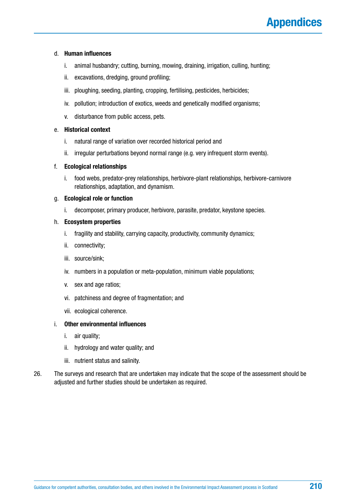#### d. **Human influences**

- i. animal husbandry; cutting, burning, mowing, draining, irrigation, culling, hunting;
- ii. excavations, dredging, ground profiling;
- iii. ploughing, seeding, planting, cropping, fertilising, pesticides, herbicides;
- iv. pollution; introduction of exotics, weeds and genetically modified organisms;
- v. disturbance from public access, pets.

#### e. **Historical context**

- i. natural range of variation over recorded historical period and
- ii. irregular perturbations beyond normal range (e.g. very infrequent storm events).

#### f. **Ecological relationships**

i. food webs, predator-prey relationships, herbivore-plant relationships, herbivore-carnivore relationships, adaptation, and dynamism.

#### g. **Ecological role or function**

i. decomposer, primary producer, herbivore, parasite, predator, keystone species.

#### h. **Ecosystem properties**

- i. fragility and stability, carrying capacity, productivity, community dynamics;
- ii. connectivity;
- iii. source/sink;
- iv. numbers in a population or meta-population, minimum viable populations;
- v. sex and age ratios;
- vi. patchiness and degree of fragmentation; and
- vii. ecological coherence.

### i. **Other environmental influences**

- i. air quality;
- ii. hydrology and water quality; and
- iii. nutrient status and salinity.
- 26. The surveys and research that are undertaken may indicate that the scope of the assessment should be adjusted and further studies should be undertaken as required.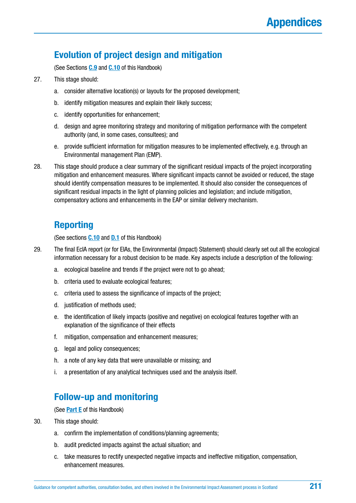### **Evolution of project design and mitigation**

(See Sections **[C.9](#page-76-0)** and **[C.10](#page-80-0)** of this Handbook)

- 27. This stage should:
	- a. consider alternative location(s) or layouts for the proposed development;
	- b. identify mitigation measures and explain their likely success;
	- c. identify opportunities for enhancement;
	- d. design and agree monitoring strategy and monitoring of mitigation performance with the competent authority (and, in some cases, consultees); and
	- e. provide sufficient information for mitigation measures to be implemented effectively, e.g. through an Environmental management Plan (EMP).
- 28. This stage should produce a clear summary of the significant residual impacts of the project incorporating mitigation and enhancement measures. Where significant impacts cannot be avoided or reduced, the stage should identify compensation measures to be implemented. It should also consider the consequences of significant residual impacts in the light of planning policies and legislation; and include mitigation, compensatory actions and enhancements in the EAP or similar delivery mechanism.

### **Reporting**

(See sections **[C.10](#page-80-0)** and **[D.1](#page-83-0)** of this Handbook)

- 29. The final EcIA report (or for EIAs, the Environmental (Impact) Statement) should clearly set out all the ecological information necessary for a robust decision to be made. Key aspects include a description of the following:
	- a. ecological baseline and trends if the project were not to go ahead;
	- b. criteria used to evaluate ecological features;
	- c. criteria used to assess the significance of impacts of the project;
	- d. justification of methods used;
	- e. the identification of likely impacts (positive and negative) on ecological features together with an explanation of the significance of their effects
	- f. mitigation, compensation and enhancement measures;
	- g. legal and policy consequences;
	- h. a note of any key data that were unavailable or missing; and
	- i. a presentation of any analytical techniques used and the analysis itself.

### **Follow-up and monitoring**

(See **[Part E](#page-105-0)** of this Handbook)

- 30. This stage should:
	- a. confirm the implementation of conditions/planning agreements;
	- b. audit predicted impacts against the actual situation; and
	- c. take measures to rectify unexpected negative impacts and ineffective mitigation, compensation, enhancement measures.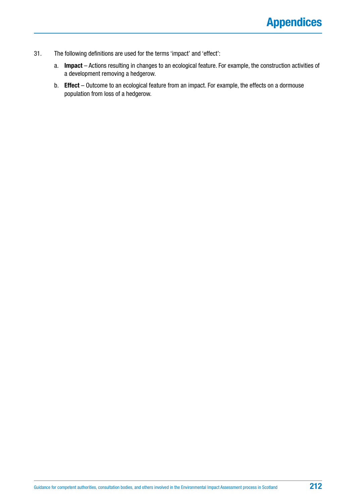- 31. The following definitions are used for the terms 'impact' and 'effect':
	- a. **Impact** Actions resulting in changes to an ecological feature. For example, the construction activities of a development removing a hedgerow.
	- b. **Effect** Outcome to an ecological feature from an impact. For example, the effects on a dormouse population from loss of a hedgerow.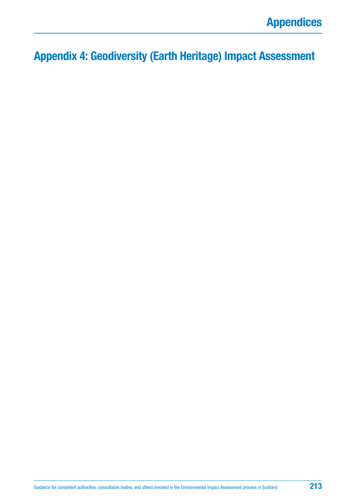**Appendix 4: Geodiversity (Earth Heritage) Impact Assessment**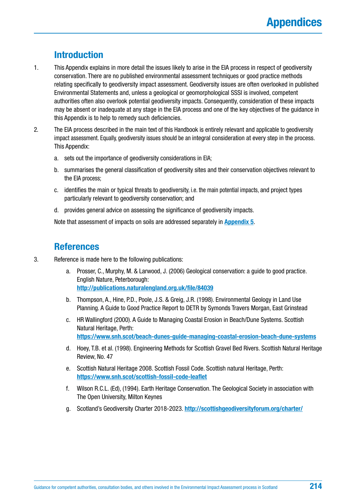### **Introduction**

- 1. This Appendix explains in more detail the issues likely to arise in the EIA process in respect of geodiversity conservation. There are no published environmental assessment techniques or good practice methods relating specifically to geodiversity impact assessment. Geodiversity issues are often overlooked in published Environmental Statements and, unless a geological or geomorphological SSSI is involved, competent authorities often also overlook potential geodiversity impacts. Consequently, consideration of these impacts may be absent or inadequate at any stage in the EIA process and one of the key objectives of the guidance in this Appendix is to help to remedy such deficiencies.
- 2. The EIA process described in the main text of this Handbook is entirely relevant and applicable to geodiversity impact assessment. Equally, geodiversity issues should be an integral consideration at every step in the process. This Appendix:
	- a. sets out the importance of geodiversity considerations in EIA;
	- b. summarises the general classification of geodiversity sites and their conservation objectives relevant to the EIA process;
	- c. identifies the main or typical threats to geodiversity, i.e. the main potential impacts, and project types particularly relevant to geodiversity conservation; and
	- d. provides general advice on assessing the significance of geodiversity impacts.

Note that assessment of impacts on soils are addressed separately in **[Appendix 5](#page-222-0)**.

### **References**

- 3. Reference is made here to the following publications:
	- a. Prosser, C., Murphy, M. & Larwood, J. (2006) Geological conservation: a guide to good practice. English Nature, Peterborough: **[http://publications.naturalengland.org.uk/file/84039](http://publications.naturalengland.org.uk/file/84039%20)**
	- b. Thompson, A., Hine, P.D., Poole, J.S. & Greig, J.R. (1998). Environmental Geology in Land Use Planning. A Guide to Good Practice Report to DETR by Symonds Travers Morgan, East Grinstead
	- c. HR Wallingford (2000). A Guide to Managing Coastal Erosion in Beach/Dune Systems. Scottish Natural Heritage, Perth: **<https://www.snh.scot/beach-dunes-guide-managing-coastal-erosion-beach-dune-systems>**
	- d. Hoey, T.B. et al. (1998). Engineering Methods for Scottish Gravel Bed Rivers. Scottish Natural Heritage Review, No. 47
	- e. Scottish Natural Heritage 2008. Scottish Fossil Code. Scottish natural Heritage, Perth: **<https://www.snh.scot/scottish-fossil-code-leaflet>**
	- f. Wilson R.C.L. (Ed), (1994). Earth Heritage Conservation. The Geological Society in association with The Open University, Milton Keynes
	- g. Scotland's Geodiversity Charter 2018-2023. **<http://scottishgeodiversityforum.org/charter/>**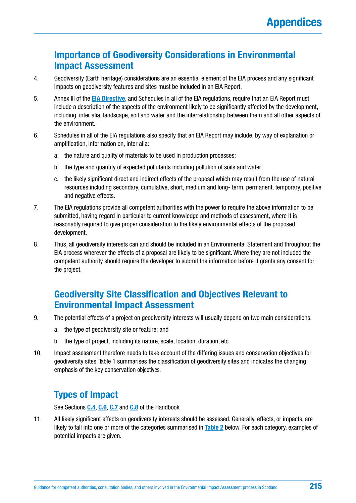### **Importance of Geodiversity Considerations in Environmental Impact Assessment**

- 4. Geodiversity (Earth heritage) considerations are an essential element of the EIA process and any significant impacts on geodiversity features and sites must be included in an EIA Report.
- 5. Annex III of the **[EIA Directive](http://ec.europa.eu/environment/eia/eia-legalcontext.htm)**, and Schedules in all of the EIA regulations, require that an EIA Report must include a description of the aspects of the environment likely to be significantly affected by the development, including, inter alia, landscape, soil and water and the interrelationship between them and all other aspects of the environment.
- 6. Schedules in all of the EIA regulations also specify that an EIA Report may include, by way of explanation or amplification, information on, inter alia:
	- a. the nature and quality of materials to be used in production processes;
	- b. the type and quantity of expected pollutants including pollution of soils and water;
	- c. the likely significant direct and indirect effects of the proposal which may result from the use of natural resources including secondary, cumulative, short, medium and long- term, permanent, temporary, positive and negative effects.
- 7. The EIA regulations provide all competent authorities with the power to require the above information to be submitted, having regard in particular to current knowledge and methods of assessment, where it is reasonably required to give proper consideration to the likely environmental effects of the proposed development.
- 8. Thus, all geodiversity interests can and should be included in an Environmental Statement and throughout the EIA process wherever the effects of a proposal are likely to be significant. Where they are not included the competent authority should require the developer to submit the information before it grants any consent for the project.

### **Geodiversity Site Classification and Objectives Relevant to Environmental Impact Assessment**

- 9. The potential effects of a project on geodiversity interests will usually depend on two main considerations:
	- a. the type of geodiversity site or feature; and
	- b. the type of project, including its nature, scale, location, duration, etc.
- 10. Impact assessment therefore needs to take account of the differing issues and conservation objectives for geodiversity sites. Table 1 summarises the classification of geodiversity sites and indicates the changing emphasis of the key conservation objectives.

## **Types of Impact**

See Sections **[C.4](#page-56-0)**, **[C.6](#page-66-0)**, **[C.7](#page-69-0)** and **[C.8](#page-72-0)** of the Handbook

11. All likely significant effects on geodiversity interests should be assessed. Generally, effects, or impacts, are likely to fall into one or more of the categories summarised in **[Table 2](#page-216-0)** below. For each category, examples of potential impacts are given.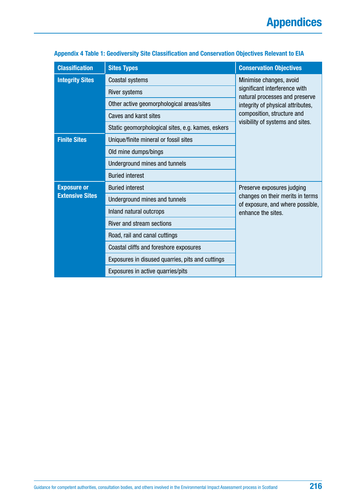| <b>Classification</b>  | <b>Sites Types</b>                                | <b>Conservation Objectives</b>                                       |
|------------------------|---------------------------------------------------|----------------------------------------------------------------------|
| <b>Integrity Sites</b> | Coastal systems                                   | Minimise changes, avoid                                              |
|                        | <b>River systems</b>                              | significant interference with<br>natural processes and preserve      |
|                        | Other active geomorphological areas/sites         | integrity of physical attributes,                                    |
|                        | Caves and karst sites                             | composition, structure and                                           |
|                        | Static geomorphological sites, e.g. kames, eskers | visibility of systems and sites.                                     |
| <b>Finite Sites</b>    | Unique/finite mineral or fossil sites             |                                                                      |
|                        | Old mine dumps/bings                              |                                                                      |
|                        | Underground mines and tunnels                     |                                                                      |
|                        | <b>Buried interest</b>                            |                                                                      |
| <b>Exposure or</b>     | <b>Buried interest</b>                            | Preserve exposures judging                                           |
| <b>Extensive Sites</b> | Underground mines and tunnels                     | changes on their merits in terms<br>of exposure, and where possible, |
|                        | Inland natural outcrops                           | enhance the sites.                                                   |
|                        | River and stream sections                         |                                                                      |
|                        | Road, rail and canal cuttings                     |                                                                      |
|                        | Coastal cliffs and foreshore exposures            |                                                                      |
|                        | Exposures in disused quarries, pits and cuttings  |                                                                      |
|                        | Exposures in active quarries/pits                 |                                                                      |

### **Appendix 4 Table 1: Geodiversity Site Classification and Conservation Objectives Relevant to EIA**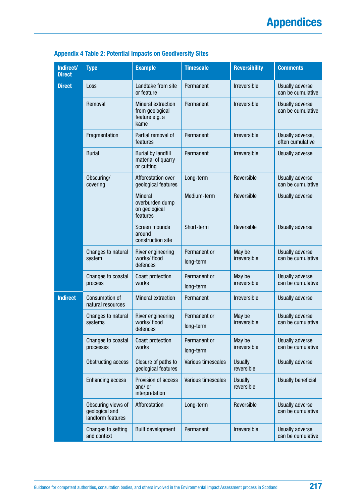| Indirect/<br><b>Direct</b> | <b>Type</b>                                               | <b>Example</b>                                                         | <b>Timescale</b>          | <b>Reversibility</b>         | <b>Comments</b>                             |
|----------------------------|-----------------------------------------------------------|------------------------------------------------------------------------|---------------------------|------------------------------|---------------------------------------------|
| <b>Direct</b>              | Loss                                                      | Landtake from site<br>or feature                                       | Permanent                 | Irreversible                 | Usually adverse<br>can be cumulative        |
|                            | Removal                                                   | <b>Mineral extraction</b><br>from geological<br>feature e.g. a<br>kame | Permanent                 | <b>Irreversible</b>          | Usually adverse<br>can be cumulative        |
|                            | Fragmentation                                             | Partial removal of<br>features                                         | Permanent                 | Irreversible                 | Usually adverse,<br>often cumulative        |
|                            | <b>Burial</b>                                             | <b>Burial by landfill</b><br>material of quarry<br>or cutting          | Permanent                 | Irreversible                 | Usually adverse                             |
|                            | Obscuring/<br>covering                                    | Afforestation over<br>geological features                              | Long-term                 | Reversible                   | Usually adverse<br>can be cumulative        |
|                            |                                                           | <b>Mineral</b><br>overburden dump<br>on geological<br>features         | Medium-term               | Reversible                   | Usually adverse                             |
|                            |                                                           | Screen mounds<br>around<br>construction site                           | Short-term                | Reversible                   | Usually adverse                             |
|                            | Changes to natural<br>system                              | River engineering<br>works/flood<br>defences                           | Permanent or<br>long-term | May be<br>irreversible       | <b>Usually adverse</b><br>can be cumulative |
|                            | Changes to coastal<br>process                             | Coast protection<br>works                                              | Permanent or<br>long-term | May be<br>irreversible       | Usually adverse<br>can be cumulative        |
| <b>Indirect</b>            | Consumption of<br>natural resources                       | <b>Mineral extraction</b>                                              | Permanent                 | Irreversible                 | <b>Usually adverse</b>                      |
|                            | Changes to natural<br>systems                             | River engineering<br>works/flood<br>defences                           | Permanent or<br>long-term | May be<br>irreversible       | <b>Usually adverse</b><br>can be cumulative |
|                            | Changes to coastal<br>processes                           | Coast protection<br>works                                              | Permanent or<br>long-term | May be<br>irreversible       | Usually adverse<br>can be cumulative        |
|                            | <b>Obstructing access</b>                                 | Closure of paths to<br>geological features                             | Various timescales        | <b>Usually</b><br>reversible | Usually adverse                             |
|                            | <b>Enhancing access</b>                                   | Provision of access<br>and/or<br>interpretation                        | Various timescales        | <b>Usually</b><br>reversible | <b>Usually beneficial</b>                   |
|                            | Obscuring views of<br>geological and<br>landform features | Afforestation                                                          | Long-term                 | Reversible                   | Usually adverse<br>can be cumulative        |
|                            | Changes to setting<br>and context                         | <b>Built development</b>                                               | Permanent                 | Irreversible                 | Usually adverse<br>can be cumulative        |

### **Appendix 4 Table 2: Potential Impacts on Geodiversity Sites**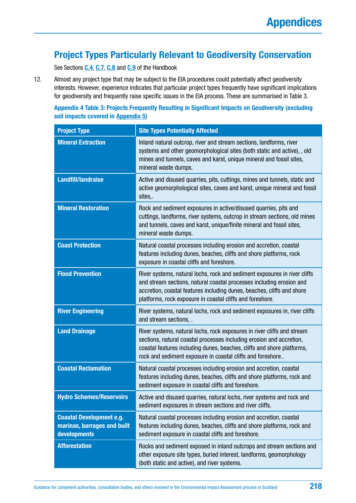### **Project Types Particularly Relevant to Geodiversity Conservation**

See Sections **[C.4](#page-56-0)**, **[C.7](#page-69-0)**, **[C.8](#page-72-0)** and **[C.9](#page-76-0)** of the Handbook

12. Almost any project type that may be subject to the EIA procedures could potentially affect geodiversity interests. However, experience indicates that particular project types frequently have significant implications for geodiversity and frequently raise specific issues in the EIA process. These are summarised in Table 3.

**Appendix 4 Table 3: Projects Frequently Resulting in Significant Impacts on Geodiversity (excluding soil impacts covered in [Appendix 5\)](#page-222-0)**

| <b>Project Type</b>                                                            | <b>Site Types Potentially Affected</b>                                                                                                                                                                                                                                                   |
|--------------------------------------------------------------------------------|------------------------------------------------------------------------------------------------------------------------------------------------------------------------------------------------------------------------------------------------------------------------------------------|
| <b>Mineral Extraction</b>                                                      | Inland natural outcrop, river and stream sections, landforms, river<br>systems and other geomorphological sites (both static and active), , old<br>mines and tunnels, caves and karst, unique mineral and fossil sites,<br>mineral waste dumps.                                          |
| <b>Landfill/landraise</b>                                                      | Active and disused quarries, pits, cuttings, mines and tunnels, static and<br>active geomorphological sites, caves and karst, unique mineral and fossil<br>sites,.                                                                                                                       |
| <b>Mineral Restoration</b>                                                     | Rock and sediment exposures in active/disused quarries, pits and<br>cuttings, landforms, river systems, outcrop in stream sections, old mines<br>and tunnels, caves and karst, unique/finite mineral and fossil sites,<br>mineral waste dumps.                                           |
| <b>Coast Protection</b>                                                        | Natural coastal processes including erosion and accretion, coastal<br>features including dunes, beaches, cliffs and shore platforms, rock<br>exposure in coastal cliffs and foreshore.                                                                                                   |
| <b>Flood Prevention</b>                                                        | River systems, natural lochs, rock and sediment exposures in river cliffs<br>and stream sections, natural coastal processes including erosion and<br>accretion, coastal features including dunes, beaches, cliffs and shore<br>platforms, rock exposure in coastal cliffs and foreshore. |
| <b>River Engineering</b>                                                       | River systems, natural lochs, rock and sediment exposures in, river cliffs<br>and stream sections, .                                                                                                                                                                                     |
| <b>Land Drainage</b>                                                           | River systems, natural lochs, rock exposures in river cliffs and stream<br>sections, natural coastal processes including erosion and accretion,<br>coastal features including dunes, beaches, cliffs and shore platforms,<br>rock and sediment exposure in coastal cliffs and foreshore  |
| <b>Coastal Reclamation</b>                                                     | Natural coastal processes including erosion and accretion, coastal<br>features including dunes, beaches, cliffs and shore platforms, rock and<br>sediment exposure in coastal cliffs and foreshore.                                                                                      |
| <b>Hydro Schemes/Reservoirs</b>                                                | Active and disused quarries, natural lochs, river systems and rock and<br>sediment exposures in stream sections and river cliffs.                                                                                                                                                        |
| <b>Coastal Development e.g.</b><br>marinas, barrages and built<br>developments | Natural coastal processes including erosion and accretion, coastal<br>features including dunes, beaches, cliffs and shore platforms, rock and<br>sediment exposure in coastal cliffs and foreshore.                                                                                      |
| <b>Afforestation</b>                                                           | Rocks and sediment exposed in inland outcrops and stream sections and<br>other exposure site types, buried interest, landforms, geomorphology<br>(both static and active), and river systems.                                                                                            |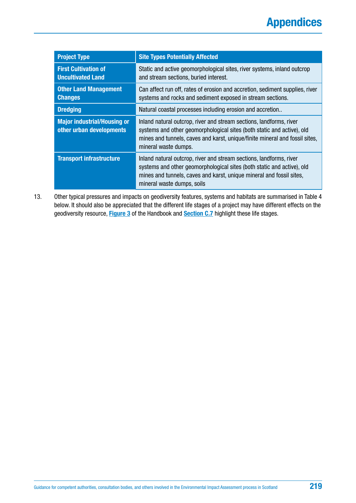| <b>Project Type</b>                                            | <b>Site Types Potentially Affected</b>                                                                                                                                                                                                               |
|----------------------------------------------------------------|------------------------------------------------------------------------------------------------------------------------------------------------------------------------------------------------------------------------------------------------------|
| <b>First Cultivation of</b><br><b>Uncultivated Land</b>        | Static and active geomorphological sites, river systems, inland outcrop<br>and stream sections, buried interest.                                                                                                                                     |
| <b>Other Land Management</b><br><b>Changes</b>                 | Can affect run off, rates of erosion and accretion, sediment supplies, river<br>systems and rocks and sediment exposed in stream sections.                                                                                                           |
| <b>Dredging</b>                                                | Natural coastal processes including erosion and accretion                                                                                                                                                                                            |
| <b>Major industrial/Housing or</b><br>other urban developments | Inland natural outcrop, river and stream sections, landforms, river<br>systems and other geomorphological sites (both static and active), old<br>mines and tunnels, caves and karst, unique/finite mineral and fossil sites,<br>mineral waste dumps. |
| <b>Transport infrastructure</b>                                | Inland natural outcrop, river and stream sections, landforms, river<br>systems and other geomorphological sites (both static and active), old<br>mines and tunnels, caves and karst, unique mineral and fossil sites,<br>mineral waste dumps, soils  |

13. Other typical pressures and impacts on geodiversity features, systems and habitats are summarised in Table 4 below. It should also be appreciated that the different life stages of a project may have different effects on the geodiversity resource, **[Figure 3](#page-61-0)** of the Handbook and **[Section C.7](#page-69-0)** highlight these life stages.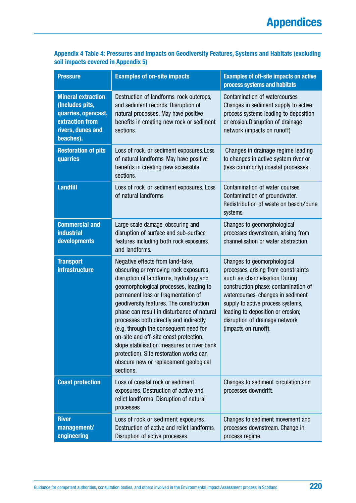### **Appendix 4 Table 4: Pressures and Impacts on Geodiversity Features, Systems and Habitats (excluding soil impacts covered i[n Appendix 5\)](#page-222-0)**

| <b>Pressure</b>                                                                                                                 | <b>Examples of on-site impacts</b>                                                                                                                                                                                                                                                                                                                                                                                                                                                                                                                                       | <b>Examples of off-site impacts on active</b><br>process systems and habitats                                                                                                                                                                                                                                         |
|---------------------------------------------------------------------------------------------------------------------------------|--------------------------------------------------------------------------------------------------------------------------------------------------------------------------------------------------------------------------------------------------------------------------------------------------------------------------------------------------------------------------------------------------------------------------------------------------------------------------------------------------------------------------------------------------------------------------|-----------------------------------------------------------------------------------------------------------------------------------------------------------------------------------------------------------------------------------------------------------------------------------------------------------------------|
| <b>Mineral extraction</b><br>(Includes pits,<br>quarries, opencast,<br><b>extraction from</b><br>rivers, dunes and<br>beaches). | Destruction of landforms, rock outcrops,<br>and sediment records. Disruption of<br>natural processes. May have positive<br>benefits in creating new rock or sediment<br>sections.                                                                                                                                                                                                                                                                                                                                                                                        | Contamination of watercourses.<br>Changes in sediment supply to active<br>process systems, leading to deposition<br>or erosion. Disruption of drainage<br>network (impacts on runoff).                                                                                                                                |
| <b>Restoration of pits</b><br>quarries                                                                                          | Loss of rock, or sediment exposures. Loss<br>of natural landforms. May have positive<br>benefits in creating new accessible<br>sections.                                                                                                                                                                                                                                                                                                                                                                                                                                 | Changes in drainage regime leading<br>to changes in active system river or<br>(less commonly) coastal processes.                                                                                                                                                                                                      |
| <b>Landfill</b>                                                                                                                 | Loss of rock, or sediment exposures. Loss<br>of natural landforms.                                                                                                                                                                                                                                                                                                                                                                                                                                                                                                       | Contamination of water courses.<br>Contamination of groundwater.<br>Redistribution of waste on beach/dune<br>systems.                                                                                                                                                                                                 |
| <b>Commercial and</b><br><b>industrial</b><br>developments                                                                      | Large scale damage, obscuring and<br>disruption of surface and sub-surface<br>features including both rock exposures,<br>and landforms.                                                                                                                                                                                                                                                                                                                                                                                                                                  | Changes to geomorphological<br>processes downstream, arising from<br>channelisation or water abstraction.                                                                                                                                                                                                             |
| <b>Transport</b><br><b>infrastructure</b>                                                                                       | Negative effects from land-take,<br>obscuring or removing rock exposures,<br>disruption of landforms, hydrology and<br>geomorphological processes, leading to<br>permanent loss or fragmentation of<br>geodiversity features. The construction<br>phase can result in disturbance of natural<br>processes both directly and indirectly<br>(e.g. through the consequent need for<br>on-site and off-site coast protection,<br>slope stabilisation measures or river bank<br>protection). Site restoration works can<br>obscure new or replacement geological<br>sections. | Changes to geomorphological<br>processes, arising from constraints<br>such as channelisation. During<br>construction phase: contamination of<br>watercourses; changes in sediment<br>supply to active process systems,<br>leading to deposition or erosion;<br>disruption of drainage network<br>(impacts on runoff). |
| <b>Coast protection</b>                                                                                                         | Loss of coastal rock or sediment<br>exposures. Destruction of active and<br>relict landforms. Disruption of natural<br>processes                                                                                                                                                                                                                                                                                                                                                                                                                                         | Changes to sediment circulation and<br>processes downdrift.                                                                                                                                                                                                                                                           |
| <b>River</b><br>management/<br>engineering                                                                                      | Loss of rock or sediment exposures.<br>Destruction of active and relict landforms.<br>Disruption of active processes.                                                                                                                                                                                                                                                                                                                                                                                                                                                    | Changes to sediment movement and<br>processes downstream. Change in<br>process regime.                                                                                                                                                                                                                                |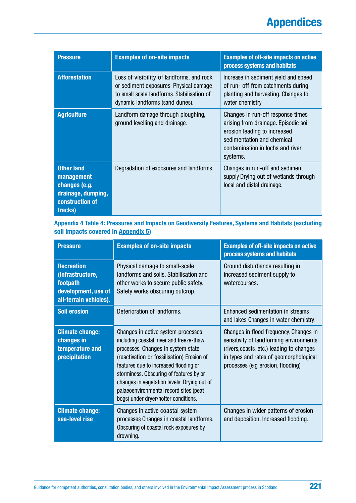| <b>Pressure</b>                                                                                      | <b>Examples of on-site impacts</b>                                                                                                                                   | <b>Examples of off-site impacts on active</b><br>process systems and habitats                                                                                                           |
|------------------------------------------------------------------------------------------------------|----------------------------------------------------------------------------------------------------------------------------------------------------------------------|-----------------------------------------------------------------------------------------------------------------------------------------------------------------------------------------|
| <b>Afforestation</b>                                                                                 | Loss of visibility of landforms, and rock<br>or sediment exposures. Physical damage<br>to small scale landforms. Stabilisation of<br>dynamic landforms (sand dunes). | Increase in sediment yield and speed<br>of run- off from catchments during<br>planting and harvesting. Changes to<br>water chemistry                                                    |
| <b>Agriculture</b>                                                                                   | Landform damage through ploughing,<br>ground levelling and drainage.                                                                                                 | Changes in run-off response times<br>arising from drainage. Episodic soil<br>erosion leading to increased<br>sedimentation and chemical<br>contamination in lochs and river<br>systems. |
| <b>Other land</b><br>management<br>changes (e.g.<br>drainage, dumping,<br>construction of<br>tracks) | Degradation of exposures and landforms.                                                                                                                              | Changes in run-off and sediment<br>supply. Drying out of wetlands through<br>local and distal drainage.                                                                                 |

### **Appendix 4 Table 4: Pressures and Impacts on Geodiversity Features, Systems and Habitats (excluding soil impacts covered in [Appendix 5\)](#page-222-0)**

| <b>Pressure</b>                                                                                    | <b>Examples of on-site impacts</b>                                                                                                                                                                                                                                                                                                                                                       | <b>Examples of off-site impacts on active</b><br>process systems and habitats                                                                                                                                   |
|----------------------------------------------------------------------------------------------------|------------------------------------------------------------------------------------------------------------------------------------------------------------------------------------------------------------------------------------------------------------------------------------------------------------------------------------------------------------------------------------------|-----------------------------------------------------------------------------------------------------------------------------------------------------------------------------------------------------------------|
| <b>Recreation</b><br>(Infrastructure,<br>footpath<br>development, use of<br>all-terrain vehicles). | Physical damage to small-scale<br>landforms and soils. Stabilisation and<br>other works to secure public safety.<br>Safety works obscuring outcrop.                                                                                                                                                                                                                                      | Ground disturbance resulting in<br>increased sediment supply to<br>watercourses.                                                                                                                                |
| <b>Soil erosion</b>                                                                                | Deterioration of landforms.                                                                                                                                                                                                                                                                                                                                                              | Enhanced sedimentation in streams<br>and lakes Changes in water chemistry.                                                                                                                                      |
| <b>Climate change:</b><br>changes in<br>temperature and<br>precipitation                           | Changes in active system processes<br>including coastal, river and freeze-thaw<br>processes. Changes in system state<br>(reactivation or fossilisation). Erosion of<br>features due to increased flooding or<br>storminess. Obscuring of features by or<br>changes in vegetation levels. Drying out of<br>palaeoenvironmental record sites (peat<br>bogs) under dryer/hotter conditions. | Changes in flood frequency. Changes in<br>sensitivity of landforming environments<br>(rivers, coasts, etc.) leading to changes<br>in types and rates of geomorphological<br>processes (e.g. erosion, flooding). |
| <b>Climate change:</b><br>sea-level rise                                                           | Changes in active coastal system<br>processes Changes in coastal landforms.<br>Obscuring of coastal rock exposures by<br>drowning.                                                                                                                                                                                                                                                       | Changes in wider patterns of erosion<br>and deposition. Increased flooding.                                                                                                                                     |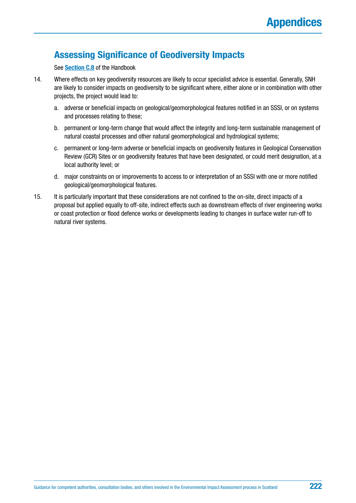# **Assessing Significance of Geodiversity Impacts**

See **[Section C.8](#page-72-0)** of the Handbook

- 14. Where effects on key geodiversity resources are likely to occur specialist advice is essential. Generally, SNH are likely to consider impacts on geodiversity to be significant where, either alone or in combination with other projects, the project would lead to:
	- a. adverse or beneficial impacts on geological/geomorphological features notified in an SSSI, or on systems and processes relating to these;
	- b. permanent or long-term change that would affect the integrity and long-term sustainable management of natural coastal processes and other natural geomorphological and hydrological systems;
	- c. permanent or long-term adverse or beneficial impacts on geodiversity features in Geological Conservation Review (GCR) Sites or on geodiversity features that have been designated, or could merit designation, at a local authority level; or
	- d. major constraints on or improvements to access to or interpretation of an SSSI with one or more notified geological/geomorphological features.
- 15. It is particularly important that these considerations are not confined to the on-site, direct impacts of a proposal but applied equally to off-site, indirect effects such as downstream effects of river engineering works or coast protection or flood defence works or developments leading to changes in surface water run-off to natural river systems.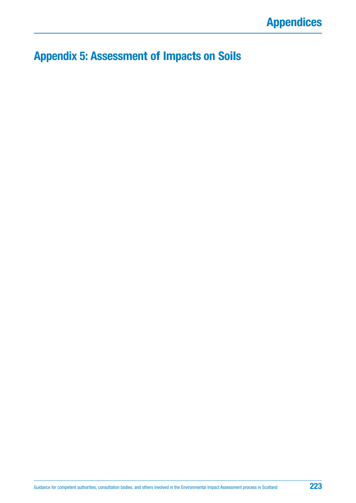# <span id="page-222-0"></span>**Appendix 5: Assessment of Impacts on Soils**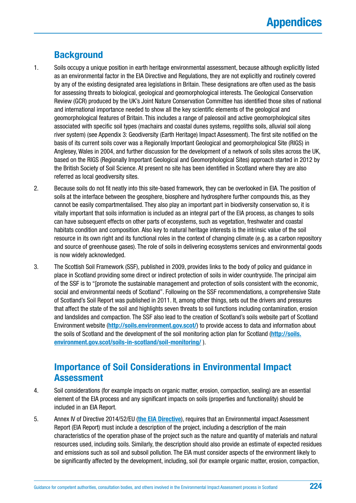# **Background**

- 1. Soils occupy a unique position in earth heritage environmental assessment, because although explicitly listed as an environmental factor in the EIA Directive and Regulations, they are not explicitly and routinely covered by any of the existing designated area legislations in Britain. These designations are often used as the basis for assessing threats to biological, geological and geomorphological interests. The Geological Conservation Review (GCR) produced by the UK's Joint Nature Conservation Committee has identified those sites of national and international importance needed to show all the key scientific elements of the geological and geomorphological features of Britain. This includes a range of paleosoil and active geomorphological sites associated with specific soil types (machairs and coastal dunes systems, regoliths soils, alluvial soil along river system) (see Appendix 3: Geodiversity (Earth Heritage) Impact Assessment). The first site notified on the basis of its current soils cover was a Regionally Important Geological and geomorphological Site (RIGS) in Anglesey, Wales in 2004, and further discussion for the development of a network of soils sites across the UK, based on the RIGS (Regionally Important Geological and Geomorphological Sites) approach started in 2012 by the British Society of Soil Science. At present no site has been identified in Scotland where they are also referred as local geodiversity sites.
- 2. Because soils do not fit neatly into this site-based framework, they can be overlooked in EIA. The position of soils at the interface between the geosphere, biosphere and hydrosphere further compounds this, as they cannot be easily compartmentalised. They also play an important part in biodiversity conservation so, it is vitally important that soils information is included as an integral part of the EIA process, as changes to soils can have subsequent effects on other parts of ecosystems, such as vegetation, freshwater and coastal habitats condition and composition. Also key to natural heritage interests is the intrinsic value of the soil resource in its own right and its functional roles in the context of changing climate (e.g. as a carbon repository and source of greenhouse gases). The role of soils in delivering ecosystems services and environmental goods is now widely acknowledged.
- 3. The Scottish Soil Framework (SSF), published in 2009, provides links to the body of policy and guidance in place in Scotland providing some direct or indirect protection of soils in wider countryside. The principal aim of the SSF is to "[promote the sustainable management and protection of soils consistent with the economic, social and environmental needs of Scotland". Following on the SSF recommendations, a comprehensive State of Scotland's Soil Report was published in 2011. It, among other things, sets out the drivers and pressures that affect the state of the soil and highlights seven threats to soil functions including contamination, erosion and landslides and compaction. The SSF also lead to the creation of Scotland's soils website part of Scotland Environment website (**<http://soils.environment.gov.scot/>**) to provide access to data and information about the soils of Scotland and the development of the soil monitoring action plan for Scotland (**[http://soils.](http://soils.environment.gov.scot/soils-in-scotland/soil-monitoring/) [environment.gov.scot/soils-in-scotland/soil-monitoring/](http://soils.environment.gov.scot/soils-in-scotland/soil-monitoring/)** ).

# **Importance of Soil Considerations in Environmental Impact Assessment**

- 4. Soil considerations (for example impacts on organic matter, erosion, compaction, sealing) are an essential element of the EIA process and any significant impacts on soils (properties and functionality) should be included in an EIA Report.
- 5. Annex IV of Directive 2014/52/EU (**[the EIA Directive](http://ec.europa.eu/environment/eia/pdf/EIA_Directive_informal.pdf)**), requires that an Environmental impact Assessment Report (EIA Report) must include a description of the project, including a description of the main characteristics of the operation phase of the project such as the nature and quantity of materials and natural resources used, including soils. Similarly, the description should also provide an estimate of expected residues and emissions such as soil and subsoil pollution. The EIA must consider aspects of the environment likely to be significantly affected by the development, including, soil (for example organic matter, erosion, compaction,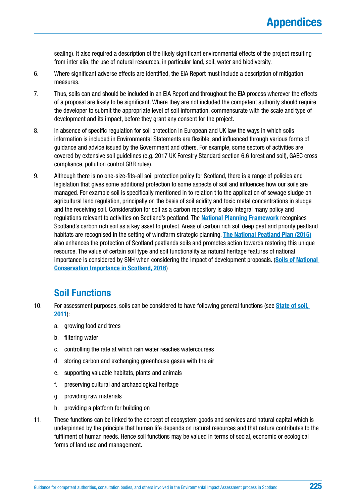sealing). It also required a description of the likely significant environmental effects of the project resulting from inter alia, the use of natural resources, in particular land, soil, water and biodiversity.

- 6. Where significant adverse effects are identified, the EIA Report must include a description of mitigation measures.
- 7. Thus, soils can and should be included in an EIA Report and throughout the EIA process wherever the effects of a proposal are likely to be significant. Where they are not included the competent authority should require the developer to submit the appropriate level of soil information, commensurate with the scale and type of development and its impact, before they grant any consent for the project.
- 8. In absence of specific regulation for soil protection in European and UK law the ways in which soils information is included in Environmental Statements are flexible, and influenced through various forms of guidance and advice issued by the Government and others. For example, some sectors of activities are covered by extensive soil guidelines (e.g. 2017 UK Forestry Standard section 6.6 forest and soil), GAEC cross compliance, pollution control GBR rules).
- 9. Although there is no one-size-fits-all soil protection policy for Scotland, there is a range of policies and legislation that gives some additional protection to some aspects of soil and influences how our soils are managed. For example soil is specifically mentioned in to relation t to the application of sewage sludge on agricultural land regulation, principally on the basis of soil acidity and toxic metal concentrations in sludge and the receiving soil. Consideration for soil as a carbon repository is also integral many policy and regulations relevant to activities on Scotland's peatland. The **[National Planning Framework](http://www.gov.scot/Topics/Built-Environment/planning/National-Planning-Framework)** recognises Scotland's carbon rich soil as a key asset to protect. Areas of carbon rich sol, deep peat and priority peatland habitats are recognised in the setting of windfarm strategic planning. **[The National Peatland Plan \(2015\)](https://www.nature.scot/sites/default/files/2017-07/A1697542%20-%20150730%20-%20peatland_plan.pdf)** also enhances the protection of Scotland peatlands soils and promotes action towards restoring this unique resource. The value of certain soil type and soil functionality as natural heritage features of national importance is considered by SNH when considering the impact of development proposals. (**[Soils of National](https://www.nature.scot/sites/default/files/2017-06/A465864.pdf)  [Conservation Importance in Scotland, 2016](https://www.nature.scot/sites/default/files/2017-06/A465864.pdf)**)

### **Soil Functions**

- 10. For assessment purposes, soils can be considered to have following general functions (see **[State of soil,](http://www.sepa.org.uk/media/138741/state-of-soil-report-final.pdf)  [2011](http://www.sepa.org.uk/media/138741/state-of-soil-report-final.pdf)**):
	- a. growing food and trees
	- b. filtering water
	- c. controlling the rate at which rain water reaches watercourses
	- d. storing carbon and exchanging greenhouse gases with the air
	- e. supporting valuable habitats, plants and animals
	- f. preserving cultural and archaeological heritage
	- g. providing raw materials
	- h. providing a platform for building on
- 11. These functions can be linked to the concept of ecosystem goods and services and natural capital which is underpinned by the principle that human life depends on natural resources and that nature contributes to the fulfilment of human needs. Hence soil functions may be valued in terms of social, economic or ecological forms of land use and management.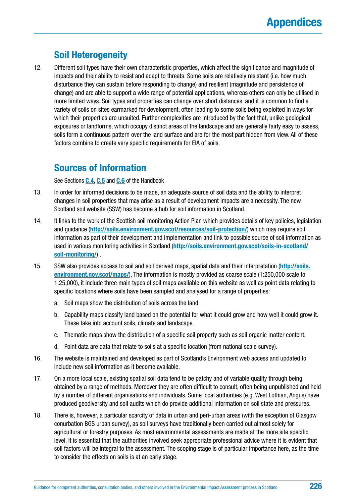### **Soil Heterogeneity**

12. Different soil types have their own characteristic properties, which affect the significance and magnitude of impacts and their ability to resist and adapt to threats. Some soils are relatively resistant (i.e. how much disturbance they can sustain before responding to change) and resilient (magnitude and persistence of change) and are able to support a wide range of potential applications, whereas others can only be utilised in more limited ways. Soil types and properties can change over short distances, and it is common to find a variety of soils on sites earmarked for development, often leading to some soils being exploited in ways for which their properties are unsuited. Further complexities are introduced by the fact that, unlike geological exposures or landforms, which occupy distinct areas of the landscape and are generally fairly easy to assess, soils form a continuous pattern over the land surface and are for the most part hidden from view. All of these factors combine to create very specific requirements for EIA of soils.

### **Sources of Information**

See Sections **[C.4](#page-56-0)**, **[C.5](#page-64-0)** and **[C.6](#page-66-0)** of the Handbook

- 13. In order for informed decisions to be made, an adequate source of soil data and the ability to interpret changes in soil properties that may arise as a result of development impacts are a necessity. The new Scotland soil website (SSW) has become a hub for soil information in Scotland.
- 14. It links to the work of the Scottish soil monitoring Action Plan which provides details of key policies, legislation and guidance (**<http://soils.environment.gov.scot/resources/soil-protection/>**) which may require soil information as part of their development and implementation and link to possible source of soil information as used in various monitoring activities in Scotland (**[http://soils.environment.gov.scot/soils-in-scotland/](http://soils.environment.gov.scot/soils-in-scotland/soil-monitoring/) [soil-monitoring/](http://soils.environment.gov.scot/soils-in-scotland/soil-monitoring/)**) .
- 15. SSW also provides access to soil and soil derived maps, spatial data and their interpretation (**[http://soils.](http://soils.environment.gov.scot/maps/) [environment.gov.scot/maps/](http://soils.environment.gov.scot/maps/)**), The information is mostly provided as coarse scale (1:250,000 scale to 1:25,000), it include three main types of soil maps available on this website as well as point data relating to specific locations where soils have been sampled and analysed for a range of properties:
	- a. Soil maps show the distribution of soils across the land.
	- b. Capability maps classify land based on the potential for what it could grow and how well it could grow it. These take into account soils, climate and landscape.
	- c. Thematic maps show the distribution of a specific soil property such as soil organic matter content.
	- d. Point data are data that relate to soils at a specific location (from national scale survey).
- 16. The website is maintained and developed as part of Scotland's Environment web access and updated to include new soil information as it become available.
- 17. On a more local scale, existing spatial soil data tend to be patchy and of variable quality through being obtained by a range of methods. Moreover they are often difficult to consult, often being unpublished and held by a number of different organisations and individuals. Some local authorities (e.g. West Lothian, Angus) have produced geodiversity and soil audits which do provide additional information on soil state and pressures.
- 18. There is, however, a particular scarcity of data in urban and peri-urban areas (with the exception of Glasgow conurbation BGS urban survey), as soil surveys have traditionally been carried out almost solely for agricultural or forestry purposes. As most environmental assessments are made at the more site specific level, it is essential that the authorities involved seek appropriate professional advice where it is evident that soil factors will be integral to the assessment. The scoping stage is of particular importance here, as the time to consider the effects on soils is at an early stage.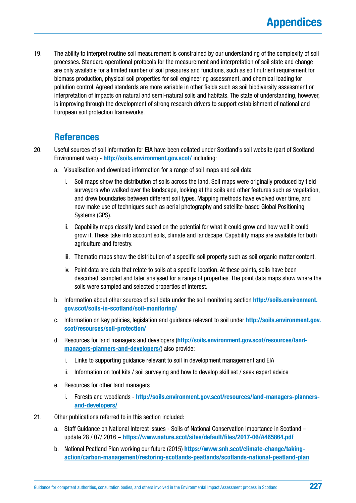19. The ability to interpret routine soil measurement is constrained by our understanding of the complexity of soil processes. Standard operational protocols for the measurement and interpretation of soil state and change are only available for a limited number of soil pressures and functions, such as soil nutrient requirement for biomass production, physical soil properties for soil engineering assessment, and chemical loading for pollution control. Agreed standards are more variable in other fields such as soil biodiversity assessment or interpretation of impacts on natural and semi-natural soils and habitats. The state of understanding, however, is improving through the development of strong research drivers to support establishment of national and European soil protection frameworks.

### **References**

- 20. Useful sources of soil information for EIA have been collated under Scotland's soil website (part of Scotland Environment web) - **<http://soils.environment.gov.scot/>** including:
	- a. Visualisation and download information for a range of soil maps and soil data
		- i. Soil maps show the distribution of soils across the land. Soil maps were originally produced by field surveyors who walked over the landscape, looking at the soils and other features such as vegetation, and drew boundaries between different soil types. Mapping methods have evolved over time, and now make use of techniques such as aerial photography and satellite-based Global Positioning Systems (GPS).
		- ii. Capability maps classify land based on the potential for what it could grow and how well it could grow it. These take into account soils, climate and landscape. Capability maps are available for both agriculture and forestry.
		- iii. Thematic maps show the distribution of a specific soil property such as soil organic matter content.
		- iv. Point data are data that relate to soils at a specific location. At these points, soils have been described, sampled and later analysed for a range of properties. The point data maps show where the soils were sampled and selected properties of interest.
	- b. Information about other sources of soil data under the soil monitoring section **[http://soils.environment.](http://soils.environment.gov.scot/soils-in-scotland/soil-monitoring/) [gov.scot/soils-in-scotland/soil-monitoring/](http://soils.environment.gov.scot/soils-in-scotland/soil-monitoring/)**
	- c. Information on key policies, legislation and guidance relevant to soil under **[http://soils.environment.gov.](http://soils.environment.gov.scot/resources/soil-protection/) [scot/resources/soil-protection/](http://soils.environment.gov.scot/resources/soil-protection/)**
	- d. Resources for land managers and developers (**[http://soils.environment.gov.scot/resources/land](http://soils.environment.gov.scot/resources/land-managers-planners-and-developers/)[managers-planners-and-developers/](http://soils.environment.gov.scot/resources/land-managers-planners-and-developers/)**) also provide:
		- i. Links to supporting guidance relevant to soil in development management and EIA
		- ii. Information on tool kits / soil surveying and how to develop skill set / seek expert advice
	- e. Resources for other land managers
		- i. Forests and woodlands **[http://soils.environment.gov.scot/resources/land-managers-planners](http://soils.environment.gov.scot/resources/land-managers-planners-and-developers/)[and-developers/](http://soils.environment.gov.scot/resources/land-managers-planners-and-developers/)**
- 21. Other publications referred to in this section included:
	- a. Staff Guidance on National Interest Issues Soils of National Conservation Importance in Scotland update 28 / 07/ 2016 – **<https://www.nature.scot/sites/default/files/2017-06/A465864.pdf>**
	- b. National Peatland Plan working our future (2015) **[https://www.snh.scot/climate-change/taking](https://www.snh.scot/climate-change/taking-action/carbon-management/restoring-scotlands-peatlands/scotlands-national-peatland-plan)[action/carbon-management/restoring-scotlands-peatlands/scotlands-national-peatland-plan](https://www.snh.scot/climate-change/taking-action/carbon-management/restoring-scotlands-peatlands/scotlands-national-peatland-plan)**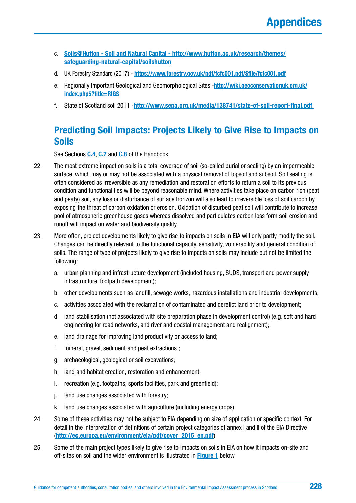- c. **[Soils@Hutton Soil and Natural Capital http://www.hutton.ac.uk/research/themes/](http://www.hutton.ac.uk/research/themes/safeguarding-natural-capital/soilshutton) [safeguarding-natural-capital/soilshutton](http://www.hutton.ac.uk/research/themes/safeguarding-natural-capital/soilshutton)**
- d. UK Forestry Standard (2017) **[https://www.forestry.gov.uk/pdf/fcfc001.pdf/\\$file/fcfc001.pdf](https://www.forestry.gov.uk/pdf/fcfc001.pdf/$file/fcfc001.pdf)**
- e. Regionally Important Geological and Geomorphological Sites -**[http://wiki.geoconservationuk.org.uk/](http://wiki.geoconservationuk.org.uk/index.php5?title=RIGS) [index.php5?title=RIGS](http://wiki.geoconservationuk.org.uk/index.php5?title=RIGS)**
- f. State of Scotland soil 2011 -**<http://www.sepa.org.uk/media/138741/state-of-soil-report-final.pdf>**

### **Predicting Soil Impacts: Projects Likely to Give Rise to Impacts on Soils**

See Sections **[C.4](#page-56-0)**, **[C.7](#page-69-0)** and **[C.8](#page-72-0)** of the Handbook

- 22. The most extreme impact on soils is a total coverage of soil (so-called burial or sealing) by an impermeable surface, which may or may not be associated with a physical removal of topsoil and subsoil. Soil sealing is often considered as irreversible as any remediation and restoration efforts to return a soil to its previous condition and functionalities will be beyond reasonable mind. Where activities take place on carbon rich (peat and peaty) soil, any loss or disturbance of surface horizon will also lead to irreversible loss of soil carbon by exposing the threat of carbon oxidation or erosion. Oxidation of disturbed peat soil will contribute to increase pool of atmospheric greenhouse gases whereas dissolved and particulates carbon loss form soil erosion and runoff will impact on water and biodiversity quality.
- 23. More often, project developments likely to give rise to impacts on soils in EIA will only partly modify the soil. Changes can be directly relevant to the functional capacity, sensitivity, vulnerability and general condition of soils. The range of type of projects likely to give rise to impacts on soils may include but not be limited the following:
	- a. urban planning and infrastructure development (included housing, SUDS, transport and power supply infrastructure, footpath development);
	- b. other developments such as landfill, sewage works, hazardous installations and industrial developments;
	- c. activities associated with the reclamation of contaminated and derelict land prior to development;
	- d. land stabilisation (not associated with site preparation phase in development control) (e.g. soft and hard engineering for road networks, and river and coastal management and realignment);
	- e. land drainage for improving land productivity or access to land;
	- f. mineral, gravel, sediment and peat extractions ;
	- g. archaeological, geological or soil excavations;
	- h. land and habitat creation, restoration and enhancement;
	- i. recreation (e.g. footpaths, sports facilities, park and greenfield);
	- j. land use changes associated with forestry;
	- k. land use changes associated with agriculture (including energy crops).
- 24. Some of these activities may not be subject to EIA depending on size of application or specific context. For detail in the Interpretation of definitions of certain project categories of annex I and II of the EIA Directive (**[http://ec.europa.eu/environment/eia/pdf/cover\\_2015\\_en.pdf](http://ec.europa.eu/environment/eia/pdf/cover_2015_en.pdf)**)
- 25. Some of the main project types likely to give rise to impacts on soils in EIA on how it impacts on-site and off-sites on soil and the wider environment is illustrated in **[Figure 1](#page-230-0)** below.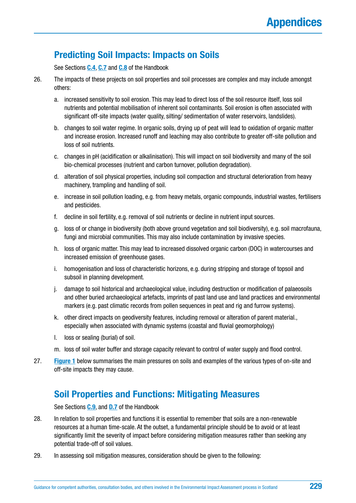# **Predicting Soil Impacts: Impacts on Soils**

See Sections **[C.4](#page-56-0)**, **[C.7](#page-69-0)** and **[C.8](#page-72-0)** of the Handbook

- 26. The impacts of these projects on soil properties and soil processes are complex and may include amongst others:
	- a. increased sensitivity to soil erosion. This may lead to direct loss of the soil resource itself, loss soil nutrients and potential mobilisation of inherent soil contaminants. Soil erosion is often associated with significant off-site impacts (water quality, silting/ sedimentation of water reservoirs, landslides).
	- b. changes to soil water regime. In organic soils, drying up of peat will lead to oxidation of organic matter and increase erosion. Increased runoff and leaching may also contribute to greater off-site pollution and loss of soil nutrients.
	- c. changes in pH (acidification or alkalinisation). This will impact on soil biodiversity and many of the soil bio-chemical processes (nutrient and carbon turnover, pollution degradation).
	- d. alteration of soil physical properties, including soil compaction and structural deterioration from heavy machinery, trampling and handling of soil.
	- e. increase in soil pollution loading, e.g. from heavy metals, organic compounds, industrial wastes, fertilisers and pesticides.
	- f. decline in soil fertility, e.g. removal of soil nutrients or decline in nutrient input sources.
	- g. loss of or change in biodiversity (both above ground vegetation and soil biodiversity), e.g. soil macrofauna, fungi and microbial communities. This may also include contamination by invasive species.
	- h. loss of organic matter. This may lead to increased dissolved organic carbon (DOC) in watercourses and increased emission of greenhouse gases.
	- i. homogenisation and loss of characteristic horizons, e.g. during stripping and storage of topsoil and subsoil in planning development.
	- j. damage to soil historical and archaeological value, including destruction or modification of palaeosoils and other buried archaeological artefacts, imprints of past land use and land practices and environmental markers (e.g. past climatic records from pollen sequences in peat and rig and furrow systems).
	- k. other direct impacts on geodiversity features, including removal or alteration of parent material., especially when associated with dynamic systems (coastal and fluvial geomorphology)
	- l. loss or sealing (burial) of soil.
	- m. loss of soil water buffer and storage capacity relevant to control of water supply and flood control.
- 27. **[Figure 1](#page-230-0)** below summarises the main pressures on soils and examples of the various types of on-site and off-site impacts they may cause.

### **Soil Properties and Functions: Mitigating Measures**

See Sections **[C.9](#page-76-0)**, and **[D.7](#page-95-0)** of the Handbook

- 28. In relation to soil properties and functions it is essential to remember that soils are a non-renewable resources at a human time-scale. At the outset, a fundamental principle should be to avoid or at least significantly limit the severity of impact before considering mitigation measures rather than seeking any potential trade-off of soil values.
- 29. In assessing soil mitigation measures, consideration should be given to the following: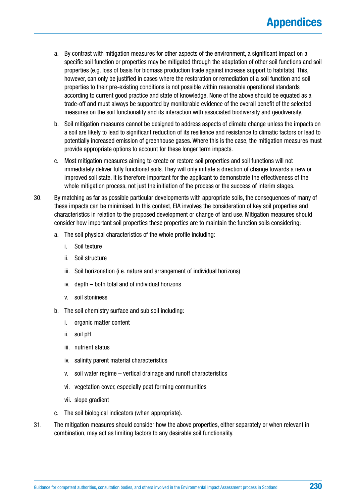- a. By contrast with mitigation measures for other aspects of the environment, a significant impact on a specific soil function or properties may be mitigated through the adaptation of other soil functions and soil properties (e.g. loss of basis for biomass production trade against increase support to habitats). This, however, can only be justified in cases where the restoration or remediation of a soil function and soil properties to their pre-existing conditions is not possible within reasonable operational standards according to current good practice and state of knowledge. None of the above should be equated as a trade-off and must always be supported by monitorable evidence of the overall benefit of the selected measures on the soil functionality and its interaction with associated biodiversity and geodiversity.
- b. Soil mitigation measures cannot be designed to address aspects of climate change unless the impacts on a soil are likely to lead to significant reduction of its resilience and resistance to climatic factors or lead to potentially increased emission of greenhouse gases. Where this is the case, the mitigation measures must provide appropriate options to account for these longer term impacts.
- c. Most mitigation measures aiming to create or restore soil properties and soil functions will not immediately deliver fully functional soils. They will only initiate a direction of change towards a new or improved soil state. It is therefore important for the applicant to demonstrate the effectiveness of the whole mitigation process, not just the initiation of the process or the success of interim stages.
- 30. By matching as far as possible particular developments with appropriate soils, the consequences of many of these impacts can be minimised. In this context, EIA involves the consideration of key soil properties and characteristics in relation to the proposed development or change of land use. Mitigation measures should consider how important soil properties these properties are to maintain the function soils considering:
	- a. The soil physical characteristics of the whole profile including:
		- i. Soil texture
		- ii. Soil structure
		- iii. Soil horizonation (i.e. nature and arrangement of individual horizons)
		- iv. depth both total and of individual horizons
		- v. soil stoniness
	- b. The soil chemistry surface and sub soil including:
		- i. organic matter content
		- ii. soil pH
		- iii. nutrient status
		- iv. salinity parent material characteristics
		- v. soil water regime vertical drainage and runoff characteristics
		- vi. vegetation cover, especially peat forming communities
		- vii. slope gradient
	- c. The soil biological indicators (when appropriate).
- 31. The mitigation measures should consider how the above properties, either separately or when relevant in combination, may act as limiting factors to any desirable soil functionality.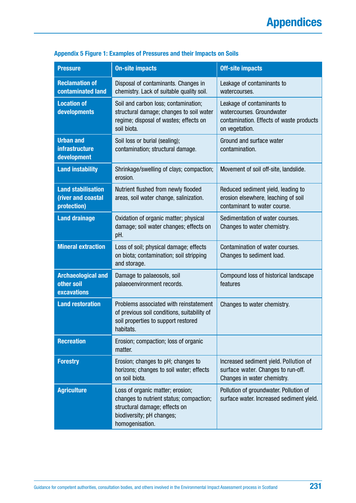| <b>Pressure</b>                                                | <b>On-site impacts</b>                                                                                                                                       | <b>Off-site impacts</b>                                                                                               |
|----------------------------------------------------------------|--------------------------------------------------------------------------------------------------------------------------------------------------------------|-----------------------------------------------------------------------------------------------------------------------|
| <b>Reclamation of</b><br>contaminated land                     | Disposal of contaminants. Changes in<br>chemistry. Lack of suitable quality soil.                                                                            | Leakage of contaminants to<br>watercourses.                                                                           |
| <b>Location of</b><br>developments                             | Soil and carbon loss; contamination;<br>structural damage; changes to soil water<br>regime; disposal of wastes; effects on<br>soil biota.                    | Leakage of contaminants to<br>watercourses. Groundwater<br>contamination. Effects of waste products<br>on vegetation. |
| <b>Urban and</b><br><b>infrastructure</b><br>development       | Soil loss or burial (sealing);<br>contamination; structural damage.                                                                                          | Ground and surface water<br>contamination.                                                                            |
| <b>Land instability</b>                                        | Shrinkage/swelling of clays; compaction;<br>erosion.                                                                                                         | Movement of soil off-site, landslide.                                                                                 |
| <b>Land stabilisation</b><br>(river and coastal<br>protection) | Nutrient flushed from newly flooded<br>areas, soil water change, salinization.                                                                               | Reduced sediment yield, leading to<br>erosion elsewhere, leaching of soil<br>contaminant to water course.             |
| <b>Land drainage</b>                                           | Oxidation of organic matter; physical<br>damage; soil water changes; effects on<br>pH.                                                                       | Sedimentation of water courses.<br>Changes to water chemistry.                                                        |
| <b>Mineral extraction</b>                                      | Loss of soil; physical damage; effects<br>on biota; contamination; soil stripping<br>and storage.                                                            | Contamination of water courses.<br>Changes to sediment load.                                                          |
| <b>Archaeological and</b><br>other soil<br><b>excavations</b>  | Damage to palaeosols, soil<br>palaeoenvironment records.                                                                                                     | Compound loss of historical landscape<br>features                                                                     |
| <b>Land restoration</b>                                        | Problems associated with reinstatement<br>of previous soil conditions, suitability of<br>soil properties to support restored<br>habitats.                    | Changes to water chemistry.                                                                                           |
| <b>Recreation</b>                                              | Erosion; compaction; loss of organic<br>matter.                                                                                                              |                                                                                                                       |
| <b>Forestry</b>                                                | Erosion; changes to pH; changes to<br>horizons; changes to soil water; effects<br>on soil biota.                                                             | Increased sediment yield. Pollution of<br>surface water. Changes to run-off.<br>Changes in water chemistry.           |
| <b>Agriculture</b>                                             | Loss of organic matter; erosion;<br>changes to nutrient status; compaction;<br>structural damage; effects on<br>biodiversity; pH changes;<br>homogenisation. | Pollution of groundwater. Pollution of<br>surface water. Increased sediment yield.                                    |

### <span id="page-230-0"></span>**Appendix 5 Figure 1: Examples of Pressures and their Impacts on Soils**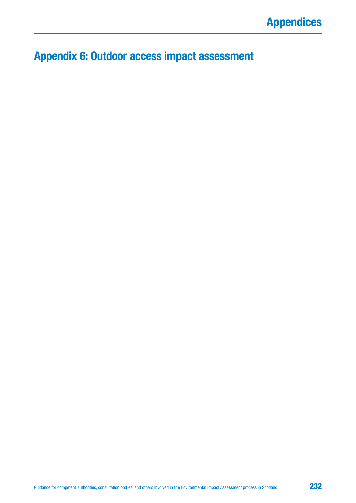# **Appendix 6: Outdoor access impact assessment**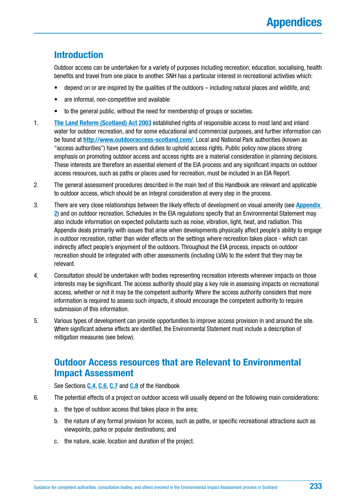### **Introduction**

Outdoor access can be undertaken for a variety of purposes including recreation, education, socialising, health benefits and travel from one place to another. SNH has a particular interest in recreational activities which:

- depend on or are inspired by the qualities of the outdoors including natural places and wildlife, and;
- are informal, non-competitive and available
- to the general public, without the need for membership of groups or societies.
- 1. **[The Land Reform \(Scotland\) Act 2003](https://www.legislation.gov.uk/asp/2003/2/contents)** established rights of responsible access to most land and inland water for outdoor recreation, and for some educational and commercial purposes, and further information can be found at **<http://www.outdooraccess-scotland.com/>**. Local and National Park authorities (known as "access authorities") have powers and duties to uphold access rights. Public policy now places strong emphasis on promoting outdoor access and access rights are a material consideration in planning decisions. These interests are therefore an essential element of the EIA process and any significant impacts on outdoor access resources, such as paths or places used for recreation, must be included in an EIA Report.
- 2. The general assessment procedures described in the main text of this Handbook are relevant and applicable to outdoor access, which should be an integral consideration at every step in the process.
- 3. There are very close relationships between the likely effects of development on visual amenity (see **[Appendix](#page-187-0)  2**[\) a](#page-187-0)nd on outdoor recreation. Schedules in the EIA regulations specify that an Environmental Statement may also include information on expected pollutants such as noise, vibration, light, heat, and radiation. This Appendix deals primarily with issues that arise when developments physically affect people's ability to engage in outdoor recreation, rather than wider effects on the settings where recreation takes place - which can indirectly affect people's enjoyment of the outdoors. Throughout the EIA process, impacts on outdoor recreation should be integrated with other assessments (including LVIA) to the extent that they may be relevant.
- 4. Consultation should be undertaken with bodies representing recreation interests wherever impacts on those interests may be significant. The access authority should play a key role in assessing impacts on recreational access, whether or not it may be the competent authority. Where the access authority considers that more information is required to assess such impacts, it should encourage the competent authority to require submission of this information.
- 5. Various types of development can provide opportunities to improve access provision in and around the site. Where significant adverse effects are identified, the Environmental Statement must include a description of mitigation measures (see below).

### **Outdoor Access resources that are Relevant to Environmental Impact Assessment**

See Sections **[C.4](#page-56-0)**, **[C.6](#page-66-0)**, **[C.7](#page-69-0)** and **[C.8](#page-72-0)** of the Handbook

- 6. The potential effects of a project on outdoor access will usually depend on the following main considerations:
	- a. the type of outdoor access that takes place in the area;
	- b. the nature of any formal provision for access, such as paths, or specific recreational attractions such as viewpoints, parks or popular destinations; and
	- c. the nature, scale, location and duration of the project.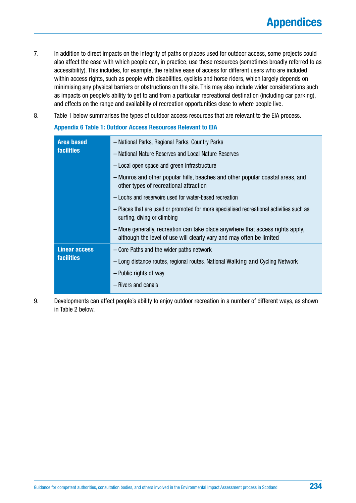- 7. In addition to direct impacts on the integrity of paths or places used for outdoor access, some projects could also affect the ease with which people can, in practice, use these resources (sometimes broadly referred to as accessibility). This includes, for example, the relative ease of access for different users who are included within access rights, such as people with disabilities, cyclists and horse riders, which largely depends on minimising any physical barriers or obstructions on the site. This may also include wider considerations such as impacts on people's ability to get to and from a particular recreational destination (including car parking), and effects on the range and availability of recreation opportunities close to where people live.
- 8. Table 1 below summarises the types of outdoor access resources that are relevant to the EIA process.

#### **Appendix 6 Table 1: Outdoor Access Resources Relevant to EIA**

| <b>Area based</b>    | - National Parks, Regional Parks, Country Parks                                                                                                        |
|----------------------|--------------------------------------------------------------------------------------------------------------------------------------------------------|
| <b>facilities</b>    | - National Nature Reserves and Local Nature Reserves                                                                                                   |
|                      | - Local open space and green infrastructure                                                                                                            |
|                      | - Munros and other popular hills, beaches and other popular coastal areas, and<br>other types of recreational attraction                               |
|                      | - Lochs and reservoirs used for water-based recreation                                                                                                 |
|                      | - Places that are used or promoted for more specialised recreational activities such as<br>surfing, diving or climbing                                 |
|                      | - More generally, recreation can take place anywhere that access rights apply,<br>although the level of use will clearly vary and may often be limited |
| <b>Linear access</b> | - Core Paths and the wider paths network                                                                                                               |
| <b>facilities</b>    | - Long distance routes, regional routes, National Walking and Cycling Network                                                                          |
|                      | - Public rights of way                                                                                                                                 |
|                      | - Rivers and canals                                                                                                                                    |
|                      |                                                                                                                                                        |

9. Developments can affect people's ability to enjoy outdoor recreation in a number of different ways, as shown in Table 2 below.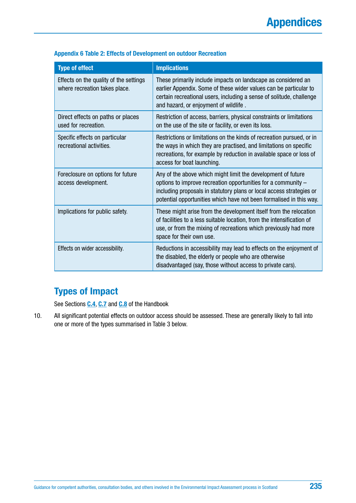| <b>Type of effect</b>                                                   | <b>Implications</b>                                                                                                                                                                                                                                                          |
|-------------------------------------------------------------------------|------------------------------------------------------------------------------------------------------------------------------------------------------------------------------------------------------------------------------------------------------------------------------|
| Effects on the quality of the settings<br>where recreation takes place. | These primarily include impacts on landscape as considered an<br>earlier Appendix. Some of these wider values can be particular to<br>certain recreational users, including a sense of solitude, challenge<br>and hazard, or enjoyment of wildlife.                          |
| Direct effects on paths or places<br>used for recreation.               | Restriction of access, barriers, physical constraints or limitations<br>on the use of the site or facility, or even its loss.                                                                                                                                                |
| Specific effects on particular<br>recreational activities.              | Restrictions or limitations on the kinds of recreation pursued, or in<br>the ways in which they are practised, and limitations on specific<br>recreations, for example by reduction in available space or loss of<br>access for boat launching.                              |
| Foreclosure on options for future<br>access development.                | Any of the above which might limit the development of future<br>options to improve recreation opportunities for a community -<br>including proposals in statutory plans or local access strategies or<br>potential opportunities which have not been formalised in this way. |
| Implications for public safety.                                         | These might arise from the development itself from the relocation<br>of facilities to a less suitable location, from the intensification of<br>use, or from the mixing of recreations which previously had more<br>space for their own use.                                  |
| Effects on wider accessibility.                                         | Reductions in accessibility may lead to effects on the enjoyment of<br>the disabled, the elderly or people who are otherwise<br>disadvantaged (say, those without access to private cars).                                                                                   |

#### **Appendix 6 Table 2: Effects of Development on outdoor Recreation**

### **Types of Impact**

See Sections **[C.4](#page-56-0)**, **[C.7](#page-69-0)** and **[C.8](#page-72-0)** of the Handbook

10. All significant potential effects on outdoor access should be assessed. These are generally likely to fall into one or more of the types summarised in Table 3 below.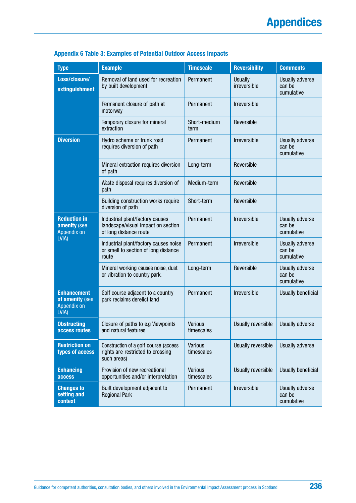| <b>Type</b>                                                   | <b>Example</b>                                                                                  | <b>Timescale</b>             | <b>Reversibility</b>           | <b>Comments</b>                         |
|---------------------------------------------------------------|-------------------------------------------------------------------------------------------------|------------------------------|--------------------------------|-----------------------------------------|
| Loss/closure/<br>extinguishment                               | Removal of land used for recreation<br>by built development                                     | Permanent                    | <b>Usually</b><br>irreversible | Usually adverse<br>can be<br>cumulative |
|                                                               | Permanent closure of path at<br>motorway                                                        | Permanent                    | <b>Irreversible</b>            |                                         |
|                                                               | Temporary closure for mineral<br>extraction                                                     | Short-medium<br>term         | Reversible                     |                                         |
| <b>Diversion</b>                                              | Hydro scheme or trunk road<br>requires diversion of path                                        | Permanent                    | Irreversible                   | Usually adverse<br>can be<br>cumulative |
|                                                               | Mineral extraction requires diversion<br>of path                                                | Long-term                    | Reversible                     |                                         |
|                                                               | Waste disposal requires diversion of<br>path                                                    | Medium-term                  | Reversible                     |                                         |
|                                                               | Building construction works require<br>diversion of path                                        | Short-term                   | Reversible                     |                                         |
| <b>Reduction in</b><br>amenity (see<br>Appendix on<br>LVIA)   | Industrial plant/factory causes<br>landscape/visual impact on section<br>of long distance route | Permanent                    | Irreversible                   | Usually adverse<br>can be<br>cumulative |
|                                                               | Industrial plant/factory causes noise<br>or smell to section of long distance<br>route          | Permanent                    | Irreversible                   | Usually adverse<br>can be<br>cumulative |
|                                                               | Mineral working causes noise, dust<br>or vibration to country park.                             | Long-term                    | Reversible                     | Usually adverse<br>can be<br>cumulative |
| <b>Enhancement</b><br>of amenity (see<br>Appendix on<br>LVIA) | Golf course adjacent to a country<br>park reclaims derelict land                                | Permanent                    | Irreversible                   | Usually beneficial                      |
| <b>Obstructing</b><br>access routes                           | Closure of paths to e.g. Viewpoints<br>and natural features                                     | <b>Various</b><br>timescales | Usually reversible             | Usually adverse                         |
| <b>Restriction on</b><br>types of access                      | Construction of a golf course (access<br>rights are restricted to crossing<br>such areas)       | Various<br>timescales        | Usually reversible             | Usually adverse                         |
| <b>Enhancing</b><br><b>access</b>                             | Provision of new recreational<br>opportunities and/or interpretation                            | <b>Various</b><br>timescales | Usually reversible             | Usually beneficial                      |
| <b>Changes to</b><br>setting and<br>context                   | Built development adjacent to<br><b>Regional Park</b>                                           | Permanent                    | Irreversible                   | Usually adverse<br>can be<br>cumulative |

### **Appendix 6 Table 3: Examples of Potential Outdoor Access Impacts**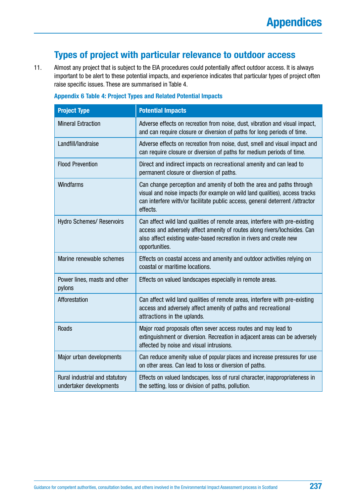### **Types of project with particular relevance to outdoor access**

11. Almost any project that is subject to the EIA procedures could potentially affect outdoor access. It is always important to be alert to these potential impacts, and experience indicates that particular types of project often raise specific issues. These are summarised in Table 4.

| <b>Project Type</b>                                       | <b>Potential Impacts</b>                                                                                                                                                                                                                           |
|-----------------------------------------------------------|----------------------------------------------------------------------------------------------------------------------------------------------------------------------------------------------------------------------------------------------------|
| <b>Mineral Extraction</b>                                 | Adverse effects on recreation from noise, dust, vibration and visual impact,<br>and can require closure or diversion of paths for long periods of time.                                                                                            |
| Landfill/landraise                                        | Adverse effects on recreation from noise, dust, smell and visual impact and<br>can require closure or diversion of paths for medium periods of time.                                                                                               |
| <b>Flood Prevention</b>                                   | Direct and indirect impacts on recreational amenity and can lead to<br>permanent closure or diversion of paths.                                                                                                                                    |
| <b>Windfarms</b>                                          | Can change perception and amenity of both the area and paths through<br>visual and noise impacts (for example on wild land qualities), access tracks<br>can interfere with/or facilitate public access, general deterrent /attractor<br>effects.   |
| <b>Hydro Schemes/ Reservoirs</b>                          | Can affect wild land qualities of remote areas, interfere with pre-existing<br>access and adversely affect amenity of routes along rivers/lochsides. Can<br>also affect existing water-based recreation in rivers and create new<br>opportunities. |
| Marine renewable schemes                                  | Effects on coastal access and amenity and outdoor activities relying on<br>coastal or maritime locations.                                                                                                                                          |
| Power lines, masts and other<br>pylons                    | Effects on valued landscapes especially in remote areas.                                                                                                                                                                                           |
| Afforestation                                             | Can affect wild land qualities of remote areas, interfere with pre-existing<br>access and adversely affect amenity of paths and recreational<br>attractions in the uplands.                                                                        |
| <b>Roads</b>                                              | Major road proposals often sever access routes and may lead to<br>extinguishment or diversion. Recreation in adjacent areas can be adversely<br>affected by noise and visual intrusions.                                                           |
| Major urban developments                                  | Can reduce amenity value of popular places and increase pressures for use<br>on other areas. Can lead to loss or diversion of paths.                                                                                                               |
| Rural industrial and statutory<br>undertaker developments | Effects on valued landscapes, loss of rural character, inappropriateness in<br>the setting, loss or division of paths, pollution.                                                                                                                  |

#### **Appendix 6 Table 4: Project Types and Related Potential Impacts**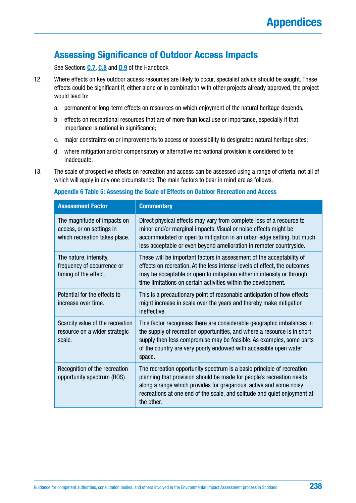### **Assessing Significance of Outdoor Access Impacts**

See Sections **[C.7](#page-69-0)**, **[C.8](#page-72-0)** and **[D.9](#page-98-0)** of the Handbook

- 12. Where effects on key outdoor access resources are likely to occur, specialist advice should be sought. These effects could be significant if, either alone or in combination with other projects already approved, the project would lead to:
	- a. permanent or long-term effects on resources on which enjoyment of the natural heritage depends;
	- b. effects on recreational resources that are of more than local use or importance, especially if that importance is national in significance;
	- c. major constraints on or improvements to access or accessibility to designated natural heritage sites;
	- d. where mitigation and/or compensatory or alternative recreational provision is considered to be inadequate.
- 13. The scale of prospective effects on recreation and access can be assessed using a range of criteria, not all of which will apply in any one circumstance. The main factors to bear in mind are as follows.

#### **Appendix 6 Table 5: Assessing the Scale of Effects on Outdoor Recreation and Access**

| <b>Assessment Factor</b>                                                                  | <b>Commentary</b>                                                                                                                                                                                                                                                                                              |
|-------------------------------------------------------------------------------------------|----------------------------------------------------------------------------------------------------------------------------------------------------------------------------------------------------------------------------------------------------------------------------------------------------------------|
| The magnitude of impacts on<br>access, or on settings in<br>which recreation takes place. | Direct physical effects may vary from complete loss of a resource to<br>minor and/or marginal impacts. Visual or noise effects might be<br>accommodated or open to mitigation in an urban edge setting, but much<br>less acceptable or even beyond amelioration in remoter countryside.                        |
| The nature, intensity,<br>frequency of occurrence or<br>timing of the effect.             | These will be important factors in assessment of the acceptability of<br>effects on recreation. At the less intense levels of effect, the outcomes<br>may be acceptable or open to mitigation either in intensity or through<br>time limitations on certain activities within the development.                 |
| Potential for the effects to<br>increase over time.                                       | This is a precautionary point of reasonable anticipation of how effects<br>might increase in scale over the years and thereby make mitigation<br>ineffective.                                                                                                                                                  |
| Scarcity value of the recreation<br>resource on a wider strategic<br>scale.               | This factor recognises there are considerable geographic imbalances in<br>the supply of recreation opportunities, and where a resource is in short<br>supply then less compromise may be feasible. As examples, some parts<br>of the country are very poorly endowed with accessible open water<br>space.      |
| Recognition of the recreation<br>opportunity spectrum (ROS).                              | The recreation opportunity spectrum is a basic principle of recreation<br>planning that provision should be made for people's recreation needs<br>along a range which provides for gregarious, active and some noisy<br>recreations at one end of the scale, and solitude and quiet enjoyment at<br>the other. |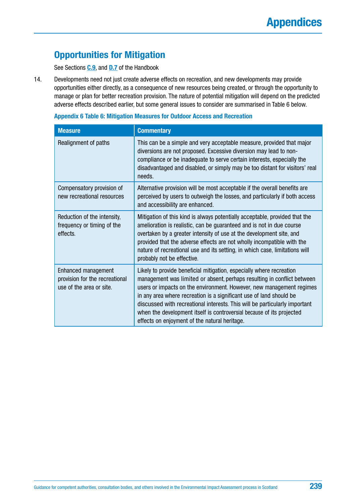# **Opportunities for Mitigation**

See Sections **[C.9](#page-76-0)**, and **[D.7](#page-95-0)** of the Handbook

14. Developments need not just create adverse effects on recreation, and new developments may provide opportunities either directly, as a consequence of new resources being created, or through the opportunity to manage or plan for better recreation provision. The nature of potential mitigation will depend on the predicted adverse effects described earlier, but some general issues to consider are summarised in Table 6 below.

| <b>Appendix 6 Table 6: Mitigation Measures for Outdoor Access and Recreation</b> |  |
|----------------------------------------------------------------------------------|--|
|----------------------------------------------------------------------------------|--|

| <b>Measure</b>                                                                    | <b>Commentary</b>                                                                                                                                                                                                                                                                                                                                                                                                                                                                                      |
|-----------------------------------------------------------------------------------|--------------------------------------------------------------------------------------------------------------------------------------------------------------------------------------------------------------------------------------------------------------------------------------------------------------------------------------------------------------------------------------------------------------------------------------------------------------------------------------------------------|
| Realignment of paths                                                              | This can be a simple and very acceptable measure, provided that major<br>diversions are not proposed. Excessive diversion may lead to non-<br>compliance or be inadequate to serve certain interests, especially the<br>disadvantaged and disabled, or simply may be too distant for visitors' real<br>needs.                                                                                                                                                                                          |
| Compensatory provision of<br>new recreational resources                           | Alternative provision will be most acceptable if the overall benefits are<br>perceived by users to outweigh the losses, and particularly if both access<br>and accessibility are enhanced.                                                                                                                                                                                                                                                                                                             |
| Reduction of the intensity,<br>frequency or timing of the<br>effects.             | Mitigation of this kind is always potentially acceptable, provided that the<br>amelioration is realistic, can be guaranteed and is not in due course<br>overtaken by a greater intensity of use at the development site, and<br>provided that the adverse effects are not wholly incompatible with the<br>nature of recreational use and its setting, in which case, limitations will<br>probably not be effective.                                                                                    |
| Enhanced management<br>provision for the recreational<br>use of the area or site. | Likely to provide beneficial mitigation, especially where recreation<br>management was limited or absent, perhaps resulting in conflict between<br>users or impacts on the environment. However, new management regimes<br>in any area where recreation is a significant use of land should be<br>discussed with recreational interests. This will be particularly important<br>when the development itself is controversial because of its projected<br>effects on enjoyment of the natural heritage. |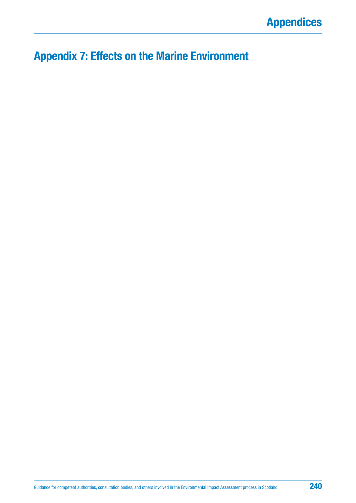# **Appendix 7: Effects on the Marine Environment**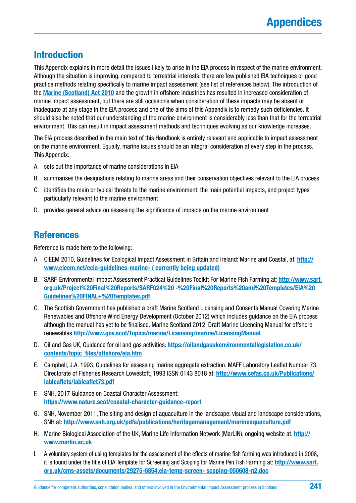### **Introduction**

This Appendix explains in more detail the issues likely to arise in the EIA process in respect of the marine environment. Although the situation is improving, compared to terrestrial interests, there are few published EIA techniques or good practice methods relating specifically to marine impact assessment (see list of references below). The introduction of the **[Marine \(Scotland\) Act 2010](https://www.legislation.gov.uk/asp/2010/5/contents)** and the growth in offshore industries has resulted in increased consideration of marine impact assessment, but there are still occasions when consideration of these impacts may be absent or inadequate at any stage in the EIA process and one of the aims of this Appendix is to remedy such deficiencies. It should also be noted that our understanding of the marine environment is considerably less than that for the terrestrial environment. This can result in impact assessment methods and techniques evolving as our knowledge increases.

The EIA process described in the main text of this Handbook is entirely relevant and applicable to impact assessment on the marine environment. Equally, marine issues should be an integral consideration at every step in the process. This Appendix:

- A. sets out the importance of marine considerations in EIA
- B. summarises the designations relating to marine areas and their conservation objectives relevant to the EIA process
- C. identifies the main or typical threats to the marine environment: the main potential impacts, and project types particularly relevant to the marine environment
- D. provides general advice on assessing the significance of impacts on the marine environment

### **References**

Reference is made here to the following:

- A. CIEEM 2010, Guidelines for Ecological Impact Assessment in Britain and Ireland: Marine and Coastal, at: **[http://](http://www.cieem.net/ecia-guidelines-marine-) [www.cieem.net/ecia-guidelines-marine- \( currently being updated\)](http://www.cieem.net/ecia-guidelines-marine-)**
- B. SARF, Environmental Impact Assessment Practical Guidelines Toolkit For Marine Fish Farming at: **[http://www.sarf.](http://www.sarf.org.uk/Project%20Final%20Reports/SARF024%20%20-%20Final%20Reports%20and%20Templates/EIA%20Guidelines%20FINAL+%20Templates.pdf) [org.uk/Project%20Final%20Reports/SARF024%20 -%20Final%20Reports%20and%20Templates/EIA%20](http://www.sarf.org.uk/Project%20Final%20Reports/SARF024%20%20-%20Final%20Reports%20and%20Templates/EIA%20Guidelines%20FINAL+%20Templates.pdf) [Guidelines%20FINAL+%20Templates.pdf](http://www.sarf.org.uk/Project%20Final%20Reports/SARF024%20%20-%20Final%20Reports%20and%20Templates/EIA%20Guidelines%20FINAL+%20Templates.pdf)**
- C. The Scottish Government has published a draft Marine Scotland Licensing and Consents Manual Covering Marine Renewables and Offshore Wind Energy Development (October 2012) which includes guidance on the EIA process although the manual has yet to be finalised. Marine Scotland 2012, Draft Marine Licencing Manual for offshore renewables **<http://www.gov.scot/Topics/marine/Licensing/marine/LicensingManual>**
- D. Oil and Gas UK, Guidance for oil and gas activities: **[https://oilandgasukenvironmentallegislation.co.uk/](https://oilandgasukenvironmentallegislation.co.uk/contents/topic_files/offshore/eia.htm) [contents/topic\\_files/offshore/eia.htm](https://oilandgasukenvironmentallegislation.co.uk/contents/topic_files/offshore/eia.htm)**
- E. Campbell, J.A. 1993, Guidelines for assessing marine aggregate extraction. MAFF Laboratory Leaflet Number 73, Directorate of Fisheries Research Lowestoft, 1993 ISSN 0143 8018 at: **[http://www.cefas.co.uk/Publications/](http://www.cefas.co.uk/Publications/lableaflets/lableaflet73.pdf) [lableaflets/lableaflet73.pdf](http://www.cefas.co.uk/Publications/lableaflets/lableaflet73.pdf)**
- F. SNH, 2017 Guidance on Coastal Character Assessment: **<https://www.nature.scot/coastal-character-guidance-report>**
- G. SNH, November 2011, The siting and design of aquaculture in the landscape: visual and landscape considerations, SNH at: **<http://www.snh.org.uk/pdfs/publications/heritagemanagement/marineaquaculture.pdf>**
- H. Marine Biological Association of the UK, Marine Life Information Network (MarLIN), ongoing website at: **[http://](http://www.marlin.ac.uk) [www.marlin.ac.uk](http://www.marlin.ac.uk)**
- I. A voluntary system of using templates for the assessment of the effects of marine fish farming was introduced in 2008, it is found under the title of EIA Template for Screening and Scoping for Marine Pen Fish Farming at: **[http://www.sarf.](http://www.sarf.org.uk/cms-assets/documents/29275-6854.eia-temp-screen-%20scoping-050608-n2.doc) [org.uk/cms-assets/documents/29275-6854.eia-temp-screen- scoping-050608-n2.doc](http://www.sarf.org.uk/cms-assets/documents/29275-6854.eia-temp-screen-%20scoping-050608-n2.doc)**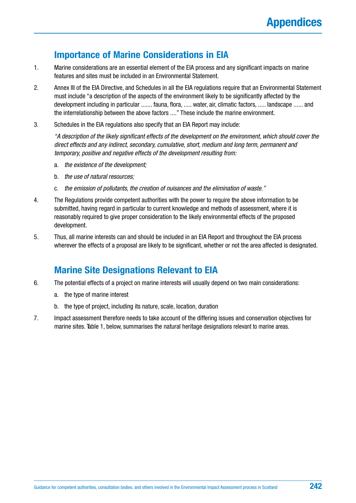### **Importance of Marine Considerations in EIA**

- 1. Marine considerations are an essential element of the EIA process and any significant impacts on marine features and sites must be included in an Environmental Statement.
- 2. Annex III of the EIA Directive, and Schedules in all the EIA regulations require that an Environmental Statement must include "a description of the aspects of the environment likely to be significantly affected by the development including in particular ....... fauna, flora, ..... water, air, climatic factors, ..... landscape ...... and the interrelationship between the above factors ...." These include the marine environment.
- 3. Schedules in the EIA regulations also specify that an EIA Report may include:

*"A description of the likely significant effects of the development on the environment, which should cover the direct effects and any indirect, secondary, cumulative, short, medium and long term, permanent and temporary, positive and negative effects of the development resulting from:*

- a. *the existence of the development;*
- b. *the use of natural resources;*
- c. *the emission of pollutants, the creation of nuisances and the elimination of waste."*
- 4. The Regulations provide competent authorities with the power to require the above information to be submitted, having regard in particular to current knowledge and methods of assessment, where it is reasonably required to give proper consideration to the likely environmental effects of the proposed development.
- 5. Thus, all marine interests can and should be included in an EIA Report and throughout the EIA process wherever the effects of a proposal are likely to be significant, whether or not the area affected is designated.

# **Marine Site Designations Relevant to EIA**

- 6. The potential effects of a project on marine interests will usually depend on two main considerations:
	- a. the type of marine interest
	- b. the type of project, including its nature, scale, location, duration
- 7. Impact assessment therefore needs to take account of the differing issues and conservation objectives for marine sites. Table 1, below, summarises the natural heritage designations relevant to marine areas.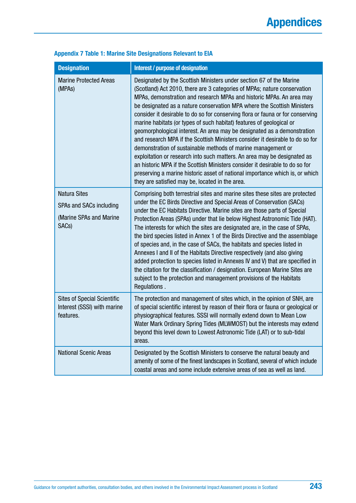| <b>Designation</b>                                                                              | Interest / purpose of designation                                                                                                                                                                                                                                                                                                                                                                                                                                                                                                                                                                                                                                                                                                                                                                                                                                                                                                                                                       |
|-------------------------------------------------------------------------------------------------|-----------------------------------------------------------------------------------------------------------------------------------------------------------------------------------------------------------------------------------------------------------------------------------------------------------------------------------------------------------------------------------------------------------------------------------------------------------------------------------------------------------------------------------------------------------------------------------------------------------------------------------------------------------------------------------------------------------------------------------------------------------------------------------------------------------------------------------------------------------------------------------------------------------------------------------------------------------------------------------------|
| <b>Marine Protected Areas</b><br>(MPA <sub>S</sub> )                                            | Designated by the Scottish Ministers under section 67 of the Marine<br>(Scotland) Act 2010, there are 3 categories of MPAs; nature conservation<br>MPAs, demonstration and research MPAs and historic MPAs. An area may<br>be designated as a nature conservation MPA where the Scottish Ministers<br>consider it desirable to do so for conserving flora or fauna or for conserving<br>marine habitats (or types of such habitat) features of geological or<br>geomorphological interest. An area may be designated as a demonstration<br>and research MPA if the Scottish Ministers consider it desirable to do so for<br>demonstration of sustainable methods of marine management or<br>exploitation or research into such matters. An area may be designated as<br>an historic MPA if the Scottish Ministers consider it desirable to do so for<br>preserving a marine historic asset of national importance which is, or which<br>they are satisfied may be, located in the area. |
| <b>Natura Sites</b><br>SPAs and SACs including<br>(Marine SPAs and Marine<br>SAC <sub>s</sub> ) | Comprising both terrestrial sites and marine sites these sites are protected<br>under the EC Birds Directive and Special Areas of Conservation (SACs)<br>under the EC Habitats Directive. Marine sites are those parts of Special<br>Protection Areas (SPAs) under that lie below Highest Astronomic Tide (HAT).<br>The interests for which the sites are designated are, in the case of SPAs,<br>the bird species listed in Annex 1 of the Birds Directive and the assemblage<br>of species and, in the case of SACs, the habitats and species listed in<br>Annexes I and II of the Habitats Directive respectively (and also giving<br>added protection to species listed in Annexes IV and V) that are specified in<br>the citation for the classification / designation. European Marine Sites are<br>subject to the protection and management provisions of the Habitats<br>Regulations.                                                                                           |
| <b>Sites of Special Scientific</b><br>Interest (SSSI) with marine<br>features.                  | The protection and management of sites which, in the opinion of SNH, are<br>of special scientific interest by reason of their flora or fauna or geological or<br>physiographical features. SSSI will normally extend down to Mean Low<br>Water Mark Ordinary Spring Tides (MLWMOST) but the interests may extend<br>beyond this level down to Lowest Astronomic Tide (LAT) or to sub-tidal<br>areas.                                                                                                                                                                                                                                                                                                                                                                                                                                                                                                                                                                                    |
| <b>National Scenic Areas</b>                                                                    | Designated by the Scottish Ministers to conserve the natural beauty and<br>amenity of some of the finest landscapes in Scotland, several of which include<br>coastal areas and some include extensive areas of sea as well as land.                                                                                                                                                                                                                                                                                                                                                                                                                                                                                                                                                                                                                                                                                                                                                     |

### **Appendix 7 Table 1: Marine Site Designations Relevant to EIA**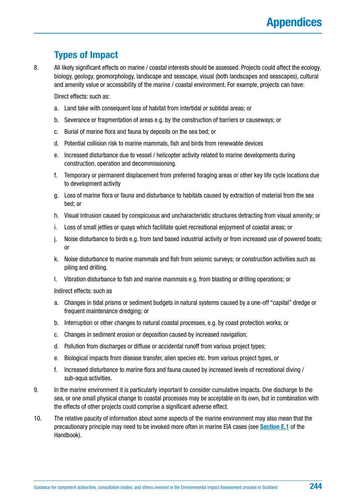# **Types of Impact**

8. All likely significant effects on marine / coastal interests should be assessed. Projects could affect the ecology, biology, geology, geomorphology, landscape and seascape, visual (both landscapes and seascapes), cultural and amenity value or accessibility of the marine / coastal environment. For example, projects can have:

Direct effects: such as:

- a. Land take with consequent loss of habitat from intertidal or subtidal areas; or
- b. Severance or fragmentation of areas e.g. by the construction of barriers or causeways; or
- c. Burial of marine flora and fauna by deposits on the sea bed; or
- d. Potential collision risk to marine mammals, fish and birds from renewable devices
- e. Increased disturbance due to vessel / helicopter activity related to marine developments during construction, operation and decommissioning.
- f. Temporary or permanent displacement from preferred foraging areas or other key life cycle locations due to development activity
- g. Loss of marine flora or fauna and disturbance to habitats caused by extraction of material from the sea bed; or
- h. Visual intrusion caused by conspicuous and uncharacteristic structures detracting from visual amenity; or
- i. Loss of small jetties or quays which facilitate quiet recreational enjoyment of coastal areas; or
- j. Noise disturbance to birds e.g. from land based industrial activity or from increased use of powered boats; or
- k. Noise disturbance to marine mammals and fish from seismic surveys; or construction activities such as piling and drilling.
- l. Vibration disturbance to fish and marine mammals e.g. from blasting or drilling operations; or

Indirect effects: such as

- a. Changes in tidal prisms or sediment budgets in natural systems caused by a one-off "capital" dredge or frequent maintenance dredging; or
- b. Interruption or other changes to natural coastal processes, e.g. by coast protection works; or
- c. Changes in sediment erosion or deposition caused by increased navigation;
- d. Pollution from discharges or diffuse or accidental runoff from various project types;
- e. Biological impacts from disease transfer, alien species etc. from various project types, or
- f. Increased disturbance to marine flora and fauna caused by increased levels of recreational diving / sub-aqua activities.
- 9. In the marine environment it is particularly important to consider cumulative impacts. One discharge to the sea, or one small physical change to coastal processes may be acceptable on its own, but in combination with the effects of other projects could comprise a significant adverse effect.
- 10. The relative paucity of information about some aspects of the marine environment may also mean that the precautionary principle may need to be invoked more often in marine EIA cases (see **[Section E.1](#page-106-0)** of the Handbook).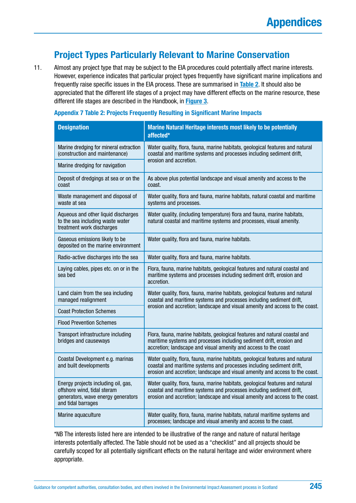### **Project Types Particularly Relevant to Marine Conservation**

11. Almost any project type that may be subject to the EIA procedures could potentially affect marine interests. However, experience indicates that particular project types frequently have significant marine implications and frequently raise specific issues in the EIA process. These are summarised in **Table 2**. It should also be appreciated that the different life stages of a project may have different effects on the marine resource, these different life stages are described in the Handbook, in **[Figure](#page-61-0) 3**.

#### **Appendix 7 Table 2: Projects Frequently Resulting in Significant Marine Impacts**

| <b>Designation</b>                                                                                                             | Marine Natural Heritage interests most likely to be potentially<br>affected*                                                                                                                                                          |
|--------------------------------------------------------------------------------------------------------------------------------|---------------------------------------------------------------------------------------------------------------------------------------------------------------------------------------------------------------------------------------|
| Marine dredging for mineral extraction<br>(construction and maintenance)                                                       | Water quality, flora, fauna, marine habitats, geological features and natural<br>coastal and maritime systems and processes including sediment drift,<br>erosion and accretion.                                                       |
| Marine dredging for navigation                                                                                                 |                                                                                                                                                                                                                                       |
| Deposit of dredgings at sea or on the<br>coast                                                                                 | As above plus potential landscape and visual amenity and access to the<br>coast.                                                                                                                                                      |
| Waste management and disposal of<br>waste at sea                                                                               | Water quality, flora and fauna, marine habitats, natural coastal and maritime<br>systems and processes.                                                                                                                               |
| Aqueous and other liquid discharges<br>to the sea including waste water<br>treatment work discharges                           | Water quality, (including temperature) flora and fauna, marine habitats,<br>natural coastal and maritime systems and processes, visual amenity.                                                                                       |
| Gaseous emissions likely to be<br>deposited on the marine environment                                                          | Water quality, flora and fauna, marine habitats.                                                                                                                                                                                      |
| Radio-active discharges into the sea                                                                                           | Water quality, flora and fauna, marine habitats.                                                                                                                                                                                      |
| Laying cables, pipes etc. on or in the<br>sea bed                                                                              | Flora, fauna, marine habitats, geological features and natural coastal and<br>maritime systems and processes including sediment drift, erosion and<br>accretion.                                                                      |
| Land claim from the sea including<br>managed realignment                                                                       | Water quality, flora, fauna, marine habitats, geological features and natural<br>coastal and maritime systems and processes including sediment drift,<br>erosion and accretion; landscape and visual amenity and access to the coast. |
| <b>Coast Protection Schemes</b>                                                                                                |                                                                                                                                                                                                                                       |
| <b>Flood Prevention Schemes</b>                                                                                                |                                                                                                                                                                                                                                       |
| Transport infrastructure including<br>bridges and causeways                                                                    | Flora, fauna, marine habitats, geological features and natural coastal and<br>maritime systems and processes including sediment drift, erosion and<br>accretion; landscape and visual amenity and access to the coast                 |
| Coastal Development e.g. marinas<br>and built developments                                                                     | Water quality, flora, fauna, marine habitats, geological features and natural<br>coastal and maritime systems and processes including sediment drift,<br>erosion and accretion; landscape and visual amenity and access to the coast. |
| Energy projects including oil, gas,<br>offshore wind, tidal steram<br>generators, wave energy generators<br>and tidal barrages | Water quality, flora, fauna, marine habitats, geological features and natural<br>coastal and maritime systems and processes including sediment drift,<br>erosion and accretion; landscape and visual amenity and access to the coast. |
| Marine aquaculture                                                                                                             | Water quality, flora, fauna, marine habitats, natural maritime systems and<br>processes; landscape and visual amenity and access to the coast.                                                                                        |

\*NB The interests listed here are intended to be illustrative of the range and nature of natural heritage interests potentially affected. The Table should not be used as a "checklist" and all projects should be carefully scoped for all potentially significant effects on the natural heritage and wider environment where appropriate.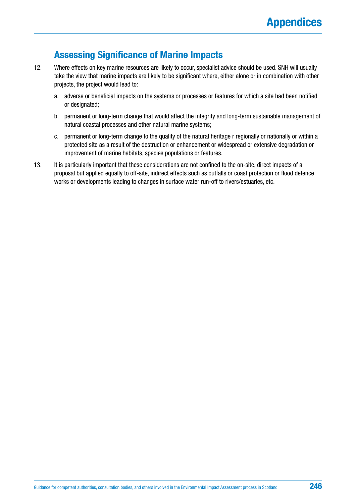### **Assessing Significance of Marine Impacts**

- 12. Where effects on key marine resources are likely to occur, specialist advice should be used. SNH will usually take the view that marine impacts are likely to be significant where, either alone or in combination with other projects, the project would lead to:
	- a. adverse or beneficial impacts on the systems or processes or features for which a site had been notified or designated;
	- b. permanent or long-term change that would affect the integrity and long-term sustainable management of natural coastal processes and other natural marine systems;
	- c. permanent or long-term change to the quality of the natural heritage r regionally or nationally or within a protected site as a result of the destruction or enhancement or widespread or extensive degradation or improvement of marine habitats, species populations or features.
- 13. It is particularly important that these considerations are not confined to the on-site, direct impacts of a proposal but applied equally to off-site, indirect effects such as outfalls or coast protection or flood defence works or developments leading to changes in surface water run-off to rivers/estuaries, etc.